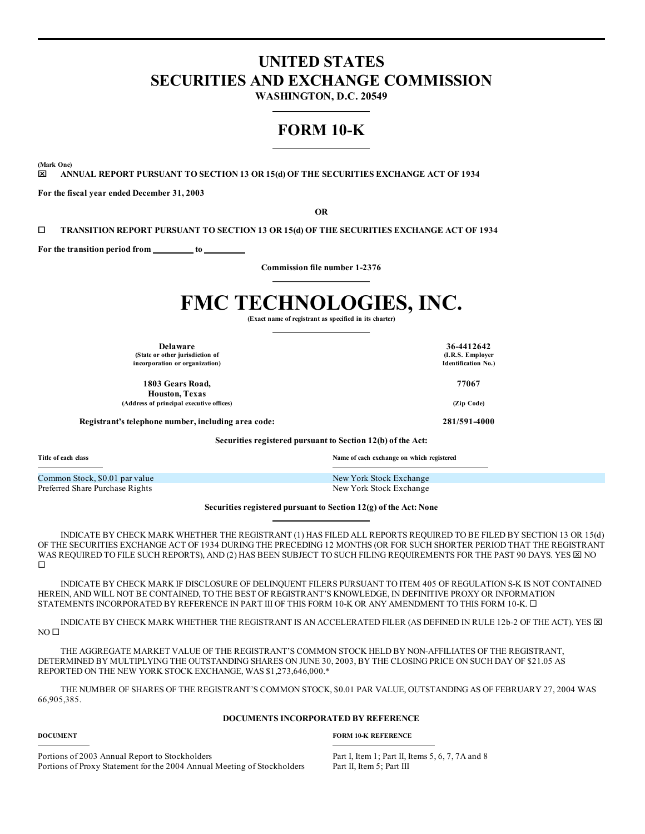# **UNITED STATES SECURITIES AND EXCHANGE COMMISSION**

**WASHINGTON, D.C. 20549**

# **FORM 10-K**

**(Mark One)**

x **ANNUAL REPORT PURSUANT TO SECTION 13 OR 15(d) OF THE SECURITIES EXCHANGE ACT OF 1934**

**For the fiscal year ended December 31, 2003**

**OR**

#### ¨ **TRANSITION REPORT PURSUANT TO SECTION 13 OR 15(d) OF THE SECURITIES EXCHANGE ACT OF 1934**

**For the transition period from to**

**Commission file number 1-2376**

# **FMC TECHNOLOGIES, INC.**

**(Exact name of registrant as specified in its charter)**

**Delaware 36-4412642 (State or other jurisdiction of incorporation or organization)**

**1803 Gears Road, Houston, Texas (Address of principal executive offices) (Zip Code)**

**Registrant's telephone number, including area code: 281/591-4000**

**Securities registered pursuant to Section 12(b) of the Act:**

| Title of each class             | Name of each exchange on which registered |  |
|---------------------------------|-------------------------------------------|--|
|                                 |                                           |  |
| Common Stock, \$0.01 par value  | New York Stock Exchange                   |  |
| Preferred Share Purchase Rights | New York Stock Exchange                   |  |

**Securities registered pursuant to Section 12(g) of the Act: None**

INDICATE BY CHECK MARK WHETHER THE REGISTRANT (1) HAS FILED ALL REPORTS REQUIRED TO BE FILED BY SECTION 13 OR 15(d) OF THE SECURITIES EXCHANGE ACT OF 1934 DURING THE PRECEDING 12 MONTHS (OR FOR SUCH SHORTER PERIOD THAT THE REGISTRANT WAS REQUIRED TO FILE SUCH REPORTS), AND (2) HAS BEEN SUBJECT TO SUCH FILING REQUIREMENTS FOR THE PAST 90 DAYS. YES  $\boxtimes$  NO  $\Box$ 

INDICATE BY CHECK MARK IF DISCLOSURE OF DELINQUENT FILERS PURSUANT TO ITEM 405 OF REGULATION S-K IS NOT CONTAINED HEREIN, AND WILL NOT BE CONTAINED, TO THE BEST OF REGISTRANT'S KNOWLEDGE, IN DEFINITIVE PROXY OR INFORMATION STATEMENTS INCORPORATED BY REFERENCE IN PART III OF THIS FORM 10-K OR ANY AMENDMENT TO THIS FORM 10-K.  $\Box$ 

INDICATE BY CHECK MARK WHETHER THE REGISTRANT IS AN ACCELERATED FILER (AS DEFINED IN RULE 12b-2 OF THE ACT). YES x  $NO<sub>1</sub>$ 

THE AGGREGATE MARKET VALUE OF THE REGISTRANT'S COMMON STOCK HELD BY NON-AFFILIATES OF THE REGISTRANT, DETERMINED BY MULTIPLYING THE OUTSTANDING SHARES ON JUNE 30, 2003, BY THE CLOSING PRICE ON SUCH DAY OF \$21.05 AS REPORTED ON THE NEW YORK STOCK EXCHANGE, WAS \$1,273,646,000.\*

THE NUMBER OF SHARES OF THE REGISTRANT'S COMMON STOCK, \$0.01 PAR VALUE, OUTSTANDING AS OF FEBRUARY 27, 2004 WAS 66,905,385.

#### **DOCUMENTS INCORPORATED BY REFERENCE**

## **DOCUMENT FORM 10-K REFERENCE**

Portions of 2003 Annual Report to Stockholders Part I, Item 1; Part I, Item 1; Part II, Item 5, 6, 7, 7A and 8 Portions of Proxy Statement for the 2004 Annual Meeting of Stockholders Part II, Item 5; Part III

**(I.R.S. Employer Identification No.)**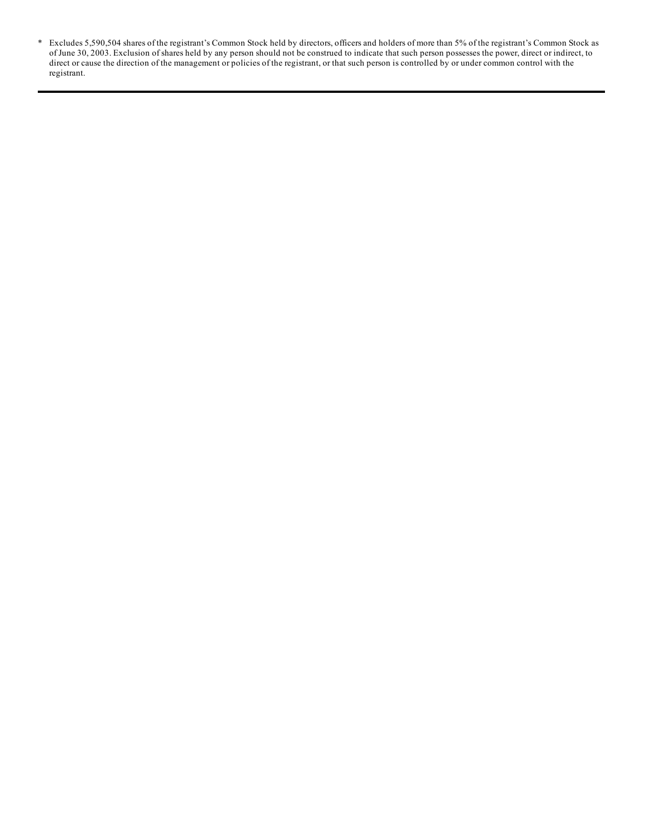\* Excludes 5,590,504 shares of the registrant's Common Stock held by directors, officers and holders of more than 5% of the registrant's Common Stock as of June 30, 2003. Exclusion of shares held by any person should not be construed to indicate that such person possesses the power, direct or indirect, to direct or cause the direction of the management or policies of the registrant, or that such person is controlled by or under common control with the registrant.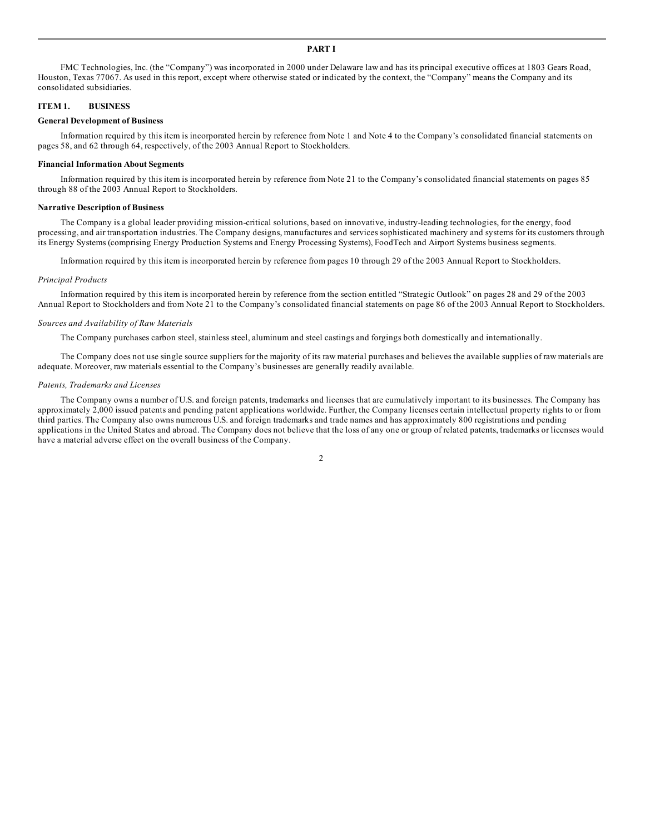#### **PART I**

FMC Technologies, Inc. (the "Company") was incorporated in 2000 under Delaware law and has its principal executive offices at 1803 Gears Road, Houston, Texas 77067. As used in this report, except where otherwise stated or indicated by the context, the "Company" means the Company and its consolidated subsidiaries.

#### **ITEM 1. BUSINESS**

#### **General Development of Business**

Information required by this item is incorporated herein by reference from Note 1 and Note 4 to the Company's consolidated financial statements on pages 58, and 62 through 64, respectively, of the 2003 Annual Report to Stockholders.

#### **Financial Information About Segments**

Information required by this item is incorporated herein by reference from Note 21 to the Company's consolidated financial statements on pages 85 through 88 of the 2003 Annual Report to Stockholders.

#### **Narrative Description of Business**

The Company is a global leader providing mission-critical solutions, based on innovative, industry-leading technologies, for the energy, food processing, and air transportation industries. The Company designs, manufactures and services sophisticated machinery and systems for its customers through its Energy Systems (comprising Energy Production Systems and Energy Processing Systems), FoodTech and Airport Systems business segments.

Information required by this item is incorporated herein by reference from pages 10 through 29 of the 2003 Annual Report to Stockholders.

#### *Principal Products*

Information required by this item is incorporated herein by reference from the section entitled "Strategic Outlook" on pages 28 and 29 of the 2003 Annual Report to Stockholders and from Note 21 to the Company's consolidated financial statements on page 86 of the 2003 Annual Report to Stockholders.

#### *Sources and Availability of Raw Materials*

The Company purchases carbon steel, stainless steel, aluminum and steel castings and forgings both domestically and internationally.

The Company does not use single source suppliers for the majority of its raw material purchases and believes the available supplies of raw materials are adequate. Moreover, raw materials essential to the Company's businesses are generally readily available.

#### *Patents, Trademarks and Licenses*

The Company owns a number of U.S. and foreign patents, trademarks and licenses that are cumulatively important to its businesses. The Company has approximately 2,000 issued patents and pending patent applications worldwide. Further, the Company licenses certain intellectual property rights to or from third parties. The Company also owns numerous U.S. and foreign trademarks and trade names and has approximately 800 registrations and pending applications in the United States and abroad. The Company does not believe that the loss of any one or group of related patents, trademarks or licenses would have a material adverse effect on the overall business of the Company.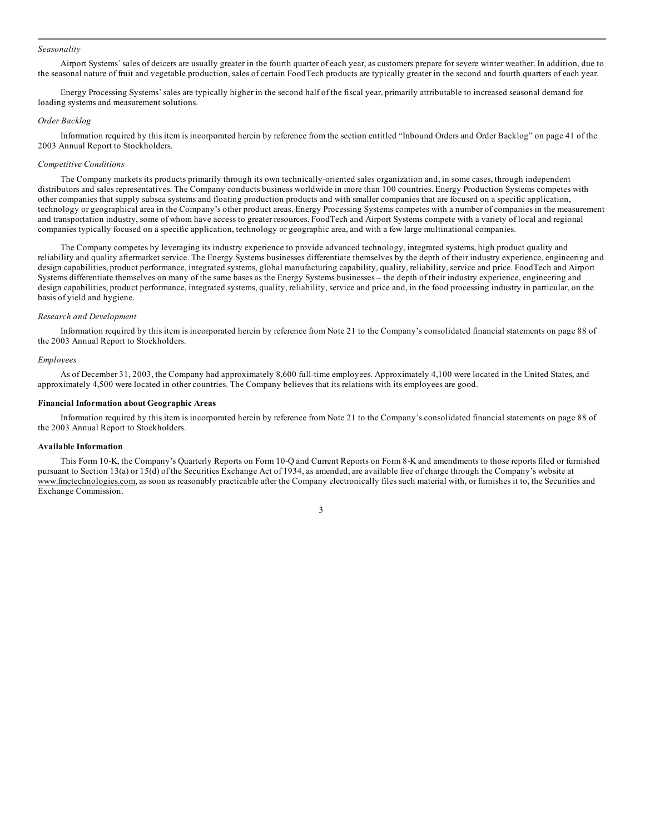#### *Seasonality*

Airport Systems' sales of deicers are usually greater in the fourth quarter of each year, as customers prepare for severe winter weather. In addition, due to the seasonal nature of fruit and vegetable production, sales of certain FoodTech products are typically greater in the second and fourth quarters of each year.

Energy Processing Systems' sales are typically higher in the second half of the fiscal year, primarily attributable to increased seasonal demand for loading systems and measurement solutions.

#### *Order Backlog*

Information required by this item is incorporated herein by reference from the section entitled "Inbound Orders and Order Backlog" on page 41 of the 2003 Annual Report to Stockholders.

#### *Competitive Conditions*

The Company markets its products primarily through its own technically-oriented sales organization and, in some cases, through independent distributors and sales representatives. The Company conducts business worldwide in more than 100 countries. Energy Production Systems competes with other companies that supply subsea systems and floating production products and with smaller companies that are focused on a specific application, technology or geographical area in the Company's other product areas. Energy Processing Systems competes with a number of companies in the measurement and transportation industry, some of whom have access to greater resources. FoodTech and Airport Systems compete with a variety of local and regional companies typically focused on a specific application, technology or geographic area, and with a few large multinational companies.

The Company competes by leveraging its industry experience to provide advanced technology, integrated systems, high product quality and reliability and quality aftermarket service. The Energy Systems businesses differentiate themselves by the depth of their industry experience, engineering and design capabilities, product performance, integrated systems, global manufacturing capability, quality, reliability, service and price. FoodTech and Airport Systems differentiate themselves on many of the same bases as the Energy Systems businesses – the depth of their industry experience, engineering and design capabilities, product performance, integrated systems, quality, reliability, service and price and, in the food processing industry in particular, on the basis of yield and hygiene.

#### *Research and Development*

Information required by this item is incorporated herein by reference from Note 21 to the Company's consolidated financial statements on page 88 of the 2003 Annual Report to Stockholders.

#### *Employees*

As of December 31, 2003, the Company had approximately 8,600 full-time employees. Approximately 4,100 were located in the United States, and approximately 4,500 were located in other countries. The Company believes that its relations with its employees are good.

#### **Financial Information about Geographic Areas**

Information required by this item is incorporated herein by reference from Note 21 to the Company's consolidated financial statements on page 88 of the 2003 Annual Report to Stockholders.

#### **Available Information**

This Form 10-K, the Company's Quarterly Reports on Form 10-Q and Current Reports on Form 8-K and amendments to those reports filed or furnished pursuant to Section 13(a) or 15(d) of the Securities Exchange Act of 1934, as amended, are available free of charge through the Company's website at www.fmctechnologies.com, as soon as reasonably practicable after the Company electronically files such material with, or furnishes it to, the Securities and Exchange Commission.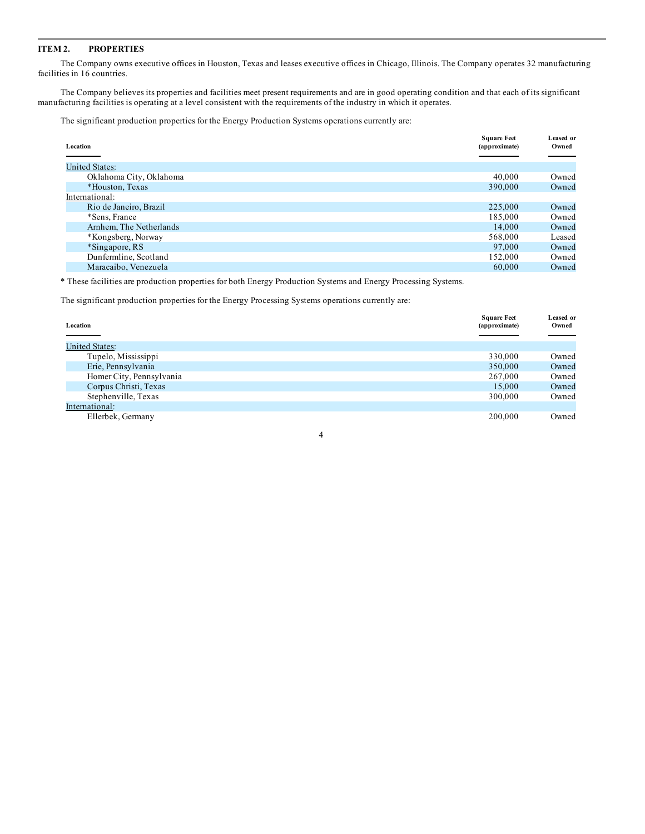#### **ITEM 2. PROPERTIES**

The Company owns executive offices in Houston, Texas and leases executive offices in Chicago, Illinois. The Company operates 32 manufacturing facilities in 16 countries.

The Company believes its properties and facilities meet present requirements and are in good operating condition and that each of its significant manufacturing facilities is operating at a level consistent with the requirements of the industry in which it operates.

The significant production properties for the Energy Production Systems operations currently are:

| Location                | <b>Square Feet</b><br>(approximate) | Leased or<br>Owned |
|-------------------------|-------------------------------------|--------------------|
|                         |                                     |                    |
| <b>United States:</b>   |                                     |                    |
| Oklahoma City, Oklahoma | 40,000                              | Owned              |
| *Houston, Texas         | 390,000                             | Owned              |
| International:          |                                     |                    |
| Rio de Janeiro, Brazil  | 225,000                             | Owned              |
| *Sens, France           | 185,000                             | Owned              |
| Arnhem, The Netherlands | 14,000                              | Owned              |
| *Kongsberg, Norway      | 568,000                             | Leased             |
| *Singapore, RS          | 97,000                              | Owned              |
| Dunfermline, Scotland   | 152,000                             | Owned              |
| Maracaibo, Venezuela    | 60,000                              | Owned              |

\* These facilities are production properties for both Energy Production Systems and Energy Processing Systems.

The significant production properties for the Energy Processing Systems operations currently are:

| Location                 | <b>Square Feet</b><br>(approximate) | Leased or<br>Owned |
|--------------------------|-------------------------------------|--------------------|
| United States:           |                                     |                    |
| Tupelo, Mississippi      | 330,000                             | Owned              |
| Erie, Pennsylvania       | 350,000                             | Owned              |
| Homer City, Pennsylvania | 267,000                             | Owned              |
| Corpus Christi, Texas    | 15,000                              | Owned              |
| Stephenville, Texas      | 300,000                             | Owned              |
| International:           |                                     |                    |
| Ellerbek, Germany        | 200,000                             | Owned              |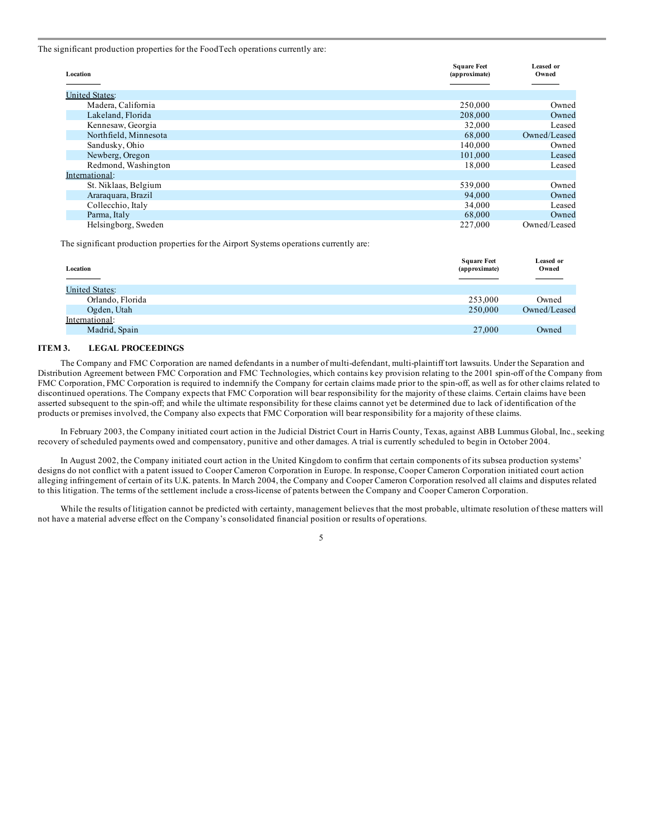The significant production properties for the FoodTech operations currently are:

| Location              | <b>Square Feet</b><br>(approximate) | Leased or<br>Owned |
|-----------------------|-------------------------------------|--------------------|
|                       |                                     |                    |
| <b>United States:</b> |                                     |                    |
| Madera, California    | 250,000                             | Owned              |
| Lakeland, Florida     | 208,000                             | Owned              |
| Kennesaw, Georgia     | 32,000                              | Leased             |
| Northfield, Minnesota | 68,000                              | Owned/Leased       |
| Sandusky, Ohio        | 140,000                             | Owned              |
| Newberg, Oregon       | 101,000                             | Leased             |
| Redmond, Washington   | 18,000                              | Leased             |
| International:        |                                     |                    |
| St. Niklaas, Belgium  | 539,000                             | Owned              |
| Araraquara, Brazil    | 94,000                              | Owned              |
| Collecchio, Italy     | 34,000                              | Leased             |
| Parma, Italy          | 68,000                              | Owned              |
| Helsingborg, Sweden   | 227,000                             | Owned/Leased       |

The significant production properties for the Airport Systems operations currently are:

| Location              | <b>Square Feet</b><br>(approximate) | Leased or<br>Owned |
|-----------------------|-------------------------------------|--------------------|
| <b>United States:</b> |                                     |                    |
| Orlando, Florida      | 253,000                             | Owned              |
| Ogden, Utah           | 250,000                             | Owned/Leased       |
| International:        |                                     |                    |
| Madrid, Spain         | 27,000                              | Owned              |

#### **ITEM 3. LEGAL PROCEEDINGS**

The Company and FMC Corporation are named defendants in a number of multi-defendant, multi-plaintiff tort lawsuits. Under the Separation and Distribution Agreement between FMC Corporation and FMC Technologies, which contains key provision relating to the 2001 spin-off of the Company from FMC Corporation, FMC Corporation is required to indemnify the Company for certain claims made prior to the spin-off, as well as for other claims related to discontinued operations. The Company expects that FMC Corporation will bear responsibility for the majority of these claims. Certain claims have been asserted subsequent to the spin-off; and while the ultimate responsibility for these claims cannot yet be determined due to lack of identification of the products or premises involved, the Company also expects that FMC Corporation will bear responsibility for a majority of these claims.

In February 2003, the Company initiated court action in the Judicial District Court in Harris County, Texas, against ABB Lummus Global, Inc., seeking recovery of scheduled payments owed and compensatory, punitive and other damages. A trial is currently scheduled to begin in October 2004.

In August 2002, the Company initiated court action in the United Kingdom to confirm that certain components of its subsea production systems' designs do not conflict with a patent issued to Cooper Cameron Corporation in Europe. In response, Cooper Cameron Corporation initiated court action alleging infringement of certain of its U.K. patents. In March 2004, the Company and Cooper Cameron Corporation resolved all claims and disputes related to this litigation. The terms of the settlement include a cross-license of patents between the Company and Cooper Cameron Corporation.

While the results of litigation cannot be predicted with certainty, management believes that the most probable, ultimate resolution of these matters will not have a material adverse effect on the Company's consolidated financial position or results of operations.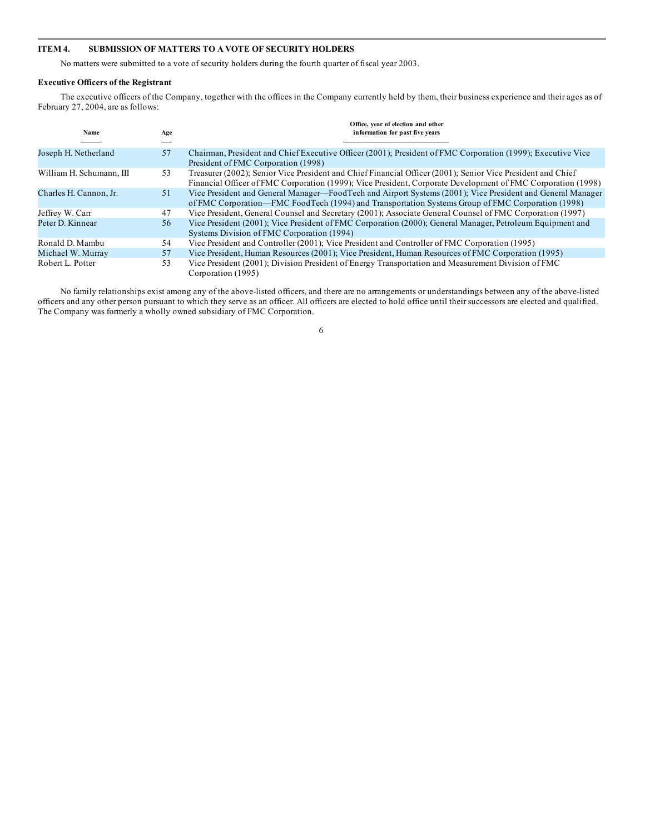#### **ITEM 4. SUBMISSION OF MATTERS TO A VOTE OF SECURITY HOLDERS**

No matters were submitted to a vote of security holders during the fourth quarter of fiscal year 2003.

#### **Executive Officers of the Registrant**

The executive officers of the Company, together with the offices in the Company currently held by them, their business experience and their ages as of February 27, 2004, are as follows:

| Name                     | Age | Office, year of election and other<br>information for past five years                                                                                                                                                       |
|--------------------------|-----|-----------------------------------------------------------------------------------------------------------------------------------------------------------------------------------------------------------------------------|
| Joseph H. Netherland     | 57  | Chairman, President and Chief Executive Officer (2001); President of FMC Corporation (1999); Executive Vice<br>President of FMC Corporation (1998)                                                                          |
| William H. Schumann, III | 53  | Treasurer (2002); Senior Vice President and Chief Financial Officer (2001); Senior Vice President and Chief<br>Financial Officer of FMC Corporation (1999); Vice President, Corporate Development of FMC Corporation (1998) |
| Charles H. Cannon, Jr.   | 51  | Vice President and General Manager—FoodTech and Airport Systems (2001); Vice President and General Manager<br>of FMC Corporation—FMC FoodTech (1994) and Transportation Systems Group of FMC Corporation (1998)             |
| Jeffrey W. Carr          | 47  | Vice President, General Counsel and Secretary (2001); Associate General Counsel of FMC Corporation (1997)                                                                                                                   |
| Peter D. Kinnear         | 56  | Vice President (2001); Vice President of FMC Corporation (2000); General Manager, Petroleum Equipment and<br>Systems Division of FMC Corporation (1994)                                                                     |
| Ronald D. Mambu          | 54  | Vice President and Controller (2001); Vice President and Controller of FMC Corporation (1995)                                                                                                                               |
| Michael W. Murray        | 57  | Vice President, Human Resources (2001); Vice President, Human Resources of FMC Corporation (1995)                                                                                                                           |
| Robert L. Potter         | 53  | Vice President (2001); Division President of Energy Transportation and Measurement Division of FMC<br>Corporation (1995)                                                                                                    |

No family relationships exist among any of the above-listed officers, and there are no arrangements or understandings between any of the above-listed officers and any other person pursuant to which they serve as an officer. All officers are elected to hold office until their successors are elected and qualified. The Company was formerly a wholly owned subsidiary of FMC Corporation.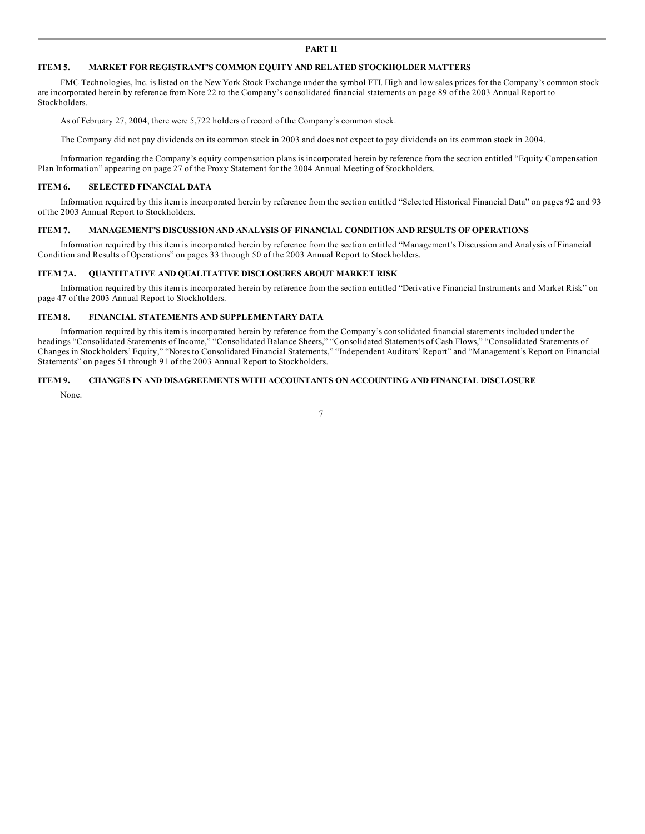#### **PART II**

#### **ITEM 5. MARKET FOR REGISTRANT'S COMMON EQUITY AND RELATED STOCKHOLDER MATTERS**

FMC Technologies, Inc. is listed on the New York Stock Exchange under the symbol FTI. High and low sales prices for the Company's common stock are incorporated herein by reference from Note 22 to the Company's consolidated financial statements on page 89 of the 2003 Annual Report to Stockholders.

As of February 27, 2004, there were 5,722 holders of record of the Company's common stock.

The Company did not pay dividends on its common stock in 2003 and does not expect to pay dividends on its common stock in 2004.

Information regarding the Company's equity compensation plans is incorporated herein by reference from the section entitled "Equity Compensation Plan Information" appearing on page 27 of the Proxy Statement for the 2004 Annual Meeting of Stockholders.

#### **ITEM 6. SELECTED FINANCIAL DATA**

Information required by this item is incorporated herein by reference from the section entitled "Selected Historical Financial Data" on pages 92 and 93 of the 2003 Annual Report to Stockholders.

#### **ITEM 7. MANAGEMENT'S DISCUSSION AND ANALYSIS OF FINANCIAL CONDITION AND RESULTS OF OPERATIONS**

Information required by this item is incorporated herein by reference from the section entitled "Management's Discussion and Analysis of Financial Condition and Results of Operations" on pages 33 through 50 of the 2003 Annual Report to Stockholders.

#### **ITEM 7A. QUANTITATIVE AND QUALITATIVE DISCLOSURES ABOUT MARKET RISK**

Information required by this item is incorporated herein by reference from the section entitled "Derivative Financial Instruments and Market Risk" on page 47 of the 2003 Annual Report to Stockholders.

#### **ITEM 8. FINANCIAL STATEMENTS AND SUPPLEMENTARY DATA**

Information required by this item is incorporated herein by reference from the Company's consolidated financial statements included under the headings "Consolidated Statements of Income," "Consolidated Balance Sheets," "Consolidated Statements of Cash Flows," "Consolidated Statements of Changes in Stockholders' Equity," "Notes to Consolidated Financial Statements," "Independent Auditors' Report" and "Management's Report on Financial Statements" on pages 51 through 91 of the 2003 Annual Report to Stockholders.

7

#### **ITEM 9. CHANGES IN AND DISAGREEMENTS WITH ACCOUNTANTS ON ACCOUNTING AND FINANCIAL DISCLOSURE**

None.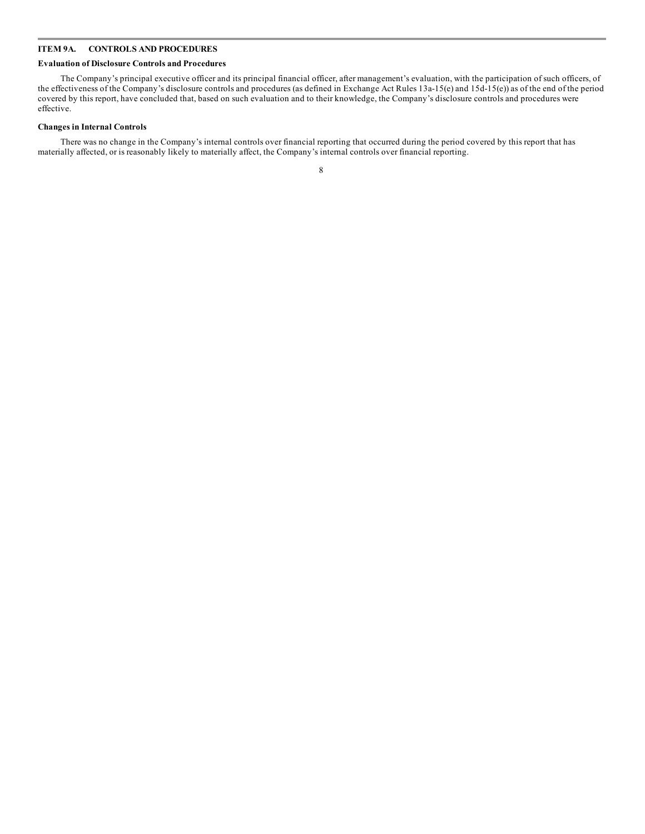#### **ITEM 9A. CONTROLS AND PROCEDURES**

#### **Evaluation of Disclosure Controls and Procedures**

The Company's principal executive officer and its principal financial officer, after management's evaluation, with the participation of such officers, of the effectiveness of the Company's disclosure controls and procedures (as defined in Exchange Act Rules 13a-15(e) and 15d-15(e)) as of the end of the period covered by this report, have concluded that, based on such evaluation and to their knowledge, the Company's disclosure controls and procedures were effective.

#### **Changes in Internal Controls**

There was no change in the Company's internal controls over financial reporting that occurred during the period covered by this report that has materially affected, or is reasonably likely to materially affect, the Company's internal controls over financial reporting.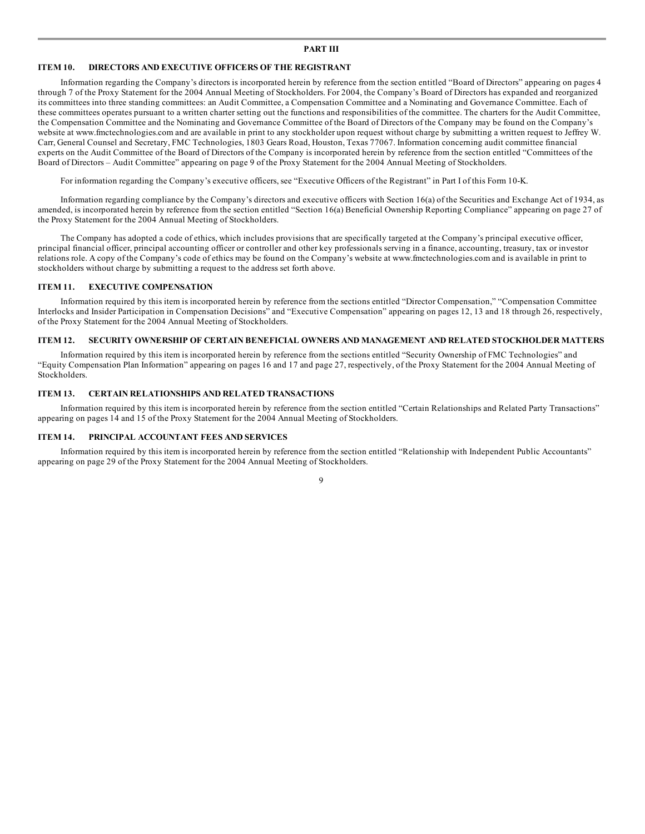#### **PART III**

#### **ITEM 10. DIRECTORS AND EXECUTIVE OFFICERS OF THE REGISTRANT**

Information regarding the Company's directors is incorporated herein by reference from the section entitled "Board of Directors" appearing on pages 4 through 7 of the Proxy Statement for the 2004 Annual Meeting of Stockholders. For 2004, the Company's Board of Directors has expanded and reorganized its committees into three standing committees: an Audit Committee, a Compensation Committee and a Nominating and Governance Committee. Each of these committees operates pursuant to a written charter setting out the functions and responsibilities of the committee. The charters for the Audit Committee, the Compensation Committee and the Nominating and Governance Committee of the Board of Directors of the Company may be found on the Company's website at www.fmctechnologies.com and are available in print to any stockholder upon request without charge by submitting a written request to Jeffrey W. Carr, General Counsel and Secretary, FMC Technologies, 1803 Gears Road, Houston, Texas 77067. Information concerning audit committee financial experts on the Audit Committee of the Board of Directors of the Company is incorporated herein by reference from the section entitled "Committees of the Board of Directors – Audit Committee" appearing on page 9 of the Proxy Statement for the 2004 Annual Meeting of Stockholders.

For information regarding the Company's executive officers, see "Executive Officers of the Registrant" in Part I of this Form 10-K.

Information regarding compliance by the Company's directors and executive officers with Section 16(a) of the Securities and Exchange Act of 1934, as amended, is incorporated herein by reference from the section entitled "Section 16(a) Beneficial Ownership Reporting Compliance" appearing on page 27 of the Proxy Statement for the 2004 Annual Meeting of Stockholders.

The Company has adopted a code of ethics, which includes provisions that are specifically targeted at the Company's principal executive officer, principal financial officer, principal accounting officer or controller and other key professionals serving in a finance, accounting, treasury, tax or investor relations role. A copy of the Company's code of ethics may be found on the Company's website at www.fmctechnologies.com and is available in print to stockholders without charge by submitting a request to the address set forth above.

#### **ITEM 11. EXECUTIVE COMPENSATION**

Information required by this item is incorporated herein by reference from the sections entitled "Director Compensation," "Compensation Committee Interlocks and Insider Participation in Compensation Decisions" and "Executive Compensation" appearing on pages 12, 13 and 18 through 26, respectively, of the Proxy Statement for the 2004 Annual Meeting of Stockholders.

#### **ITEM 12. SECURITY OWNERSHIP OF CERTAIN BENEFICIAL OWNERS AND MANAGEMENT AND RELATED STOCKHOLDER MATTERS**

Information required by this item is incorporated herein by reference from the sections entitled "Security Ownership of FMC Technologies" and "Equity Compensation Plan Information" appearing on pages 16 and 17 and page 27, respectively, of the Proxy Statement for the 2004 Annual Meeting of Stockholders.

#### **ITEM 13. CERTAIN RELATIONSHIPS AND RELATED TRANSACTIONS**

Information required by this item is incorporated herein by reference from the section entitled "Certain Relationships and Related Party Transactions" appearing on pages 14 and 15 of the Proxy Statement for the 2004 Annual Meeting of Stockholders.

#### **ITEM 14. PRINCIPAL ACCOUNTANT FEES AND SERVICES**

Information required by this item is incorporated herein by reference from the section entitled "Relationship with Independent Public Accountants" appearing on page 29 of the Proxy Statement for the 2004 Annual Meeting of Stockholders.

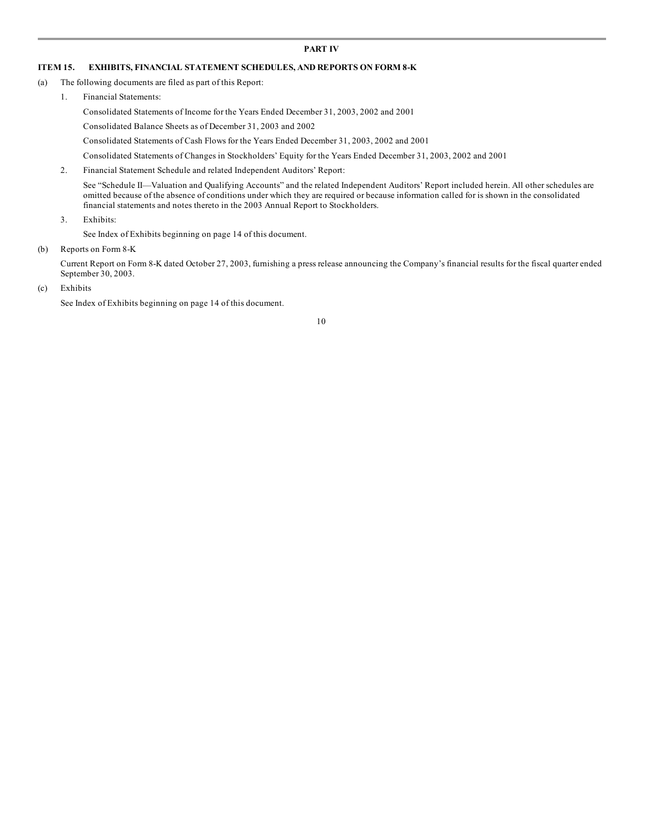#### **PART IV**

#### **ITEM 15. EXHIBITS, FINANCIAL STATEMENT SCHEDULES, AND REPORTS ON FORM 8-K**

- (a) The following documents are filed as part of this Report:
	- 1. Financial Statements:

Consolidated Statements of Income for the Years Ended December 31, 2003, 2002 and 2001

Consolidated Balance Sheets as of December 31, 2003 and 2002

Consolidated Statements of Cash Flows for the Years Ended December 31, 2003, 2002 and 2001

Consolidated Statements of Changes in Stockholders' Equity for the Years Ended December 31, 2003, 2002 and 2001

2. Financial Statement Schedule and related Independent Auditors' Report:

See "Schedule II—Valuation and Qualifying Accounts" and the related Independent Auditors' Report included herein. All other schedules are omitted because of the absence of conditions under which they are required or because information called for is shown in the consolidated financial statements and notes thereto in the 2003 Annual Report to Stockholders.

3. Exhibits:

See Index of Exhibits beginning on page 14 of this document.

(b) Reports on Form 8-K

Current Report on Form 8-K dated October 27, 2003, furnishing a press release announcing the Company's financial results for the fiscal quarter ended September 30, 2003.

(c) Exhibits

See Index of Exhibits beginning on page 14 of this document.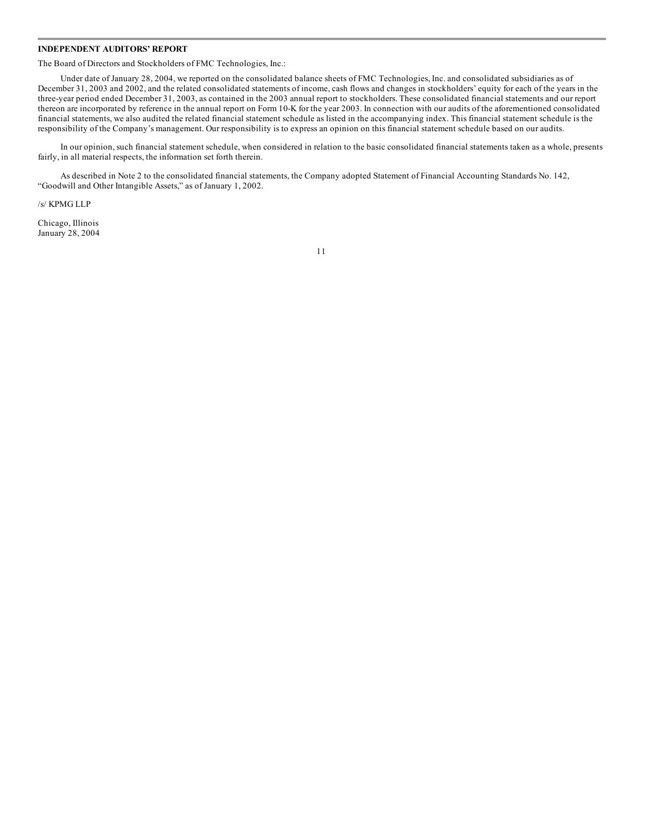#### **INDEPENDENT AUDITORS' REPORT**

The Board of Directors and Stockholders of FMC Technologies, Inc.:

Under date of January 28, 2004, we reported on the consolidated balance sheets of FMC Technologies, Inc. and consolidated subsidiaries as of December 31, 2003 and 2002, and the related consolidated statements of income, cash flows and changes in stockholders' equity for each of the years in the three-year period ended December 31, 2003, as contained in the 2003 annual report to stockholders. These consolidated financial statements and our report thereon are incorporated by reference in the annual report on Form 10-K for the year 2003. In connection with our audits of the aforementioned consolidated financial statements, we also audited the related financial statement schedule as listed in the accompanying index. This financial statement schedule is the responsibility of the Company's management. Our responsibility is to express an opinion on this financial statement schedule based on our audits.

In our opinion, such financial statement schedule, when considered in relation to the basic consolidated financial statements taken as a whole, presents fairly, in all material respects, the information set forth therein.

As described in Note 2 to the consolidated financial statements, the Company adopted Statement of Financial Accounting Standards No. 142, "Goodwill and Other Intangible Assets," as of January 1, 2002.

/s/ KPMG LLP

Chicago, Illinois January 28, 2004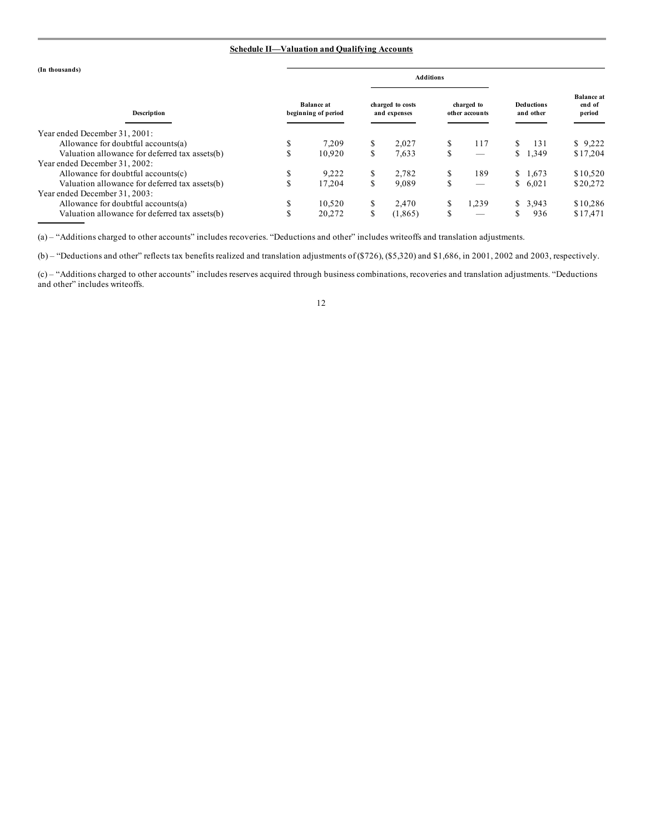#### **Schedule II—Valuation and Qualifying Accounts**

| (In thousands)                                 |                                          |        | <b>Additions</b>                 |          |                              |       |                                |       |                                       |
|------------------------------------------------|------------------------------------------|--------|----------------------------------|----------|------------------------------|-------|--------------------------------|-------|---------------------------------------|
| Description                                    | <b>Balance</b> at<br>beginning of period |        | charged to costs<br>and expenses |          | charged to<br>other accounts |       | <b>Deductions</b><br>and other |       | <b>Balance at</b><br>end of<br>period |
| Year ended December 31, 2001:                  |                                          |        |                                  |          |                              |       |                                |       |                                       |
| Allowance for doubtful accounts(a)             | .D                                       | 7.209  | \$                               | 2,027    | ъ.                           | 117   |                                | 131   | \$9,222                               |
| Valuation allowance for deferred tax assets(b) |                                          | 10.920 | Эħ.                              | 7.633    | S                            | $-$   | S.                             | 1,349 | \$17.204                              |
| Year ended December 31, 2002:                  |                                          |        |                                  |          |                              |       |                                |       |                                       |
| Allowance for doubtful accounts(c)             | .D                                       | 9,222  |                                  | 2,782    | S                            | 189   | \$.                            | 1,673 | \$10.520                              |
| Valuation allowance for deferred tax assets(b) |                                          | 17,204 | \$                               | 9,089    | S                            |       | S.                             | 6,021 | \$20,272                              |
| Year ended December 31, 2003:                  |                                          |        |                                  |          |                              |       |                                |       |                                       |
| Allowance for doubtful accounts(a)             | J.                                       | 10.520 |                                  | 2.470    | \$                           | 1,239 | S.                             | 3,943 | \$10,286                              |
| Valuation allowance for deferred tax assets(b) | .D                                       | 20.272 |                                  | (1, 865) | œ<br>ъ                       |       |                                | 936   | \$17,471                              |

(a) – "Additions charged to other accounts" includes recoveries. "Deductions and other" includes writeoffs and translation adjustments.

(b) – "Deductions and other" reflects tax benefits realized and translation adjustments of (\$726), (\$5,320) and \$1,686, in 2001, 2002 and 2003, respectively.

(c) – "Additions charged to other accounts" includes reserves acquired through business combinations, recoveries and translation adjustments. "Deductions and other" includes writeoffs.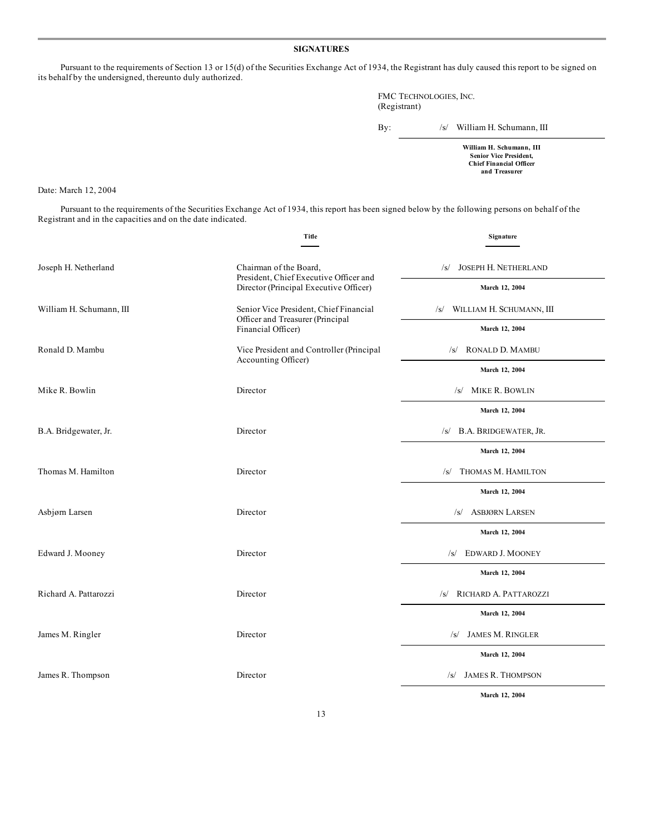#### **SIGNATURES**

Pursuant to the requirements of Section 13 or 15(d) of the Securities Exchange Act of 1934, the Registrant has duly caused this report to be signed on its behalf by the undersigned, thereunto duly authorized.

> FMC TECHNOLOGIES, INC. (Registrant)

By: /s/ William H. Schumann, III

**William H. Schumann, III Senior Vice President, Chief Financial Officer and Treasurer**

Date: March 12, 2004

Pursuant to the requirements of the Securities Exchange Act of 1934, this report has been signed below by the following persons on behalf of the Registrant and in the capacities and on the date indicated.

|                          | Title                                                                            | Signature                              |
|--------------------------|----------------------------------------------------------------------------------|----------------------------------------|
| Joseph H. Netherland     | Chairman of the Board,                                                           | JOSEPH H. NETHERLAND<br>$\sqrt{s}$     |
|                          | President, Chief Executive Officer and<br>Director (Principal Executive Officer) | March 12, 2004                         |
| William H. Schumann, III | Senior Vice President, Chief Financial<br>Officer and Treasurer (Principal       | WILLIAM H. SCHUMANN, III<br>$\sqrt{s}$ |
|                          | Financial Officer)                                                               | March 12, 2004                         |
| Ronald D. Mambu          | Vice President and Controller (Principal<br>Accounting Officer)                  | RONALD D. MAMBU<br>$\sqrt{s}$          |
|                          |                                                                                  | March 12, 2004                         |
| Mike R. Bowlin           | Director                                                                         | MIKE R. BOWLIN<br>$\sqrt{s}$           |
|                          |                                                                                  | March 12, 2004                         |
| B.A. Bridgewater, Jr.    | Director                                                                         | /s/ B.A. BRIDGEWATER, JR.              |
|                          |                                                                                  | March 12, 2004                         |
| Thomas M. Hamilton       | Director                                                                         | THOMAS M. HAMILTON<br>$\sqrt{s}$       |
|                          |                                                                                  | March 12, 2004                         |
| Asbjørn Larsen           | Director                                                                         | <b>ASBJØRN LARSEN</b><br>$\sqrt{s}$    |
|                          |                                                                                  | March 12, 2004                         |
| Edward J. Mooney         | Director                                                                         | /s/ EDWARD J. MOONEY                   |
|                          |                                                                                  | March 12, 2004                         |
| Richard A. Pattarozzi    | Director                                                                         | RICHARD A. PATTAROZZI<br>/s/           |
|                          |                                                                                  | March 12, 2004                         |
| James M. Ringler         | Director                                                                         | <b>JAMES M. RINGLER</b><br>$\sqrt{s}$  |
|                          |                                                                                  | March 12, 2004                         |
| James R. Thompson        | Director                                                                         | <b>JAMES R. THOMPSON</b><br>$\sqrt{s}$ |
|                          |                                                                                  | March 12, 2004                         |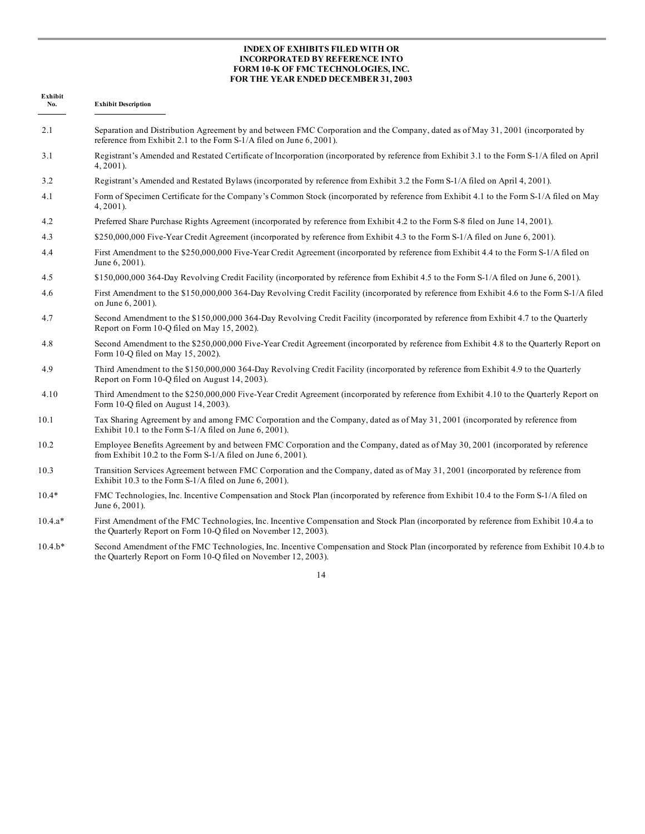#### **INDEX OF EXHIBITS FILED WITH OR INCORPORATED BY REFERENCE INTO FORM 10-K OF FMC TECHNOLOGIES, INC. FOR THE YEAR ENDED DECEMBER 31, 2003**

#### **No. Exhibit Description**

**Exhibit**

- 2.1 Separation and Distribution Agreement by and between FMC Corporation and the Company, dated as of May 31, 2001 (incorporated by reference from Exhibit 2.1 to the Form S-1/A filed on June 6, 2001).
- 3.1 Registrant's Amended and Restated Certificate of Incorporation (incorporated by reference from Exhibit 3.1 to the Form S-1/A filed on April 4, 2001).
- 3.2 Registrant's Amended and Restated Bylaws (incorporated by reference from Exhibit 3.2 the Form S-1/A filed on April 4, 2001).
- 4.1 Form of Specimen Certificate for the Company's Common Stock (incorporated by reference from Exhibit 4.1 to the Form S-1/A filed on May 4, 2001).
- 4.2 Preferred Share Purchase Rights Agreement (incorporated by reference from Exhibit 4.2 to the Form S-8 filed on June 14, 2001).
- 4.3 \$250,000,000 Five-Year Credit Agreement (incorporated by reference from Exhibit 4.3 to the Form S-1/A filed on June 6, 2001).
- 4.4 First Amendment to the \$250,000,000 Five-Year Credit Agreement (incorporated by reference from Exhibit 4.4 to the Form S-1/A filed on June 6, 2001).
- 4.5 \$150,000,000 364-Day Revolving Credit Facility (incorporated by reference from Exhibit 4.5 to the Form S-1/A filed on June 6, 2001).
- 4.6 First Amendment to the \$150,000,000 364-Day Revolving Credit Facility (incorporated by reference from Exhibit 4.6 to the Form S-1/A filed on June 6, 2001).
- 4.7 Second Amendment to the \$150,000,000 364-Day Revolving Credit Facility (incorporated by reference from Exhibit 4.7 to the Quarterly Report on Form 10-Q filed on May 15, 2002).
- 4.8 Second Amendment to the \$250,000,000 Five-Year Credit Agreement (incorporated by reference from Exhibit 4.8 to the Quarterly Report on Form 10-Q filed on May 15, 2002).
- 4.9 Third Amendment to the \$150,000,000 364-Day Revolving Credit Facility (incorporated by reference from Exhibit 4.9 to the Quarterly Report on Form 10-Q filed on August 14, 2003).
- 4.10 Third Amendment to the \$250,000,000 Five-Year Credit Agreement (incorporated by reference from Exhibit 4.10 to the Quarterly Report on Form 10-Q filed on August 14, 2003).
- 10.1 Tax Sharing Agreement by and among FMC Corporation and the Company, dated as of May 31, 2001 (incorporated by reference from Exhibit 10.1 to the Form S-1/A filed on June 6, 2001).
- 10.2 Employee Benefits Agreement by and between FMC Corporation and the Company, dated as of May 30, 2001 (incorporated by reference from Exhibit 10.2 to the Form S-1/A filed on June 6, 2001).
- 10.3 Transition Services Agreement between FMC Corporation and the Company, dated as of May 31, 2001 (incorporated by reference from Exhibit 10.3 to the Form S-1/A filed on June 6, 2001).
- 10.4\* FMC Technologies, Inc. Incentive Compensation and Stock Plan (incorporated by reference from Exhibit 10.4 to the Form S-1/A filed on June 6, 2001).
- 10.4.a\* First Amendment of the FMC Technologies, Inc. Incentive Compensation and Stock Plan (incorporated by reference from Exhibit 10.4.a to the Quarterly Report on Form 10-Q filed on November 12, 2003).
- 10.4.b\* Second Amendment of the FMC Technologies, Inc. Incentive Compensation and Stock Plan (incorporated by reference from Exhibit 10.4.b to the Quarterly Report on Form 10-Q filed on November 12, 2003).

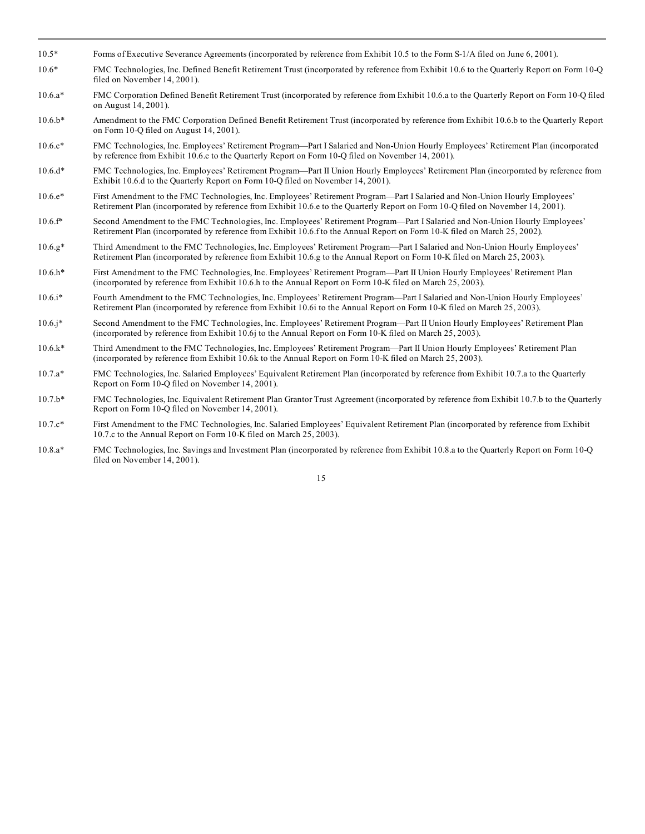- 10.5\* Forms of Executive Severance Agreements (incorporated by reference from Exhibit 10.5 to the Form S-1/A filed on June 6, 2001).
- 10.6\* FMC Technologies, Inc. Defined Benefit Retirement Trust (incorporated by reference from Exhibit 10.6 to the Quarterly Report on Form 10-Q filed on November 14, 2001).
- 10.6.a\* FMC Corporation Defined Benefit Retirement Trust (incorporated by reference from Exhibit 10.6.a to the Quarterly Report on Form 10-Q filed on August 14, 2001).
- 10.6.b\* Amendment to the FMC Corporation Defined Benefit Retirement Trust (incorporated by reference from Exhibit 10.6.b to the Quarterly Report on Form 10-Q filed on August 14, 2001).
- 10.6.c\* FMC Technologies, Inc. Employees' Retirement Program—Part I Salaried and Non-Union Hourly Employees' Retirement Plan (incorporated by reference from Exhibit 10.6.c to the Quarterly Report on Form 10-Q filed on November 14, 2001).
- 10.6.d\* FMC Technologies, Inc. Employees' Retirement Program—Part II Union Hourly Employees' Retirement Plan (incorporated by reference from Exhibit 10.6.d to the Quarterly Report on Form 10-Q filed on November 14, 2001).
- 10.6.e\* First Amendment to the FMC Technologies, Inc. Employees' Retirement Program—Part I Salaried and Non-Union Hourly Employees' Retirement Plan (incorporated by reference from Exhibit 10.6.e to the Quarterly Report on Form 10-Q filed on November 14, 2001).
- 10.6.f\* Second Amendment to the FMC Technologies, Inc. Employees' Retirement Program—Part I Salaried and Non-Union Hourly Employees' Retirement Plan (incorporated by reference from Exhibit 10.6.f to the Annual Report on Form 10-K filed on March 25, 2002).
- 10.6.g\* Third Amendment to the FMC Technologies, Inc. Employees' Retirement Program—Part I Salaried and Non-Union Hourly Employees' Retirement Plan (incorporated by reference from Exhibit 10.6.g to the Annual Report on Form 10-K filed on March 25, 2003).
- 10.6.h\* First Amendment to the FMC Technologies, Inc. Employees' Retirement Program—Part II Union Hourly Employees' Retirement Plan (incorporated by reference from Exhibit 10.6.h to the Annual Report on Form 10-K filed on March 25, 2003).
- 10.6.i\* Fourth Amendment to the FMC Technologies, Inc. Employees' Retirement Program—Part I Salaried and Non-Union Hourly Employees' Retirement Plan (incorporated by reference from Exhibit 10.6i to the Annual Report on Form 10-K filed on March 25, 2003).
- 10.6.j\* Second Amendment to the FMC Technologies, Inc. Employees' Retirement Program—Part II Union Hourly Employees' Retirement Plan (incorporated by reference from Exhibit 10.6j to the Annual Report on Form 10-K filed on March 25, 2003).
- 10.6.k\* Third Amendment to the FMC Technologies, Inc. Employees' Retirement Program—Part II Union Hourly Employees' Retirement Plan (incorporated by reference from Exhibit 10.6k to the Annual Report on Form 10-K filed on March 25, 2003).
- 10.7.a\* FMC Technologies, Inc. Salaried Employees' Equivalent Retirement Plan (incorporated by reference from Exhibit 10.7.a to the Quarterly Report on Form 10-Q filed on November 14, 2001).
- 10.7.b\* FMC Technologies, Inc. Equivalent Retirement Plan Grantor Trust Agreement (incorporated by reference from Exhibit 10.7.b to the Quarterly Report on Form 10-Q filed on November 14, 2001).
- 10.7.c\* First Amendment to the FMC Technologies, Inc. Salaried Employees' Equivalent Retirement Plan (incorporated by reference from Exhibit 10.7.c to the Annual Report on Form 10-K filed on March 25, 2003).
- 10.8.a\* FMC Technologies, Inc. Savings and Investment Plan (incorporated by reference from Exhibit 10.8.a to the Quarterly Report on Form 10-Q filed on November 14, 2001).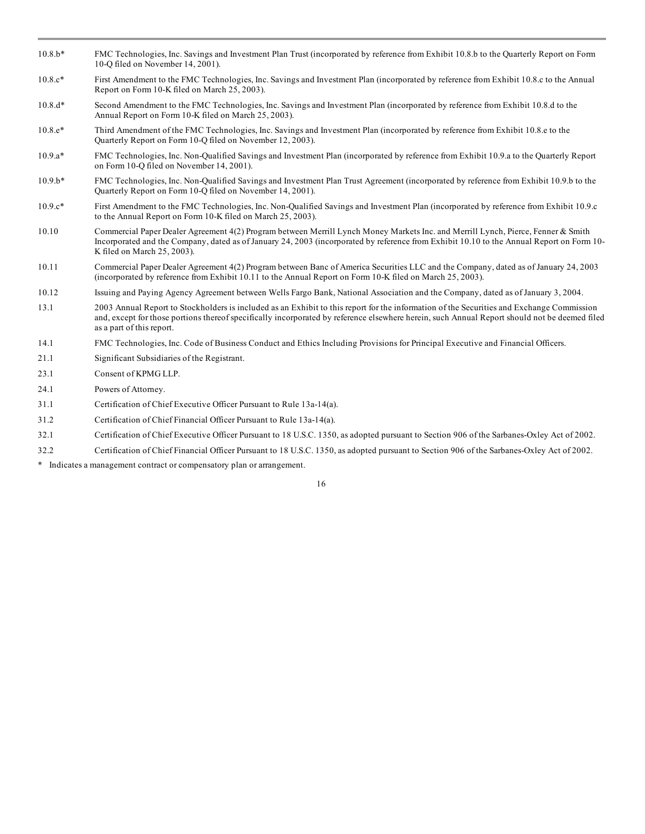- 10.8.b\* FMC Technologies, Inc. Savings and Investment Plan Trust (incorporated by reference from Exhibit 10.8.b to the Quarterly Report on Form 10-Q filed on November 14, 2001).
- 10.8.c\* First Amendment to the FMC Technologies, Inc. Savings and Investment Plan (incorporated by reference from Exhibit 10.8.c to the Annual Report on Form 10-K filed on March 25, 2003).
- 10.8.d\* Second Amendment to the FMC Technologies, Inc. Savings and Investment Plan (incorporated by reference from Exhibit 10.8.d to the Annual Report on Form 10-K filed on March 25, 2003).
- 10.8.e\* Third Amendment of the FMC Technologies, Inc. Savings and Investment Plan (incorporated by reference from Exhibit 10.8.e to the Quarterly Report on Form 10-Q filed on November 12, 2003).
- 10.9.a\* FMC Technologies, Inc. Non-Qualified Savings and Investment Plan (incorporated by reference from Exhibit 10.9.a to the Quarterly Report on Form 10-Q filed on November 14, 2001).
- 10.9.b\* FMC Technologies, Inc. Non-Qualified Savings and Investment Plan Trust Agreement (incorporated by reference from Exhibit 10.9.b to the Quarterly Report on Form 10-Q filed on November 14, 2001).
- 10.9.c\* First Amendment to the FMC Technologies, Inc. Non-Qualified Savings and Investment Plan (incorporated by reference from Exhibit 10.9.c to the Annual Report on Form 10-K filed on March 25, 2003).
- 10.10 Commercial Paper Dealer Agreement 4(2) Program between Merrill Lynch Money Markets Inc. and Merrill Lynch, Pierce, Fenner & Smith Incorporated and the Company, dated as of January 24, 2003 (incorporated by reference from Exhibit 10.10 to the Annual Report on Form 10- K filed on March 25, 2003).
- 10.11 Commercial Paper Dealer Agreement 4(2) Program between Banc of America Securities LLC and the Company, dated as of January 24, 2003 (incorporated by reference from Exhibit 10.11 to the Annual Report on Form 10-K filed on March 25, 2003).
- 10.12 Issuing and Paying Agency Agreement between Wells Fargo Bank, National Association and the Company, dated as of January 3, 2004.
- 13.1 2003 Annual Report to Stockholders is included as an Exhibit to this report for the information of the Securities and Exchange Commission and, except for those portions thereof specifically incorporated by reference elsewhere herein, such Annual Report should not be deemed filed as a part of this report.
- 14.1 FMC Technologies, Inc. Code of Business Conduct and Ethics Including Provisions for Principal Executive and Financial Officers.
- 21.1 Significant Subsidiaries of the Registrant.
- 23.1 Consent of KPMG LLP.
- 24.1 Powers of Attorney.
- 31.1 Certification of Chief Executive Officer Pursuant to Rule 13a-14(a).
- 31.2 Certification of Chief Financial Officer Pursuant to Rule 13a-14(a).
- 32.1 Certification of Chief Executive Officer Pursuant to 18 U.S.C. 1350, as adopted pursuant to Section 906 of the Sarbanes-Oxley Act of 2002.
- 32.2 Certification of Chief Financial Officer Pursuant to 18 U.S.C. 1350, as adopted pursuant to Section 906 of the Sarbanes-Oxley Act of 2002.
- \* Indicates a management contract or compensatory plan or arrangement.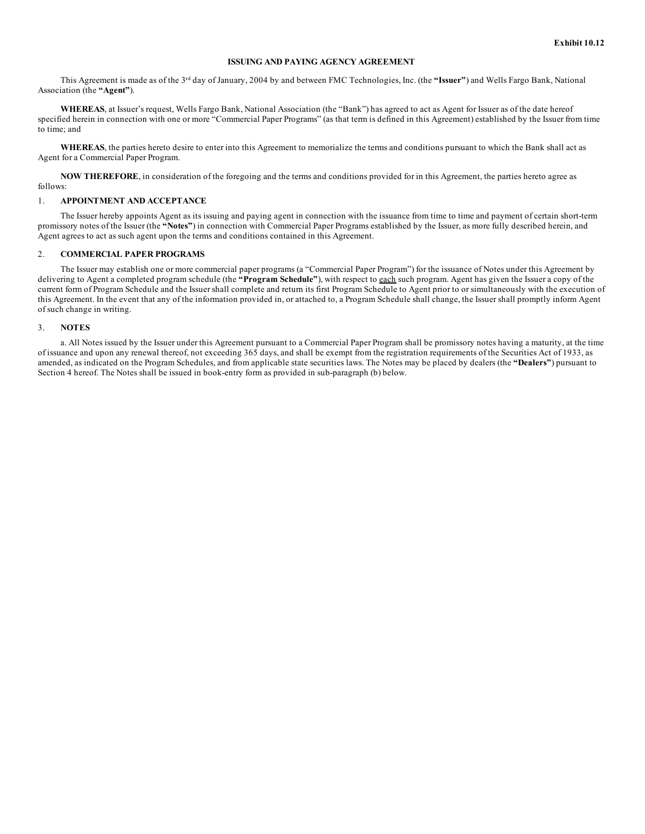#### **ISSUING AND PAYING AGENCY AGREEMENT**

This Agreement is made as of the 3 rd day of January, 2004 by and between FMC Technologies, Inc. (the **"Issuer"**) and Wells Fargo Bank, National Association (the **"Agent"**).

**WHEREAS**, at Issuer's request, Wells Fargo Bank, National Association (the "Bank") has agreed to act as Agent for Issuer as of the date hereof specified herein in connection with one or more "Commercial Paper Programs" (as that term is defined in this Agreement) established by the Issuer from time to time; and

**WHEREAS**, the parties hereto desire to enter into this Agreement to memorialize the terms and conditions pursuant to which the Bank shall act as Agent for a Commercial Paper Program.

**NOW THEREFORE**, in consideration of the foregoing and the terms and conditions provided for in this Agreement, the parties hereto agree as follows:

#### 1. **APPOINTMENT AND ACCEPTANCE**

The Issuer hereby appoints Agent as its issuing and paying agent in connection with the issuance from time to time and payment of certain short-term promissory notes of the Issuer (the **"Notes"**) in connection with Commercial Paper Programs established by the Issuer, as more fully described herein, and Agent agrees to act as such agent upon the terms and conditions contained in this Agreement.

#### 2. **COMMERCIAL PAPER PROGRAMS**

The Issuer may establish one or more commercial paper programs (a "Commercial Paper Program") for the issuance of Notes under this Agreement by delivering to Agent a completed program schedule (the **"Program Schedule"**), with respect to each such program. Agent has given the Issuer a copy of the current form of Program Schedule and the Issuer shall complete and return its first Program Schedule to Agent prior to or simultaneously with the execution of this Agreement. In the event that any of the information provided in, or attached to, a Program Schedule shall change, the Issuer shall promptly inform Agent of such change in writing.

#### 3. **NOTES**

a. All Notes issued by the Issuer under this Agreement pursuant to a Commercial Paper Program shall be promissory notes having a maturity, at the time of issuance and upon any renewal thereof, not exceeding 365 days, and shall be exempt from the registration requirements of the Securities Act of 1933, as amended, as indicated on the Program Schedules, and from applicable state securities laws. The Notes may be placed by dealers (the **"Dealers"**) pursuant to Section 4 hereof. The Notes shall be issued in book-entry form as provided in sub-paragraph (b) below.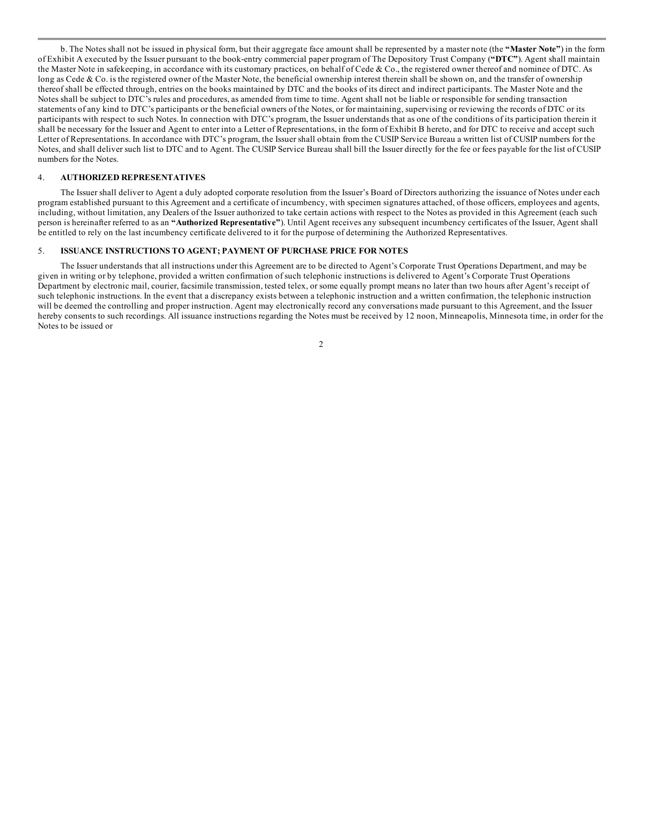b. The Notes shall not be issued in physical form, but their aggregate face amount shall be represented by a master note (the **"Master Note"**) in the form of Exhibit A executed by the Issuer pursuant to the book-entry commercial paper program of The Depository Trust Company (**"DTC"**). Agent shall maintain the Master Note in safekeeping, in accordance with its customary practices, on behalf of Cede & Co., the registered owner thereof and nominee of DTC. As long as Cede & Co. is the registered owner of the Master Note, the beneficial ownership interest therein shall be shown on, and the transfer of ownership thereof shall be effected through, entries on the books maintained by DTC and the books of its direct and indirect participants. The Master Note and the Notes shall be subject to DTC's rules and procedures, as amended from time to time. Agent shall not be liable or responsible for sending transaction statements of any kind to DTC's participants or the beneficial owners of the Notes, or for maintaining, supervising or reviewing the records of DTC or its participants with respect to such Notes. In connection with DTC's program, the Issuer understands that as one of the conditions of its participation therein it shall be necessary for the Issuer and Agent to enter into a Letter of Representations, in the form of Exhibit B hereto, and for DTC to receive and accept such Letter of Representations. In accordance with DTC's program, the Issuer shall obtain from the CUSIP Service Bureau a written list of CUSIP numbers for the Notes, and shall deliver such list to DTC and to Agent. The CUSIP Service Bureau shall bill the Issuer directly for the fee or fees payable for the list of CUSIP numbers for the Notes.

#### 4. **AUTHORIZED REPRESENTATIVES**

The Issuer shall deliver to Agent a duly adopted corporate resolution from the Issuer's Board of Directors authorizing the issuance of Notes under each program established pursuant to this Agreement and a certificate of incumbency, with specimen signatures attached, of those officers, employees and agents, including, without limitation, any Dealers of the Issuer authorized to take certain actions with respect to the Notes as provided in this Agreement (each such person is hereinafter referred to as an **"Authorized Representative"**). Until Agent receives any subsequent incumbency certificates of the Issuer, Agent shall be entitled to rely on the last incumbency certificate delivered to it for the purpose of determining the Authorized Representatives.

#### 5. **ISSUANCE INSTRUCTIONS TO AGENT; PAYMENT OF PURCHASE PRICE FOR NOTES**

The Issuer understands that all instructions under this Agreement are to be directed to Agent's Corporate Trust Operations Department, and may be given in writing or by telephone, provided a written confirmation of such telephonic instructions is delivered to Agent's Corporate Trust Operations Department by electronic mail, courier, facsimile transmission, tested telex, or some equally prompt means no later than two hours after Agent's receipt of such telephonic instructions. In the event that a discrepancy exists between a telephonic instruction and a written confirmation, the telephonic instruction will be deemed the controlling and proper instruction. Agent may electronically record any conversations made pursuant to this Agreement, and the Issuer hereby consents to such recordings. All issuance instructions regarding the Notes must be received by 12 noon, Minneapolis, Minnesota time, in order for the Notes to be issued or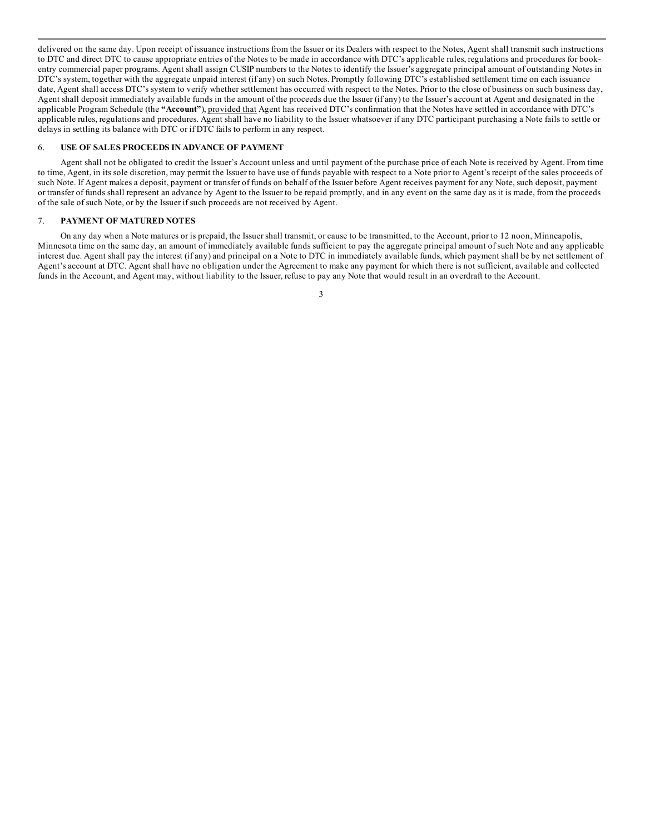delivered on the same day. Upon receipt of issuance instructions from the Issuer or its Dealers with respect to the Notes, Agent shall transmit such instructions to DTC and direct DTC to cause appropriate entries of the Notes to be made in accordance with DTC's applicable rules, regulations and procedures for bookentry commercial paper programs. Agent shall assign CUSIP numbers to the Notes to identify the Issuer's aggregate principal amount of outstanding Notes in DTC's system, together with the aggregate unpaid interest (if any) on such Notes. Promptly following DTC's established settlement time on each issuance date, Agent shall access DTC's system to verify whether settlement has occurred with respect to the Notes. Prior to the close of business on such business day, Agent shall deposit immediately available funds in the amount of the proceeds due the Issuer (if any) to the Issuer's account at Agent and designated in the applicable Program Schedule (the **"Account"**), provided that Agent has received DTC's confirmation that the Notes have settled in accordance with DTC's applicable rules, regulations and procedures. Agent shall have no liability to the Issuer whatsoever if any DTC participant purchasing a Note fails to settle or delays in settling its balance with DTC or if DTC fails to perform in any respect.

#### 6. **USE OF SALES PROCEEDS IN ADVANCE OF PAYMENT**

Agent shall not be obligated to credit the Issuer's Account unless and until payment of the purchase price of each Note is received by Agent. From time to time, Agent, in its sole discretion, may permit the Issuer to have use of funds payable with respect to a Note prior to Agent's receipt of the sales proceeds of such Note. If Agent makes a deposit, payment or transfer of funds on behalf of the Issuer before Agent receives payment for any Note, such deposit, payment or transfer of funds shall represent an advance by Agent to the Issuer to be repaid promptly, and in any event on the same day as it is made, from the proceeds of the sale of such Note, or by the Issuer if such proceeds are not received by Agent.

#### 7. **PAYMENT OF MATURED NOTES**

On any day when a Note matures or is prepaid, the Issuer shall transmit, or cause to be transmitted, to the Account, prior to 12 noon, Minneapolis, Minnesota time on the same day, an amount of immediately available funds sufficient to pay the aggregate principal amount of such Note and any applicable interest due. Agent shall pay the interest (if any) and principal on a Note to DTC in immediately available funds, which payment shall be by net settlement of Agent's account at DTC. Agent shall have no obligation under the Agreement to make any payment for which there is not sufficient, available and collected funds in the Account, and Agent may, without liability to the Issuer, refuse to pay any Note that would result in an overdraft to the Account.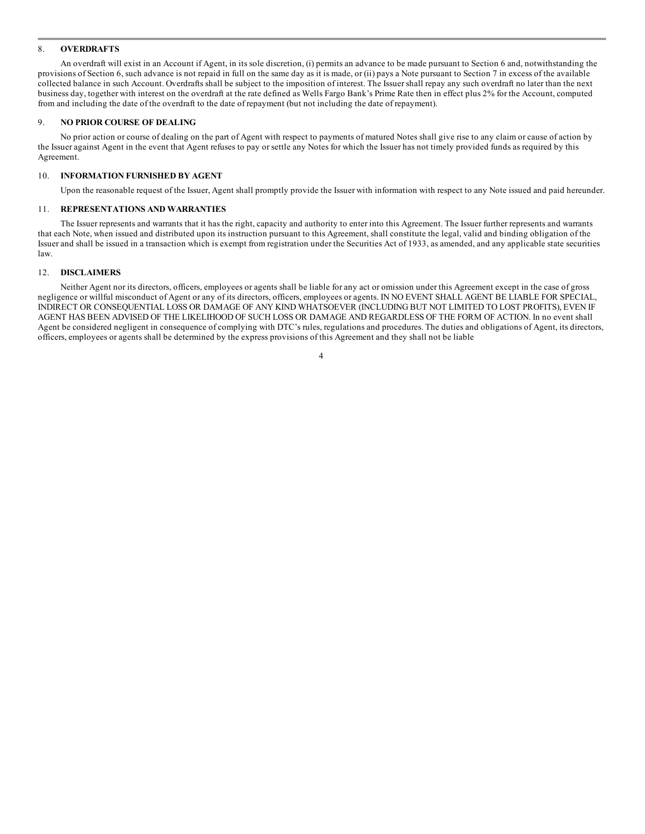#### 8. **OVERDRAFTS**

An overdraft will exist in an Account if Agent, in its sole discretion, (i) permits an advance to be made pursuant to Section 6 and, notwithstanding the provisions of Section 6, such advance is not repaid in full on the same day as it is made, or (ii) pays a Note pursuant to Section 7 in excess of the available collected balance in such Account. Overdrafts shall be subject to the imposition of interest. The Issuer shall repay any such overdraft no later than the next business day, together with interest on the overdraft at the rate defined as Wells Fargo Bank's Prime Rate then in effect plus 2% for the Account, computed from and including the date of the overdraft to the date of repayment (but not including the date of repayment).

#### 9. **NO PRIOR COURSE OF DEALING**

No prior action or course of dealing on the part of Agent with respect to payments of matured Notes shall give rise to any claim or cause of action by the Issuer against Agent in the event that Agent refuses to pay or settle any Notes for which the Issuer has not timely provided funds as required by this Agreement.

#### 10. **INFORMATION FURNISHED BY AGENT**

Upon the reasonable request of the Issuer, Agent shall promptly provide the Issuer with information with respect to any Note issued and paid hereunder.

#### 11. **REPRESENTATIONS AND WARRANTIES**

The Issuer represents and warrants that it has the right, capacity and authority to enter into this Agreement. The Issuer further represents and warrants that each Note, when issued and distributed upon its instruction pursuant to this Agreement, shall constitute the legal, valid and binding obligation of the Issuer and shall be issued in a transaction which is exempt from registration under the Securities Act of 1933, as amended, and any applicable state securities law.

#### 12. **DISCLAIMERS**

Neither Agent nor its directors, officers, employees or agents shall be liable for any act or omission under this Agreement except in the case of gross negligence or willful misconduct of Agent or any of its directors, officers, employees or agents. IN NO EVENT SHALL AGENT BE LIABLE FOR SPECIAL, INDIRECT OR CONSEQUENTIAL LOSS OR DAMAGE OF ANY KIND WHATSOEVER (INCLUDING BUT NOT LIMITED TO LOST PROFITS), EVEN IF AGENT HAS BEEN ADVISED OF THE LIKELIHOOD OF SUCH LOSS OR DAMAGE AND REGARDLESS OF THE FORM OF ACTION. In no event shall Agent be considered negligent in consequence of complying with DTC's rules, regulations and procedures. The duties and obligations of Agent, its directors, officers, employees or agents shall be determined by the express provisions of this Agreement and they shall not be liable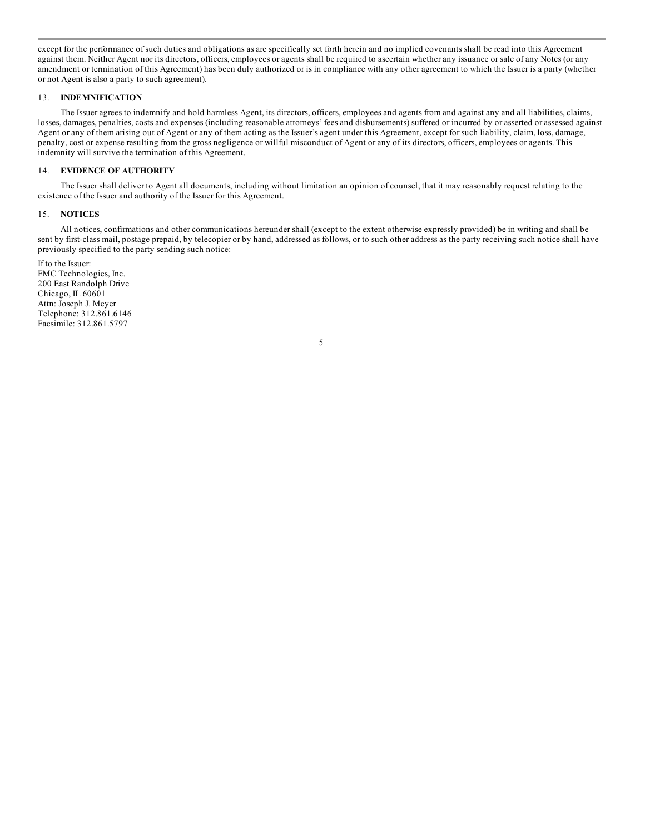except for the performance of such duties and obligations as are specifically set forth herein and no implied covenants shall be read into this Agreement against them. Neither Agent nor its directors, officers, employees or agents shall be required to ascertain whether any issuance or sale of any Notes (or any amendment or termination of this Agreement) has been duly authorized or is in compliance with any other agreement to which the Issuer is a party (whether or not Agent is also a party to such agreement).

#### 13. **INDEMNIFICATION**

The Issuer agrees to indemnify and hold harmless Agent, its directors, officers, employees and agents from and against any and all liabilities, claims, losses, damages, penalties, costs and expenses (including reasonable attorneys' fees and disbursements) suffered or incurred by or asserted or assessed against Agent or any of them arising out of Agent or any of them acting as the Issuer's agent under this Agreement, except for such liability, claim, loss, damage, penalty, cost or expense resulting from the gross negligence or willful misconduct of Agent or any of its directors, officers, employees or agents. This indemnity will survive the termination of this Agreement.

#### 14. **EVIDENCE OF AUTHORITY**

The Issuer shall deliver to Agent all documents, including without limitation an opinion of counsel, that it may reasonably request relating to the existence of the Issuer and authority of the Issuer for this Agreement.

#### 15. **NOTICES**

All notices, confirmations and other communications hereunder shall (except to the extent otherwise expressly provided) be in writing and shall be sent by first-class mail, postage prepaid, by telecopier or by hand, addressed as follows, or to such other address as the party receiving such notice shall have previously specified to the party sending such notice:

If to the Issuer: FMC Technologies, Inc. 200 East Randolph Drive Chicago, IL 60601 Attn: Joseph J. Meyer Telephone: 312.861.6146 Facsimile: 312.861.5797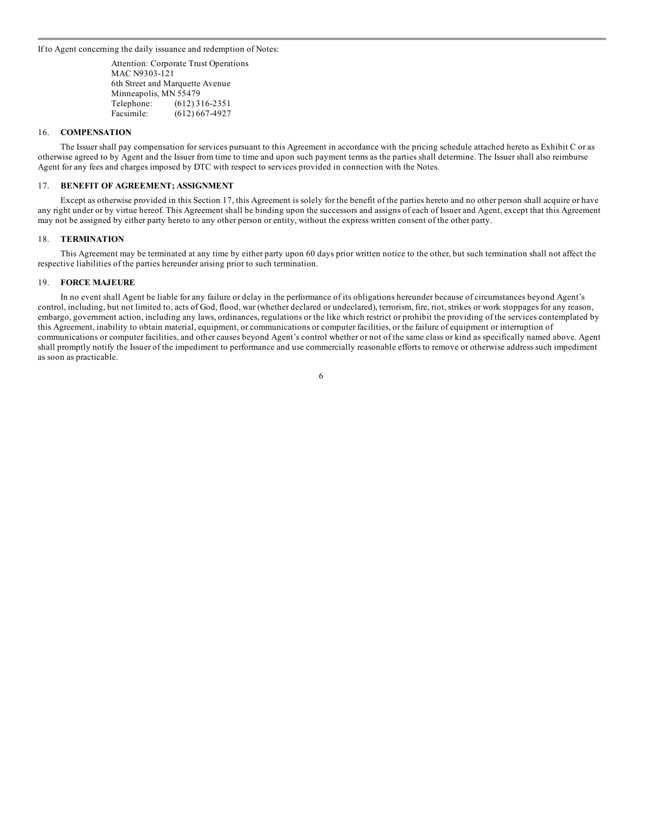If to Agent concerning the daily issuance and redemption of Notes:

Attention: Corporate Trust Operations MAC N9303-121 6th Street and Marquette Avenue Minneapolis, MN 55479 Telephone: (612) 316-2351 Facsimile: (612) 667-4927

#### 16. **COMPENSATION**

The Issuer shall pay compensation for services pursuant to this Agreement in accordance with the pricing schedule attached hereto as Exhibit C or as otherwise agreed to by Agent and the Issuer from time to time and upon such payment terms as the parties shall determine. The Issuer shall also reimburse Agent for any fees and charges imposed by DTC with respect to services provided in connection with the Notes.

#### 17. **BENEFIT OF AGREEMENT; ASSIGNMENT**

Except as otherwise provided in this Section 17, this Agreement is solely for the benefit of the parties hereto and no other person shall acquire or have any right under or by virtue hereof. This Agreement shall be binding upon the successors and assigns of each of Issuer and Agent, except that this Agreement may not be assigned by either party hereto to any other person or entity, without the express written consent of the other party.

#### 18. **TERMINATION**

This Agreement may be terminated at any time by either party upon 60 days prior written notice to the other, but such termination shall not affect the respective liabilities of the parties hereunder arising prior to such termination.

#### 19. **FORCE MAJEURE**

In no event shall Agent be liable for any failure or delay in the performance of its obligations hereunder because of circumstances beyond Agent's control, including, but not limited to, acts of God, flood, war (whether declared or undeclared), terrorism, fire, riot, strikes or work stoppages for any reason, embargo, government action, including any laws, ordinances, regulations or the like which restrict or prohibit the providing of the services contemplated by this Agreement, inability to obtain material, equipment, or communications or computer facilities, or the failure of equipment or interruption of communications or computer facilities, and other causes beyond Agent's control whether or not of the same class or kind as specifically named above. Agent shall promptly notify the Issuer of the impediment to performance and use commercially reasonable efforts to remove or otherwise address such impediment as soon as practicable.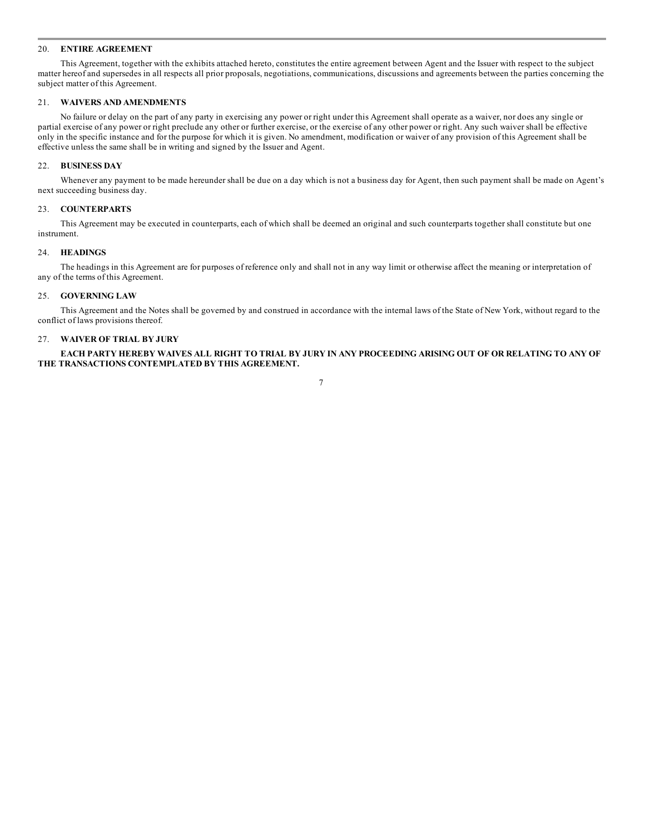#### 20. **ENTIRE AGREEMENT**

This Agreement, together with the exhibits attached hereto, constitutes the entire agreement between Agent and the Issuer with respect to the subject matter hereof and supersedes in all respects all prior proposals, negotiations, communications, discussions and agreements between the parties concerning the subject matter of this Agreement.

#### 21. **WAIVERS AND AMENDMENTS**

No failure or delay on the part of any party in exercising any power or right under this Agreement shall operate as a waiver, nor does any single or partial exercise of any power or right preclude any other or further exercise, or the exercise of any other power or right. Any such waiver shall be effective only in the specific instance and for the purpose for which it is given. No amendment, modification or waiver of any provision of this Agreement shall be effective unless the same shall be in writing and signed by the Issuer and Agent.

#### 22. **BUSINESS DAY**

Whenever any payment to be made hereunder shall be due on a day which is not a business day for Agent, then such payment shall be made on Agent's next succeeding business day.

#### 23. **COUNTERPARTS**

This Agreement may be executed in counterparts, each of which shall be deemed an original and such counterparts together shall constitute but one instrument.

#### 24. **HEADINGS**

The headings in this Agreement are for purposes of reference only and shall not in any way limit or otherwise affect the meaning or interpretation of any of the terms of this Agreement.

#### 25. **GOVERNING LAW**

This Agreement and the Notes shall be governed by and construed in accordance with the internal laws of the State of New York, without regard to the conflict of laws provisions thereof.

#### 27. **WAIVER OF TRIAL BY JURY**

EACH PARTY HEREBY WAIVES ALL RIGHT TO TRIAL BY JURY IN ANY PROCEEDING ARISING OUT OF OR RELATING TO ANY OF **THE TRANSACTIONS CONTEMPLATED BY THIS AGREEMENT.**

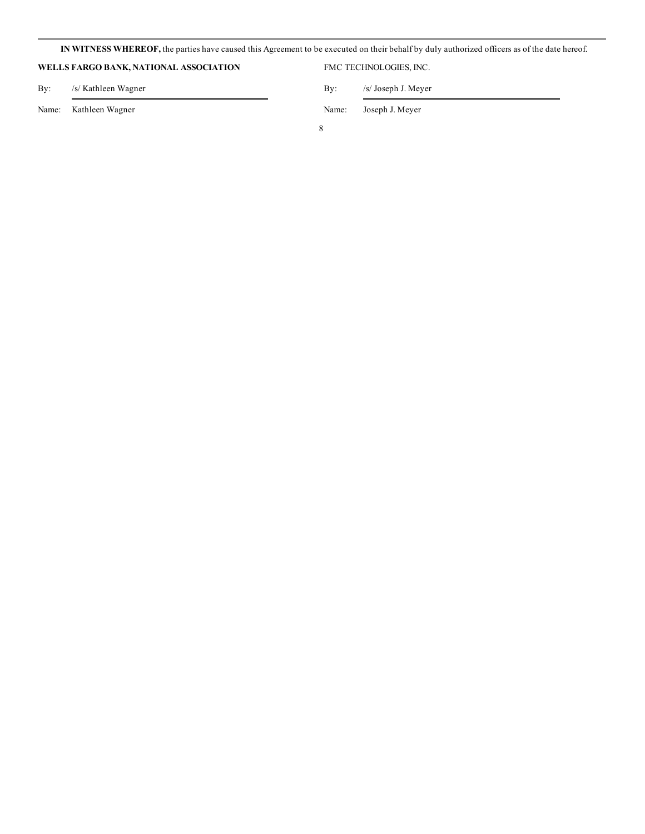**IN WITNESS WHEREOF,** the parties have caused this Agreement to be executed on their behalf by duly authorized officers as of the date hereof.

#### **WELLS FARGO BANK, NATIONAL ASSOCIATION** FMC TECHNOLOGIES, INC.

Name: Kathleen Wagner Name: Joseph J. Meyer

By: /s/ Kathleen Wagner By: /s/ Joseph J. Meyer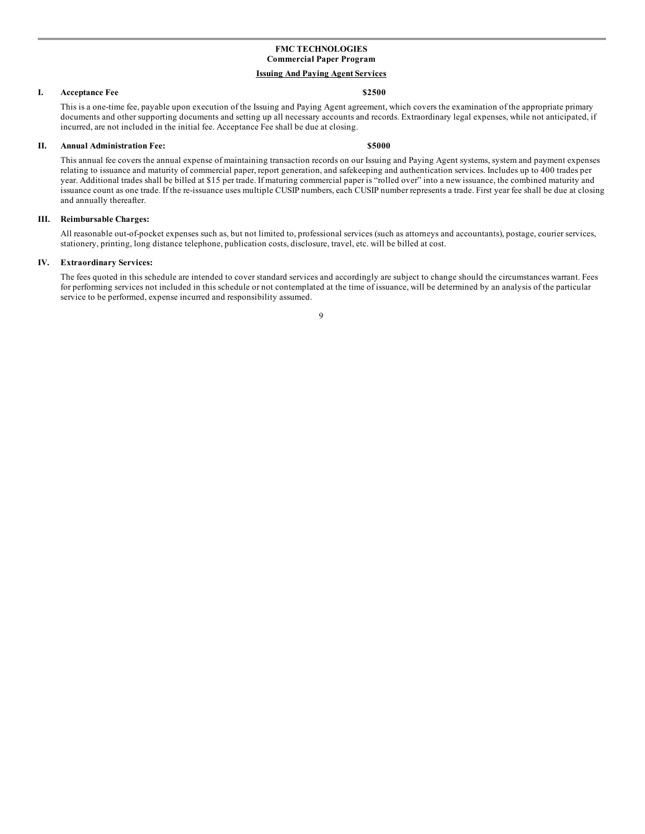#### **FMC TECHNOLOGIES Commercial Paper Program**

#### **Issuing And Paying Agent Services**

#### **I. Acceptance Fee \$2500**

This is a one-time fee, payable upon execution of the Issuing and Paying Agent agreement, which covers the examination of the appropriate primary documents and other supporting documents and setting up all necessary accounts and records. Extraordinary legal expenses, while not anticipated, if incurred, are not included in the initial fee. Acceptance Fee shall be due at closing.

#### **II. Annual Administration Fee: \$5000**

This annual fee covers the annual expense of maintaining transaction records on our Issuing and Paying Agent systems, system and payment expenses relating to issuance and maturity of commercial paper, report generation, and safekeeping and authentication services. Includes up to 400 trades per year. Additional trades shall be billed at \$15 per trade. If maturing commercial paper is "rolled over" into a new issuance, the combined maturity and issuance count as one trade. If the re-issuance uses multiple CUSIP numbers, each CUSIP number represents a trade. First year fee shall be due at closing and annually thereafter.

#### **III. Reimbursable Charges:**

All reasonable out-of-pocket expenses such as, but not limited to, professional services (such as attorneys and accountants), postage, courier services, stationery, printing, long distance telephone, publication costs, disclosure, travel, etc. will be billed at cost.

#### **IV. Extraordinary Services:**

The fees quoted in this schedule are intended to cover standard services and accordingly are subject to change should the circumstances warrant. Fees for performing services not included in this schedule or not contemplated at the time of issuance, will be determined by an analysis of the particular service to be performed, expense incurred and responsibility assumed.

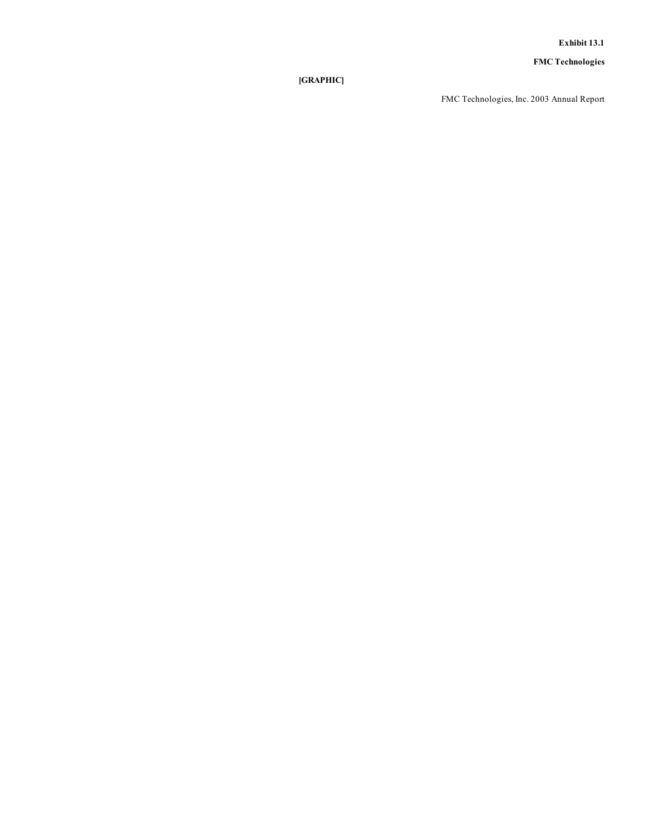**Exhibit 13.1**

**FMC Technologies**

**[GRAPHIC]**

FMC Technologies, Inc. 2003 Annual Report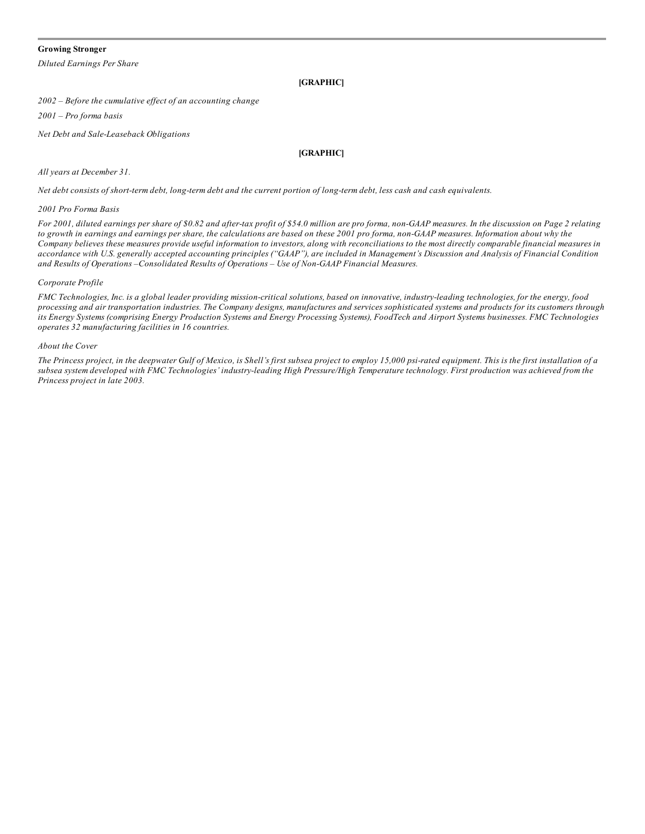#### **Growing Stronger**

*Diluted Earnings Per Share*

#### **[GRAPHIC]**

### *2002 – Before the cumulative ef ect of an accounting change*

*2001 – Pro forma basis*

*Net Debt and Sale-Leaseback Obligations*

#### **[GRAPHIC]**

#### *All years at December 31.*

Net debt consists of short-term debt, long-term debt and the current portion of long-term debt, less cash and cash equivalents.

#### *2001 Pro Forma Basis*

For 2001, diluted earnings per share of \$0.82 and after-tax profit of \$54.0 million are pro forma, non-GAAP measures. In the discussion on Page 2 relating to growth in earnings and earnings per share, the calculations are based on these 2001 pro forma, non-GAAP measures. Information about why the Company believes these measures provide useful information to investors, along with reconciliations to the most directly comparable financial measures in accordance with U.S. generally accepted accounting principles ("GAAP"), are included in Management's Discussion and Analysis of Financial Condition *and Results of Operations –Consolidated Results of Operations – Use of Non-GAAP Financial Measures.*

#### *Corporate Profile*

FMC Technologies, Inc. is a global leader providing mission-critical solutions, based on innovative, industry-leading technologies, for the energy, food processing and air transportation industries. The Company designs, manufactures and services sophisticated systems and products for its customers through its Energy Systems (comprising Energy Production Systems and Energy Processing Systems), FoodTech and Airport Systems businesses. FMC Technologies *operates 32 manufacturing facilities in 16 countries.*

#### *About the Cover*

The Princess project, in the deepwater Gulf of Mexico, is Shell's first subsea project to employ 15,000 psi-rated equipment. This is the first installation of a subsea system developed with FMC Technologies' industry-leading High Pressure/High Temperature technology. First production was achieved from the *Princess project in late 2003.*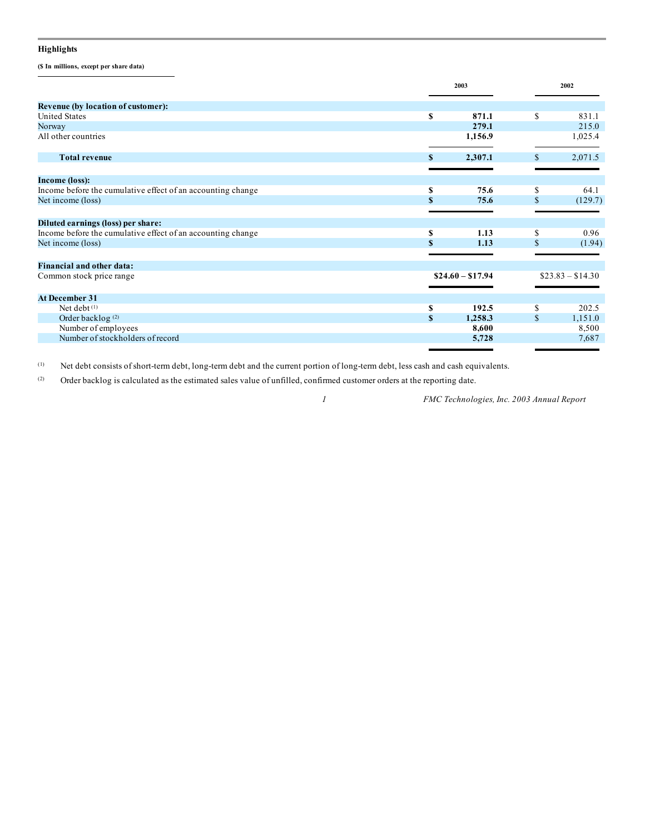### **Highlights**

**(\$ In millions, except per share data)**

|                                                             | 2003              |         | 2002              |         |
|-------------------------------------------------------------|-------------------|---------|-------------------|---------|
| Revenue (by location of customer):                          |                   |         |                   |         |
| <b>United States</b>                                        | \$                | 871.1   | \$                | 831.1   |
| Norway                                                      |                   | 279.1   |                   | 215.0   |
| All other countries                                         |                   | 1,156.9 |                   | 1,025.4 |
| <b>Total revenue</b>                                        | $\mathbf{s}$      | 2,307.1 | $\mathbb{S}$      | 2,071.5 |
|                                                             |                   |         |                   |         |
| <b>Income (loss):</b>                                       |                   |         |                   |         |
| Income before the cumulative effect of an accounting change | S                 | 75.6    | \$.               | 64.1    |
| Net income (loss)                                           | \$                | 75.6    | $\mathbb{S}$      | (129.7) |
|                                                             |                   |         |                   |         |
| Diluted earnings (loss) per share:                          |                   |         |                   |         |
| Income before the cumulative effect of an accounting change | S                 | 1.13    | $\mathbb{S}$      | 0.96    |
| Net income (loss)                                           |                   | 1.13    | $\mathbf{\$}$     | (1.94)  |
|                                                             |                   |         |                   |         |
| Financial and other data:                                   |                   |         |                   |         |
| Common stock price range                                    | $$24.60 - $17.94$ |         | $$23.83 - $14.30$ |         |
|                                                             |                   |         |                   |         |
| <b>At December 31</b>                                       |                   |         |                   |         |
| Net debt <sup>(1)</sup>                                     | \$                | 192.5   | \$                | 202.5   |
| Order backlog <sup>(2)</sup>                                | $\mathbf{s}$      | 1,258.3 | $\mathbb{S}$      | 1,151.0 |
| Number of employees                                         |                   | 8,600   |                   | 8,500   |
| Number of stockholders of record                            |                   | 5,728   |                   | 7,687   |

(1) Net debt consists of short-term debt, long-term debt and the current portion of long-term debt, less cash and cash equivalents.

(2) Order backlog is calculated as the estimated sales value of unfilled, confirmed customer orders at the reporting date.

*1 FMC Technologies, Inc. 2003 Annual Report*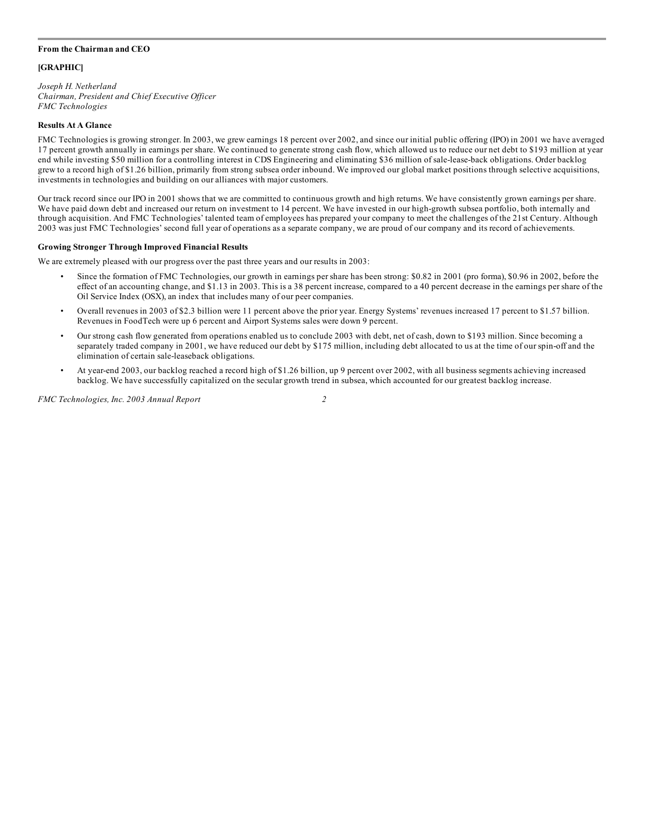#### **From the Chairman and CEO**

#### **[GRAPHIC]**

*Joseph H. Netherland Chairman, President and Chief Executive Of icer FMC Technologies*

#### **Results At A Glance**

FMC Technologies is growing stronger. In 2003, we grew earnings 18 percent over 2002, and since our initial public offering (IPO) in 2001 we have averaged 17 percent growth annually in earnings per share. We continued to generate strong cash flow, which allowed us to reduce our net debt to \$193 million at year end while investing \$50 million for a controlling interest in CDS Engineering and eliminating \$36 million of sale-lease-back obligations. Order backlog grew to a record high of \$1.26 billion, primarily from strong subsea order inbound. We improved our global market positions through selective acquisitions, investments in technologies and building on our alliances with major customers.

Our track record since our IPO in 2001 shows that we are committed to continuous growth and high returns. We have consistently grown earnings per share. We have paid down debt and increased our return on investment to 14 percent. We have invested in our high-growth subsea portfolio, both internally and through acquisition. And FMC Technologies' talented team of employees has prepared your company to meet the challenges of the 21st Century. Although 2003 was just FMC Technologies' second full year of operations as a separate company, we are proud of our company and its record of achievements.

#### **Growing Stronger Through Improved Financial Results**

We are extremely pleased with our progress over the past three years and our results in 2003:

- Since the formation of FMC Technologies, our growth in earnings per share has been strong: \$0.82 in 2001 (pro forma), \$0.96 in 2002, before the effect of an accounting change, and \$1.13 in 2003. This is a 38 percent increase, compared to a 40 percent decrease in the earnings per share of the Oil Service Index (OSX), an index that includes many of our peer companies.
- Overall revenues in 2003 of \$2.3 billion were 11 percent above the prior year. Energy Systems' revenues increased 17 percent to \$1.57 billion. Revenues in FoodTech were up 6 percent and Airport Systems sales were down 9 percent.
- Our strong cash flow generated from operations enabled us to conclude 2003 with debt, net of cash, down to \$193 million. Since becoming a separately traded company in 2001, we have reduced our debt by \$175 million, including debt allocated to us at the time of our spin-off and the elimination of certain sale-leaseback obligations.
- At year-end 2003, our backlog reached a record high of \$1.26 billion, up 9 percent over 2002, with all business segments achieving increased backlog. We have successfully capitalized on the secular growth trend in subsea, which accounted for our greatest backlog increase.

*FMC Technologies, Inc. 2003 Annual Report 2*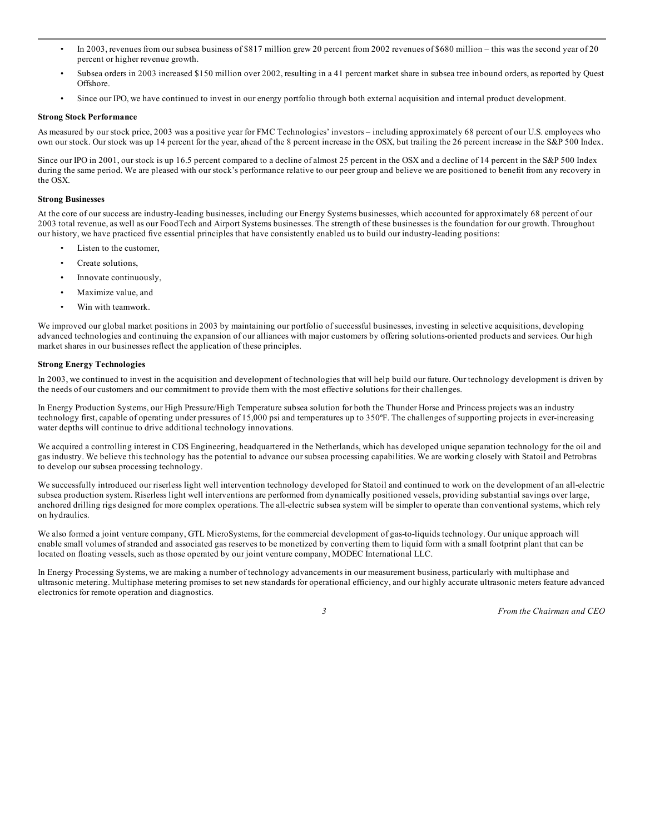- In 2003, revenues from our subsea business of \$817 million grew 20 percent from 2002 revenues of \$680 million this was the second year of 20 percent or higher revenue growth.
- Subsea orders in 2003 increased \$150 million over 2002, resulting in a 41 percent market share in subsea tree inbound orders, as reported by Quest Offshore.
- Since our IPO, we have continued to invest in our energy portfolio through both external acquisition and internal product development.

#### **Strong Stock Performance**

As measured by our stock price, 2003 was a positive year for FMC Technologies' investors – including approximately 68 percent of our U.S. employees who own our stock. Our stock was up 14 percent for the year, ahead of the 8 percent increase in the OSX, but trailing the 26 percent increase in the S&P 500 Index.

Since our IPO in 2001, our stock is up 16.5 percent compared to a decline of almost 25 percent in the OSX and a decline of 14 percent in the S&P 500 Index during the same period. We are pleased with our stock's performance relative to our peer group and believe we are positioned to benefit from any recovery in the OSX.

#### **Strong Businesses**

At the core of our success are industry-leading businesses, including our Energy Systems businesses, which accounted for approximately 68 percent of our 2003 total revenue, as well as our FoodTech and Airport Systems businesses. The strength of these businesses is the foundation for our growth. Throughout our history, we have practiced five essential principles that have consistently enabled us to build our industry-leading positions:

- Listen to the customer,
- Create solutions,
- Innovate continuously,
- Maximize value, and
- Win with teamwork.

We improved our global market positions in 2003 by maintaining our portfolio of successful businesses, investing in selective acquisitions, developing advanced technologies and continuing the expansion of our alliances with major customers by offering solutions-oriented products and services. Our high market shares in our businesses reflect the application of these principles.

#### **Strong Energy Technologies**

In 2003, we continued to invest in the acquisition and development of technologies that will help build our future. Our technology development is driven by the needs of our customers and our commitment to provide them with the most effective solutions for their challenges.

In Energy Production Systems, our High Pressure/High Temperature subsea solution for both the Thunder Horse and Princess projects was an industry technology first, capable of operating under pressures of 15,000 psi and temperatures up to 350ºF. The challenges of supporting projects in ever-increasing water depths will continue to drive additional technology innovations.

We acquired a controlling interest in CDS Engineering, headquartered in the Netherlands, which has developed unique separation technology for the oil and gas industry. We believe this technology has the potential to advance our subsea processing capabilities. We are working closely with Statoil and Petrobras to develop our subsea processing technology.

We successfully introduced our riserless light well intervention technology developed for Statoil and continued to work on the development of an all-electric subsea production system. Riserless light well interventions are performed from dynamically positioned vessels, providing substantial savings over large, anchored drilling rigs designed for more complex operations. The all-electric subsea system will be simpler to operate than conventional systems, which rely on hydraulics.

We also formed a joint venture company, GTL MicroSystems, for the commercial development of gas-to-liquids technology. Our unique approach will enable small volumes of stranded and associated gas reserves to be monetized by converting them to liquid form with a small footprint plant that can be located on floating vessels, such as those operated by our joint venture company, MODEC International LLC.

In Energy Processing Systems, we are making a number of technology advancements in our measurement business, particularly with multiphase and ultrasonic metering. Multiphase metering promises to set new standards for operational efficiency, and our highly accurate ultrasonic meters feature advanced electronics for remote operation and diagnostics.

*3 From the Chairman and CEO*

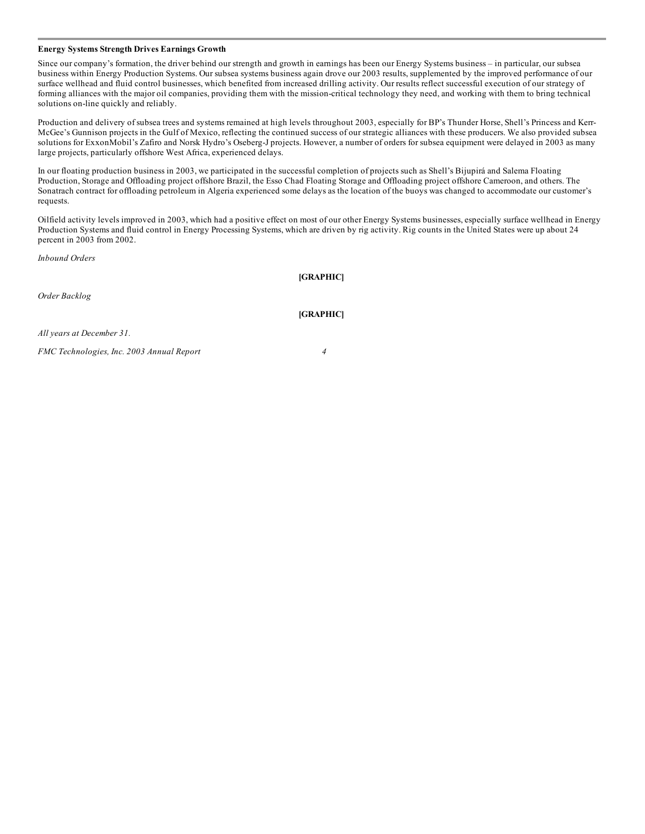#### **Energy Systems Strength Drives Earnings Growth**

Since our company's formation, the driver behind our strength and growth in earnings has been our Energy Systems business – in particular, our subsea business within Energy Production Systems. Our subsea systems business again drove our 2003 results, supplemented by the improved performance of our surface wellhead and fluid control businesses, which benefited from increased drilling activity. Our results reflect successful execution of our strategy of forming alliances with the major oil companies, providing them with the mission-critical technology they need, and working with them to bring technical solutions on-line quickly and reliably.

Production and delivery of subsea trees and systems remained at high levels throughout 2003, especially for BP's Thunder Horse, Shell's Princess and Kerr-McGee's Gunnison projects in the Gulf of Mexico, reflecting the continued success of our strategic alliances with these producers. We also provided subsea solutions for ExxonMobil's Zafiro and Norsk Hydro's Oseberg-J projects. However, a number of orders for subsea equipment were delayed in 2003 as many large projects, particularly offshore West Africa, experienced delays.

In our floating production business in 2003, we participated in the successful completion of projects such as Shell's Bijupirá and Salema Floating Production, Storage and Offloading project offshore Brazil, the Esso Chad Floating Storage and Offloading project offshore Cameroon, and others. The Sonatrach contract for offloading petroleum in Algeria experienced some delays as the location of the buoys was changed to accommodate our customer's requests.

Oilfield activity levels improved in 2003, which had a positive effect on most of our other Energy Systems businesses, especially surface wellhead in Energy Production Systems and fluid control in Energy Processing Systems, which are driven by rig activity. Rig counts in the United States were up about 24 percent in 2003 from 2002.

*Inbound Orders*

**[GRAPHIC]**

*Order Backlog*

**[GRAPHIC]**

*All years at December 31.*

*FMC Technologies, Inc. 2003 Annual Report 4*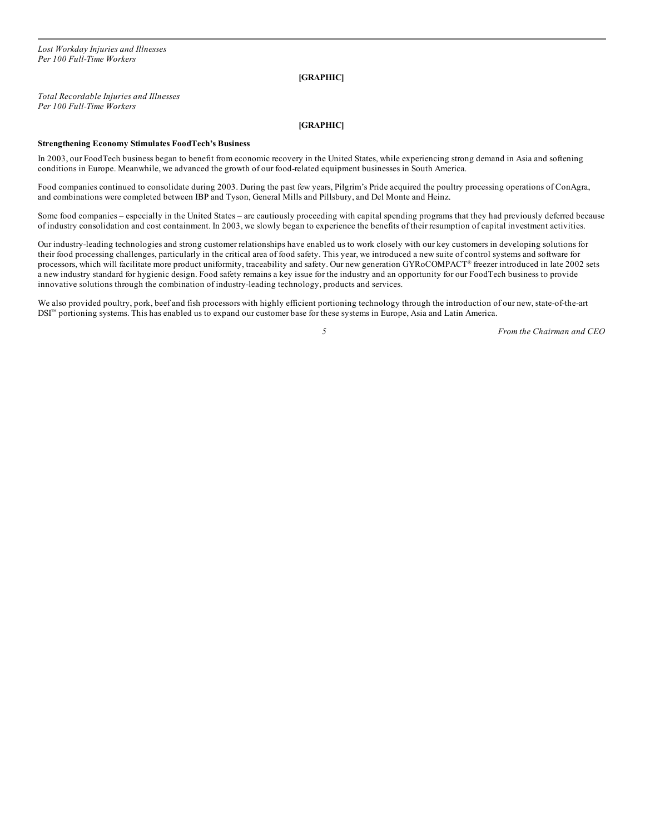#### **[GRAPHIC]**

*Total Recordable Injuries and Illnesses Per 100 Full-Time Workers*

#### **[GRAPHIC]**

#### **Strengthening Economy Stimulates FoodTech's Business**

In 2003, our FoodTech business began to benefit from economic recovery in the United States, while experiencing strong demand in Asia and softening conditions in Europe. Meanwhile, we advanced the growth of our food-related equipment businesses in South America.

Food companies continued to consolidate during 2003. During the past few years, Pilgrim's Pride acquired the poultry processing operations of ConAgra, and combinations were completed between IBP and Tyson, General Mills and Pillsbury, and Del Monte and Heinz.

Some food companies – especially in the United States – are cautiously proceeding with capital spending programs that they had previously deferred because of industry consolidation and cost containment. In 2003, we slowly began to experience the benefits of their resumption of capital investment activities.

Our industry-leading technologies and strong customer relationships have enabled us to work closely with our key customers in developing solutions for their food processing challenges, particularly in the critical area of food safety. This year, we introduced a new suite of control systems and software for processors, which will facilitate more product uniformity, traceability and safety. Our new generation GYRoCOMPACT ® freezer introduced in late 2002 sets a new industry standard for hygienic design. Food safety remains a key issue for the industry and an opportunity for our FoodTech business to provide innovative solutions through the combination of industry-leading technology, products and services.

We also provided poultry, pork, beef and fish processors with highly efficient portioning technology through the introduction of our new, state-of-the-art DSI™ portioning systems. This has enabled us to expand our customer base for these systems in Europe, Asia and Latin America.

*5 From the Chairman and CEO*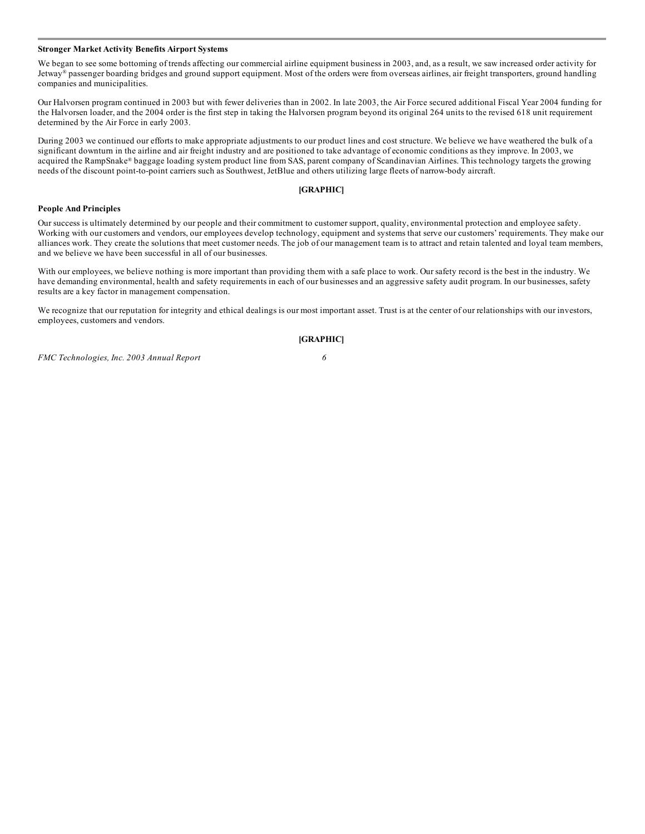#### **Stronger Market Activity Benefits Airport Systems**

We began to see some bottoming of trends affecting our commercial airline equipment business in 2003, and, as a result, we saw increased order activity for Jetway ® passenger boarding bridges and ground support equipment. Most of the orders were from overseas airlines, air freight transporters, ground handling companies and municipalities.

Our Halvorsen program continued in 2003 but with fewer deliveries than in 2002. In late 2003, the Air Force secured additional Fiscal Year 2004 funding for the Halvorsen loader, and the 2004 order is the first step in taking the Halvorsen program beyond its original 264 units to the revised 618 unit requirement determined by the Air Force in early 2003.

During 2003 we continued our efforts to make appropriate adjustments to our product lines and cost structure. We believe we have weathered the bulk of a significant downturn in the airline and air freight industry and are positioned to take advantage of economic conditions as they improve. In 2003, we acquired the RampSnake® baggage loading system product line from SAS, parent company of Scandinavian Airlines. This technology targets the growing needs of the discount point-to-point carriers such as Southwest, JetBlue and others utilizing large fleets of narrow-body aircraft.

#### **[GRAPHIC]**

#### **People And Principles**

Our success is ultimately determined by our people and their commitment to customer support, quality, environmental protection and employee safety. Working with our customers and vendors, our employees develop technology, equipment and systems that serve our customers' requirements. They make our alliances work. They create the solutions that meet customer needs. The job of our management team is to attract and retain talented and loyal team members, and we believe we have been successful in all of our businesses.

With our employees, we believe nothing is more important than providing them with a safe place to work. Our safety record is the best in the industry. We have demanding environmental, health and safety requirements in each of our businesses and an aggressive safety audit program. In our businesses, safety results are a key factor in management compensation.

We recognize that our reputation for integrity and ethical dealings is our most important asset. Trust is at the center of our relationships with our investors, employees, customers and vendors.

#### **[GRAPHIC]**

*FMC Technologies, Inc. 2003 Annual Report 6*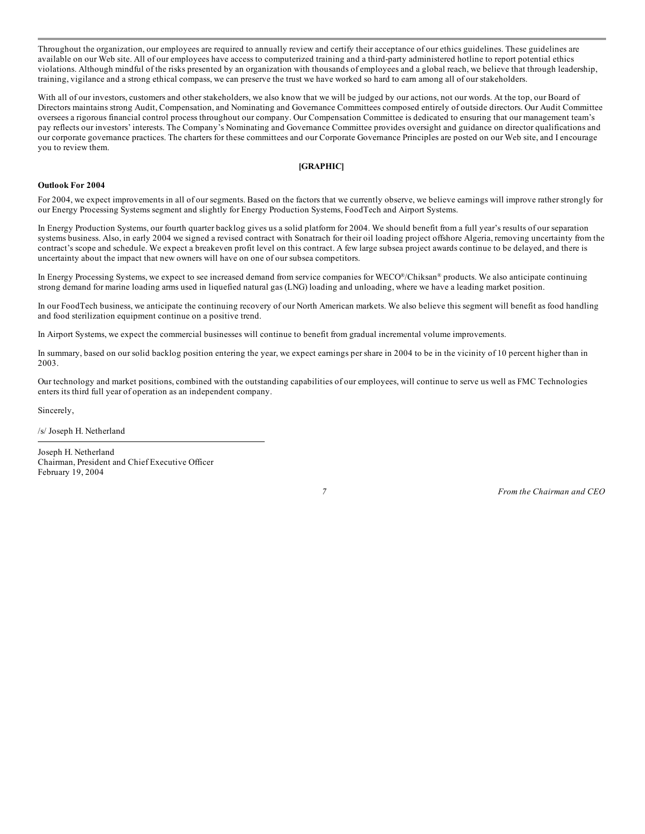Throughout the organization, our employees are required to annually review and certify their acceptance of our ethics guidelines. These guidelines are available on our Web site. All of our employees have access to computerized training and a third-party administered hotline to report potential ethics violations. Although mindful of the risks presented by an organization with thousands of employees and a global reach, we believe that through leadership, training, vigilance and a strong ethical compass, we can preserve the trust we have worked so hard to earn among all of our stakeholders.

With all of our investors, customers and other stakeholders, we also know that we will be judged by our actions, not our words. At the top, our Board of Directors maintains strong Audit, Compensation, and Nominating and Governance Committees composed entirely of outside directors. Our Audit Committee oversees a rigorous financial control process throughout our company. Our Compensation Committee is dedicated to ensuring that our management team's pay reflects our investors' interests. The Company's Nominating and Governance Committee provides oversight and guidance on director qualifications and our corporate governance practices. The charters for these committees and our Corporate Governance Principles are posted on our Web site, and I encourage you to review them.

#### **[GRAPHIC]**

#### **Outlook For 2004**

For 2004, we expect improvements in all of our segments. Based on the factors that we currently observe, we believe earnings will improve rather strongly for our Energy Processing Systems segment and slightly for Energy Production Systems, FoodTech and Airport Systems.

In Energy Production Systems, our fourth quarter backlog gives us a solid platform for 2004. We should benefit from a full year's results of our separation systems business. Also, in early 2004 we signed a revised contract with Sonatrach for their oil loading project offshore Algeria, removing uncertainty from the contract's scope and schedule. We expect a breakeven profit level on this contract. A few large subsea project awards continue to be delayed, and there is uncertainty about the impact that new owners will have on one of our subsea competitors.

In Energy Processing Systems, we expect to see increased demand from service companies for WECO®/Chiksan ® products. We also anticipate continuing strong demand for marine loading arms used in liquefied natural gas (LNG) loading and unloading, where we have a leading market position.

In our FoodTech business, we anticipate the continuing recovery of our North American markets. We also believe this segment will benefit as food handling and food sterilization equipment continue on a positive trend.

In Airport Systems, we expect the commercial businesses will continue to benefit from gradual incremental volume improvements.

In summary, based on our solid backlog position entering the year, we expect earnings per share in 2004 to be in the vicinity of 10 percent higher than in 2003.

Our technology and market positions, combined with the outstanding capabilities of our employees, will continue to serve us well as FMC Technologies enters its third full year of operation as an independent company.

Sincerely,

/s/ Joseph H. Netherland

Joseph H. Netherland Chairman, President and Chief Executive Officer February 19, 2004

*7 From the Chairman and CEO*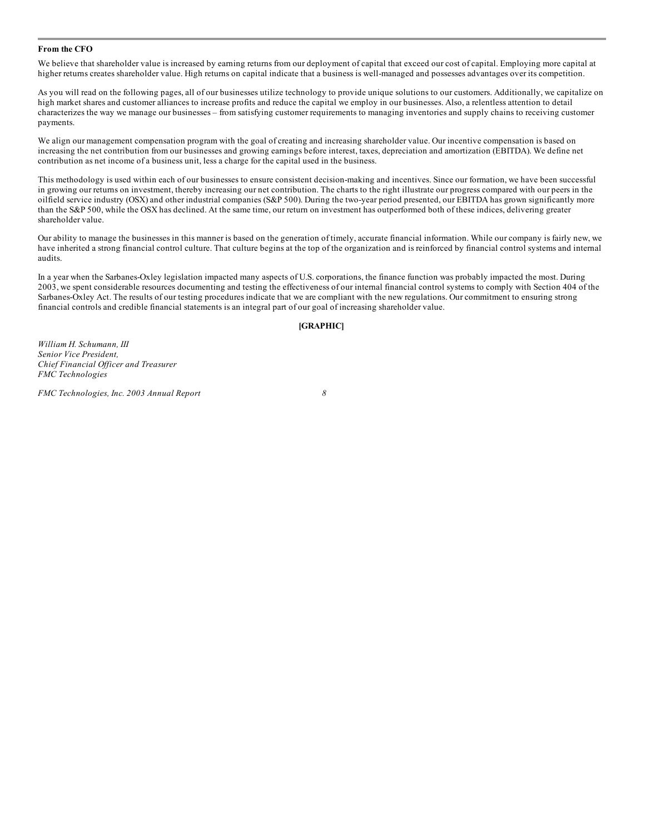#### **From the CFO**

We believe that shareholder value is increased by earning returns from our deployment of capital that exceed our cost of capital. Employing more capital at higher returns creates shareholder value. High returns on capital indicate that a business is well-managed and possesses advantages over its competition.

As you will read on the following pages, all of our businesses utilize technology to provide unique solutions to our customers. Additionally, we capitalize on high market shares and customer alliances to increase profits and reduce the capital we employ in our businesses. Also, a relentless attention to detail characterizes the way we manage our businesses – from satisfying customer requirements to managing inventories and supply chains to receiving customer payments.

We align our management compensation program with the goal of creating and increasing shareholder value. Our incentive compensation is based on increasing the net contribution from our businesses and growing earnings before interest, taxes, depreciation and amortization (EBITDA). We define net contribution as net income of a business unit, less a charge for the capital used in the business.

This methodology is used within each of our businesses to ensure consistent decision-making and incentives. Since our formation, we have been successful in growing our returns on investment, thereby increasing our net contribution. The charts to the right illustrate our progress compared with our peers in the oilfield service industry (OSX) and other industrial companies (S&P 500). During the two-year period presented, our EBITDA has grown significantly more than the S&P 500, while the OSX has declined. At the same time, our return on investment has outperformed both of these indices, delivering greater shareholder value.

Our ability to manage the businesses in this manner is based on the generation of timely, accurate financial information. While our company is fairly new, we have inherited a strong financial control culture. That culture begins at the top of the organization and is reinforced by financial control systems and internal audits.

In a year when the Sarbanes-Oxley legislation impacted many aspects of U.S. corporations, the finance function was probably impacted the most. During 2003, we spent considerable resources documenting and testing the effectiveness of our internal financial control systems to comply with Section 404 of the Sarbanes-Oxley Act. The results of our testing procedures indicate that we are compliant with the new regulations. Our commitment to ensuring strong financial controls and credible financial statements is an integral part of our goal of increasing shareholder value.

#### **[GRAPHIC]**

*William H. Schumann, III Senior Vice President, Chief Financial Of icer and Treasurer FMC Technologies*

*FMC Technologies, Inc. 2003 Annual Report 8*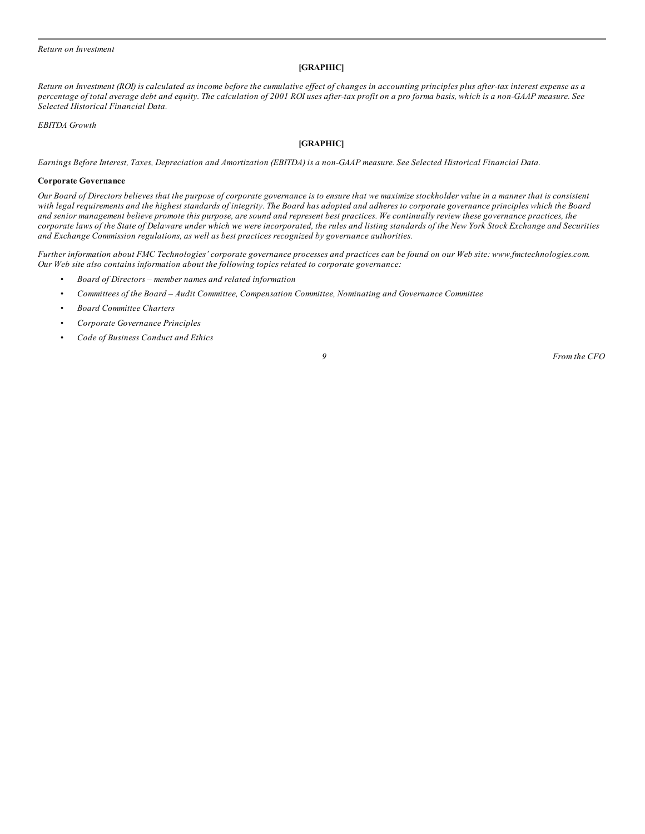#### *Return on Investment*

## **[GRAPHIC]**

Return on Investment (ROI) is calculated as income before the cumulative effect of changes in accounting principles plus after-tax interest expense as a percentage of total average debt and equity. The calculation of 2001 ROI uses after-tax profit on a pro forma basis, which is a non-GAAP measure. See *Selected Historical Financial Data.*

*EBITDA Growth*

## **[GRAPHIC]**

Earnings Before Interest, Taxes, Depreciation and Amortization (EBITDA) is a non-GAAP measure. See Selected Historical Financial Data.

## **Corporate Governance**

Our Board of Directors believes that the purpose of corporate governance is to ensure that we maximize stockholder value in a manner that is consistent with legal requirements and the highest standards of integrity. The Board has adopted and adheres to corporate governance principles which the Board and senior management believe promote this purpose, are sound and represent best practices. We continually review these governance practices, the corporate laws of the State of Delaware under which we were incorporated, the rules and listing standards of the New York Stock Exchange and Securities *and Exchange Commission regulations, as well as best practices recognized by governance authorities.*

Further information about FMC Technologies' corporate governance processes and practices can be found on our Web site: www.fmctechnologies.com. *Our Web site also contains information about the following topics related to corporate governance:*

- *Board of Directors – member names and related information*
- *Committees of the Board – Audit Committee, Compensation Committee, Nominating and Governance Committee*
- *Board Committee Charters*
- *Corporate Governance Principles*
- *Code of Business Conduct and Ethics*

*9 From the CFO*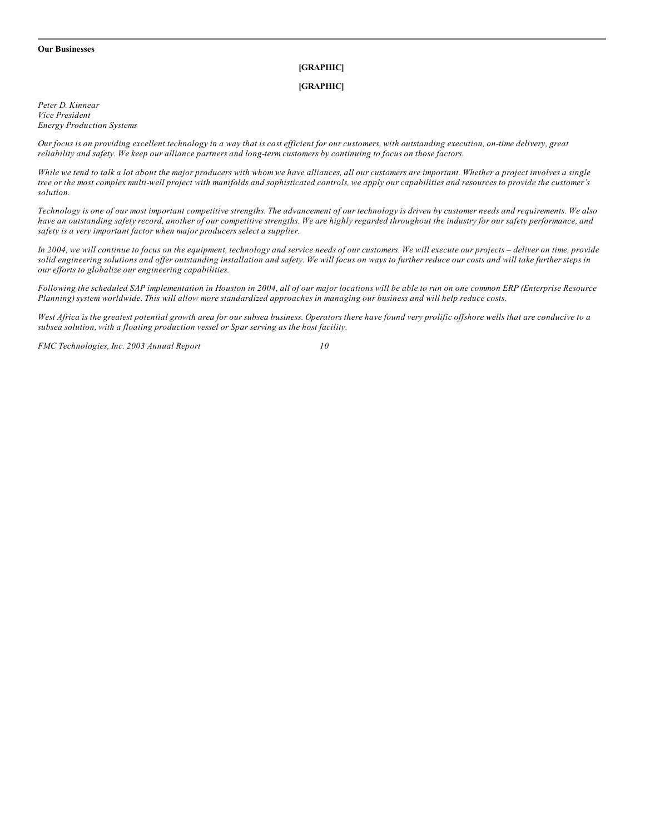## **[GRAPHIC]**

*Peter D. Kinnear Vice President Energy Production Systems*

Our focus is on providing excellent technology in a way that is cost efficient for our customers, with outstanding execution, on-time delivery, great reliability and safety. We keep our alliance partners and long-term customers by continuing to focus on those factors.

While we tend to talk a lot about the major producers with whom we have alliances, all our customers are important. Whether a project involves a single tree or the most complex multi-well project with manifolds and sophisticated controls, we apply our capabilities and resources to provide the customer's *solution.*

Technology is one of our most important competitive strengths. The advancement of our technology is driven by customer needs and requirements. We also have an outstanding safety record, another of our competitive strengths. We are highly regarded throughout the industry for our safety performance, and *safety is a very important factor when major producers select a supplier.*

In 2004, we will continue to focus on the equipment, technology and service needs of our customers. We will execute our projects - deliver on time, provide solid engineering solutions and offer outstanding installation and safety. We will focus on ways to further reduce our costs and will take further steps in *our ef orts to globalize our engineering capabilities.*

Following the scheduled SAP implementation in Houston in 2004, all of our major locations will be able to run on one common ERP (Enterprise Resource Planning) system worldwide. This will allow more standardized approaches in managing our business and will help reduce costs.

West Africa is the greatest potential growth area for our subsea business. Operators there have found very prolific offshore wells that are conducive to a *subsea solution, with a floating production vessel or Spar serving as the host facility.*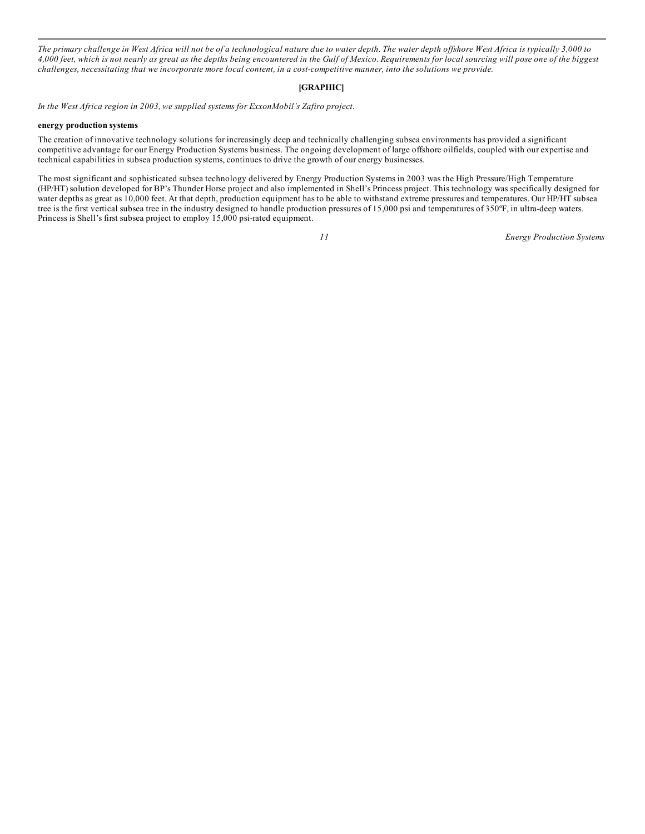The primary challenge in West Africa will not be of a technological nature due to water depth. The water depth offshore West Africa is typically 3,000 to 4,000 feet, which is not nearly as great as the depths being encountered in the Gulf of Mexico. Requirements for local sourcing will pose one of the biggest challenges, necessitating that we incorporate more local content, in a cost-competitive manner, into the solutions we provide.

## **[GRAPHIC]**

*In the West Africa region in 2003, we supplied systems for ExxonMobil's Zafiro project.*

#### **energy production systems**

The creation of innovative technology solutions for increasingly deep and technically challenging subsea environments has provided a significant competitive advantage for our Energy Production Systems business. The ongoing development of large offshore oilfields, coupled with our expertise and technical capabilities in subsea production systems, continues to drive the growth of our energy businesses.

The most significant and sophisticated subsea technology delivered by Energy Production Systems in 2003 was the High Pressure/High Temperature (HP/HT) solution developed for BP's Thunder Horse project and also implemented in Shell's Princess project. This technology was specifically designed for water depths as great as 10,000 feet. At that depth, production equipment has to be able to withstand extreme pressures and temperatures. Our HP/HT subsea tree is the first vertical subsea tree in the industry designed to handle production pressures of 15,000 psi and temperatures of 350ºF, in ultra-deep waters. Princess is Shell's first subsea project to employ 15,000 psi-rated equipment.

*11 Energy Production Systems*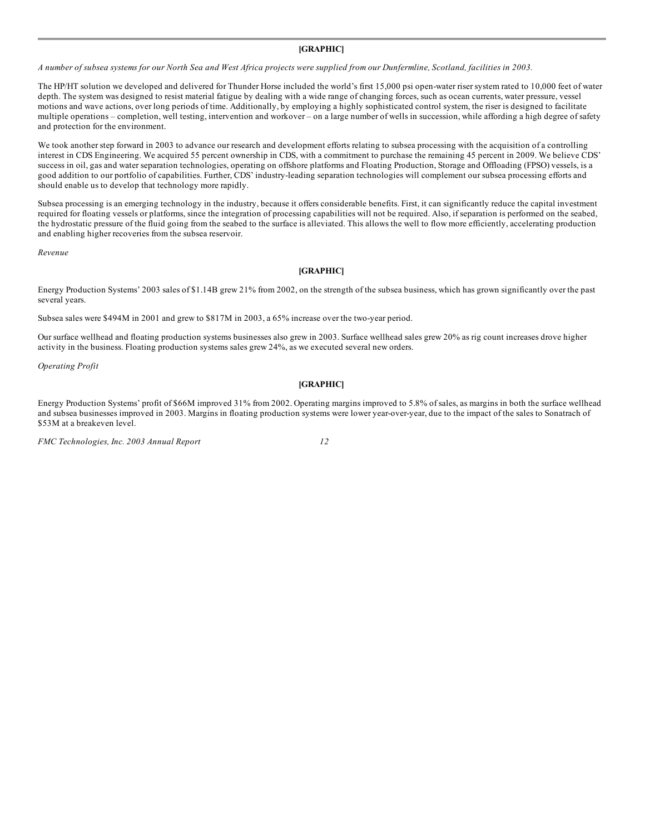A number of subsea systems for our North Sea and West Africa projects were supplied from our Dunfermline, Scotland, facilities in 2003.

The HP/HT solution we developed and delivered for Thunder Horse included the world's first 15,000 psi open-water riser system rated to 10,000 feet of water depth. The system was designed to resist material fatigue by dealing with a wide range of changing forces, such as ocean currents, water pressure, vessel motions and wave actions, over long periods of time. Additionally, by employing a highly sophisticated control system, the riser is designed to facilitate multiple operations – completion, well testing, intervention and workover – on a large number of wells in succession, while affording a high degree of safety and protection for the environment.

We took another step forward in 2003 to advance our research and development efforts relating to subsea processing with the acquisition of a controlling interest in CDS Engineering. We acquired 55 percent ownership in CDS, with a commitment to purchase the remaining 45 percent in 2009. We believe CDS' success in oil, gas and water separation technologies, operating on offshore platforms and Floating Production, Storage and Offloading (FPSO) vessels, is a good addition to our portfolio of capabilities. Further, CDS' industry-leading separation technologies will complement our subsea processing efforts and should enable us to develop that technology more rapidly.

Subsea processing is an emerging technology in the industry, because it offers considerable benefits. First, it can significantly reduce the capital investment required for floating vessels or platforms, since the integration of processing capabilities will not be required. Also, if separation is performed on the seabed, the hydrostatic pressure of the fluid going from the seabed to the surface is alleviated. This allows the well to flow more efficiently, accelerating production and enabling higher recoveries from the subsea reservoir.

*Revenue*

## **[GRAPHIC]**

Energy Production Systems' 2003 sales of \$1.14B grew 21% from 2002, on the strength of the subsea business, which has grown significantly over the past several years.

Subsea sales were \$494M in 2001 and grew to \$817M in 2003, a 65% increase over the two-year period.

Our surface wellhead and floating production systems businesses also grew in 2003. Surface wellhead sales grew 20% as rig count increases drove higher activity in the business. Floating production systems sales grew 24%, as we executed several new orders.

*Operating Profit*

## **[GRAPHIC]**

Energy Production Systems' profit of \$66M improved 31% from 2002. Operating margins improved to 5.8% of sales, as margins in both the surface wellhead and subsea businesses improved in 2003. Margins in floating production systems were lower year-over-year, due to the impact of the sales to Sonatrach of \$53M at a breakeven level.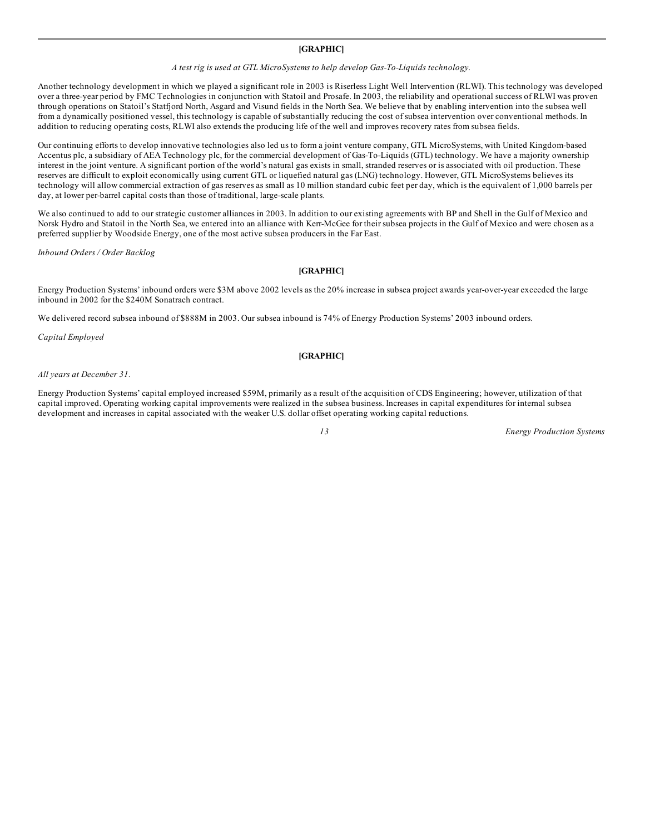#### *A test rig is used at GTL MicroSystems to help develop Gas-To-Liquids technology.*

Another technology development in which we played a significant role in 2003 is Riserless Light Well Intervention (RLWI). This technology was developed over a three-year period by FMC Technologies in conjunction with Statoil and Prosafe. In 2003, the reliability and operational success of RLWI was proven through operations on Statoil's Statfjord North, Asgard and Visund fields in the North Sea. We believe that by enabling intervention into the subsea well from a dynamically positioned vessel, this technology is capable of substantially reducing the cost of subsea intervention over conventional methods. In addition to reducing operating costs, RLWI also extends the producing life of the well and improves recovery rates from subsea fields.

Our continuing efforts to develop innovative technologies also led us to form a joint venture company, GTL MicroSystems, with United Kingdom-based Accentus plc, a subsidiary of AEA Technology plc, for the commercial development of Gas-To-Liquids (GTL) technology. We have a majority ownership interest in the joint venture. A significant portion of the world's natural gas exists in small, stranded reserves or is associated with oil production. These reserves are difficult to exploit economically using current GTL or liquefied natural gas (LNG) technology. However, GTL MicroSystems believes its technology will allow commercial extraction of gas reserves as small as 10 million standard cubic feet per day, which is the equivalent of 1,000 barrels per day, at lower per-barrel capital costs than those of traditional, large-scale plants.

We also continued to add to our strategic customer alliances in 2003. In addition to our existing agreements with BP and Shell in the Gulf of Mexico and Norsk Hydro and Statoil in the North Sea, we entered into an alliance with Kerr-McGee for their subsea projects in the Gulf of Mexico and were chosen as a preferred supplier by Woodside Energy, one of the most active subsea producers in the Far East.

*Inbound Orders / Order Backlog*

## **[GRAPHIC]**

Energy Production Systems' inbound orders were \$3M above 2002 levels as the 20% increase in subsea project awards year-over-year exceeded the large inbound in 2002 for the \$240M Sonatrach contract.

We delivered record subsea inbound of \$888M in 2003. Our subsea inbound is 74% of Energy Production Systems' 2003 inbound orders.

*Capital Employed*

### **[GRAPHIC]**

#### *All years at December 31.*

Energy Production Systems' capital employed increased \$59M, primarily as a result of the acquisition of CDS Engineering; however, utilization of that capital improved. Operating working capital improvements were realized in the subsea business. Increases in capital expenditures for internal subsea development and increases in capital associated with the weaker U.S. dollar offset operating working capital reductions.

*13 Energy Production Systems*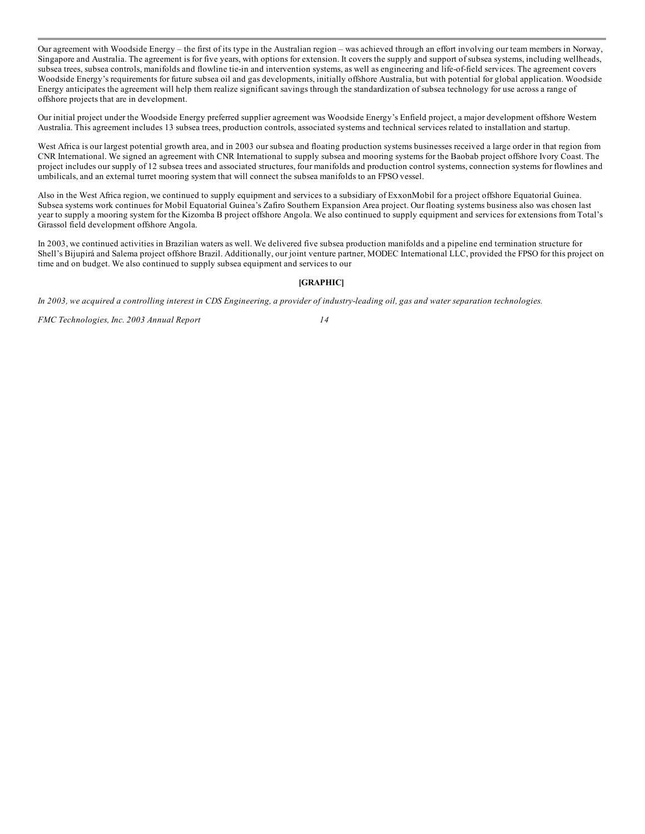Our agreement with Woodside Energy – the first of its type in the Australian region – was achieved through an effort involving our team members in Norway, Singapore and Australia. The agreement is for five years, with options for extension. It covers the supply and support of subsea systems, including wellheads, subsea trees, subsea controls, manifolds and flowline tie-in and intervention systems, as well as engineering and life-of-field services. The agreement covers Woodside Energy's requirements for future subsea oil and gas developments, initially offshore Australia, but with potential for global application. Woodside Energy anticipates the agreement will help them realize significant savings through the standardization of subsea technology for use across a range of offshore projects that are in development.

Our initial project under the Woodside Energy preferred supplier agreement was Woodside Energy's Enfield project, a major development offshore Western Australia. This agreement includes 13 subsea trees, production controls, associated systems and technical services related to installation and startup.

West Africa is our largest potential growth area, and in 2003 our subsea and floating production systems businesses received a large order in that region from CNR International. We signed an agreement with CNR International to supply subsea and mooring systems for the Baobab project offshore Ivory Coast. The project includes our supply of 12 subsea trees and associated structures, four manifolds and production control systems, connection systems for flowlines and umbilicals, and an external turret mooring system that will connect the subsea manifolds to an FPSO vessel.

Also in the West Africa region, we continued to supply equipment and services to a subsidiary of ExxonMobil for a project offshore Equatorial Guinea. Subsea systems work continues for Mobil Equatorial Guinea's Zafiro Southern Expansion Area project. Our floating systems business also was chosen last year to supply a mooring system for the Kizomba B project offshore Angola. We also continued to supply equipment and services for extensions from Total's Girassol field development offshore Angola.

In 2003, we continued activities in Brazilian waters as well. We delivered five subsea production manifolds and a pipeline end termination structure for Shell's Bijupirá and Salema project offshore Brazil. Additionally, our joint venture partner, MODEC International LLC, provided the FPSO for this project on time and on budget. We also continued to supply subsea equipment and services to our

## **[GRAPHIC]**

In 2003, we acquired a controlling interest in CDS Engineering, a provider of industry-leading oil, gas and water separation technologies.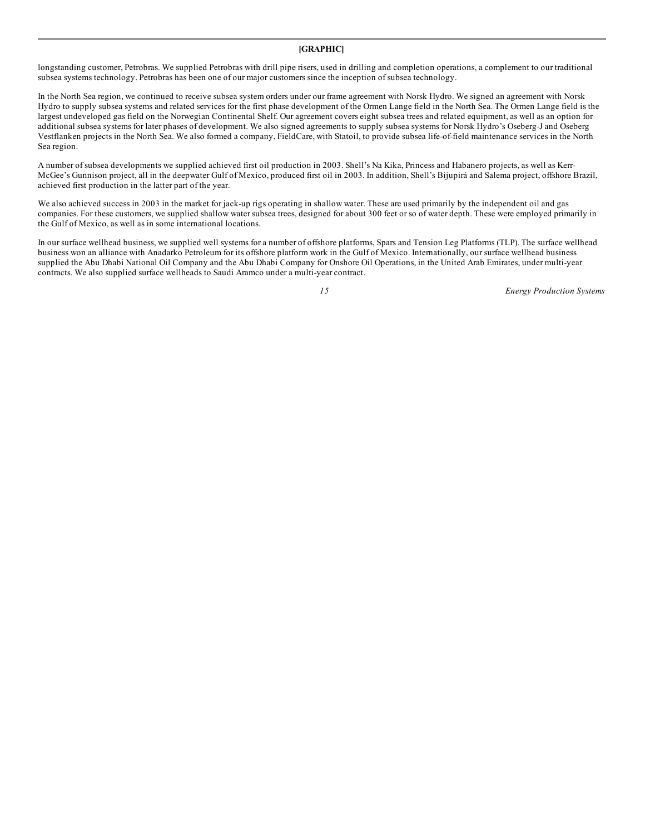longstanding customer, Petrobras. We supplied Petrobras with drill pipe risers, used in drilling and completion operations, a complement to our traditional subsea systems technology. Petrobras has been one of our major customers since the inception of subsea technology.

In the North Sea region, we continued to receive subsea system orders under our frame agreement with Norsk Hydro. We signed an agreement with Norsk Hydro to supply subsea systems and related services for the first phase development of the Ormen Lange field in the North Sea. The Ormen Lange field is the largest undeveloped gas field on the Norwegian Continental Shelf. Our agreement covers eight subsea trees and related equipment, as well as an option for additional subsea systems for later phases of development. We also signed agreements to supply subsea systems for Norsk Hydro's Oseberg-J and Oseberg Vestflanken projects in the North Sea. We also formed a company, FieldCare, with Statoil, to provide subsea life-of-field maintenance services in the North Sea region.

A number of subsea developments we supplied achieved first oil production in 2003. Shell's Na Kika, Princess and Habanero projects, as well as Kerr-McGee's Gunnison project, all in the deepwater Gulf of Mexico, produced first oil in 2003. In addition, Shell's Bijupirá and Salema project, offshore Brazil, achieved first production in the latter part of the year.

We also achieved success in 2003 in the market for jack-up rigs operating in shallow water. These are used primarily by the independent oil and gas companies. For these customers, we supplied shallow water subsea trees, designed for about 300 feet or so of water depth. These were employed primarily in the Gulf of Mexico, as well as in some international locations.

In our surface wellhead business, we supplied well systems for a number of offshore platforms, Spars and Tension Leg Platforms (TLP). The surface wellhead business won an alliance with Anadarko Petroleum for its offshore platform work in the Gulf of Mexico. Internationally, our surface wellhead business supplied the Abu Dhabi National Oil Company and the Abu Dhabi Company for Onshore Oil Operations, in the United Arab Emirates, under multi-year contracts. We also supplied surface wellheads to Saudi Aramco under a multi-year contract.

*15 Energy Production Systems*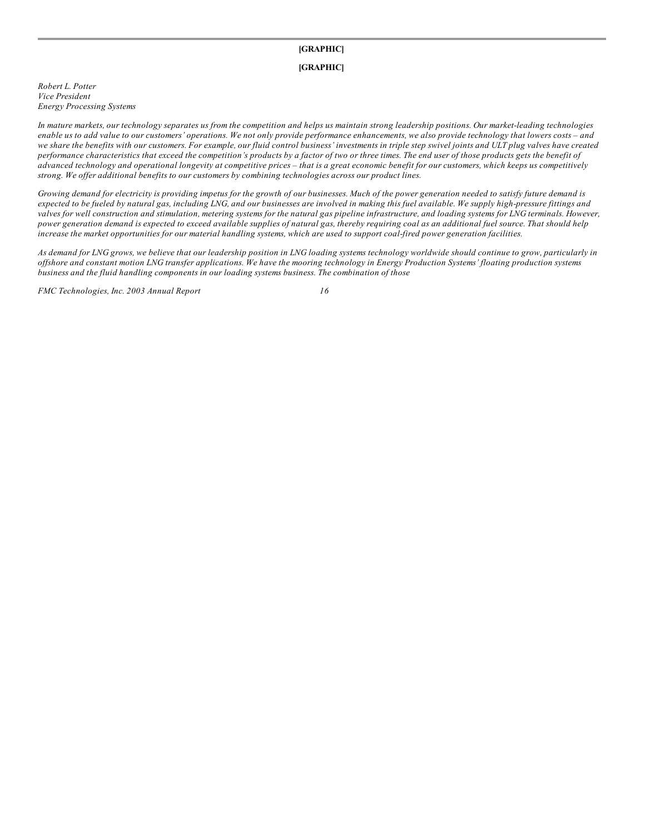## **[GRAPHIC]**

*Robert L. Potter Vice President Energy Processing Systems*

In mature markets, our technology separates us from the competition and helps us maintain strong leadership positions. Our market-leading technologies enable us to add value to our customers' operations. We not only provide performance enhancements, we also provide technology that lowers costs - and we share the benefits with our customers. For example, our fluid control business' investments in triple step swivel joints and ULT plug valves have created performance characteristics that exceed the competition's products by a factor of two or three times. The end user of those products gets the benefit of advanced technology and operational longevity at competitive prices - that is a great economic benefit for our customers, which keeps us competitively *strong. We of er additional benefits to our customers by combining technologies across our product lines.*

Growing demand for electricity is providing impetus for the growth of our businesses. Much of the power generation needed to satisfy future demand is expected to be fueled by natural gas, including LNG, and our businesses are involved in making this fuel available. We supply high-pressure fittings and valves for well construction and stimulation, metering systems for the natural gas pipeline infrastructure, and loading systems for LNG terminals. However, power generation demand is expected to exceed available supplies of natural gas, thereby requiring coal as an additional fuel source. That should help increase the market opportunities for our material handling systems, which are used to support coal-fired power generation facilities.

As demand for LNG grows, we believe that our leadership position in LNG loading systems technology worldwide should continue to grow, particularly in offshore and constant motion LNG transfer applications. We have the mooring technology in Energy Production Systems' floating production systems *business and the fluid handling components in our loading systems business. The combination of those*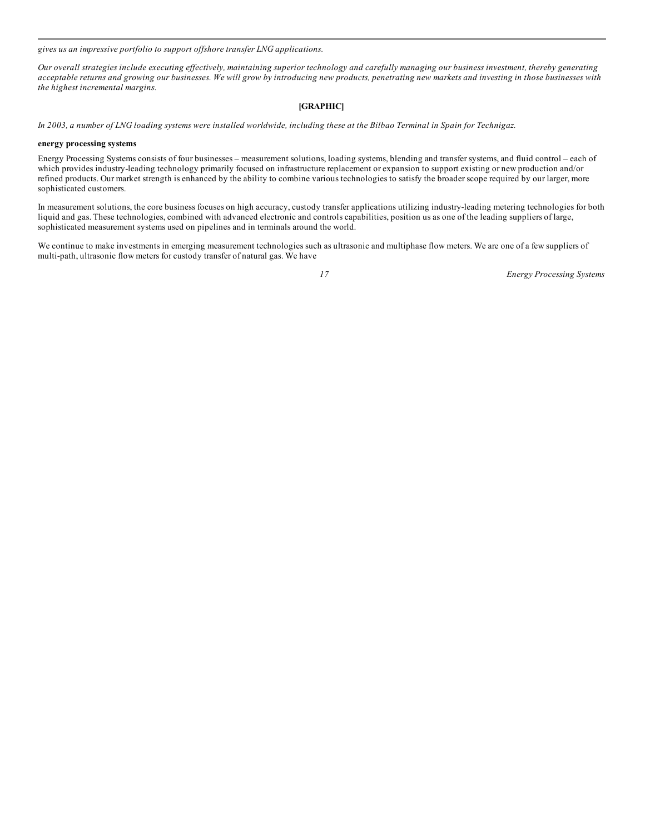*gives us an impressive portfolio to support of shore transfer LNG applications.*

Our overall strategies include executing effectively, maintaining superior technology and carefully managing our business investment, thereby generating acceptable returns and growing our businesses. We will grow by introducing new products, penetrating new markets and investing in those businesses with *the highest incremental margins.*

## **[GRAPHIC]**

In 2003, a number of LNG loading systems were installed worldwide, including these at the Bilbao Terminal in Spain for Technigaz.

#### **energy processing systems**

Energy Processing Systems consists of four businesses – measurement solutions, loading systems, blending and transfer systems, and fluid control – each of which provides industry-leading technology primarily focused on infrastructure replacement or expansion to support existing or new production and/or refined products. Our market strength is enhanced by the ability to combine various technologies to satisfy the broader scope required by our larger, more sophisticated customers.

In measurement solutions, the core business focuses on high accuracy, custody transfer applications utilizing industry-leading metering technologies for both liquid and gas. These technologies, combined with advanced electronic and controls capabilities, position us as one of the leading suppliers of large, sophisticated measurement systems used on pipelines and in terminals around the world.

We continue to make investments in emerging measurement technologies such as ultrasonic and multiphase flow meters. We are one of a few suppliers of multi-path, ultrasonic flow meters for custody transfer of natural gas. We have

*17 Energy Processing Systems*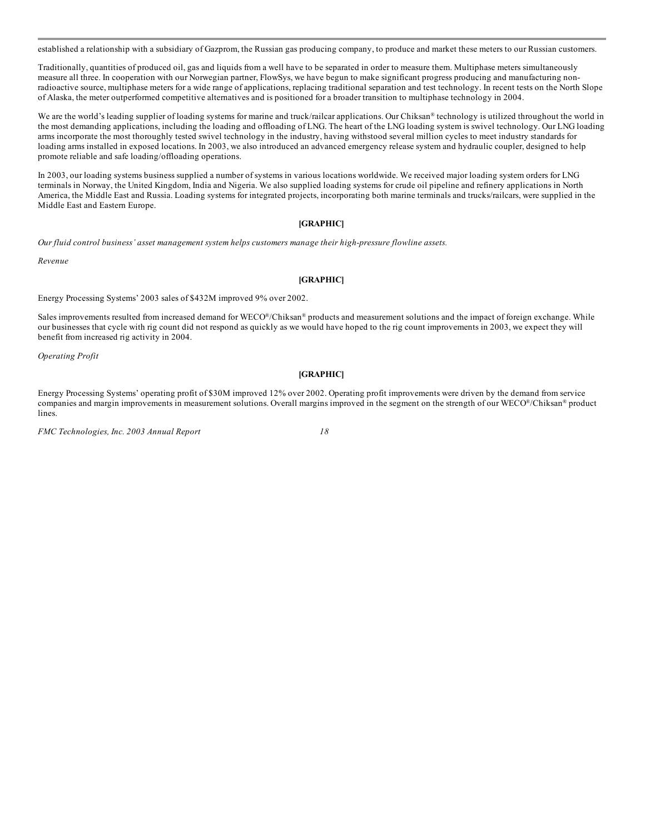established a relationship with a subsidiary of Gazprom, the Russian gas producing company, to produce and market these meters to our Russian customers.

Traditionally, quantities of produced oil, gas and liquids from a well have to be separated in order to measure them. Multiphase meters simultaneously measure all three. In cooperation with our Norwegian partner, FlowSys, we have begun to make significant progress producing and manufacturing nonradioactive source, multiphase meters for a wide range of applications, replacing traditional separation and test technology. In recent tests on the North Slope of Alaska, the meter outperformed competitive alternatives and is positioned for a broader transition to multiphase technology in 2004.

We are the world's leading supplier of loading systems for marine and truck/railcar applications. Our Chiksan® technology is utilized throughout the world in the most demanding applications, including the loading and offloading of LNG. The heart of the LNG loading system is swivel technology. Our LNG loading arms incorporate the most thoroughly tested swivel technology in the industry, having withstood several million cycles to meet industry standards for loading arms installed in exposed locations. In 2003, we also introduced an advanced emergency release system and hydraulic coupler, designed to help promote reliable and safe loading/offloading operations.

In 2003, our loading systems business supplied a number of systems in various locations worldwide. We received major loading system orders for LNG terminals in Norway, the United Kingdom, India and Nigeria. We also supplied loading systems for crude oil pipeline and refinery applications in North America, the Middle East and Russia. Loading systems for integrated projects, incorporating both marine terminals and trucks/railcars, were supplied in the Middle East and Eastern Europe.

#### **[GRAPHIC]**

*Our fluid control business' asset management system helps customers manage their high-pressure flowline assets.*

*Revenue*

## **[GRAPHIC]**

Energy Processing Systems' 2003 sales of \$432M improved 9% over 2002.

Sales improvements resulted from increased demand for WECO®/Chiksan® products and measurement solutions and the impact of foreign exchange. While our businesses that cycle with rig count did not respond as quickly as we would have hoped to the rig count improvements in 2003, we expect they will benefit from increased rig activity in 2004.

*Operating Profit*

## **[GRAPHIC]**

Energy Processing Systems' operating profit of \$30M improved 12% over 2002. Operating profit improvements were driven by the demand from service companies and margin improvements in measurement solutions. Overall margins improved in the segment on the strength of our WECO®/Chiksan ® product lines.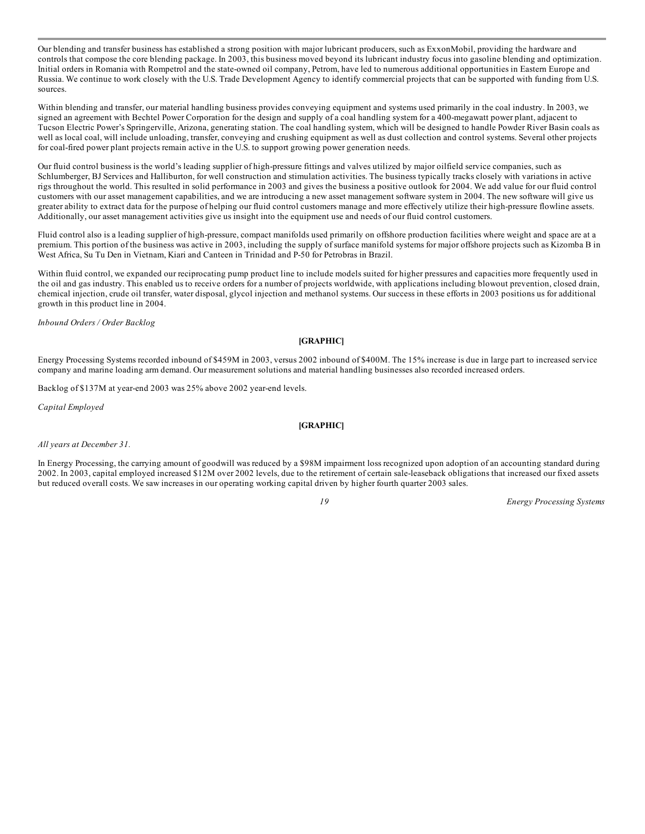Our blending and transfer business has established a strong position with major lubricant producers, such as ExxonMobil, providing the hardware and controls that compose the core blending package. In 2003, this business moved beyond its lubricant industry focus into gasoline blending and optimization. Initial orders in Romania with Rompetrol and the state-owned oil company, Petrom, have led to numerous additional opportunities in Eastern Europe and Russia. We continue to work closely with the U.S. Trade Development Agency to identify commercial projects that can be supported with funding from U.S. sources.

Within blending and transfer, our material handling business provides conveying equipment and systems used primarily in the coal industry. In 2003, we signed an agreement with Bechtel Power Corporation for the design and supply of a coal handling system for a 400-megawatt power plant, adjacent to Tucson Electric Power's Springerville, Arizona, generating station. The coal handling system, which will be designed to handle Powder River Basin coals as well as local coal, will include unloading, transfer, conveying and crushing equipment as well as dust collection and control systems. Several other projects for coal-fired power plant projects remain active in the U.S. to support growing power generation needs.

Our fluid control business is the world's leading supplier of high-pressure fittings and valves utilized by major oilfield service companies, such as Schlumberger, BJ Services and Halliburton, for well construction and stimulation activities. The business typically tracks closely with variations in active rigs throughout the world. This resulted in solid performance in 2003 and gives the business a positive outlook for 2004. We add value for our fluid control customers with our asset management capabilities, and we are introducing a new asset management software system in 2004. The new software will give us greater ability to extract data for the purpose of helping our fluid control customers manage and more effectively utilize their high-pressure flowline assets. Additionally, our asset management activities give us insight into the equipment use and needs of our fluid control customers.

Fluid control also is a leading supplier of high-pressure, compact manifolds used primarily on offshore production facilities where weight and space are at a premium. This portion of the business was active in 2003, including the supply of surface manifold systems for major offshore projects such as Kizomba B in West Africa, Su Tu Den in Vietnam, Kiari and Canteen in Trinidad and P-50 for Petrobras in Brazil.

Within fluid control, we expanded our reciprocating pump product line to include models suited for higher pressures and capacities more frequently used in the oil and gas industry. This enabled us to receive orders for a number of projects worldwide, with applications including blowout prevention, closed drain, chemical injection, crude oil transfer, water disposal, glycol injection and methanol systems. Our success in these efforts in 2003 positions us for additional growth in this product line in 2004.

*Inbound Orders / Order Backlog*

#### **[GRAPHIC]**

Energy Processing Systems recorded inbound of \$459M in 2003, versus 2002 inbound of \$400M. The 15% increase is due in large part to increased service company and marine loading arm demand. Our measurement solutions and material handling businesses also recorded increased orders.

Backlog of \$137M at year-end 2003 was 25% above 2002 year-end levels.

*Capital Employed*

## **[GRAPHIC]**

## *All years at December 31.*

In Energy Processing, the carrying amount of goodwill was reduced by a \$98M impairment loss recognized upon adoption of an accounting standard during 2002. In 2003, capital employed increased \$12M over 2002 levels, due to the retirement of certain sale-leaseback obligations that increased our fixed assets but reduced overall costs. We saw increases in our operating working capital driven by higher fourth quarter 2003 sales.

*19 Energy Processing Systems*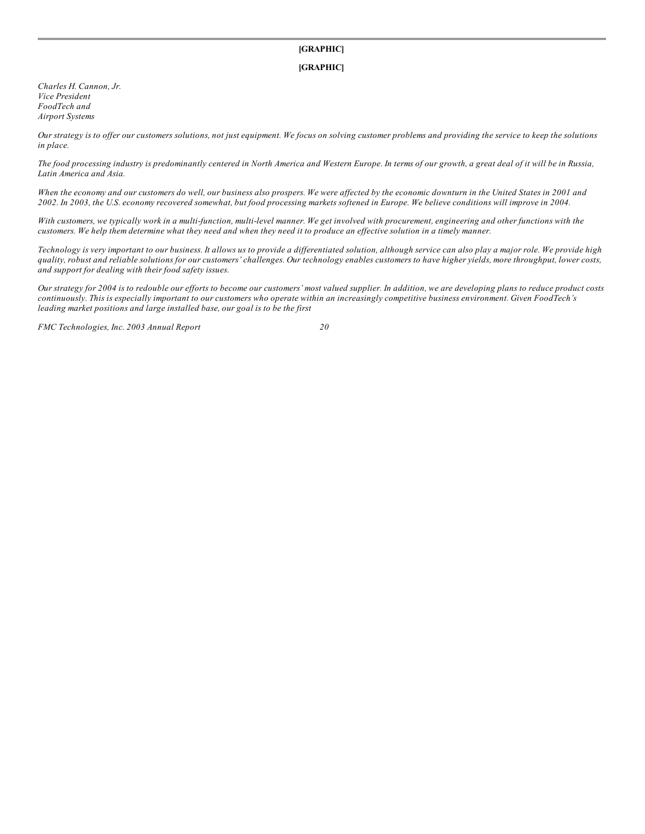## **[GRAPHIC]**

*Charles H. Cannon, Jr. Vice President FoodTech and Airport Systems*

Our strategy is to offer our customers solutions, not just equipment. We focus on solving customer problems and providing the service to keep the solutions *in place.*

The food processing industry is predominantly centered in North America and Western Europe. In terms of our growth, a great deal of it will be in Russia, *Latin America and Asia.*

When the economy and our customers do well, our business also prospers. We were affected by the economic downturn in the United States in 2001 and 2002. In 2003, the U.S. economy recovered somewhat, but food processing markets softened in Europe. We believe conditions will improve in 2004.

With customers, we typically work in a multi-function, multi-level manner. We get involved with procurement, engineering and other functions with the customers. We help them determine what they need and when they need it to produce an effective solution in a timely manner.

Technology is very important to our business. It allows us to provide a differentiated solution, although service can also play a major role. We provide high quality, robust and reliable solutions for our customers' challenges. Our technology enables customers to have higher yields, more throughput, lower costs, *and support for dealing with their food safety issues.*

Our strategy for 2004 is to redouble our efforts to become our customers' most valued supplier. In addition, we are developing plans to reduce product costs continuously. This is especially important to our customers who operate within an increasingly competitive business environment. Given FoodTech's *leading market positions and large installed base, our goal is to be the first*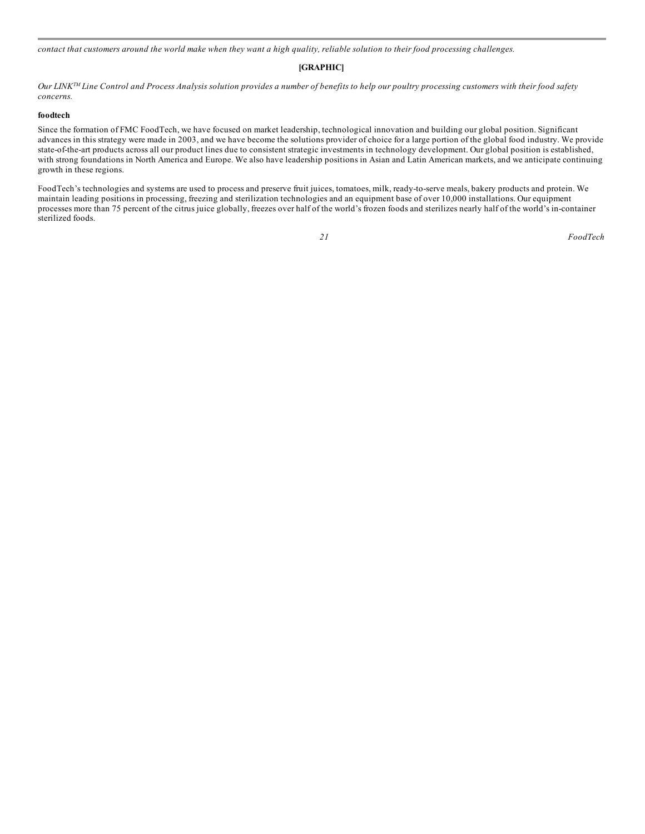contact that customers around the world make when they want a high quality, reliable solution to their food processing challenges.

## **[GRAPHIC]**

Our LINK<sup>TM</sup> Line Control and Process Analysis solution provides a number of benefits to help our poultry processing customers with their food safety *concerns.*

## **foodtech**

Since the formation of FMC FoodTech, we have focused on market leadership, technological innovation and building our global position. Significant advances in this strategy were made in 2003, and we have become the solutions provider of choice for a large portion of the global food industry. We provide state-of-the-art products across all our product lines due to consistent strategic investments in technology development. Our global position is established, with strong foundations in North America and Europe. We also have leadership positions in Asian and Latin American markets, and we anticipate continuing growth in these regions.

FoodTech's technologies and systems are used to process and preserve fruit juices, tomatoes, milk, ready-to-serve meals, bakery products and protein. We maintain leading positions in processing, freezing and sterilization technologies and an equipment base of over 10,000 installations. Our equipment processes more than 75 percent of the citrus juice globally, freezes over half of the world's frozen foods and sterilizes nearly half of the world's in-container sterilized foods.

*21 FoodTech*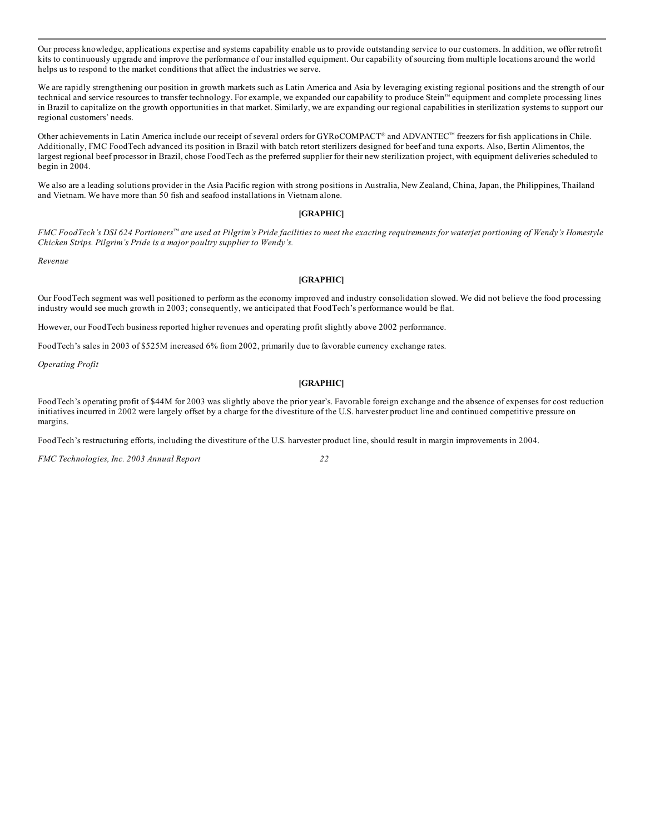Our process knowledge, applications expertise and systems capability enable us to provide outstanding service to our customers. In addition, we offer retrofit kits to continuously upgrade and improve the performance of our installed equipment. Our capability of sourcing from multiple locations around the world helps us to respond to the market conditions that affect the industries we serve.

We are rapidly strengthening our position in growth markets such as Latin America and Asia by leveraging existing regional positions and the strength of our technical and service resources to transfer technology. For example, we expanded our capability to produce Stein™ equipment and complete processing lines in Brazil to capitalize on the growth opportunities in that market. Similarly, we are expanding our regional capabilities in sterilization systems to support our regional customers' needs.

Other achievements in Latin America include our receipt of several orders for GYRoCOMPACT ® and ADVANTEC™ freezers for fish applications in Chile. Additionally, FMC FoodTech advanced its position in Brazil with batch retort sterilizers designed for beef and tuna exports. Also, Bertin Alimentos, the largest regional beef processor in Brazil, chose FoodTech as the preferred supplier for their new sterilization project, with equipment deliveries scheduled to begin in 2004.

We also are a leading solutions provider in the Asia Pacific region with strong positions in Australia, New Zealand, China, Japan, the Philippines, Thailand and Vietnam. We have more than 50 fish and seafood installations in Vietnam alone.

## **[GRAPHIC]**

FMC FoodTech's DSI 624 Portioners™ are used at Pilgrim's Pride facilities to meet the exacting requirements for waterjet portioning of Wendy's Homestyle *Chicken Strips. Pilgrim's Pride is a major poultry supplier to Wendy's.*

*Revenue*

#### **[GRAPHIC]**

Our FoodTech segment was well positioned to perform as the economy improved and industry consolidation slowed. We did not believe the food processing industry would see much growth in 2003; consequently, we anticipated that FoodTech's performance would be flat.

However, our FoodTech business reported higher revenues and operating profit slightly above 2002 performance.

FoodTech's sales in 2003 of \$525M increased 6% from 2002, primarily due to favorable currency exchange rates.

*Operating Profit*

## **[GRAPHIC]**

FoodTech's operating profit of \$44M for 2003 was slightly above the prior year's. Favorable foreign exchange and the absence of expenses for cost reduction initiatives incurred in 2002 were largely offset by a charge for the divestiture of the U.S. harvester product line and continued competitive pressure on margins.

FoodTech's restructuring efforts, including the divestiture of the U.S. harvester product line, should result in margin improvements in 2004.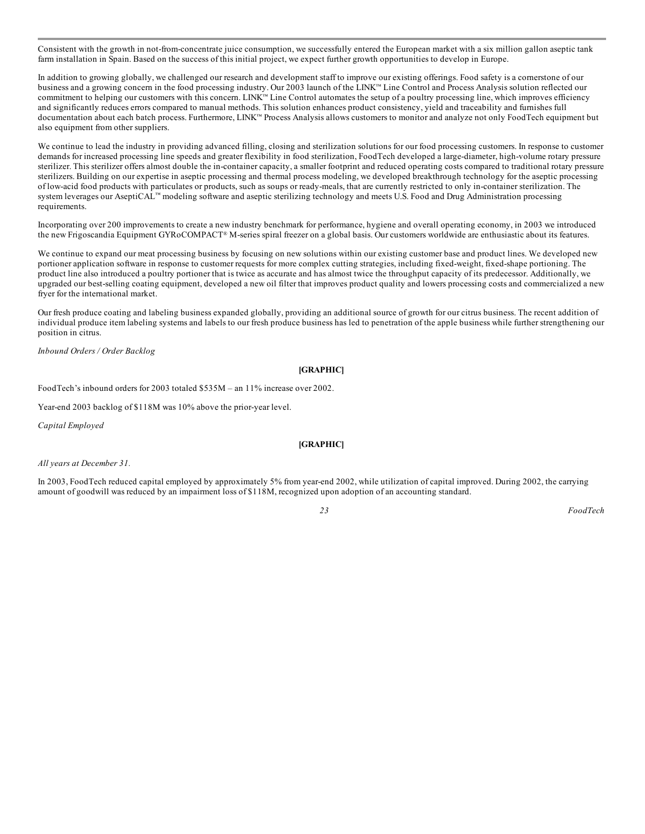Consistent with the growth in not-from-concentrate juice consumption, we successfully entered the European market with a six million gallon aseptic tank farm installation in Spain. Based on the success of this initial project, we expect further growth opportunities to develop in Europe.

In addition to growing globally, we challenged our research and development staff to improve our existing offerings. Food safety is a cornerstone of our business and a growing concern in the food processing industry. Our 2003 launch of the LINK™ Line Control and Process Analysis solution reflected our commitment to helping our customers with this concern. LINK™ Line Control automates the setup of a poultry processing line, which improves efficiency and significantly reduces errors compared to manual methods. This solution enhances product consistency, yield and traceability and furnishes full documentation about each batch process. Furthermore, LINK™ Process Analysis allows customers to monitor and analyze not only FoodTech equipment but also equipment from other suppliers.

We continue to lead the industry in providing advanced filling, closing and sterilization solutions for our food processing customers. In response to customer demands for increased processing line speeds and greater flexibility in food sterilization, FoodTech developed a large-diameter, high-volume rotary pressure sterilizer. This sterilizer offers almost double the in-container capacity, a smaller footprint and reduced operating costs compared to traditional rotary pressure sterilizers. Building on our expertise in aseptic processing and thermal process modeling, we developed breakthrough technology for the aseptic processing of low-acid food products with particulates or products, such as soups or ready-meals, that are currently restricted to only in-container sterilization. The system leverages our AseptiCAL™ modeling software and aseptic sterilizing technology and meets U.S. Food and Drug Administration processing requirements.

Incorporating over 200 improvements to create a new industry benchmark for performance, hygiene and overall operating economy, in 2003 we introduced the new Frigoscandia Equipment GYRoCOMPACT ® M-series spiral freezer on a global basis. Our customers worldwide are enthusiastic about its features.

We continue to expand our meat processing business by focusing on new solutions within our existing customer base and product lines. We developed new portioner application software in response to customer requests for more complex cutting strategies, including fixed-weight, fixed-shape portioning. The product line also introduced a poultry portioner that is twice as accurate and has almost twice the throughput capacity of its predecessor. Additionally, we upgraded our best-selling coating equipment, developed a new oil filter that improves product quality and lowers processing costs and commercialized a new fryer for the international market.

Our fresh produce coating and labeling business expanded globally, providing an additional source of growth for our citrus business. The recent addition of individual produce item labeling systems and labels to our fresh produce business has led to penetration of the apple business while further strengthening our position in citrus.

*Inbound Orders / Order Backlog*

## **[GRAPHIC]**

FoodTech's inbound orders for 2003 totaled \$535M – an 11% increase over 2002.

Year-end 2003 backlog of \$118M was 10% above the prior-year level.

*Capital Employed*

#### **[GRAPHIC]**

#### *All years at December 31.*

In 2003, FoodTech reduced capital employed by approximately 5% from year-end 2002, while utilization of capital improved. During 2002, the carrying amount of goodwill was reduced by an impairment loss of \$118M, recognized upon adoption of an accounting standard.

*23 FoodTech*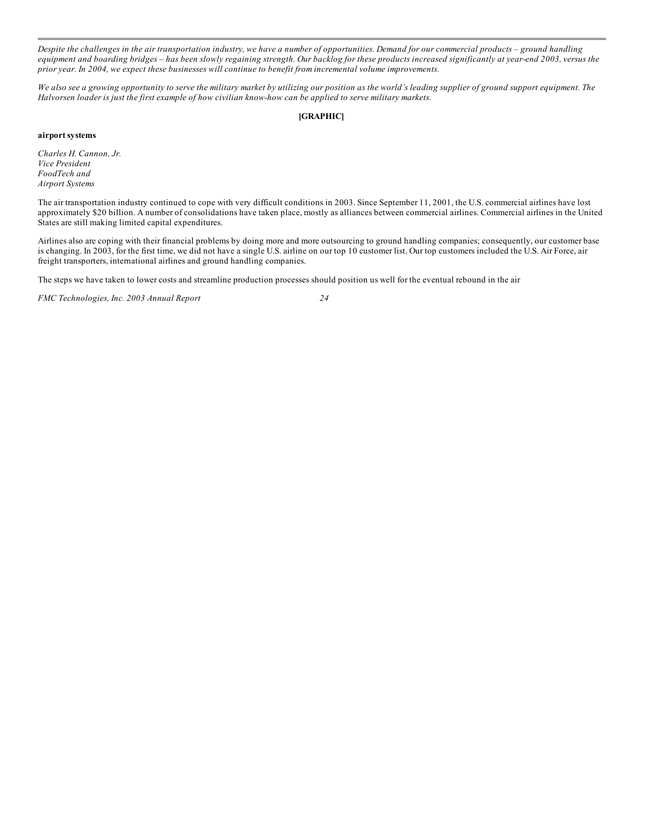Despite the challenges in the air transportation industry, we have a number of opportunities. Demand for our commercial products - ground handling equipment and boarding bridges - has been slowly regaining strength. Our backlog for these products increased significantly at year-end 2003, versus the *prior year. In 2004, we expect these businesses will continue to benefit from incremental volume improvements.*

We also see a growing opportunity to serve the military market by utilizing our position as the world's leading supplier of ground support equipment. The Halvorsen loader is just the first example of how civilian know-how can be applied to serve military markets.

## **[GRAPHIC]**

### **airport systems**

*Charles H. Cannon, Jr. Vice President FoodTech and Airport Systems*

The air transportation industry continued to cope with very difficult conditions in 2003. Since September 11, 2001, the U.S. commercial airlines have lost approximately \$20 billion. A number of consolidations have taken place, mostly as alliances between commercial airlines. Commercial airlines in the United States are still making limited capital expenditures.

Airlines also are coping with their financial problems by doing more and more outsourcing to ground handling companies; consequently, our customer base is changing. In 2003, for the first time, we did not have a single U.S. airline on our top 10 customer list. Our top customers included the U.S. Air Force, air freight transporters, international airlines and ground handling companies.

The steps we have taken to lower costs and streamline production processes should position us well for the eventual rebound in the air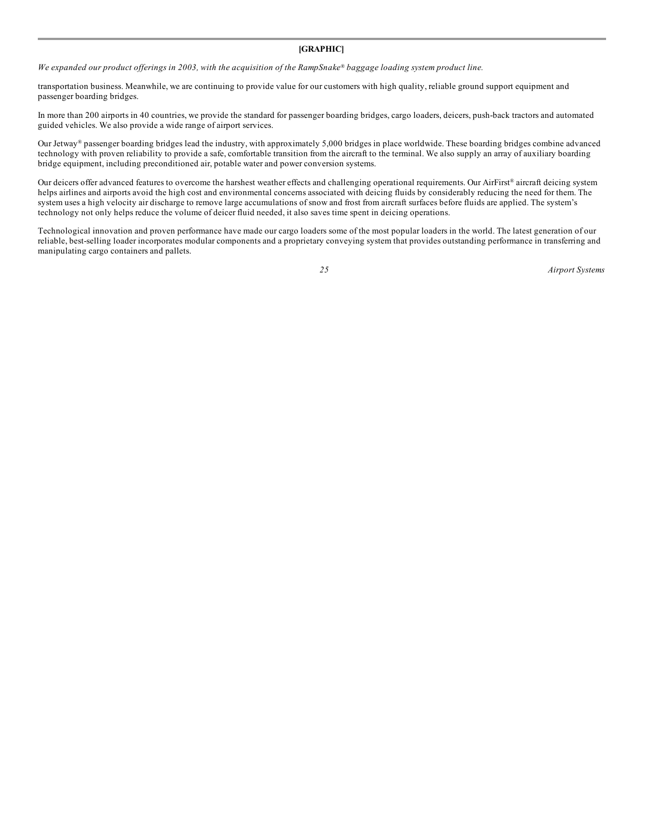We expanded our product offerings in 2003, with the acquisition of the RampSnake® baggage loading system product line.

transportation business. Meanwhile, we are continuing to provide value for our customers with high quality, reliable ground support equipment and passenger boarding bridges.

In more than 200 airports in 40 countries, we provide the standard for passenger boarding bridges, cargo loaders, deicers, push-back tractors and automated guided vehicles. We also provide a wide range of airport services.

Our Jetway ® passenger boarding bridges lead the industry, with approximately 5,000 bridges in place worldwide. These boarding bridges combine advanced technology with proven reliability to provide a safe, comfortable transition from the aircraft to the terminal. We also supply an array of auxiliary boarding bridge equipment, including preconditioned air, potable water and power conversion systems.

Our deicers offer advanced features to overcome the harshest weather effects and challenging operational requirements. Our AirFirst® aircraft deicing system helps airlines and airports avoid the high cost and environmental concerns associated with deicing fluids by considerably reducing the need for them. The system uses a high velocity air discharge to remove large accumulations of snow and frost from aircraft surfaces before fluids are applied. The system's technology not only helps reduce the volume of deicer fluid needed, it also saves time spent in deicing operations.

Technological innovation and proven performance have made our cargo loaders some of the most popular loaders in the world. The latest generation of our reliable, best-selling loader incorporates modular components and a proprietary conveying system that provides outstanding performance in transferring and manipulating cargo containers and pallets.

*25 Airport Systems*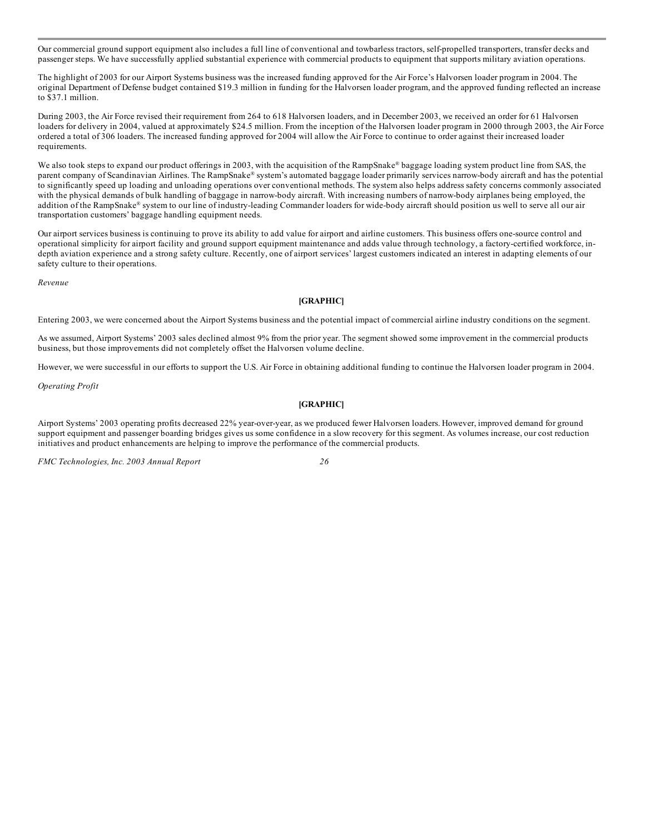Our commercial ground support equipment also includes a full line of conventional and towbarless tractors, self-propelled transporters, transfer decks and passenger steps. We have successfully applied substantial experience with commercial products to equipment that supports military aviation operations.

The highlight of 2003 for our Airport Systems business was the increased funding approved for the Air Force's Halvorsen loader program in 2004. The original Department of Defense budget contained \$19.3 million in funding for the Halvorsen loader program, and the approved funding reflected an increase to \$37.1 million.

During 2003, the Air Force revised their requirement from 264 to 618 Halvorsen loaders, and in December 2003, we received an order for 61 Halvorsen loaders for delivery in 2004, valued at approximately \$24.5 million. From the inception of the Halvorsen loader program in 2000 through 2003, the Air Force ordered a total of 306 loaders. The increased funding approved for 2004 will allow the Air Force to continue to order against their increased loader requirements.

We also took steps to expand our product offerings in 2003, with the acquisition of the RampSnake® baggage loading system product line from SAS, the parent company of Scandinavian Airlines. The RampSnake® system's automated baggage loader primarily services narrow-body aircraft and has the potential to significantly speed up loading and unloading operations over conventional methods. The system also helps address safety concerns commonly associated with the physical demands of bulk handling of baggage in narrow-body aircraft. With increasing numbers of narrow-body airplanes being employed, the addition of the RampSnake® system to our line of industry-leading Commander loaders for wide-body aircraft should position us well to serve all our air transportation customers' baggage handling equipment needs.

Our airport services business is continuing to prove its ability to add value for airport and airline customers. This business offers one-source control and operational simplicity for airport facility and ground support equipment maintenance and adds value through technology, a factory-certified workforce, indepth aviation experience and a strong safety culture. Recently, one of airport services' largest customers indicated an interest in adapting elements of our safety culture to their operations.

*Revenue*

## **[GRAPHIC]**

Entering 2003, we were concerned about the Airport Systems business and the potential impact of commercial airline industry conditions on the segment.

As we assumed, Airport Systems' 2003 sales declined almost 9% from the prior year. The segment showed some improvement in the commercial products business, but those improvements did not completely offset the Halvorsen volume decline.

However, we were successful in our efforts to support the U.S. Air Force in obtaining additional funding to continue the Halvorsen loader program in 2004.

*Operating Profit*

## **[GRAPHIC]**

Airport Systems' 2003 operating profits decreased 22% year-over-year, as we produced fewer Halvorsen loaders. However, improved demand for ground support equipment and passenger boarding bridges gives us some confidence in a slow recovery for this segment. As volumes increase, our cost reduction initiatives and product enhancements are helping to improve the performance of the commercial products.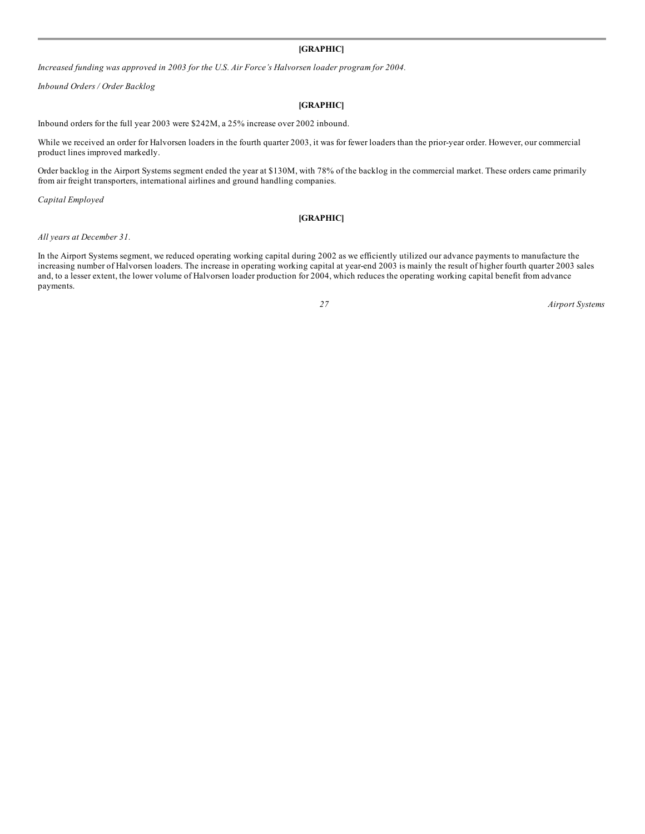*Increased funding was approved in 2003 for the U.S. Air Force's Halvorsen loader program for 2004.*

*Inbound Orders / Order Backlog*

### **[GRAPHIC]**

Inbound orders for the full year 2003 were \$242M, a 25% increase over 2002 inbound.

While we received an order for Halvorsen loaders in the fourth quarter 2003, it was for fewer loaders than the prior-year order. However, our commercial product lines improved markedly.

Order backlog in the Airport Systems segment ended the year at \$130M, with 78% of the backlog in the commercial market. These orders came primarily from air freight transporters, international airlines and ground handling companies.

*Capital Employed*

## **[GRAPHIC]**

## *All years at December 31.*

In the Airport Systems segment, we reduced operating working capital during 2002 as we efficiently utilized our advance payments to manufacture the increasing number of Halvorsen loaders. The increase in operating working capital at year-end 2003 is mainly the result of higher fourth quarter 2003 sales and, to a lesser extent, the lower volume of Halvorsen loader production for 2004, which reduces the operating working capital benefit from advance payments.

*27 Airport Systems*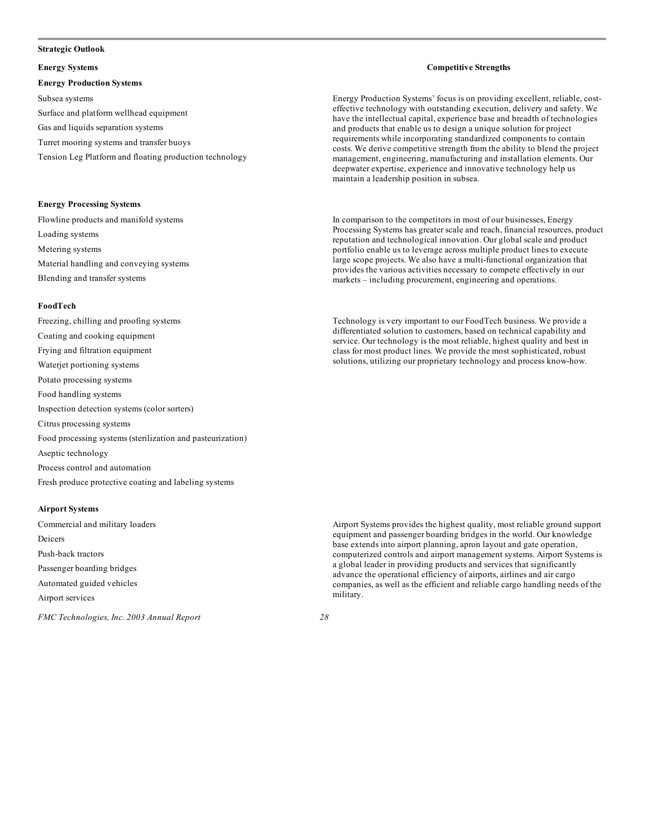#### **Strategic Outlook**

**Energy Production Systems**

Subsea systems

Surface and platform wellhead equipment

Gas and liquids separation systems

Turret mooring systems and transfer buoys

Tension Leg Platform and floating production technology

## **Energy Processing Systems**

Flowline products and manifold systems Loading systems Metering systems Material handling and conveying systems Blending and transfer systems

## **FoodTech**

Freezing, chilling and proofing systems Coating and cooking equipment Frying and filtration equipment Waterjet portioning systems Potato processing systems Food handling systems Inspection detection systems (color sorters) Citrus processing systems Food processing systems (sterilization and pasteurization) Aseptic technology Process control and automation Fresh produce protective coating and labeling systems

## **Airport Systems**

Commercial and military loaders Deicers Push-back tractors Passenger boarding bridges Automated guided vehicles Airport services

*FMC Technologies, Inc. 2003 Annual Report 28*

## **Energy Systems Competitive Strengths**

Energy Production Systems' focus is on providing excellent, reliable, costeffective technology with outstanding execution, delivery and safety. We have the intellectual capital, experience base and breadth of technologies and products that enable us to design a unique solution for project requirements while incorporating standardized components to contain costs. We derive competitive strength from the ability to blend the project management, engineering, manufacturing and installation elements. Our deepwater expertise, experience and innovative technology help us maintain a leadership position in subsea.

In comparison to the competitors in most of our businesses, Energy Processing Systems has greater scale and reach, financial resources, product reputation and technological innovation. Our global scale and product portfolio enable us to leverage across multiple product lines to execute large scope projects. We also have a multi-functional organization that provides the various activities necessary to compete effectively in our markets – including procurement, engineering and operations.

Technology is very important to our FoodTech business. We provide a differentiated solution to customers, based on technical capability and service. Our technology is the most reliable, highest quality and best in class for most product lines. We provide the most sophisticated, robust solutions, utilizing our proprietary technology and process know-how.

Airport Systems provides the highest quality, most reliable ground support equipment and passenger boarding bridges in the world. Our knowledge base extends into airport planning, apron layout and gate operation, computerized controls and airport management systems. Airport Systems is a global leader in providing products and services that significantly advance the operational efficiency of airports, airlines and air cargo companies, as well as the efficient and reliable cargo handling needs of the military.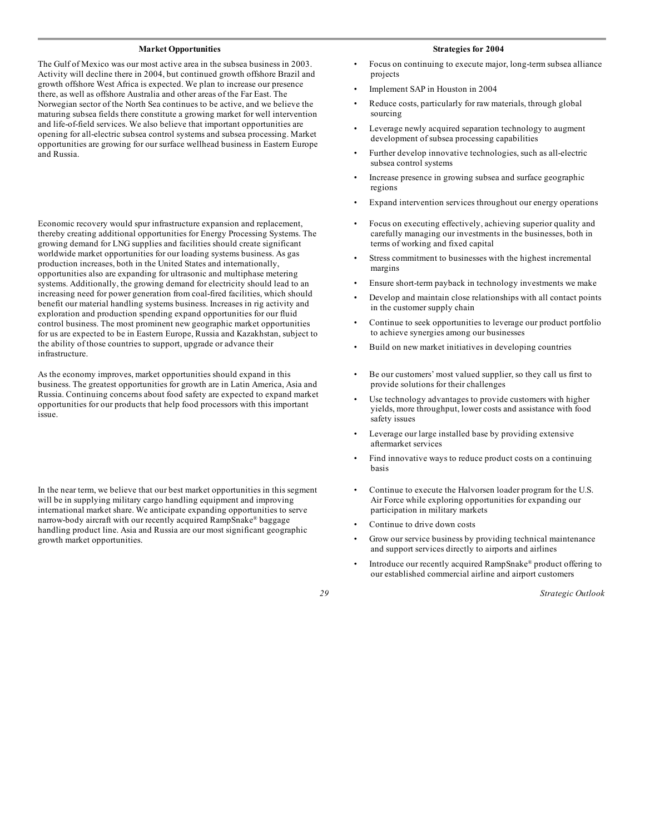#### **Market Opportunities Strategies for 2004**

The Gulf of Mexico was our most active area in the subsea business in 2003. Activity will decline there in 2004, but continued growth offshore Brazil and growth offshore West Africa is expected. We plan to increase our presence there, as well as offshore Australia and other areas of the Far East. The Norwegian sector of the North Sea continues to be active, and we believe the maturing subsea fields there constitute a growing market for well intervention and life-of-field services. We also believe that important opportunities are opening for all-electric subsea control systems and subsea processing. Market opportunities are growing for our surface wellhead business in Eastern Europe and Russia.

Economic recovery would spur infrastructure expansion and replacement, thereby creating additional opportunities for Energy Processing Systems. The growing demand for LNG supplies and facilities should create significant worldwide market opportunities for our loading systems business. As gas production increases, both in the United States and internationally, opportunities also are expanding for ultrasonic and multiphase metering systems. Additionally, the growing demand for electricity should lead to an increasing need for power generation from coal-fired facilities, which should benefit our material handling systems business. Increases in rig activity and exploration and production spending expand opportunities for our fluid control business. The most prominent new geographic market opportunities for us are expected to be in Eastern Europe, Russia and Kazakhstan, subject to the ability of those countries to support, upgrade or advance their infrastructure.

As the economy improves, market opportunities should expand in this business. The greatest opportunities for growth are in Latin America, Asia and Russia. Continuing concerns about food safety are expected to expand market opportunities for our products that help food processors with this important issue.

In the near term, we believe that our best market opportunities in this segment will be in supplying military cargo handling equipment and improving international market share. We anticipate expanding opportunities to serve narrow-body aircraft with our recently acquired RampSnake® baggage handling product line. Asia and Russia are our most significant geographic growth market opportunities.

- Focus on continuing to execute major, long-term subsea alliance projects
- Implement SAP in Houston in 2004
- Reduce costs, particularly for raw materials, through global sourcing
- Leverage newly acquired separation technology to augment development of subsea processing capabilities
- Further develop innovative technologies, such as all-electric subsea control systems
- Increase presence in growing subsea and surface geographic regions
- Expand intervention services throughout our energy operations
- Focus on executing effectively, achieving superior quality and carefully managing our investments in the businesses, both in terms of working and fixed capital
- Stress commitment to businesses with the highest incremental margins
- Ensure short-term payback in technology investments we make
- Develop and maintain close relationships with all contact points in the customer supply chain
- Continue to seek opportunities to leverage our product portfolio to achieve synergies among our businesses
- Build on new market initiatives in developing countries
- Be our customers' most valued supplier, so they call us first to provide solutions for their challenges
- Use technology advantages to provide customers with higher yields, more throughput, lower costs and assistance with food safety issues
- Leverage our large installed base by providing extensive aftermarket services
- Find innovative ways to reduce product costs on a continuing basis
- Continue to execute the Halvorsen loader program for the U.S. Air Force while exploring opportunities for expanding our participation in military markets
- Continue to drive down costs
- Grow our service business by providing technical maintenance and support services directly to airports and airlines
- Introduce our recently acquired RampSnake® product offering to our established commercial airline and airport customers

*29 Strategic Outlook*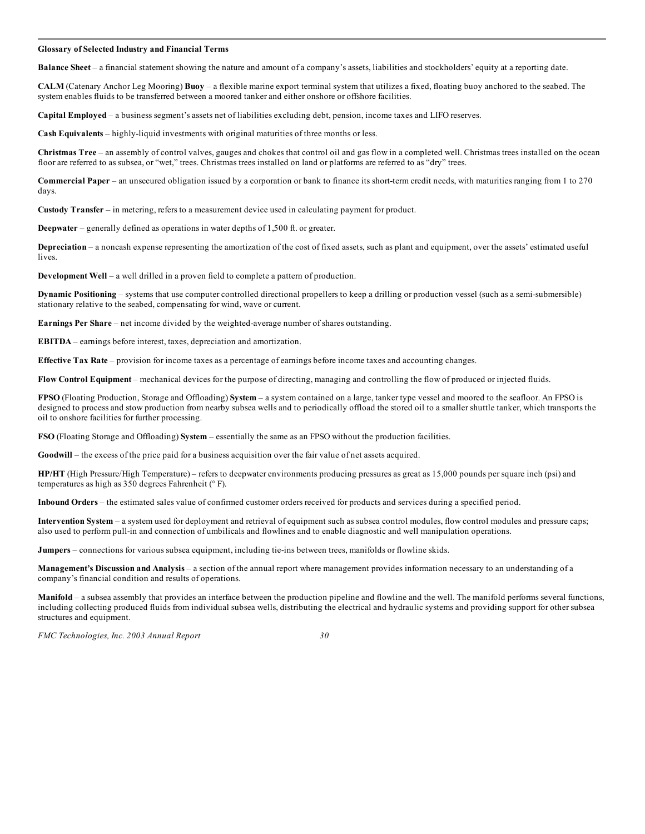#### **Glossary of Selected Industry and Financial Terms**

**Balance Sheet** – a financial statement showing the nature and amount of a company's assets, liabilities and stockholders' equity at a reporting date.

**CALM** (Catenary Anchor Leg Mooring) **Buoy** – a flexible marine export terminal system that utilizes a fixed, floating buoy anchored to the seabed. The system enables fluids to be transferred between a moored tanker and either onshore or offshore facilities.

**Capital Employed** – a business segment's assets net of liabilities excluding debt, pension, income taxes and LIFO reserves.

**Cash Equivalents** – highly-liquid investments with original maturities of three months or less.

**Christmas Tree** – an assembly of control valves, gauges and chokes that control oil and gas flow in a completed well. Christmas trees installed on the ocean floor are referred to as subsea, or "wet," trees. Christmas trees installed on land or platforms are referred to as "dry" trees.

**Commercial Paper** – an unsecured obligation issued by a corporation or bank to finance its short-term credit needs, with maturities ranging from 1 to 270 days.

**Custody Transfer** – in metering, refers to a measurement device used in calculating payment for product.

**Deepwater** – generally defined as operations in water depths of 1,500 ft. or greater.

**Depreciation** – a noncash expense representing the amortization of the cost of fixed assets, such as plant and equipment, over the assets' estimated useful lives.

**Development Well** – a well drilled in a proven field to complete a pattern of production.

**Dynamic Positioning** – systems that use computer controlled directional propellers to keep a drilling or production vessel (such as a semi-submersible) stationary relative to the seabed, compensating for wind, wave or current.

**Earnings Per Share** – net income divided by the weighted-average number of shares outstanding.

**EBITDA** – earnings before interest, taxes, depreciation and amortization.

**Effective Tax Rate** – provision for income taxes as a percentage of earnings before income taxes and accounting changes.

**Flow Control Equipment** – mechanical devices for the purpose of directing, managing and controlling the flow of produced or injected fluids.

**FPSO** (Floating Production, Storage and Offloading) **System** – a system contained on a large, tanker type vessel and moored to the seafloor. An FPSO is designed to process and stow production from nearby subsea wells and to periodically offload the stored oil to a smaller shuttle tanker, which transports the oil to onshore facilities for further processing.

**FSO** (Floating Storage and Offloading) **System** – essentially the same as an FPSO without the production facilities.

**Goodwill** – the excess of the price paid for a business acquisition over the fair value of net assets acquired.

**HP/HT** (High Pressure/High Temperature) – refers to deepwater environments producing pressures as great as 15,000 pounds per square inch (psi) and temperatures as high as 350 degrees Fahrenheit (° F).

**Inbound Orders** – the estimated sales value of confirmed customer orders received for products and services during a specified period.

**Intervention System** – a system used for deployment and retrieval of equipment such as subsea control modules, flow control modules and pressure caps; also used to perform pull-in and connection of umbilicals and flowlines and to enable diagnostic and well manipulation operations.

**Jumpers** – connections for various subsea equipment, including tie-ins between trees, manifolds or flowline skids.

**Management's Discussion and Analysis** – a section of the annual report where management provides information necessary to an understanding of a company's financial condition and results of operations.

**Manifold** – a subsea assembly that provides an interface between the production pipeline and flowline and the well. The manifold performs several functions, including collecting produced fluids from individual subsea wells, distributing the electrical and hydraulic systems and providing support for other subsea structures and equipment.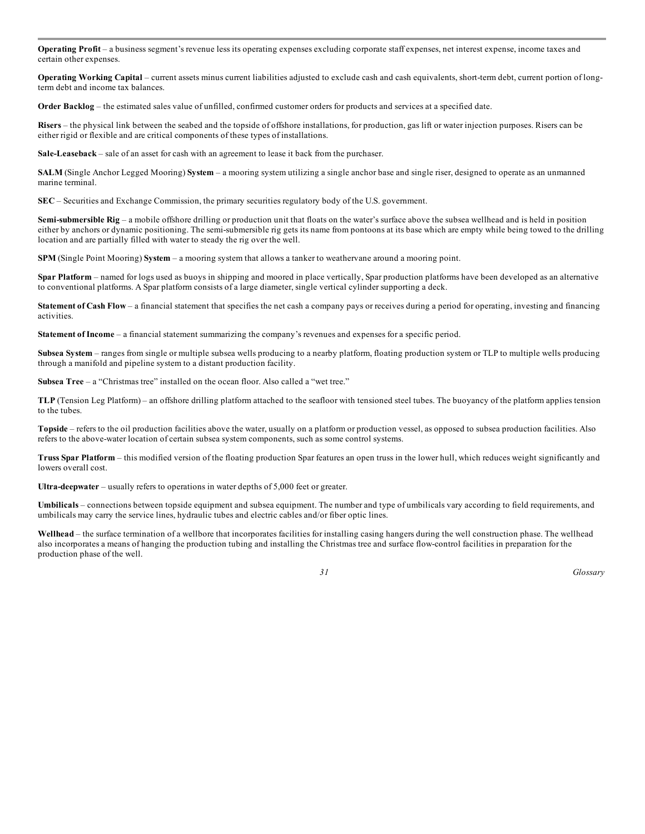**Operating Profit** – a business segment's revenue less its operating expenses excluding corporate staff expenses, net interest expense, income taxes and certain other expenses.

**Operating Working Capital** – current assets minus current liabilities adjusted to exclude cash and cash equivalents, short-term debt, current portion of longterm debt and income tax balances.

**Order Backlog** – the estimated sales value of unfilled, confirmed customer orders for products and services at a specified date.

**Risers** – the physical link between the seabed and the topside of offshore installations, for production, gas lift or water injection purposes. Risers can be either rigid or flexible and are critical components of these types of installations.

**Sale-Leaseback** – sale of an asset for cash with an agreement to lease it back from the purchaser.

**SALM** (Single Anchor Legged Mooring) **System** – a mooring system utilizing a single anchor base and single riser, designed to operate as an unmanned marine terminal.

**SEC** – Securities and Exchange Commission, the primary securities regulatory body of the U.S. government.

**Semi-submersible Rig** – a mobile offshore drilling or production unit that floats on the water's surface above the subsea wellhead and is held in position either by anchors or dynamic positioning. The semi-submersible rig gets its name from pontoons at its base which are empty while being towed to the drilling location and are partially filled with water to steady the rig over the well.

**SPM** (Single Point Mooring) **System** – a mooring system that allows a tanker to weathervane around a mooring point.

**Spar Platform** – named for logs used as buoys in shipping and moored in place vertically, Spar production platforms have been developed as an alternative to conventional platforms. A Spar platform consists of a large diameter, single vertical cylinder supporting a deck.

**Statement of Cash Flow** – a financial statement that specifies the net cash a company pays or receives during a period for operating, investing and financing activities.

**Statement of Income** – a financial statement summarizing the company's revenues and expenses for a specific period.

**Subsea System** – ranges from single or multiple subsea wells producing to a nearby platform, floating production system or TLP to multiple wells producing through a manifold and pipeline system to a distant production facility.

**Subsea Tree** – a "Christmas tree" installed on the ocean floor. Also called a "wet tree."

**TLP** (Tension Leg Platform) – an offshore drilling platform attached to the seafloor with tensioned steel tubes. The buoyancy of the platform applies tension to the tubes.

**Topside** – refers to the oil production facilities above the water, usually on a platform or production vessel, as opposed to subsea production facilities. Also refers to the above-water location of certain subsea system components, such as some control systems.

**Truss Spar Platform** – this modified version of the floating production Spar features an open truss in the lower hull, which reduces weight significantly and lowers overall cost.

**Ultra-deepwater** – usually refers to operations in water depths of 5,000 feet or greater.

**Umbilicals** – connections between topside equipment and subsea equipment. The number and type of umbilicals vary according to field requirements, and umbilicals may carry the service lines, hydraulic tubes and electric cables and/or fiber optic lines.

**Wellhead** – the surface termination of a wellbore that incorporates facilities for installing casing hangers during the well construction phase. The wellhead also incorporates a means of hanging the production tubing and installing the Christmas tree and surface flow-control facilities in preparation for the production phase of the well.

*31 Glossary*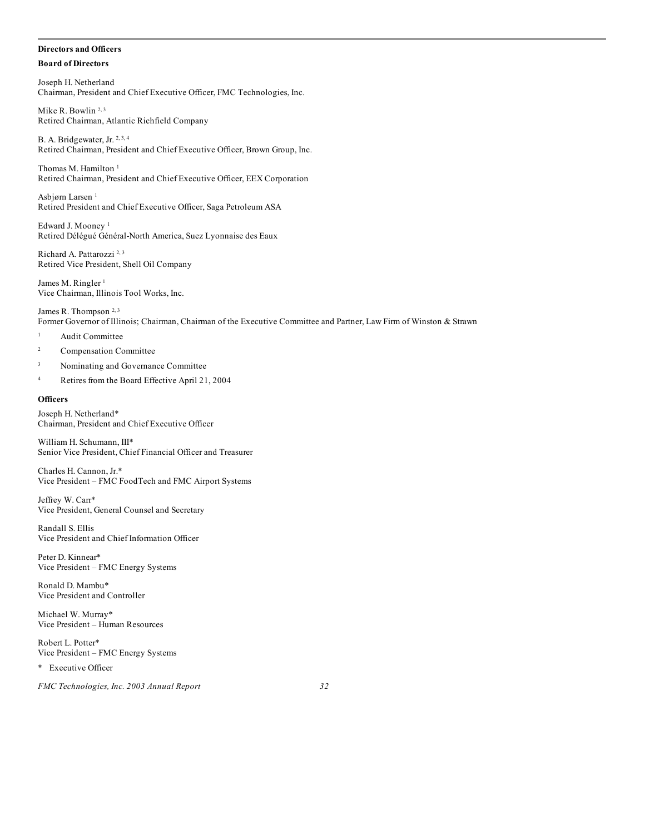## **Directors and Officers**

## **Board of Directors**

Joseph H. Netherland Chairman, President and Chief Executive Officer, FMC Technologies, Inc.

Mike R. Bowlin<sup>2,3</sup> Retired Chairman, Atlantic Richfield Company

B. A. Bridgewater, Jr. 2, 3, 4 Retired Chairman, President and Chief Executive Officer, Brown Group, Inc.

Thomas M. Hamilton 1 Retired Chairman, President and Chief Executive Officer, EEX Corporation

Asbjørn Larsen 1 Retired President and Chief Executive Officer, Saga Petroleum ASA

Edward J. Mooney 1 Retired Délégué Général-North America, Suez Lyonnaise des Eaux

Richard A. Pattarozzi 2, 3 Retired Vice President, Shell Oil Company

James M. Ringler<sup>1</sup> Vice Chairman, Illinois Tool Works, Inc.

James R. Thompson<sup>2,3</sup> Former Governor of Illinois; Chairman, Chairman of the Executive Committee and Partner, Law Firm of Winston & Strawn

- <sup>1</sup> Audit Committee
- <sup>2</sup> Compensation Committee
- <sup>3</sup> Nominating and Governance Committee
- <sup>4</sup> Retires from the Board Effective April 21, 2004

## **Officers**

Joseph H. Netherland\* Chairman, President and Chief Executive Officer

William H. Schumann, III\* Senior Vice President, Chief Financial Officer and Treasurer

Charles H. Cannon, Jr.\* Vice President – FMC FoodTech and FMC Airport Systems

Jeffrey W. Carr\* Vice President, General Counsel and Secretary

Randall S. Ellis Vice President and Chief Information Officer

Peter D. Kinnear\* Vice President – FMC Energy Systems

Ronald D. Mambu\* Vice President and Controller

Michael W. Murray\* Vice President – Human Resources

Robert L. Potter\* Vice President – FMC Energy Systems

\* Executive Officer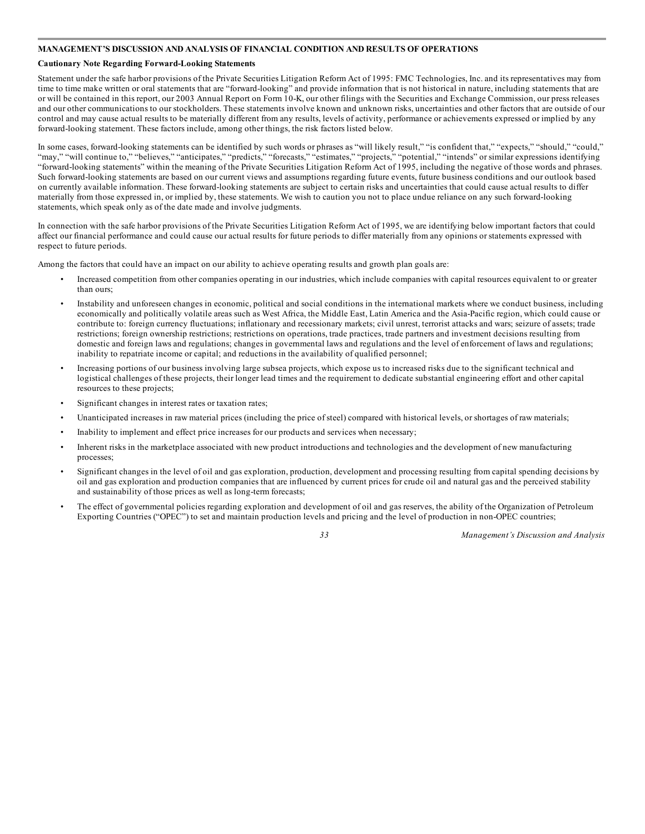## **MANAGEMENT'S DISCUSSION AND ANALYSIS OF FINANCIAL CONDITION AND RESULTS OF OPERATIONS**

## **Cautionary Note Regarding Forward-Looking Statements**

Statement under the safe harbor provisions of the Private Securities Litigation Reform Act of 1995: FMC Technologies, Inc. and its representatives may from time to time make written or oral statements that are "forward-looking" and provide information that is not historical in nature, including statements that are or will be contained in this report, our 2003 Annual Report on Form 10-K, our other filings with the Securities and Exchange Commission, our press releases and our other communications to our stockholders. These statements involve known and unknown risks, uncertainties and other factors that are outside of our control and may cause actual results to be materially different from any results, levels of activity, performance or achievements expressed or implied by any forward-looking statement. These factors include, among other things, the risk factors listed below.

In some cases, forward-looking statements can be identified by such words or phrases as "will likely result," "is confident that," "expects," "should," "could," "may," "will continue to," "believes," "anticipates," "predicts," "forecasts," "estimates," "projects," "potential," "intends" or similar expressions identifying "forward-looking statements" within the meaning of the Private Securities Litigation Reform Act of 1995, including the negative of those words and phrases. Such forward-looking statements are based on our current views and assumptions regarding future events, future business conditions and our outlook based on currently available information. These forward-looking statements are subject to certain risks and uncertainties that could cause actual results to differ materially from those expressed in, or implied by, these statements. We wish to caution you not to place undue reliance on any such forward-looking statements, which speak only as of the date made and involve judgments.

In connection with the safe harbor provisions of the Private Securities Litigation Reform Act of 1995, we are identifying below important factors that could affect our financial performance and could cause our actual results for future periods to differ materially from any opinions or statements expressed with respect to future periods.

Among the factors that could have an impact on our ability to achieve operating results and growth plan goals are:

- Increased competition from other companies operating in our industries, which include companies with capital resources equivalent to or greater than ours;
- Instability and unforeseen changes in economic, political and social conditions in the international markets where we conduct business, including economically and politically volatile areas such as West Africa, the Middle East, Latin America and the Asia-Pacific region, which could cause or contribute to: foreign currency fluctuations; inflationary and recessionary markets; civil unrest, terrorist attacks and wars; seizure of assets; trade restrictions; foreign ownership restrictions; restrictions on operations, trade practices, trade partners and investment decisions resulting from domestic and foreign laws and regulations; changes in governmental laws and regulations and the level of enforcement of laws and regulations; inability to repatriate income or capital; and reductions in the availability of qualified personnel;
- Increasing portions of our business involving large subsea projects, which expose us to increased risks due to the significant technical and logistical challenges of these projects, their longer lead times and the requirement to dedicate substantial engineering effort and other capital resources to these projects;
- Significant changes in interest rates or taxation rates;
- Unanticipated increases in raw material prices (including the price of steel) compared with historical levels, or shortages of raw materials;
- Inability to implement and effect price increases for our products and services when necessary;
- Inherent risks in the marketplace associated with new product introductions and technologies and the development of new manufacturing processes;
- Significant changes in the level of oil and gas exploration, production, development and processing resulting from capital spending decisions by oil and gas exploration and production companies that are influenced by current prices for crude oil and natural gas and the perceived stability and sustainability of those prices as well as long-term forecasts;
- The effect of governmental policies regarding exploration and development of oil and gas reserves, the ability of the Organization of Petroleum Exporting Countries ("OPEC") to set and maintain production levels and pricing and the level of production in non-OPEC countries;

*33 Management's Discussion and Analysis*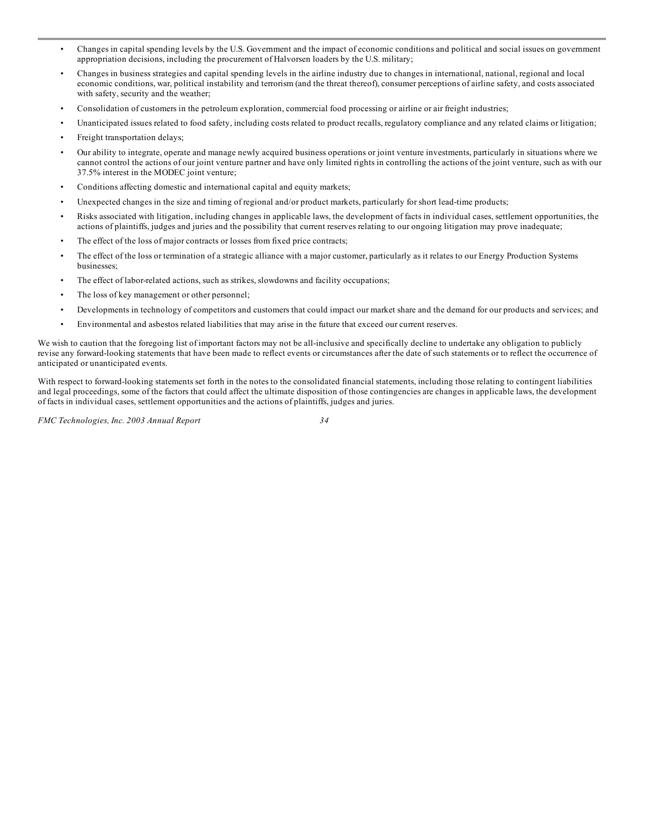- Changes in capital spending levels by the U.S. Government and the impact of economic conditions and political and social issues on government appropriation decisions, including the procurement of Halvorsen loaders by the U.S. military;
- Changes in business strategies and capital spending levels in the airline industry due to changes in international, national, regional and local economic conditions, war, political instability and terrorism (and the threat thereof), consumer perceptions of airline safety, and costs associated with safety, security and the weather;
- Consolidation of customers in the petroleum exploration, commercial food processing or airline or air freight industries;
- Unanticipated issues related to food safety, including costs related to product recalls, regulatory compliance and any related claims or litigation;
- Freight transportation delays;
- Our ability to integrate, operate and manage newly acquired business operations or joint venture investments, particularly in situations where we cannot control the actions of our joint venture partner and have only limited rights in controlling the actions of the joint venture, such as with our 37.5% interest in the MODEC joint venture;
- Conditions affecting domestic and international capital and equity markets;
- Unexpected changes in the size and timing of regional and/or product markets, particularly for short lead-time products;
- Risks associated with litigation, including changes in applicable laws, the development of facts in individual cases, settlement opportunities, the actions of plaintiffs, judges and juries and the possibility that current reserves relating to our ongoing litigation may prove inadequate;
- The effect of the loss of major contracts or losses from fixed price contracts;
- The effect of the loss or termination of a strategic alliance with a major customer, particularly as it relates to our Energy Production Systems businesses;
- The effect of labor-related actions, such as strikes, slowdowns and facility occupations;
- The loss of key management or other personnel;
- Developments in technology of competitors and customers that could impact our market share and the demand for our products and services; and
- Environmental and asbestos related liabilities that may arise in the future that exceed our current reserves.

We wish to caution that the foregoing list of important factors may not be all-inclusive and specifically decline to undertake any obligation to publicly revise any forward-looking statements that have been made to reflect events or circumstances after the date of such statements or to reflect the occurrence of anticipated or unanticipated events.

With respect to forward-looking statements set forth in the notes to the consolidated financial statements, including those relating to contingent liabilities and legal proceedings, some of the factors that could affect the ultimate disposition of those contingencies are changes in applicable laws, the development of facts in individual cases, settlement opportunities and the actions of plaintiffs, judges and juries.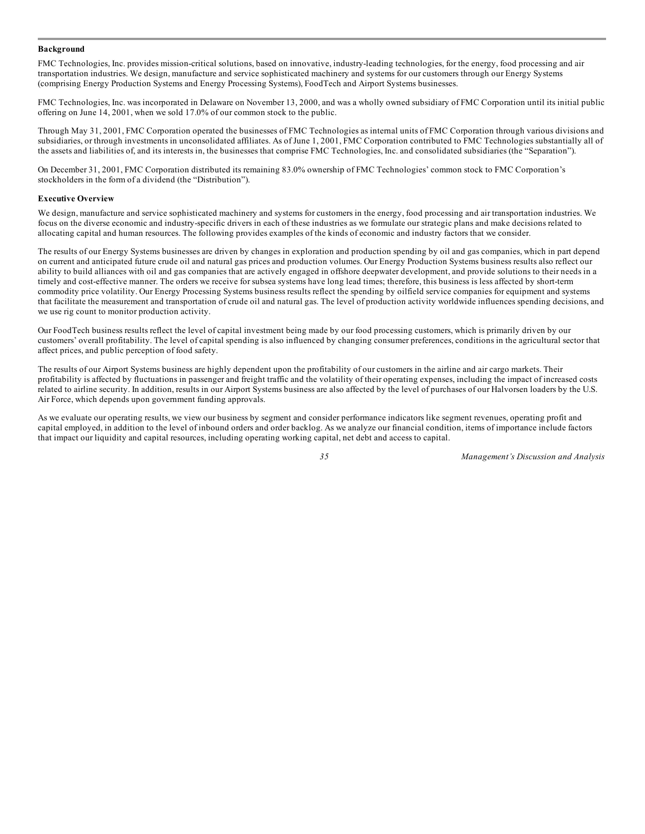#### **Background**

FMC Technologies, Inc. provides mission-critical solutions, based on innovative, industry-leading technologies, for the energy, food processing and air transportation industries. We design, manufacture and service sophisticated machinery and systems for our customers through our Energy Systems (comprising Energy Production Systems and Energy Processing Systems), FoodTech and Airport Systems businesses.

FMC Technologies, Inc. was incorporated in Delaware on November 13, 2000, and was a wholly owned subsidiary of FMC Corporation until its initial public offering on June 14, 2001, when we sold 17.0% of our common stock to the public.

Through May 31, 2001, FMC Corporation operated the businesses of FMC Technologies as internal units of FMC Corporation through various divisions and subsidiaries, or through investments in unconsolidated affiliates. As of June 1, 2001, FMC Corporation contributed to FMC Technologies substantially all of the assets and liabilities of, and its interests in, the businesses that comprise FMC Technologies, Inc. and consolidated subsidiaries (the "Separation").

On December 31, 2001, FMC Corporation distributed its remaining 83.0% ownership of FMC Technologies' common stock to FMC Corporation's stockholders in the form of a dividend (the "Distribution").

#### **Executive Overview**

We design, manufacture and service sophisticated machinery and systems for customers in the energy, food processing and air transportation industries. We focus on the diverse economic and industry-specific drivers in each of these industries as we formulate our strategic plans and make decisions related to allocating capital and human resources. The following provides examples of the kinds of economic and industry factors that we consider.

The results of our Energy Systems businesses are driven by changes in exploration and production spending by oil and gas companies, which in part depend on current and anticipated future crude oil and natural gas prices and production volumes. Our Energy Production Systems business results also reflect our ability to build alliances with oil and gas companies that are actively engaged in offshore deepwater development, and provide solutions to their needs in a timely and cost-effective manner. The orders we receive for subsea systems have long lead times; therefore, this business is less affected by short-term commodity price volatility. Our Energy Processing Systems business results reflect the spending by oilfield service companies for equipment and systems that facilitate the measurement and transportation of crude oil and natural gas. The level of production activity worldwide influences spending decisions, and we use rig count to monitor production activity.

Our FoodTech business results reflect the level of capital investment being made by our food processing customers, which is primarily driven by our customers' overall profitability. The level of capital spending is also influenced by changing consumer preferences, conditions in the agricultural sector that affect prices, and public perception of food safety.

The results of our Airport Systems business are highly dependent upon the profitability of our customers in the airline and air cargo markets. Their profitability is affected by fluctuations in passenger and freight traffic and the volatility of their operating expenses, including the impact of increased costs related to airline security. In addition, results in our Airport Systems business are also affected by the level of purchases of our Halvorsen loaders by the U.S. Air Force, which depends upon government funding approvals.

As we evaluate our operating results, we view our business by segment and consider performance indicators like segment revenues, operating profit and capital employed, in addition to the level of inbound orders and order backlog. As we analyze our financial condition, items of importance include factors that impact our liquidity and capital resources, including operating working capital, net debt and access to capital.

*35 Management's Discussion and Analysis*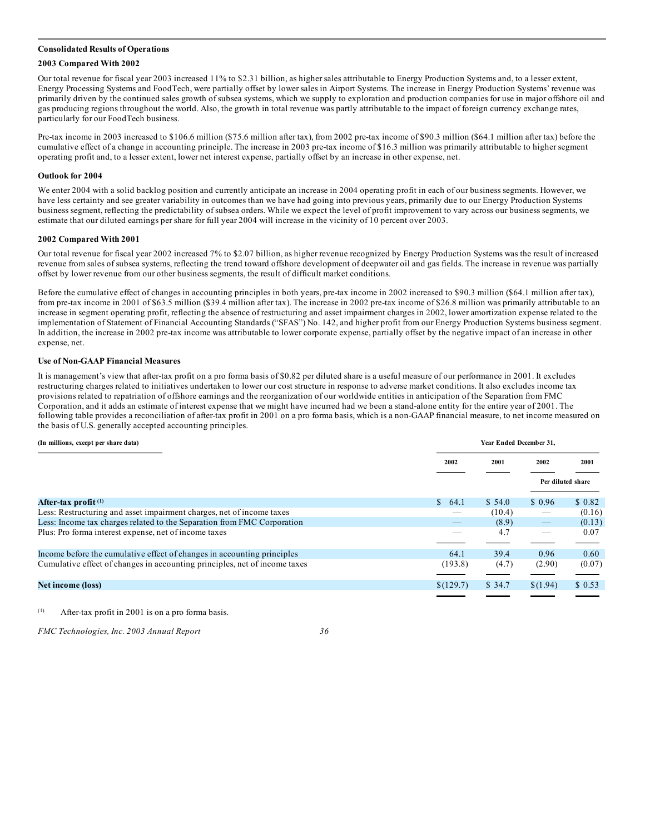#### **Consolidated Results of Operations**

# **2003 Compared With 2002**

Our total revenue for fiscal year 2003 increased 11% to \$2.31 billion, as higher sales attributable to Energy Production Systems and, to a lesser extent, Energy Processing Systems and FoodTech, were partially offset by lower sales in Airport Systems. The increase in Energy Production Systems' revenue was primarily driven by the continued sales growth of subsea systems, which we supply to exploration and production companies for use in major offshore oil and gas producing regions throughout the world. Also, the growth in total revenue was partly attributable to the impact of foreign currency exchange rates, particularly for our FoodTech business.

Pre-tax income in 2003 increased to \$106.6 million (\$75.6 million after tax), from 2002 pre-tax income of \$90.3 million (\$64.1 million after tax) before the cumulative effect of a change in accounting principle. The increase in 2003 pre-tax income of \$16.3 million was primarily attributable to higher segment operating profit and, to a lesser extent, lower net interest expense, partially offset by an increase in other expense, net.

#### **Outlook for 2004**

We enter 2004 with a solid backlog position and currently anticipate an increase in 2004 operating profit in each of our business segments. However, we have less certainty and see greater variability in outcomes than we have had going into previous years, primarily due to our Energy Production Systems business segment, reflecting the predictability of subsea orders. While we expect the level of profit improvement to vary across our business segments, we estimate that our diluted earnings per share for full year 2004 will increase in the vicinity of 10 percent over 2003.

#### **2002 Compared With 2001**

Our total revenue for fiscal year 2002 increased 7% to \$2.07 billion, as higher revenue recognized by Energy Production Systems was the result of increased revenue from sales of subsea systems, reflecting the trend toward offshore development of deepwater oil and gas fields. The increase in revenue was partially offset by lower revenue from our other business segments, the result of difficult market conditions.

Before the cumulative effect of changes in accounting principles in both years, pre-tax income in 2002 increased to \$90.3 million (\$64.1 million after tax), from pre-tax income in 2001 of \$63.5 million (\$39.4 million after tax). The increase in 2002 pre-tax income of \$26.8 million was primarily attributable to an increase in segment operating profit, reflecting the absence of restructuring and asset impairment charges in 2002, lower amortization expense related to the implementation of Statement of Financial Accounting Standards ("SFAS") No. 142, and higher profit from our Energy Production Systems business segment. In addition, the increase in 2002 pre-tax income was attributable to lower corporate expense, partially offset by the negative impact of an increase in other expense, net.

### **Use of Non-GAAP Financial Measures**

It is management's view that after-tax profit on a pro forma basis of \$0.82 per diluted share is a useful measure of our performance in 2001. It excludes restructuring charges related to initiatives undertaken to lower our cost structure in response to adverse market conditions. It also excludes income tax provisions related to repatriation of offshore earnings and the reorganization of our worldwide entities in anticipation of the Separation from FMC Corporation, and it adds an estimate of interest expense that we might have incurred had we been a stand-alone entity for the entire year of 2001. The following table provides a reconciliation of after-tax profit in 2001 on a pro forma basis, which is a non-GAAP financial measure, to net income measured on the basis of U.S. generally accepted accounting principles.

| (In millions, except per share data)                                       |           | Year Ended December 31, |                   |        |  |
|----------------------------------------------------------------------------|-----------|-------------------------|-------------------|--------|--|
|                                                                            | 2002      | 2001                    | 2002              | 2001   |  |
|                                                                            |           | Per diluted share       |                   |        |  |
| After-tax profit $^{(1)}$                                                  | \$64.1    | \$54.0                  | \$0.96            | \$0.82 |  |
| Less: Restructuring and asset impairment charges, net of income taxes      |           | (10.4)                  | $\hspace{0.05cm}$ | (0.16) |  |
| Less: Income tax charges related to the Separation from FMC Corporation    |           | (8.9)                   |                   | (0.13) |  |
| Plus: Pro forma interest expense, net of income taxes                      |           | 4.7                     |                   | 0.07   |  |
|                                                                            |           |                         |                   |        |  |
| Income before the cumulative effect of changes in accounting principles    | 64.1      | 39.4                    | 0.96              | 0.60   |  |
| Cumulative effect of changes in accounting principles, net of income taxes | (193.8)   | (4.7)                   | (2.90)            | (0.07) |  |
|                                                                            |           |                         |                   |        |  |
| Net income (loss)                                                          | \$(129.7) | \$34.7                  | \$(1.94)          | \$0.53 |  |
|                                                                            |           |                         |                   |        |  |

(1) After-tax profit in 2001 is on a pro forma basis.

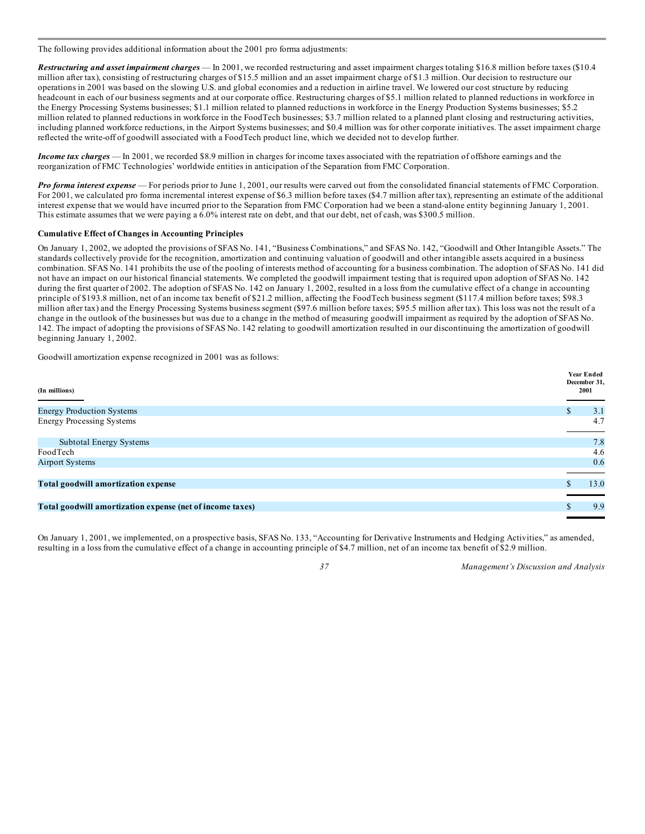The following provides additional information about the 2001 pro forma adjustments:

*Restructuring and asset impairment charges* — In 2001, we recorded restructuring and asset impairment charges totaling \$16.8 million before taxes (\$10.4 million after tax), consisting of restructuring charges of \$15.5 million and an asset impairment charge of \$1.3 million. Our decision to restructure our operations in 2001 was based on the slowing U.S. and global economies and a reduction in airline travel. We lowered our cost structure by reducing headcount in each of our business segments and at our corporate office. Restructuring charges of \$5.1 million related to planned reductions in workforce in the Energy Processing Systems businesses; \$1.1 million related to planned reductions in workforce in the Energy Production Systems businesses; \$5.2 million related to planned reductions in workforce in the FoodTech businesses; \$3.7 million related to a planned plant closing and restructuring activities, including planned workforce reductions, in the Airport Systems businesses; and \$0.4 million was for other corporate initiatives. The asset impairment charge reflected the write-off of goodwill associated with a FoodTech product line, which we decided not to develop further.

*Income tax charges* — In 2001, we recorded \$8.9 million in charges for income taxes associated with the repatriation of offshore earnings and the reorganization of FMC Technologies' worldwide entities in anticipation of the Separation from FMC Corporation.

*Pro forma interest expense* — For periods prior to June 1, 2001, our results were carved out from the consolidated financial statements of FMC Corporation. For 2001, we calculated pro forma incremental interest expense of \$6.3 million before taxes (\$4.7 million after tax), representing an estimate of the additional interest expense that we would have incurred prior to the Separation from FMC Corporation had we been a stand-alone entity beginning January 1, 2001. This estimate assumes that we were paying a 6.0% interest rate on debt, and that our debt, net of cash, was \$300.5 million.

#### **Cumulative Effect of Changes in Accounting Principles**

On January 1, 2002, we adopted the provisions of SFAS No. 141, "Business Combinations," and SFAS No. 142, "Goodwill and Other Intangible Assets." The standards collectively provide for the recognition, amortization and continuing valuation of goodwill and other intangible assets acquired in a business combination. SFAS No. 141 prohibits the use of the pooling of interests method of accounting for a business combination. The adoption of SFAS No. 141 did not have an impact on our historical financial statements. We completed the goodwill impairment testing that is required upon adoption of SFAS No. 142 during the first quarter of 2002. The adoption of SFAS No. 142 on January 1, 2002, resulted in a loss from the cumulative effect of a change in accounting principle of \$193.8 million, net of an income tax benefit of \$21.2 million, affecting the FoodTech business segment (\$117.4 million before taxes; \$98.3 million after tax) and the Energy Processing Systems business segment (\$97.6 million before taxes; \$95.5 million after tax). This loss was not the result of a change in the outlook of the businesses but was due to a change in the method of measuring goodwill impairment as required by the adoption of SFAS No. 142. The impact of adopting the provisions of SFAS No. 142 relating to goodwill amortization resulted in our discontinuing the amortization of goodwill beginning January 1, 2002.

Goodwill amortization expense recognized in 2001 was as follows:

| (In millions)                                             | <b>Year Ended</b><br>December 31,<br>2001 |
|-----------------------------------------------------------|-------------------------------------------|
| <b>Energy Production Systems</b>                          | 3.1<br>S.                                 |
| <b>Energy Processing Systems</b>                          | 4.7                                       |
| <b>Subtotal Energy Systems</b>                            | 7.8                                       |
| FoodTech                                                  | 4.6                                       |
| <b>Airport Systems</b>                                    | 0.6                                       |
|                                                           |                                           |
| Total goodwill amortization expense                       | 13.0                                      |
|                                                           |                                           |
| Total goodwill amortization expense (net of income taxes) | 9.9                                       |
|                                                           |                                           |

On January 1, 2001, we implemented, on a prospective basis, SFAS No. 133, "Accounting for Derivative Instruments and Hedging Activities," as amended, resulting in a loss from the cumulative effect of a change in accounting principle of \$4.7 million, net of an income tax benefit of \$2.9 million.

*37 Management's Discussion and Analysis*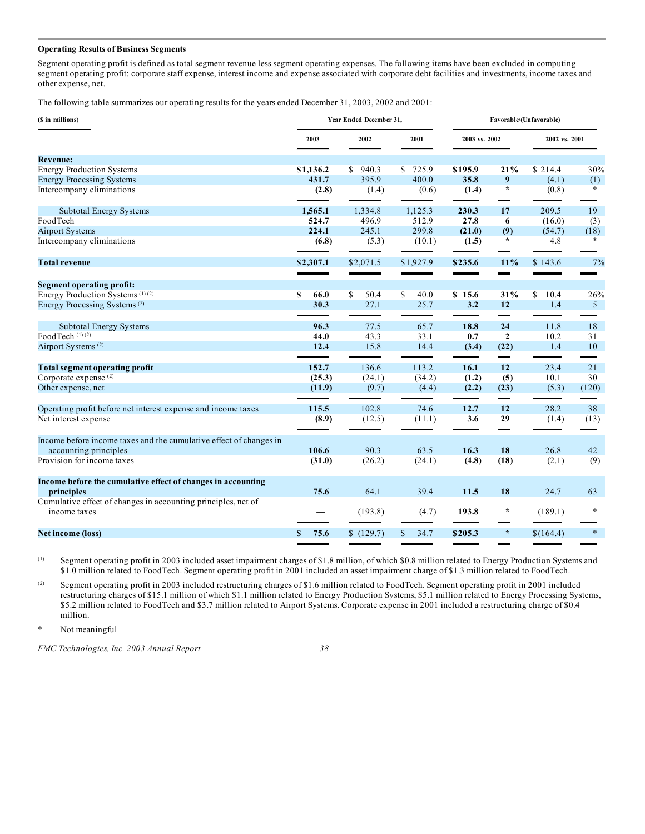#### **Operating Results of Business Segments**

Segment operating profit is defined as total segment revenue less segment operating expenses. The following items have been excluded in computing segment operating profit: corporate staff expense, interest income and expense associated with corporate debt facilities and investments, income taxes and other expense, net.

The following table summarizes our operating results for the years ended December 31, 2003, 2002 and 2001:

| (\$ in millions)                                                   |            | Year Ended December 31, |            | Favorable/(Unfavorable) |                |               |        |
|--------------------------------------------------------------------|------------|-------------------------|------------|-------------------------|----------------|---------------|--------|
|                                                                    | 2003       | 2002                    | 2001       | 2003 vs. 2002           |                | 2002 vs. 2001 |        |
| <b>Revenue:</b>                                                    |            |                         |            |                         |                |               |        |
| <b>Energy Production Systems</b>                                   | \$1,136.2  | \$940.3                 | \$725.9    | \$195.9                 | 21%            | \$214.4       | 30%    |
| <b>Energy Processing Systems</b>                                   | 431.7      | 395.9                   | 400.0      | 35.8                    | 9              | (4.1)         | (1)    |
| Intercompany eliminations                                          | (2.8)      | (1.4)                   | (0.6)      | (1.4)                   | $\star$        | (0.8)         | $\ast$ |
| <b>Subtotal Energy Systems</b>                                     | 1,565.1    | 1.334.8                 | 1,125.3    | 230.3                   | 17             | 209.5         | 19     |
| FoodTech                                                           | 524.7      | 496.9                   | 512.9      | 27.8                    | 6              | (16.0)        | (3)    |
| <b>Airport Systems</b>                                             | 224.1      | 245.1                   | 299.8      | (21.0)                  | (9)            | (54.7)        | (18)   |
| Intercompany eliminations                                          | (6.8)      | (5.3)                   | (10.1)     | (1.5)                   | $\star$        | 4.8           | $\ast$ |
| <b>Total revenue</b>                                               | \$2,307.1  | \$2,071.5               | \$1,927.9  | \$235.6                 | 11%            | \$143.6       | 7%     |
|                                                                    |            |                         |            |                         |                |               |        |
| <b>Segment operating profit:</b>                                   |            |                         |            |                         |                |               |        |
| Energy Production Systems <sup>(1)(2)</sup>                        | 66.0<br>\$ | S.<br>50.4              | 40.0<br>S. | \$15.6                  | 31%            | S.<br>10.4    | 26%    |
| Energy Processing Systems <sup>(2)</sup>                           | 30.3       | 27.1                    | 25.7       | 3.2                     | 12             | 1.4           | 5      |
|                                                                    |            |                         |            |                         |                |               |        |
| <b>Subtotal Energy Systems</b>                                     | 96.3       | 77.5                    | 65.7       | 18.8                    | 24             | 11.8          | 18     |
| FoodTech (1)(2)                                                    | 44.0       | 43.3                    | 33.1       | 0.7                     | $\overline{2}$ | 10.2          | 31     |
| Airport Systems <sup>(2)</sup>                                     | 12.4       | 15.8                    | 14.4       | (3.4)                   | (22)           | 1.4           | 10     |
|                                                                    |            |                         |            |                         |                |               |        |
| <b>Total segment operating profit</b>                              | 152.7      | 136.6                   | 113.2      | 16.1                    | 12             | 23.4          | 21     |
| Corporate expense <sup>(2)</sup>                                   | (25.3)     | (24.1)                  | (34.2)     | (1.2)                   | (5)            | 10.1          | 30     |
| Other expense, net                                                 | (11.9)     | (9.7)                   | (4.4)      | (2.2)                   | (23)           | (5.3)         | (120)  |
| Operating profit before net interest expense and income taxes      | 115.5      | 102.8                   | 74.6       | 12.7                    | 12             | 28.2          | 38     |
| Net interest expense                                               | (8.9)      | (12.5)                  | (11.1)     | 3.6                     | 29             | (1.4)         | (13)   |
|                                                                    |            |                         |            |                         |                |               |        |
| Income before income taxes and the cumulative effect of changes in |            |                         |            |                         |                |               |        |
| accounting principles                                              | 106.6      | 90.3                    | 63.5       | 16.3                    | 18             | 26.8          | 42     |
| Provision for income taxes                                         | (31.0)     | (26.2)                  | (24.1)     | (4.8)                   | (18)           | (2.1)         | (9)    |
|                                                                    |            |                         |            |                         |                |               |        |
| Income before the cumulative effect of changes in accounting       |            |                         |            |                         |                |               |        |
| principles                                                         | 75.6       | 64.1                    | 39.4       | 11.5                    | 18             | 24.7          | 63     |
| Cumulative effect of changes in accounting principles, net of      |            |                         |            |                         |                |               |        |
| income taxes                                                       |            | (193.8)                 | (4.7)      | 193.8                   | $\star$        | (189.1)       | *      |
| Net income (loss)                                                  | 75.6<br>\$ | \$(129.7)               | 34.7<br>\$ | \$205.3                 | $\star$        | \$(164.4)     | $\ast$ |
|                                                                    |            |                         |            |                         |                |               |        |

(1) Segment operating profit in 2003 included asset impairment charges of \$1.8 million, of which \$0.8 million related to Energy Production Systems and \$1.0 million related to FoodTech. Segment operating profit in 2001 included an asset impairment charge of \$1.3 million related to FoodTech.

(2) Segment operating profit in 2003 included restructuring charges of \$1.6 million related to FoodTech. Segment operating profit in 2001 included restructuring charges of \$15.1 million of which \$1.1 million related to Energy Production Systems, \$5.1 million related to Energy Processing Systems, \$5.2 million related to FoodTech and \$3.7 million related to Airport Systems. Corporate expense in 2001 included a restructuring charge of \$0.4 million.

\* Not meaningful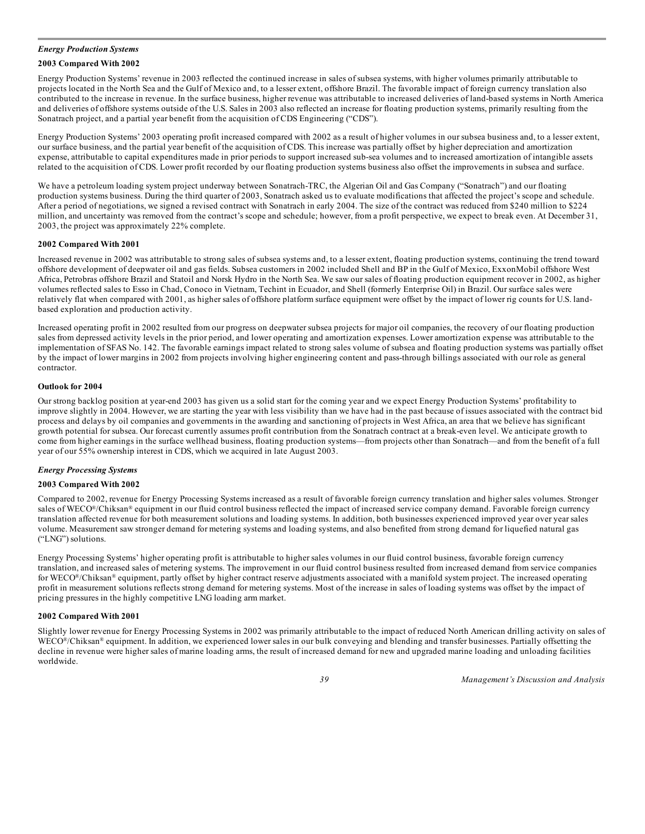#### *Energy Production Systems*

#### **2003 Compared With 2002**

Energy Production Systems' revenue in 2003 reflected the continued increase in sales of subsea systems, with higher volumes primarily attributable to projects located in the North Sea and the Gulf of Mexico and, to a lesser extent, offshore Brazil. The favorable impact of foreign currency translation also contributed to the increase in revenue. In the surface business, higher revenue was attributable to increased deliveries of land-based systems in North America and deliveries of offshore systems outside of the U.S. Sales in 2003 also reflected an increase for floating production systems, primarily resulting from the Sonatrach project, and a partial year benefit from the acquisition of CDS Engineering ("CDS").

Energy Production Systems' 2003 operating profit increased compared with 2002 as a result of higher volumes in our subsea business and, to a lesser extent, our surface business, and the partial year benefit of the acquisition of CDS. This increase was partially offset by higher depreciation and amortization expense, attributable to capital expenditures made in prior periods to support increased sub-sea volumes and to increased amortization of intangible assets related to the acquisition of CDS. Lower profit recorded by our floating production systems business also offset the improvements in subsea and surface.

We have a petroleum loading system project underway between Sonatrach-TRC, the Algerian Oil and Gas Company ("Sonatrach") and our floating production systems business. During the third quarter of 2003, Sonatrach asked us to evaluate modifications that affected the project's scope and schedule. After a period of negotiations, we signed a revised contract with Sonatrach in early 2004. The size of the contract was reduced from \$240 million to \$224 million, and uncertainty was removed from the contract's scope and schedule; however, from a profit perspective, we expect to break even. At December 31, 2003, the project was approximately 22% complete.

#### **2002 Compared With 2001**

Increased revenue in 2002 was attributable to strong sales of subsea systems and, to a lesser extent, floating production systems, continuing the trend toward offshore development of deepwater oil and gas fields. Subsea customers in 2002 included Shell and BP in the Gulf of Mexico, ExxonMobil offshore West Africa, Petrobras offshore Brazil and Statoil and Norsk Hydro in the North Sea. We saw our sales of floating production equipment recover in 2002, as higher volumes reflected sales to Esso in Chad, Conoco in Vietnam, Techint in Ecuador, and Shell (formerly Enterprise Oil) in Brazil. Our surface sales were relatively flat when compared with 2001, as higher sales of offshore platform surface equipment were offset by the impact of lower rig counts for U.S. landbased exploration and production activity.

Increased operating profit in 2002 resulted from our progress on deepwater subsea projects for major oil companies, the recovery of our floating production sales from depressed activity levels in the prior period, and lower operating and amortization expenses. Lower amortization expense was attributable to the implementation of SFAS No. 142. The favorable earnings impact related to strong sales volume of subsea and floating production systems was partially offset by the impact of lower margins in 2002 from projects involving higher engineering content and pass-through billings associated with our role as general contractor.

#### **Outlook for 2004**

Our strong backlog position at year-end 2003 has given us a solid start for the coming year and we expect Energy Production Systems' profitability to improve slightly in 2004. However, we are starting the year with less visibility than we have had in the past because of issues associated with the contract bid process and delays by oil companies and governments in the awarding and sanctioning of projects in West Africa, an area that we believe has significant growth potential for subsea. Our forecast currently assumes profit contribution from the Sonatrach contract at a break-even level. We anticipate growth to come from higher earnings in the surface wellhead business, floating production systems—from projects other than Sonatrach—and from the benefit of a full year of our 55% ownership interest in CDS, which we acquired in late August 2003.

#### *Energy Processing Systems*

#### **2003 Compared With 2002**

Compared to 2002, revenue for Energy Processing Systems increased as a result of favorable foreign currency translation and higher sales volumes. Stronger sales of WECO®/Chiksan® equipment in our fluid control business reflected the impact of increased service company demand. Favorable foreign currency translation affected revenue for both measurement solutions and loading systems. In addition, both businesses experienced improved year over year sales volume. Measurement saw stronger demand for metering systems and loading systems, and also benefited from strong demand for liquefied natural gas ("LNG") solutions.

Energy Processing Systems' higher operating profit is attributable to higher sales volumes in our fluid control business, favorable foreign currency translation, and increased sales of metering systems. The improvement in our fluid control business resulted from increased demand from service companies for WECO®/Chiksan ® equipment, partly offset by higher contract reserve adjustments associated with a manifold system project. The increased operating profit in measurement solutions reflects strong demand for metering systems. Most of the increase in sales of loading systems was offset by the impact of pricing pressures in the highly competitive LNG loading arm market.

#### **2002 Compared With 2001**

Slightly lower revenue for Energy Processing Systems in 2002 was primarily attributable to the impact of reduced North American drilling activity on sales of WECO<sup>®</sup>/Chiksan<sup>®</sup> equipment. In addition, we experienced lower sales in our bulk conveying and blending and transfer businesses. Partially offsetting the decline in revenue were higher sales of marine loading arms, the result of increased demand for new and upgraded marine loading and unloading facilities worldwide.

*39 Management's Discussion and Analysis*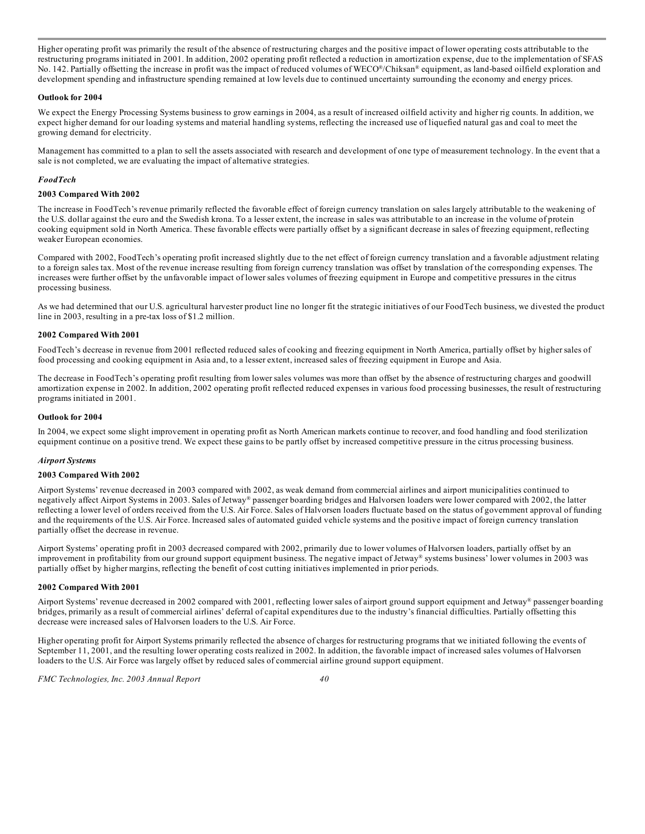Higher operating profit was primarily the result of the absence of restructuring charges and the positive impact of lower operating costs attributable to the restructuring programs initiated in 2001. In addition, 2002 operating profit reflected a reduction in amortization expense, due to the implementation of SFAS No. 142. Partially offsetting the increase in profit was the impact of reduced volumes of WECO<sup>®</sup>/Chiksan® equipment, as land-based oilfield exploration and development spending and infrastructure spending remained at low levels due to continued uncertainty surrounding the economy and energy prices.

## **Outlook for 2004**

We expect the Energy Processing Systems business to grow earnings in 2004, as a result of increased oilfield activity and higher rig counts. In addition, we expect higher demand for our loading systems and material handling systems, reflecting the increased use of liquefied natural gas and coal to meet the growing demand for electricity.

Management has committed to a plan to sell the assets associated with research and development of one type of measurement technology. In the event that a sale is not completed, we are evaluating the impact of alternative strategies.

## *FoodTech*

### **2003 Compared With 2002**

The increase in FoodTech's revenue primarily reflected the favorable effect of foreign currency translation on sales largely attributable to the weakening of the U.S. dollar against the euro and the Swedish krona. To a lesser extent, the increase in sales was attributable to an increase in the volume of protein cooking equipment sold in North America. These favorable effects were partially offset by a significant decrease in sales of freezing equipment, reflecting weaker European economies.

Compared with 2002, FoodTech's operating profit increased slightly due to the net effect of foreign currency translation and a favorable adjustment relating to a foreign sales tax. Most of the revenue increase resulting from foreign currency translation was offset by translation of the corresponding expenses. The increases were further offset by the unfavorable impact of lower sales volumes of freezing equipment in Europe and competitive pressures in the citrus processing business.

As we had determined that our U.S. agricultural harvester product line no longer fit the strategic initiatives of our FoodTech business, we divested the product line in 2003, resulting in a pre-tax loss of \$1.2 million.

#### **2002 Compared With 2001**

FoodTech's decrease in revenue from 2001 reflected reduced sales of cooking and freezing equipment in North America, partially offset by higher sales of food processing and cooking equipment in Asia and, to a lesser extent, increased sales of freezing equipment in Europe and Asia.

The decrease in FoodTech's operating profit resulting from lower sales volumes was more than offset by the absence of restructuring charges and goodwill amortization expense in 2002. In addition, 2002 operating profit reflected reduced expenses in various food processing businesses, the result of restructuring programs initiated in 2001.

#### **Outlook for 2004**

In 2004, we expect some slight improvement in operating profit as North American markets continue to recover, and food handling and food sterilization equipment continue on a positive trend. We expect these gains to be partly offset by increased competitive pressure in the citrus processing business.

#### *Airport Systems*

## **2003 Compared With 2002**

Airport Systems' revenue decreased in 2003 compared with 2002, as weak demand from commercial airlines and airport municipalities continued to negatively affect Airport Systems in 2003. Sales of Jetway ® passenger boarding bridges and Halvorsen loaders were lower compared with 2002, the latter reflecting a lower level of orders received from the U.S. Air Force. Sales of Halvorsen loaders fluctuate based on the status of government approval of funding and the requirements of the U.S. Air Force. Increased sales of automated guided vehicle systems and the positive impact of foreign currency translation partially offset the decrease in revenue.

Airport Systems' operating profit in 2003 decreased compared with 2002, primarily due to lower volumes of Halvorsen loaders, partially offset by an improvement in profitability from our ground support equipment business. The negative impact of Jetway<sup>®</sup> systems business' lower volumes in 2003 was partially offset by higher margins, reflecting the benefit of cost cutting initiatives implemented in prior periods.

#### **2002 Compared With 2001**

Airport Systems' revenue decreased in 2002 compared with 2001, reflecting lower sales of airport ground support equipment and Jetway ® passenger boarding bridges, primarily as a result of commercial airlines' deferral of capital expenditures due to the industry's financial difficulties. Partially offsetting this decrease were increased sales of Halvorsen loaders to the U.S. Air Force.

Higher operating profit for Airport Systems primarily reflected the absence of charges for restructuring programs that we initiated following the events of September 11, 2001, and the resulting lower operating costs realized in 2002. In addition, the favorable impact of increased sales volumes of Halvorsen loaders to the U.S. Air Force was largely offset by reduced sales of commercial airline ground support equipment.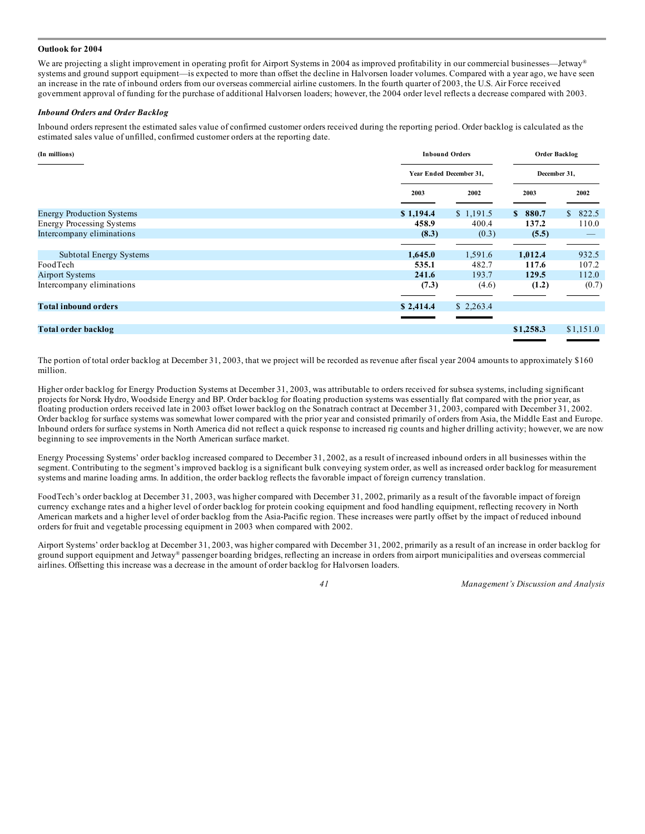#### **Outlook for 2004**

We are projecting a slight improvement in operating profit for Airport Systems in 2004 as improved profitability in our commercial businesses—Jetway<sup>®</sup> systems and ground support equipment—is expected to more than offset the decline in Halvorsen loader volumes. Compared with a year ago, we have seen an increase in the rate of inbound orders from our overseas commercial airline customers. In the fourth quarter of 2003, the U.S. Air Force received government approval of funding for the purchase of additional Halvorsen loaders; however, the 2004 order level reflects a decrease compared with 2003.

#### *Inbound Orders and Order Backlog*

Inbound orders represent the estimated sales value of confirmed customer orders received during the reporting period. Order backlog is calculated as the estimated sales value of unfilled, confirmed customer orders at the reporting date.

| (In millions)                    |           | <b>Inbound Orders</b><br>Year Ended December 31, |             | <b>Order Backlog</b><br>December 31, |  |
|----------------------------------|-----------|--------------------------------------------------|-------------|--------------------------------------|--|
|                                  |           |                                                  |             |                                      |  |
|                                  | 2003      | 2002                                             | 2003        | 2002                                 |  |
| <b>Energy Production Systems</b> | \$1,194.4 | \$1,191.5                                        | 880.7<br>S. | \$822.5                              |  |
| <b>Energy Processing Systems</b> | 458.9     | 400.4                                            | 137.2       | 110.0                                |  |
| Intercompany eliminations        | (8.3)     | (0.3)                                            | (5.5)       |                                      |  |
|                                  |           |                                                  |             |                                      |  |
| <b>Subtotal Energy Systems</b>   | 1,645.0   | 1,591.6                                          | 1,012.4     | 932.5                                |  |
| FoodTech                         | 535.1     | 482.7                                            | 117.6       | 107.2                                |  |
| <b>Airport Systems</b>           | 241.6     | 193.7                                            | 129.5       | 112.0                                |  |
| Intercompany eliminations        | (7.3)     | (4.6)                                            | (1.2)       | (0.7)                                |  |
|                                  |           |                                                  |             |                                      |  |
| <b>Total inbound orders</b>      | \$2,414.4 | \$2,263.4                                        |             |                                      |  |
|                                  |           |                                                  |             |                                      |  |
| Total order backlog              |           |                                                  | \$1,258.3   | \$1,151.0                            |  |

The portion of total order backlog at December 31, 2003, that we project will be recorded as revenue after fiscal year 2004 amounts to approximately \$160 million.

Higher order backlog for Energy Production Systems at December 31, 2003, was attributable to orders received for subsea systems, including significant projects for Norsk Hydro, Woodside Energy and BP. Order backlog for floating production systems was essentially flat compared with the prior year, as floating production orders received late in 2003 offset lower backlog on the Sonatrach contract at December 31, 2003, compared with December 31, 2002. Order backlog for surface systems was somewhat lower compared with the prior year and consisted primarily of orders from Asia, the Middle East and Europe. Inbound orders for surface systems in North America did not reflect a quick response to increased rig counts and higher drilling activity; however, we are now beginning to see improvements in the North American surface market.

Energy Processing Systems' order backlog increased compared to December 31, 2002, as a result of increased inbound orders in all businesses within the segment. Contributing to the segment's improved backlog is a significant bulk conveying system order, as well as increased order backlog for measurement systems and marine loading arms. In addition, the order backlog reflects the favorable impact of foreign currency translation.

FoodTech's order backlog at December 31, 2003, was higher compared with December 31, 2002, primarily as a result of the favorable impact of foreign currency exchange rates and a higher level of order backlog for protein cooking equipment and food handling equipment, reflecting recovery in North American markets and a higher level of order backlog from the Asia-Pacific region. These increases were partly offset by the impact of reduced inbound orders for fruit and vegetable processing equipment in 2003 when compared with 2002.

Airport Systems' order backlog at December 31, 2003, was higher compared with December 31, 2002, primarily as a result of an increase in order backlog for ground support equipment and Jetway ® passenger boarding bridges, reflecting an increase in orders from airport municipalities and overseas commercial airlines. Offsetting this increase was a decrease in the amount of order backlog for Halvorsen loaders.

*41 Management's Discussion and Analysis*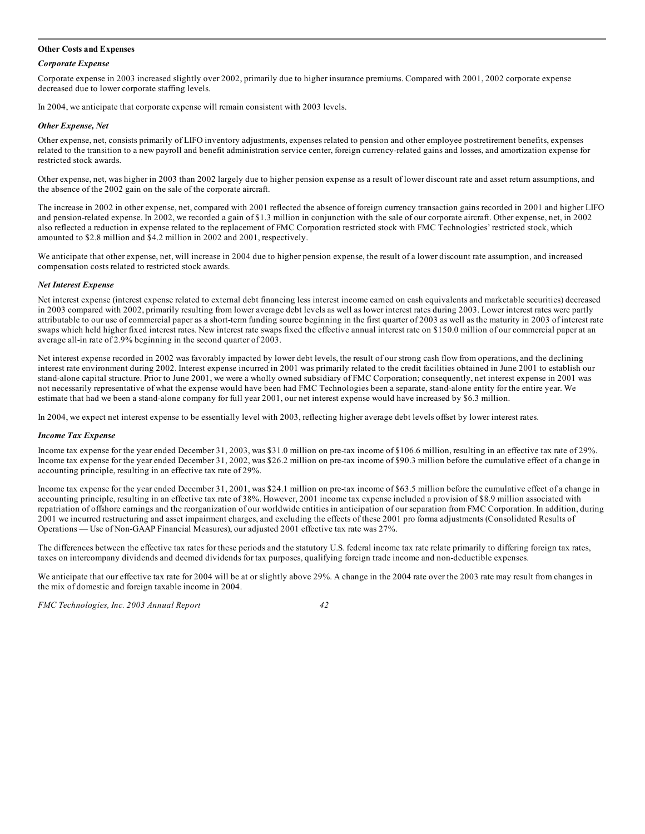#### **Other Costs and Expenses**

## *Corporate Expense*

Corporate expense in 2003 increased slightly over 2002, primarily due to higher insurance premiums. Compared with 2001, 2002 corporate expense decreased due to lower corporate staffing levels.

In 2004, we anticipate that corporate expense will remain consistent with 2003 levels.

## *Other Expense, Net*

Other expense, net, consists primarily of LIFO inventory adjustments, expenses related to pension and other employee postretirement benefits, expenses related to the transition to a new payroll and benefit administration service center, foreign currency-related gains and losses, and amortization expense for restricted stock awards.

Other expense, net, was higher in 2003 than 2002 largely due to higher pension expense as a result of lower discount rate and asset return assumptions, and the absence of the 2002 gain on the sale of the corporate aircraft.

The increase in 2002 in other expense, net, compared with 2001 reflected the absence of foreign currency transaction gains recorded in 2001 and higher LIFO and pension-related expense. In 2002, we recorded a gain of \$1.3 million in conjunction with the sale of our corporate aircraft. Other expense, net, in 2002 also reflected a reduction in expense related to the replacement of FMC Corporation restricted stock with FMC Technologies' restricted stock, which amounted to \$2.8 million and \$4.2 million in 2002 and 2001, respectively.

We anticipate that other expense, net, will increase in 2004 due to higher pension expense, the result of a lower discount rate assumption, and increased compensation costs related to restricted stock awards.

## *Net Interest Expense*

Net interest expense (interest expense related to external debt financing less interest income earned on cash equivalents and marketable securities) decreased in 2003 compared with 2002, primarily resulting from lower average debt levels as well as lower interest rates during 2003. Lower interest rates were partly attributable to our use of commercial paper as a short-term funding source beginning in the first quarter of 2003 as well as the maturity in 2003 of interest rate swaps which held higher fixed interest rates. New interest rate swaps fixed the effective annual interest rate on \$150.0 million of our commercial paper at an average all-in rate of 2.9% beginning in the second quarter of 2003.

Net interest expense recorded in 2002 was favorably impacted by lower debt levels, the result of our strong cash flow from operations, and the declining interest rate environment during 2002. Interest expense incurred in 2001 was primarily related to the credit facilities obtained in June 2001 to establish our stand-alone capital structure. Prior to June 2001, we were a wholly owned subsidiary of FMC Corporation; consequently, net interest expense in 2001 was not necessarily representative of what the expense would have been had FMC Technologies been a separate, stand-alone entity for the entire year. We estimate that had we been a stand-alone company for full year 2001, our net interest expense would have increased by \$6.3 million.

In 2004, we expect net interest expense to be essentially level with 2003, reflecting higher average debt levels offset by lower interest rates.

#### *Income Tax Expense*

Income tax expense for the year ended December 31, 2003, was \$31.0 million on pre-tax income of \$106.6 million, resulting in an effective tax rate of 29%. Income tax expense for the year ended December 31, 2002, was \$26.2 million on pre-tax income of \$90.3 million before the cumulative effect of a change in accounting principle, resulting in an effective tax rate of 29%.

Income tax expense for the year ended December 31, 2001, was \$24.1 million on pre-tax income of \$63.5 million before the cumulative effect of a change in accounting principle, resulting in an effective tax rate of 38%. However, 2001 income tax expense included a provision of \$8.9 million associated with repatriation of offshore earnings and the reorganization of our worldwide entities in anticipation of our separation from FMC Corporation. In addition, during 2001 we incurred restructuring and asset impairment charges, and excluding the effects of these 2001 pro forma adjustments (Consolidated Results of Operations — Use of Non-GAAP Financial Measures), our adjusted 2001 effective tax rate was 27%.

The differences between the effective tax rates for these periods and the statutory U.S. federal income tax rate relate primarily to differing foreign tax rates, taxes on intercompany dividends and deemed dividends for tax purposes, qualifying foreign trade income and non-deductible expenses.

We anticipate that our effective tax rate for 2004 will be at or slightly above 29%. A change in the 2004 rate over the 2003 rate may result from changes in the mix of domestic and foreign taxable income in 2004.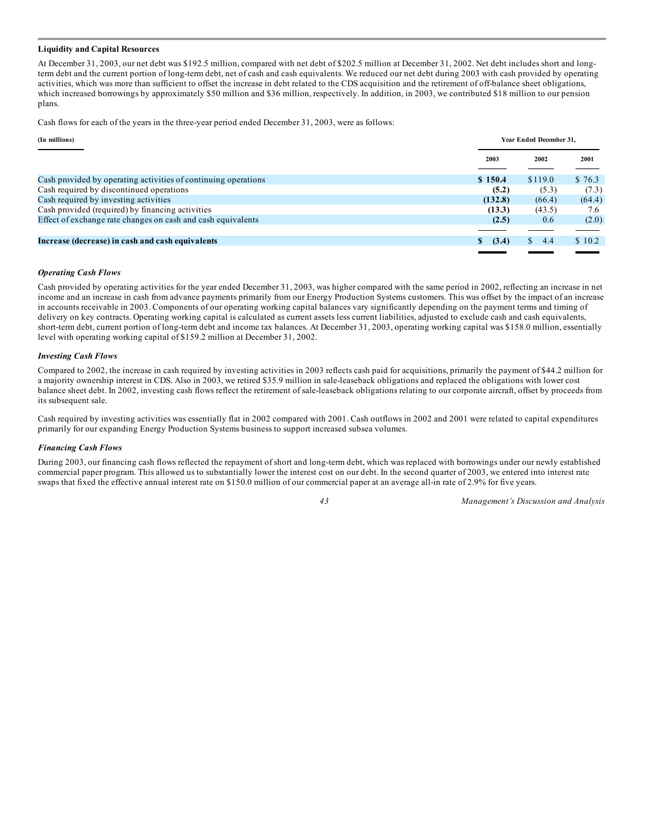#### **Liquidity and Capital Resources**

At December 31, 2003, our net debt was \$192.5 million, compared with net debt of \$202.5 million at December 31, 2002. Net debt includes short and longterm debt and the current portion of long-term debt, net of cash and cash equivalents. We reduced our net debt during 2003 with cash provided by operating activities, which was more than sufficient to offset the increase in debt related to the CDS acquisition and the retirement of off-balance sheet obligations, which increased borrowings by approximately \$50 million and \$36 million, respectively. In addition, in 2003, we contributed \$18 million to our pension plans.

Cash flows for each of the years in the three-year period ended December 31, 2003, were as follows:

| (In millions)                                                  |         | Year Ended December 31. |        |  |  |
|----------------------------------------------------------------|---------|-------------------------|--------|--|--|
|                                                                | 2003    | 2002                    | 2001   |  |  |
| Cash provided by operating activities of continuing operations | \$150.4 | \$119.0                 | \$76.3 |  |  |
| Cash required by discontinued operations                       | (5.2)   | (5.3)                   | (7.3)  |  |  |
| Cash required by investing activities                          | (132.8) | (66.4)                  | (64.4) |  |  |
| Cash provided (required) by financing activities               | (13.3)  | (43.5)                  | 7.6    |  |  |
| Effect of exchange rate changes on cash and cash equivalents   | (2.5)   | 0.6                     | (2.0)  |  |  |
|                                                                |         |                         |        |  |  |
| Increase (decrease) in cash and cash equivalents               | (3.4)   | 4.4<br>S.               | \$10.2 |  |  |
|                                                                |         |                         |        |  |  |

#### *Operating Cash Flows*

Cash provided by operating activities for the year ended December 31, 2003, was higher compared with the same period in 2002, reflecting an increase in net income and an increase in cash from advance payments primarily from our Energy Production Systems customers. This was offset by the impact of an increase in accounts receivable in 2003. Components of our operating working capital balances vary significantly depending on the payment terms and timing of delivery on key contracts. Operating working capital is calculated as current assets less current liabilities, adjusted to exclude cash and cash equivalents, short-term debt, current portion of long-term debt and income tax balances. At December 31, 2003, operating working capital was \$158.0 million, essentially level with operating working capital of \$159.2 million at December 31, 2002.

#### *Investing Cash Flows*

Compared to 2002, the increase in cash required by investing activities in 2003 reflects cash paid for acquisitions, primarily the payment of \$44.2 million for a majority ownership interest in CDS. Also in 2003, we retired \$35.9 million in sale-leaseback obligations and replaced the obligations with lower cost balance sheet debt. In 2002, investing cash flows reflect the retirement of sale-leaseback obligations relating to our corporate aircraft, offset by proceeds from its subsequent sale.

Cash required by investing activities was essentially flat in 2002 compared with 2001. Cash outflows in 2002 and 2001 were related to capital expenditures primarily for our expanding Energy Production Systems business to support increased subsea volumes.

#### *Financing Cash Flows*

During 2003, our financing cash flows reflected the repayment of short and long-term debt, which was replaced with borrowings under our newly established commercial paper program. This allowed us to substantially lower the interest cost on our debt. In the second quarter of 2003, we entered into interest rate swaps that fixed the effective annual interest rate on \$150.0 million of our commercial paper at an average all-in rate of 2.9% for five years.

*43 Management's Discussion and Analysis*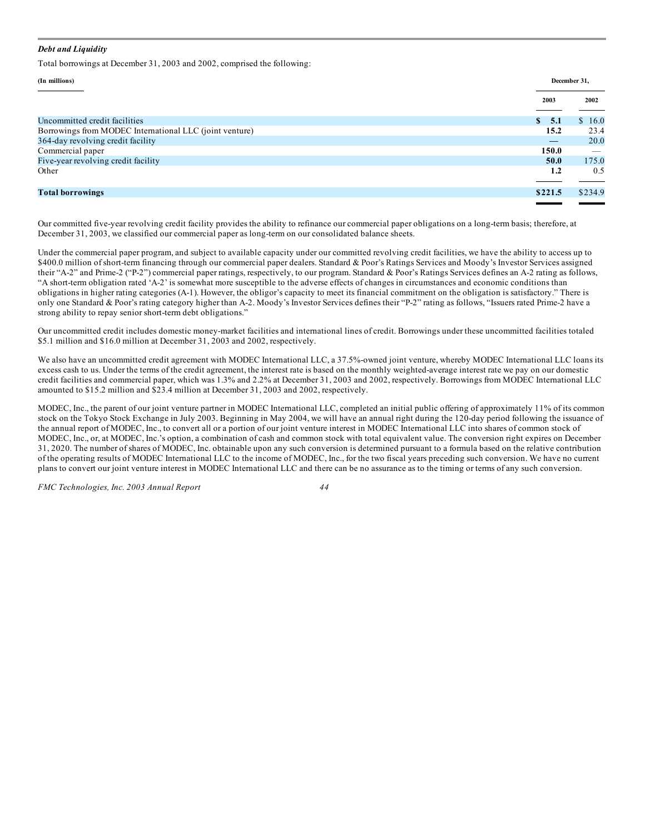## *Debt and Liquidity*

Total borrowings at December 31, 2003 and 2002, comprised the following:

| (In millions)                                           |         | December 31, |
|---------------------------------------------------------|---------|--------------|
|                                                         | 2003    | 2002         |
| Uncommitted credit facilities                           | \$5.1   | \$16.0       |
| Borrowings from MODEC International LLC (joint venture) | 15.2    | 23.4         |
| 364-day revolving credit facility                       | —       | 20.0         |
| Commercial paper                                        | 150.0   |              |
| Five-year revolving credit facility                     | 50.0    | 175.0        |
| Other                                                   | 1.2     | 0.5          |
| <b>Total borrowings</b>                                 | \$221.5 | \$234.9      |

Our committed five-year revolving credit facility provides the ability to refinance our commercial paper obligations on a long-term basis; therefore, at December 31, 2003, we classified our commercial paper as long-term on our consolidated balance sheets.

Under the commercial paper program, and subject to available capacity under our committed revolving credit facilities, we have the ability to access up to \$400.0 million of short-term financing through our commercial paper dealers. Standard & Poor's Ratings Services and Moody's Investor Services assigned their "A-2" and Prime-2 ("P-2") commercial paper ratings, respectively, to our program. Standard & Poor's Ratings Services defines an A-2 rating as follows, "A short-term obligation rated 'A-2' is somewhat more susceptible to the adverse effects of changes in circumstances and economic conditions than obligations in higher rating categories (A-1). However, the obligor's capacity to meet its financial commitment on the obligation is satisfactory." There is only one Standard & Poor's rating category higher than A-2. Moody's Investor Services defines their "P-2" rating as follows, "Issuers rated Prime-2 have a strong ability to repay senior short-term debt obligations."

Our uncommitted credit includes domestic money-market facilities and international lines of credit. Borrowings under these uncommitted facilities totaled \$5.1 million and \$16.0 million at December 31, 2003 and 2002, respectively.

We also have an uncommitted credit agreement with MODEC International LLC, a 37.5%-owned joint venture, whereby MODEC International LLC loans its excess cash to us. Under the terms of the credit agreement, the interest rate is based on the monthly weighted-average interest rate we pay on our domestic credit facilities and commercial paper, which was 1.3% and 2.2% at December 31, 2003 and 2002, respectively. Borrowings from MODEC International LLC amounted to \$15.2 million and \$23.4 million at December 31, 2003 and 2002, respectively.

MODEC, Inc., the parent of our joint venture partner in MODEC International LLC, completed an initial public offering of approximately 11% of its common stock on the Tokyo Stock Exchange in July 2003. Beginning in May 2004, we will have an annual right during the 120-day period following the issuance of the annual report of MODEC, Inc., to convert all or a portion of our joint venture interest in MODEC International LLC into shares of common stock of MODEC, Inc., or, at MODEC, Inc.'s option, a combination of cash and common stock with total equivalent value. The conversion right expires on December 31, 2020. The number of shares of MODEC, Inc. obtainable upon any such conversion is determined pursuant to a formula based on the relative contribution of the operating results of MODEC International LLC to the income of MODEC, Inc., for the two fiscal years preceding such conversion. We have no current plans to convert our joint venture interest in MODEC International LLC and there can be no assurance as to the timing or terms of any such conversion.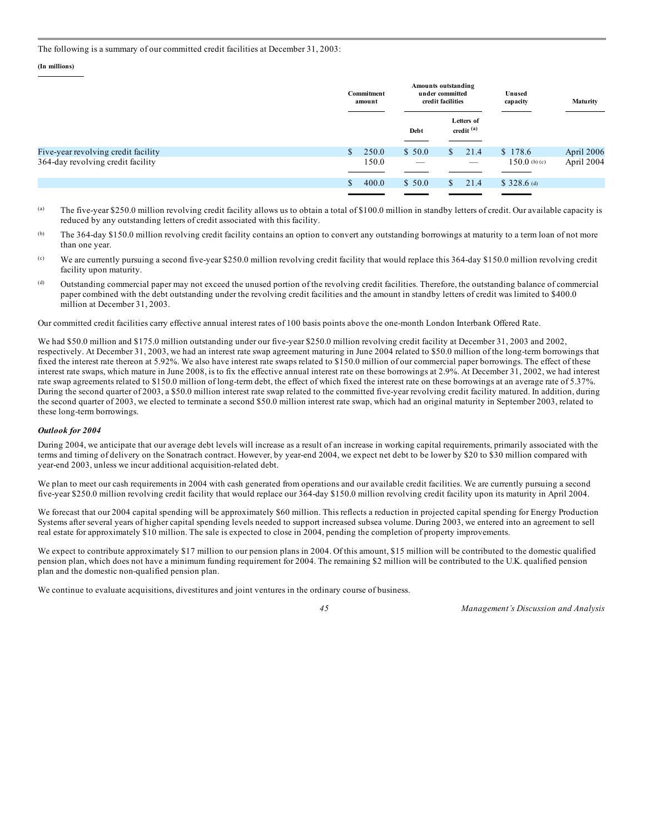#### The following is a summary of our committed credit facilities at December 31, 2003:

## **(In millions)**

|                                     | Commitment<br>amount | Amounts outstanding<br>under committed<br>credit facilities |              |      | Unused<br>capacity     | <b>Maturity</b> |
|-------------------------------------|----------------------|-------------------------------------------------------------|--------------|------|------------------------|-----------------|
|                                     |                      | Letters of<br>credit $(a)$<br>Debt                          |              |      |                        |                 |
| Five-year revolving credit facility | 250.0<br>\$          | \$50.0                                                      | <sup>S</sup> | 21.4 | \$178.6                | April 2006      |
| 364-day revolving credit facility   | 150.0                | --                                                          |              |      | $150.0$ (b) (c)        | April 2004      |
|                                     | 400.0<br>S.          | \$50.0                                                      | $\mathbb{S}$ | 21.4 | \$328.6 <sub>(d)</sub> |                 |
|                                     |                      |                                                             |              |      |                        |                 |

- (a) The five-year \$250.0 million revolving credit facility allows us to obtain a total of \$100.0 million in standby letters of credit. Our available capacity is reduced by any outstanding letters of credit associated with this facility.
- (b) The 364-day \$150.0 million revolving credit facility contains an option to convert any outstanding borrowings at maturity to a term loan of not more than one year.
- (c) We are currently pursuing a second five-year \$250.0 million revolving credit facility that would replace this 364-day \$150.0 million revolving credit facility upon maturity.
- (d) Outstanding commercial paper may not exceed the unused portion of the revolving credit facilities. Therefore, the outstanding balance of commercial paper combined with the debt outstanding under the revolving credit facilities and the amount in standby letters of credit was limited to \$400.0 million at December 31, 2003.

Our committed credit facilities carry effective annual interest rates of 100 basis points above the one-month London Interbank Offered Rate.

We had \$50.0 million and \$175.0 million outstanding under our five-year \$250.0 million revolving credit facility at December 31, 2003 and 2002, respectively. At December 31, 2003, we had an interest rate swap agreement maturing in June 2004 related to \$50.0 million of the long-term borrowings that fixed the interest rate thereon at 5.92%. We also have interest rate swaps related to \$150.0 million of our commercial paper borrowings. The effect of these interest rate swaps, which mature in June 2008, is to fix the effective annual interest rate on these borrowings at 2.9%. At December 31, 2002, we had interest rate swap agreements related to \$150.0 million of long-term debt, the effect of which fixed the interest rate on these borrowings at an average rate of 5.37%. During the second quarter of 2003, a \$50.0 million interest rate swap related to the committed five-year revolving credit facility matured. In addition, during the second quarter of 2003, we elected to terminate a second \$50.0 million interest rate swap, which had an original maturity in September 2003, related to these long-term borrowings.

#### *Outlook for 2004*

During 2004, we anticipate that our average debt levels will increase as a result of an increase in working capital requirements, primarily associated with the terms and timing of delivery on the Sonatrach contract. However, by year-end 2004, we expect net debt to be lower by \$20 to \$30 million compared with year-end 2003, unless we incur additional acquisition-related debt.

We plan to meet our cash requirements in 2004 with cash generated from operations and our available credit facilities. We are currently pursuing a second five-year \$250.0 million revolving credit facility that would replace our 364-day \$150.0 million revolving credit facility upon its maturity in April 2004.

We forecast that our 2004 capital spending will be approximately \$60 million. This reflects a reduction in projected capital spending for Energy Production Systems after several years of higher capital spending levels needed to support increased subsea volume. During 2003, we entered into an agreement to sell real estate for approximately \$10 million. The sale is expected to close in 2004, pending the completion of property improvements.

We expect to contribute approximately \$17 million to our pension plans in 2004. Of this amount, \$15 million will be contributed to the domestic qualified pension plan, which does not have a minimum funding requirement for 2004. The remaining \$2 million will be contributed to the U.K. qualified pension plan and the domestic non-qualified pension plan.

We continue to evaluate acquisitions, divestitures and joint ventures in the ordinary course of business.

*45 Management's Discussion and Analysis*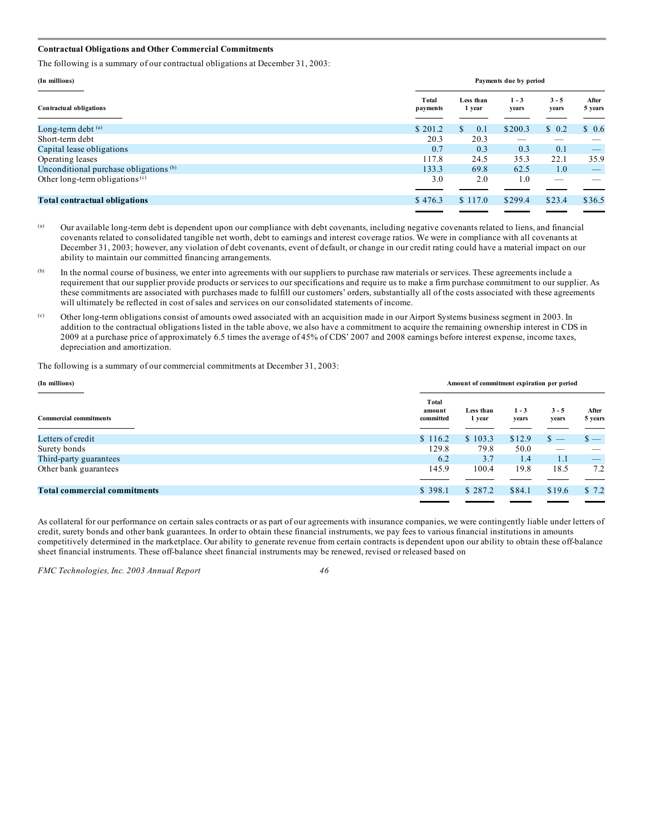#### **Contractual Obligations and Other Commercial Commitments**

The following is a summary of our contractual obligations at December 31, 2003:

| (In millions)                              |                   | Payments due by period |                  |                                 |                   |  |  |
|--------------------------------------------|-------------------|------------------------|------------------|---------------------------------|-------------------|--|--|
| Contractual obligations                    | Total<br>payments | Less than<br>1 year    | $1 - 3$<br>vears | $3 - 5$<br>years                | After<br>5 years  |  |  |
| Long-term debt $(a)$                       | \$201.2           | 0.1<br>S.              | \$200.3          | $\frac{\text{S}}{\text{O}}$ 0.2 | \$0.6             |  |  |
| Short-term debt                            | 20.3              | 20.3                   |                  |                                 |                   |  |  |
| Capital lease obligations                  | 0.7               | 0.3                    | 0.3              | 0.1                             | $\qquad \qquad -$ |  |  |
| Operating leases                           | 117.8             | 24.5                   | 35.3             | 22.1                            | 35.9              |  |  |
| Unconditional purchase obligations (b)     | 133.3             | 69.8                   | 62.5             | 1.0                             | $\hspace{0.05cm}$ |  |  |
| Other long-term obligations <sup>(c)</sup> | 3.0               | 2.0                    | 1.0              |                                 |                   |  |  |
|                                            |                   |                        |                  |                                 |                   |  |  |
| <b>Total contractual obligations</b>       | \$476.3           | \$117.0                | \$299.4          | \$23.4                          | \$36.5            |  |  |

(a) Our available long-term debt is dependent upon our compliance with debt covenants, including negative covenants related to liens, and financial covenants related to consolidated tangible net worth, debt to earnings and interest coverage ratios. We were in compliance with all covenants at December 31, 2003; however, any violation of debt covenants, event of default, or change in our credit rating could have a material impact on our ability to maintain our committed financing arrangements.

(b) In the normal course of business, we enter into agreements with our suppliers to purchase raw materials or services. These agreements include a requirement that our supplier provide products or services to our specifications and require us to make a firm purchase commitment to our supplier. As these commitments are associated with purchases made to fulfill our customers' orders, substantially all of the costs associated with these agreements will ultimately be reflected in cost of sales and services on our consolidated statements of income.

(c) Other long-term obligations consist of amounts owed associated with an acquisition made in our Airport Systems business segment in 2003. In addition to the contractual obligations listed in the table above, we also have a commitment to acquire the remaining ownership interest in CDS in 2009 at a purchase price of approximately 6.5 times the average of 45% of CDS' 2007 and 2008 earnings before interest expense, income taxes, depreciation and amortization.

The following is a summary of our commercial commitments at December 31, 2003:

|                              | Amount of commitment expiration per period |                  |                  |                                 |  |  |
|------------------------------|--------------------------------------------|------------------|------------------|---------------------------------|--|--|
| Total<br>amount<br>committed | Less than<br>1 year                        | $1 - 3$<br>years | $3 - 5$<br>years | After<br>5 years                |  |  |
| \$116.2                      | \$103.3                                    | \$12.9           | $\mathsf{s}$ —   | $\mathbf{s}$ —                  |  |  |
| 129.8                        | 79.8                                       | 50.0             |                  | __                              |  |  |
| 6.2                          | 3.7                                        | 1.4              | 1.1              | $\hspace{0.1mm}-\hspace{0.1mm}$ |  |  |
| 145.9                        | 100.4                                      | 19.8             | 18.5             | 7.2                             |  |  |
| \$398.1                      | \$287.2                                    | \$84.1           | \$19.6           | \$7.2                           |  |  |
|                              |                                            |                  |                  |                                 |  |  |

As collateral for our performance on certain sales contracts or as part of our agreements with insurance companies, we were contingently liable under letters of credit, surety bonds and other bank guarantees. In order to obtain these financial instruments, we pay fees to various financial institutions in amounts competitively determined in the marketplace. Our ability to generate revenue from certain contracts is dependent upon our ability to obtain these off-balance sheet financial instruments. These off-balance sheet financial instruments may be renewed, revised or released based on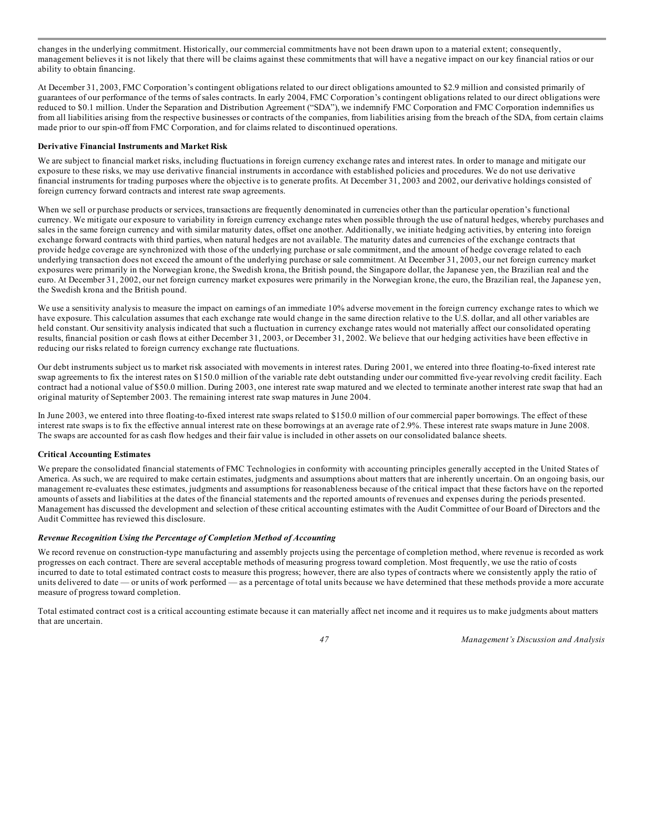changes in the underlying commitment. Historically, our commercial commitments have not been drawn upon to a material extent; consequently, management believes it is not likely that there will be claims against these commitments that will have a negative impact on our key financial ratios or our ability to obtain financing.

At December 31, 2003, FMC Corporation's contingent obligations related to our direct obligations amounted to \$2.9 million and consisted primarily of guarantees of our performance of the terms of sales contracts. In early 2004, FMC Corporation's contingent obligations related to our direct obligations were reduced to \$0.1 million. Under the Separation and Distribution Agreement ("SDA"), we indemnify FMC Corporation and FMC Corporation indemnifies us from all liabilities arising from the respective businesses or contracts of the companies, from liabilities arising from the breach of the SDA, from certain claims made prior to our spin-off from FMC Corporation, and for claims related to discontinued operations.

## **Derivative Financial Instruments and Market Risk**

We are subject to financial market risks, including fluctuations in foreign currency exchange rates and interest rates. In order to manage and mitigate our exposure to these risks, we may use derivative financial instruments in accordance with established policies and procedures. We do not use derivative financial instruments for trading purposes where the objective is to generate profits. At December 31, 2003 and 2002, our derivative holdings consisted of foreign currency forward contracts and interest rate swap agreements.

When we sell or purchase products or services, transactions are frequently denominated in currencies other than the particular operation's functional currency. We mitigate our exposure to variability in foreign currency exchange rates when possible through the use of natural hedges, whereby purchases and sales in the same foreign currency and with similar maturity dates, offset one another. Additionally, we initiate hedging activities, by entering into foreign exchange forward contracts with third parties, when natural hedges are not available. The maturity dates and currencies of the exchange contracts that provide hedge coverage are synchronized with those of the underlying purchase or sale commitment, and the amount of hedge coverage related to each underlying transaction does not exceed the amount of the underlying purchase or sale commitment. At December 31, 2003, our net foreign currency market exposures were primarily in the Norwegian krone, the Swedish krona, the British pound, the Singapore dollar, the Japanese yen, the Brazilian real and the euro. At December 31, 2002, our net foreign currency market exposures were primarily in the Norwegian krone, the euro, the Brazilian real, the Japanese yen, the Swedish krona and the British pound.

We use a sensitivity analysis to measure the impact on earnings of an immediate 10% adverse movement in the foreign currency exchange rates to which we have exposure. This calculation assumes that each exchange rate would change in the same direction relative to the U.S. dollar, and all other variables are held constant. Our sensitivity analysis indicated that such a fluctuation in currency exchange rates would not materially affect our consolidated operating results, financial position or cash flows at either December 31, 2003, or December 31, 2002. We believe that our hedging activities have been effective in reducing our risks related to foreign currency exchange rate fluctuations.

Our debt instruments subject us to market risk associated with movements in interest rates. During 2001, we entered into three floating-to-fixed interest rate swap agreements to fix the interest rates on \$150.0 million of the variable rate debt outstanding under our committed five-year revolving credit facility. Each contract had a notional value of \$50.0 million. During 2003, one interest rate swap matured and we elected to terminate another interest rate swap that had an original maturity of September 2003. The remaining interest rate swap matures in June 2004.

In June 2003, we entered into three floating-to-fixed interest rate swaps related to \$150.0 million of our commercial paper borrowings. The effect of these interest rate swaps is to fix the effective annual interest rate on these borrowings at an average rate of 2.9%. These interest rate swaps mature in June 2008. The swaps are accounted for as cash flow hedges and their fair value is included in other assets on our consolidated balance sheets.

#### **Critical Accounting Estimates**

We prepare the consolidated financial statements of FMC Technologies in conformity with accounting principles generally accepted in the United States of America. As such, we are required to make certain estimates, judgments and assumptions about matters that are inherently uncertain. On an ongoing basis, our management re-evaluates these estimates, judgments and assumptions for reasonableness because of the critical impact that these factors have on the reported amounts of assets and liabilities at the dates of the financial statements and the reported amounts of revenues and expenses during the periods presented. Management has discussed the development and selection of these critical accounting estimates with the Audit Committee of our Board of Directors and the Audit Committee has reviewed this disclosure.

#### *Revenue Recognition Using the Percentage of Completion Method of Accounting*

We record revenue on construction-type manufacturing and assembly projects using the percentage of completion method, where revenue is recorded as work progresses on each contract. There are several acceptable methods of measuring progress toward completion. Most frequently, we use the ratio of costs incurred to date to total estimated contract costs to measure this progress; however, there are also types of contracts where we consistently apply the ratio of units delivered to date — or units of work performed — as a percentage of total units because we have determined that these methods provide a more accurate measure of progress toward completion.

Total estimated contract cost is a critical accounting estimate because it can materially affect net income and it requires us to make judgments about matters that are uncertain.

*47 Management's Discussion and Analysis*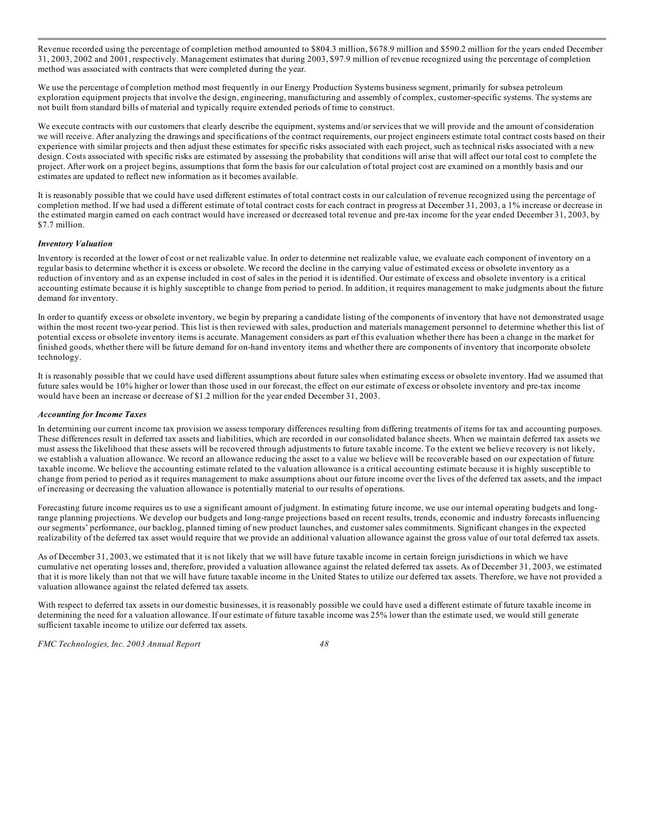Revenue recorded using the percentage of completion method amounted to \$804.3 million, \$678.9 million and \$590.2 million for the years ended December 31, 2003, 2002 and 2001, respectively. Management estimates that during 2003, \$97.9 million of revenue recognized using the percentage of completion method was associated with contracts that were completed during the year.

We use the percentage of completion method most frequently in our Energy Production Systems business segment, primarily for subsea petroleum exploration equipment projects that involve the design, engineering, manufacturing and assembly of complex, customer-specific systems. The systems are not built from standard bills of material and typically require extended periods of time to construct.

We execute contracts with our customers that clearly describe the equipment, systems and/or services that we will provide and the amount of consideration we will receive. After analyzing the drawings and specifications of the contract requirements, our project engineers estimate total contract costs based on their experience with similar projects and then adjust these estimates for specific risks associated with each project, such as technical risks associated with a new design. Costs associated with specific risks are estimated by assessing the probability that conditions will arise that will affect our total cost to complete the project. After work on a project begins, assumptions that form the basis for our calculation of total project cost are examined on a monthly basis and our estimates are updated to reflect new information as it becomes available.

It is reasonably possible that we could have used different estimates of total contract costs in our calculation of revenue recognized using the percentage of completion method. If we had used a different estimate of total contract costs for each contract in progress at December 31, 2003, a 1% increase or decrease in the estimated margin earned on each contract would have increased or decreased total revenue and pre-tax income for the year ended December 31, 2003, by \$7.7 million.

#### *Inventory Valuation*

Inventory is recorded at the lower of cost or net realizable value. In order to determine net realizable value, we evaluate each component of inventory on a regular basis to determine whether it is excess or obsolete. We record the decline in the carrying value of estimated excess or obsolete inventory as a reduction of inventory and as an expense included in cost of sales in the period it is identified. Our estimate of excess and obsolete inventory is a critical accounting estimate because it is highly susceptible to change from period to period. In addition, it requires management to make judgments about the future demand for inventory.

In order to quantify excess or obsolete inventory, we begin by preparing a candidate listing of the components of inventory that have not demonstrated usage within the most recent two-year period. This list is then reviewed with sales, production and materials management personnel to determine whether this list of potential excess or obsolete inventory items is accurate. Management considers as part of this evaluation whether there has been a change in the market for finished goods, whether there will be future demand for on-hand inventory items and whether there are components of inventory that incorporate obsolete technology.

It is reasonably possible that we could have used different assumptions about future sales when estimating excess or obsolete inventory. Had we assumed that future sales would be 10% higher or lower than those used in our forecast, the effect on our estimate of excess or obsolete inventory and pre-tax income would have been an increase or decrease of \$1.2 million for the year ended December 31, 2003.

#### *Accounting for Income Taxes*

In determining our current income tax provision we assess temporary differences resulting from differing treatments of items for tax and accounting purposes. These differences result in deferred tax assets and liabilities, which are recorded in our consolidated balance sheets. When we maintain deferred tax assets we must assess the likelihood that these assets will be recovered through adjustments to future taxable income. To the extent we believe recovery is not likely, we establish a valuation allowance. We record an allowance reducing the asset to a value we believe will be recoverable based on our expectation of future taxable income. We believe the accounting estimate related to the valuation allowance is a critical accounting estimate because it is highly susceptible to change from period to period as it requires management to make assumptions about our future income over the lives of the deferred tax assets, and the impact of increasing or decreasing the valuation allowance is potentially material to our results of operations.

Forecasting future income requires us to use a significant amount of judgment. In estimating future income, we use our internal operating budgets and longrange planning projections. We develop our budgets and long-range projections based on recent results, trends, economic and industry forecasts influencing our segments' performance, our backlog, planned timing of new product launches, and customer sales commitments. Significant changes in the expected realizability of the deferred tax asset would require that we provide an additional valuation allowance against the gross value of our total deferred tax assets.

As of December 31, 2003, we estimated that it is not likely that we will have future taxable income in certain foreign jurisdictions in which we have cumulative net operating losses and, therefore, provided a valuation allowance against the related deferred tax assets. As of December 31, 2003, we estimated that it is more likely than not that we will have future taxable income in the United States to utilize our deferred tax assets. Therefore, we have not provided a valuation allowance against the related deferred tax assets.

With respect to deferred tax assets in our domestic businesses, it is reasonably possible we could have used a different estimate of future taxable income in determining the need for a valuation allowance. If our estimate of future taxable income was 25% lower than the estimate used, we would still generate sufficient taxable income to utilize our deferred tax assets.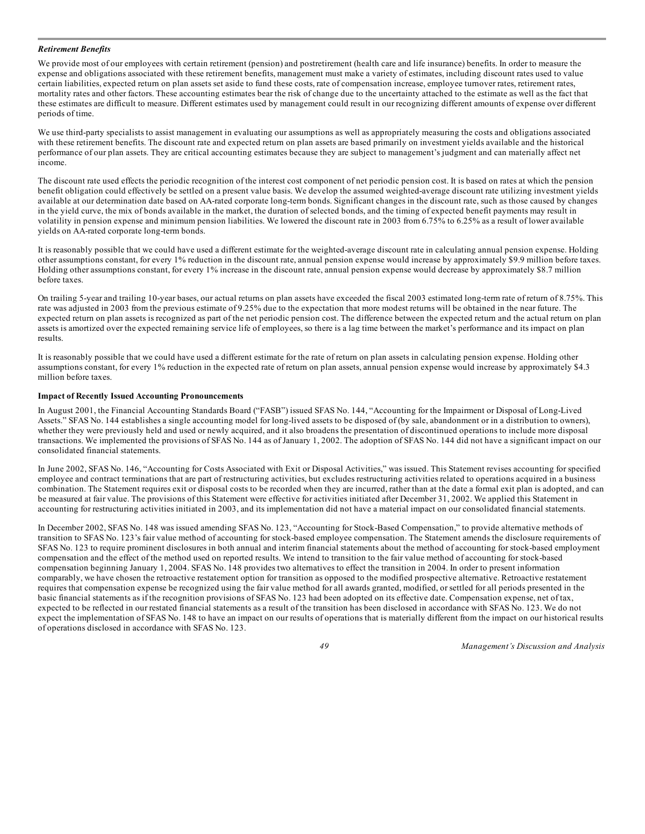#### *Retirement Benefits*

We provide most of our employees with certain retirement (pension) and postretirement (health care and life insurance) benefits. In order to measure the expense and obligations associated with these retirement benefits, management must make a variety of estimates, including discount rates used to value certain liabilities, expected return on plan assets set aside to fund these costs, rate of compensation increase, employee turnover rates, retirement rates, mortality rates and other factors. These accounting estimates bear the risk of change due to the uncertainty attached to the estimate as well as the fact that these estimates are difficult to measure. Different estimates used by management could result in our recognizing different amounts of expense over different periods of time.

We use third-party specialists to assist management in evaluating our assumptions as well as appropriately measuring the costs and obligations associated with these retirement benefits. The discount rate and expected return on plan assets are based primarily on investment yields available and the historical performance of our plan assets. They are critical accounting estimates because they are subject to management's judgment and can materially affect net income.

The discount rate used effects the periodic recognition of the interest cost component of net periodic pension cost. It is based on rates at which the pension benefit obligation could effectively be settled on a present value basis. We develop the assumed weighted-average discount rate utilizing investment yields available at our determination date based on AA-rated corporate long-term bonds. Significant changes in the discount rate, such as those caused by changes in the yield curve, the mix of bonds available in the market, the duration of selected bonds, and the timing of expected benefit payments may result in volatility in pension expense and minimum pension liabilities. We lowered the discount rate in 2003 from 6.75% to 6.25% as a result of lower available yields on AA-rated corporate long-term bonds.

It is reasonably possible that we could have used a different estimate for the weighted-average discount rate in calculating annual pension expense. Holding other assumptions constant, for every 1% reduction in the discount rate, annual pension expense would increase by approximately \$9.9 million before taxes. Holding other assumptions constant, for every 1% increase in the discount rate, annual pension expense would decrease by approximately \$8.7 million before taxes.

On trailing 5-year and trailing 10-year bases, our actual returns on plan assets have exceeded the fiscal 2003 estimated long-term rate of return of 8.75%. This rate was adjusted in 2003 from the previous estimate of 9.25% due to the expectation that more modest returns will be obtained in the near future. The expected return on plan assets is recognized as part of the net periodic pension cost. The difference between the expected return and the actual return on plan assets is amortized over the expected remaining service life of employees, so there is a lag time between the market's performance and its impact on plan results.

It is reasonably possible that we could have used a different estimate for the rate of return on plan assets in calculating pension expense. Holding other assumptions constant, for every 1% reduction in the expected rate of return on plan assets, annual pension expense would increase by approximately \$4.3 million before taxes.

#### **Impact of Recently Issued Accounting Pronouncements**

In August 2001, the Financial Accounting Standards Board ("FASB") issued SFAS No. 144, "Accounting for the Impairment or Disposal of Long-Lived Assets." SFAS No. 144 establishes a single accounting model for long-lived assets to be disposed of (by sale, abandonment or in a distribution to owners), whether they were previously held and used or newly acquired, and it also broadens the presentation of discontinued operations to include more disposal transactions. We implemented the provisions of SFAS No. 144 as of January 1, 2002. The adoption of SFAS No. 144 did not have a significant impact on our consolidated financial statements.

In June 2002, SFAS No. 146, "Accounting for Costs Associated with Exit or Disposal Activities," was issued. This Statement revises accounting for specified employee and contract terminations that are part of restructuring activities, but excludes restructuring activities related to operations acquired in a business combination. The Statement requires exit or disposal costs to be recorded when they are incurred, rather than at the date a formal exit plan is adopted, and can be measured at fair value. The provisions of this Statement were effective for activities initiated after December 31, 2002. We applied this Statement in accounting for restructuring activities initiated in 2003, and its implementation did not have a material impact on our consolidated financial statements.

In December 2002, SFAS No. 148 was issued amending SFAS No. 123, "Accounting for Stock-Based Compensation," to provide alternative methods of transition to SFAS No. 123's fair value method of accounting for stock-based employee compensation. The Statement amends the disclosure requirements of SFAS No. 123 to require prominent disclosures in both annual and interim financial statements about the method of accounting for stock-based employment compensation and the effect of the method used on reported results. We intend to transition to the fair value method of accounting for stock-based compensation beginning January 1, 2004. SFAS No. 148 provides two alternatives to effect the transition in 2004. In order to present information comparably, we have chosen the retroactive restatement option for transition as opposed to the modified prospective alternative. Retroactive restatement requires that compensation expense be recognized using the fair value method for all awards granted, modified, or settled for all periods presented in the basic financial statements as if the recognition provisions of SFAS No. 123 had been adopted on its effective date. Compensation expense, net of tax, expected to be reflected in our restated financial statements as a result of the transition has been disclosed in accordance with SFAS No. 123. We do not expect the implementation of SFAS No. 148 to have an impact on our results of operations that is materially different from the impact on our historical results of operations disclosed in accordance with SFAS No. 123.

*49 Management's Discussion and Analysis*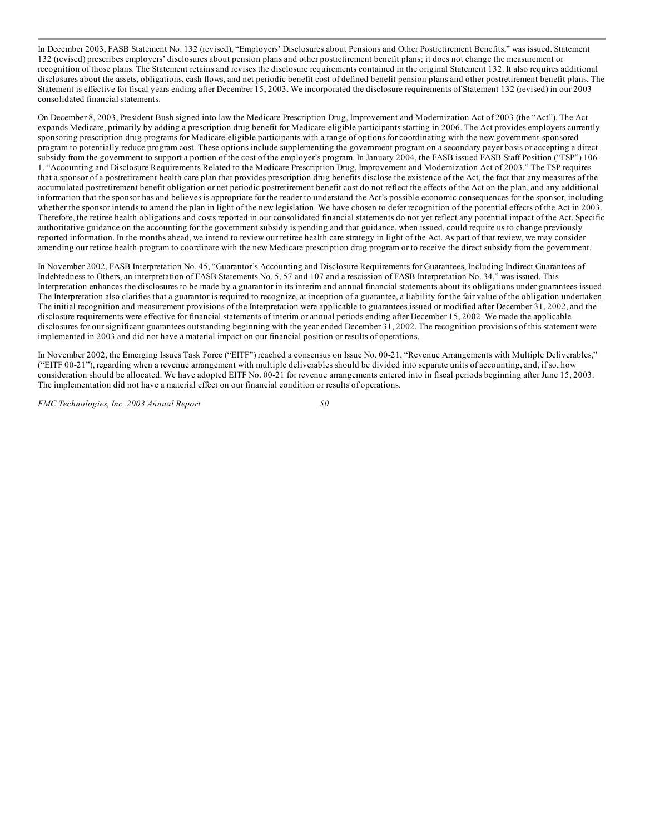In December 2003, FASB Statement No. 132 (revised), "Employers' Disclosures about Pensions and Other Postretirement Benefits," was issued. Statement 132 (revised) prescribes employers' disclosures about pension plans and other postretirement benefit plans; it does not change the measurement or recognition of those plans. The Statement retains and revises the disclosure requirements contained in the original Statement 132. It also requires additional disclosures about the assets, obligations, cash flows, and net periodic benefit cost of defined benefit pension plans and other postretirement benefit plans. The Statement is effective for fiscal years ending after December 15, 2003. We incorporated the disclosure requirements of Statement 132 (revised) in our 2003 consolidated financial statements.

On December 8, 2003, President Bush signed into law the Medicare Prescription Drug, Improvement and Modernization Act of 2003 (the "Act"). The Act expands Medicare, primarily by adding a prescription drug benefit for Medicare-eligible participants starting in 2006. The Act provides employers currently sponsoring prescription drug programs for Medicare-eligible participants with a range of options for coordinating with the new government-sponsored program to potentially reduce program cost. These options include supplementing the government program on a secondary payer basis or accepting a direct subsidy from the government to support a portion of the cost of the employer's program. In January 2004, the FASB issued FASB Staff Position ("FSP") 106- 1, "Accounting and Disclosure Requirements Related to the Medicare Prescription Drug, Improvement and Modernization Act of 2003." The FSP requires that a sponsor of a postretirement health care plan that provides prescription drug benefits disclose the existence of the Act, the fact that any measures of the accumulated postretirement benefit obligation or net periodic postretirement benefit cost do not reflect the effects of the Act on the plan, and any additional information that the sponsor has and believes is appropriate for the reader to understand the Act's possible economic consequences for the sponsor, including whether the sponsor intends to amend the plan in light of the new legislation. We have chosen to defer recognition of the potential effects of the Act in 2003. Therefore, the retiree health obligations and costs reported in our consolidated financial statements do not yet reflect any potential impact of the Act. Specific authoritative guidance on the accounting for the government subsidy is pending and that guidance, when issued, could require us to change previously reported information. In the months ahead, we intend to review our retiree health care strategy in light of the Act. As part of that review, we may consider amending our retiree health program to coordinate with the new Medicare prescription drug program or to receive the direct subsidy from the government.

In November 2002, FASB Interpretation No. 45, "Guarantor's Accounting and Disclosure Requirements for Guarantees, Including Indirect Guarantees of Indebtedness to Others, an interpretation of FASB Statements No. 5, 57 and 107 and a rescission of FASB Interpretation No. 34," was issued. This Interpretation enhances the disclosures to be made by a guarantor in its interim and annual financial statements about its obligations under guarantees issued. The Interpretation also clarifies that a guarantor is required to recognize, at inception of a guarantee, a liability for the fair value of the obligation undertaken. The initial recognition and measurement provisions of the Interpretation were applicable to guarantees issued or modified after December 31, 2002, and the disclosure requirements were effective for financial statements of interim or annual periods ending after December 15, 2002. We made the applicable disclosures for our significant guarantees outstanding beginning with the year ended December 31, 2002. The recognition provisions of this statement were implemented in 2003 and did not have a material impact on our financial position or results of operations.

In November 2002, the Emerging Issues Task Force ("EITF") reached a consensus on Issue No. 00-21, "Revenue Arrangements with Multiple Deliverables," ("EITF 00-21"), regarding when a revenue arrangement with multiple deliverables should be divided into separate units of accounting, and, if so, how consideration should be allocated. We have adopted EITF No. 00-21 for revenue arrangements entered into in fiscal periods beginning after June 15, 2003. The implementation did not have a material effect on our financial condition or results of operations.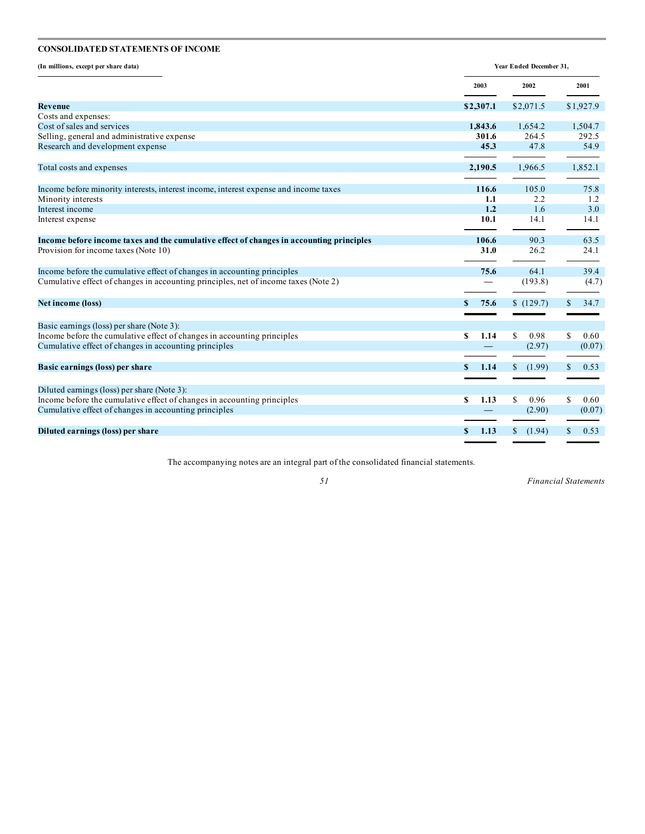# **CONSOLIDATED STATEMENTS OF INCOME**

**(In millions, except per share data) Year Ended December 31,**

|                                                                                                            | 2003       | 2002                   | 2001       |
|------------------------------------------------------------------------------------------------------------|------------|------------------------|------------|
| Revenue                                                                                                    | \$2,307.1  | \$2,071.5              | \$1,927.9  |
| Costs and expenses:                                                                                        |            |                        |            |
| Cost of sales and services                                                                                 | 1,843.6    | 1,654.2                | 1,504.7    |
| Selling, general and administrative expense                                                                | 301.6      | 264.5                  | 292.5      |
| Research and development expense                                                                           | 45.3       | 47.8                   | 54.9       |
| Total costs and expenses                                                                                   | 2,190.5    | 1,966.5                | 1,852.1    |
|                                                                                                            | 116.6      | 105.0                  | 75.8       |
| Income before minority interests, interest income, interest expense and income taxes<br>Minority interests | 1.1        | 2.2                    | 1.2        |
| Interest income                                                                                            | 1.2        | 1.6                    | 3.0        |
| Interest expense                                                                                           | 10.1       | 14.1                   | 14.1       |
| Income before income taxes and the cumulative effect of changes in accounting principles                   | 106.6      | 90.3                   | 63.5       |
| Provision for income taxes (Note 10)                                                                       | 31.0       | 26.2                   | 24.1       |
| Income before the cumulative effect of changes in accounting principles                                    | 75.6       | 64.1                   | 39.4       |
| Cumulative effect of changes in accounting principles, net of income taxes (Note 2)                        |            | (193.8)                | (4.7)      |
| Net income (loss)                                                                                          | 75.6<br>\$ | \$(129.7)              | 34.7       |
| Basic earnings (loss) per share (Note 3):                                                                  |            |                        |            |
| Income before the cumulative effect of changes in accounting principles                                    | S<br>1.14  | \$.<br>0.98            | 0.60<br>\$ |
| Cumulative effect of changes in accounting principles                                                      |            | (2.97)                 | (0.07)     |
| Basic earnings (loss) per share                                                                            | 1.14       | $\mathbb{S}$<br>(1.99) | \$<br>0.53 |
|                                                                                                            |            |                        |            |
| Diluted earnings (loss) per share (Note 3):                                                                |            |                        |            |
| Income before the cumulative effect of changes in accounting principles                                    | \$<br>1.13 | S.<br>0.96             | S.<br>0.60 |
| Cumulative effect of changes in accounting principles                                                      |            | (2.90)                 | (0.07)     |
| Diluted earnings (loss) per share                                                                          | \$<br>1.13 | $\mathbb{S}$<br>(1.94) | 0.53<br>\$ |
|                                                                                                            |            |                        |            |

The accompanying notes are an integral part of the consolidated financial statements.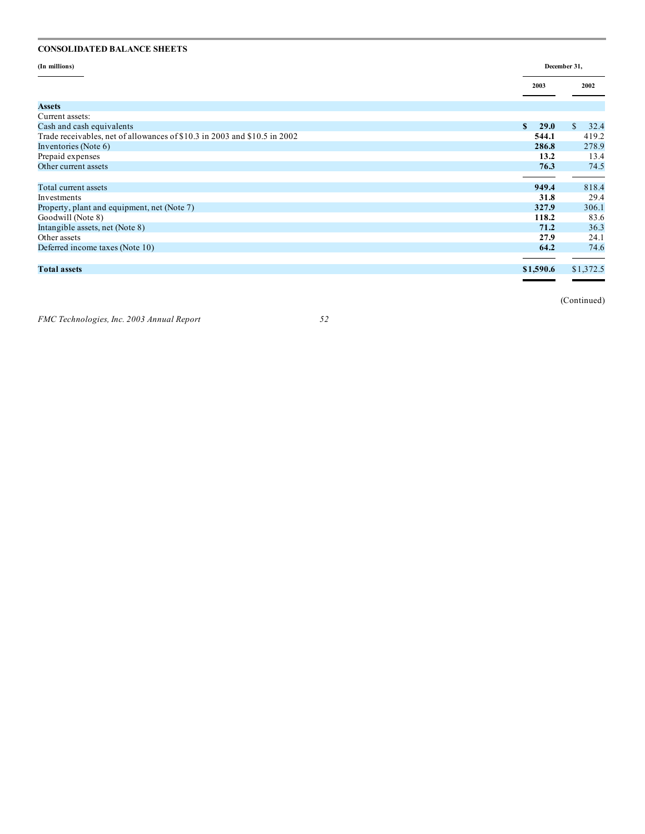# **CONSOLIDATED BALANCE SHEETS**

| (In millions)                                                             |    | December 31, |               |           |  |
|---------------------------------------------------------------------------|----|--------------|---------------|-----------|--|
|                                                                           |    | 2003         |               | 2002      |  |
| <b>Assets</b>                                                             |    |              |               |           |  |
| Current assets:                                                           |    |              |               |           |  |
| Cash and cash equivalents                                                 | \$ | <b>29.0</b>  | <sup>\$</sup> | 32.4      |  |
| Trade receivables, net of allowances of \$10.3 in 2003 and \$10.5 in 2002 |    | 544.1        |               | 419.2     |  |
| Inventories (Note 6)                                                      |    | 286.8        |               | 278.9     |  |
| Prepaid expenses                                                          |    | 13.2         |               | 13.4      |  |
| Other current assets                                                      |    | 76.3         |               | 74.5      |  |
|                                                                           |    |              |               |           |  |
| Total current assets                                                      |    | 949.4        |               | 818.4     |  |
| Investments                                                               |    | 31.8         |               | 29.4      |  |
| Property, plant and equipment, net (Note 7)                               |    | 327.9        |               | 306.1     |  |
| Goodwill (Note 8)                                                         |    | 118.2        |               | 83.6      |  |
| Intangible assets, net (Note 8)                                           |    | 71.2         |               | 36.3      |  |
| Other assets                                                              |    | 27.9         |               | 24.1      |  |
| Deferred income taxes (Note 10)                                           |    | 64.2         |               | 74.6      |  |
|                                                                           |    |              |               |           |  |
| <b>Total assets</b>                                                       |    | \$1,590.6    |               | \$1,372.5 |  |

(Continued)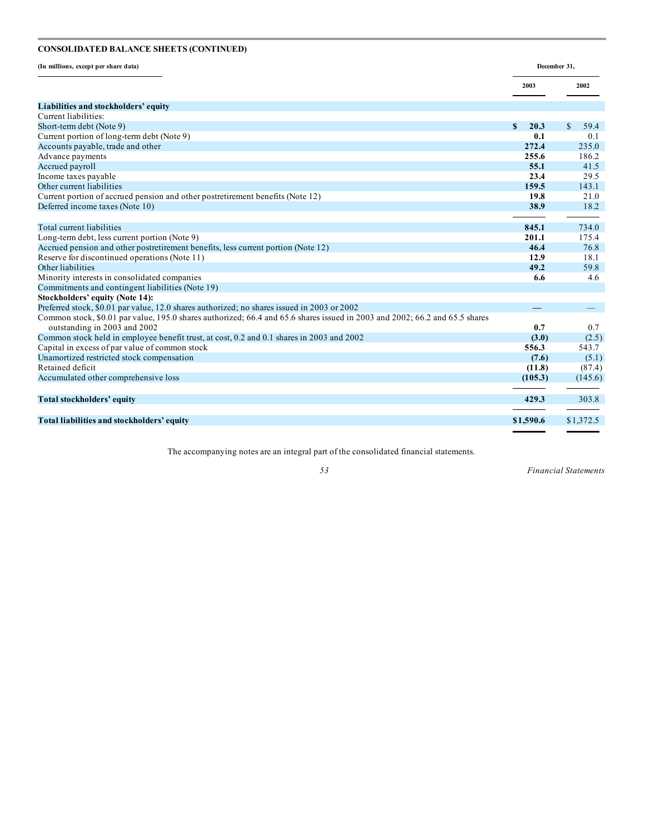# **CONSOLIDATED BALANCE SHEETS (CONTINUED)**

| (In millions, except per share data)                                                                                                                        |           | December 31,         |  |  |  |
|-------------------------------------------------------------------------------------------------------------------------------------------------------------|-----------|----------------------|--|--|--|
|                                                                                                                                                             | 2003      | 2002                 |  |  |  |
| Liabilities and stockholders' equity                                                                                                                        |           |                      |  |  |  |
| Current liabilities:                                                                                                                                        |           |                      |  |  |  |
| Short-term debt (Note 9)                                                                                                                                    | S<br>20.3 | $\mathbb{S}$<br>59.4 |  |  |  |
| Current portion of long-term debt (Note 9)                                                                                                                  | 0.1       | 0.1                  |  |  |  |
| Accounts payable, trade and other                                                                                                                           | 272.4     | 235.0                |  |  |  |
| Advance payments                                                                                                                                            | 255.6     | 186.2                |  |  |  |
| Accrued payroll                                                                                                                                             | 55.1      | 41.5                 |  |  |  |
| Income taxes payable                                                                                                                                        | 23.4      | 29.5                 |  |  |  |
| Other current liabilities                                                                                                                                   | 159.5     | 143.1                |  |  |  |
| Current portion of accrued pension and other postretirement benefits (Note 12)                                                                              | 19.8      | 21.0                 |  |  |  |
| Deferred income taxes (Note 10)                                                                                                                             | 38.9      | 18.2                 |  |  |  |
|                                                                                                                                                             |           |                      |  |  |  |
| Total current liabilities                                                                                                                                   | 845.1     | 734.0                |  |  |  |
| Long-term debt, less current portion (Note 9)                                                                                                               | 201.1     | 175.4                |  |  |  |
| Accrued pension and other postretirement benefits, less current portion (Note 12)                                                                           | 46.4      | 76.8                 |  |  |  |
| Reserve for discontinued operations (Note 11)                                                                                                               | 12.9      | 18.1                 |  |  |  |
| Other liabilities                                                                                                                                           | 49.2      | 59.8                 |  |  |  |
| Minority interests in consolidated companies                                                                                                                | 6.6       | 4.6                  |  |  |  |
| Commitments and contingent liabilities (Note 19)                                                                                                            |           |                      |  |  |  |
| Stockholders' equity (Note 14):                                                                                                                             |           |                      |  |  |  |
| Preferred stock, \$0.01 par value, 12.0 shares authorized; no shares issued in 2003 or 2002                                                                 |           |                      |  |  |  |
| Common stock, \$0.01 par value, 195.0 shares authorized; 66.4 and 65.6 shares issued in 2003 and 2002; 66.2 and 65.5 shares<br>outstanding in 2003 and 2002 | 0.7       | 0.7                  |  |  |  |
| Common stock held in employee benefit trust, at cost, 0.2 and 0.1 shares in 2003 and 2002                                                                   | (3.0)     | (2.5)                |  |  |  |
| Capital in excess of par value of common stock                                                                                                              | 556.3     | 543.7                |  |  |  |
| Unamortized restricted stock compensation                                                                                                                   | (7.6)     | (5.1)                |  |  |  |
| Retained deficit                                                                                                                                            | (11.8)    | (87.4)               |  |  |  |
| Accumulated other comprehensive loss                                                                                                                        | (105.3)   | (145.6)              |  |  |  |
| Total stockholders' equity                                                                                                                                  | 429.3     | 303.8                |  |  |  |
| Total liabilities and stockholders' equity                                                                                                                  | \$1,590.6 | \$1,372.5            |  |  |  |
|                                                                                                                                                             |           |                      |  |  |  |

The accompanying notes are an integral part of the consolidated financial statements.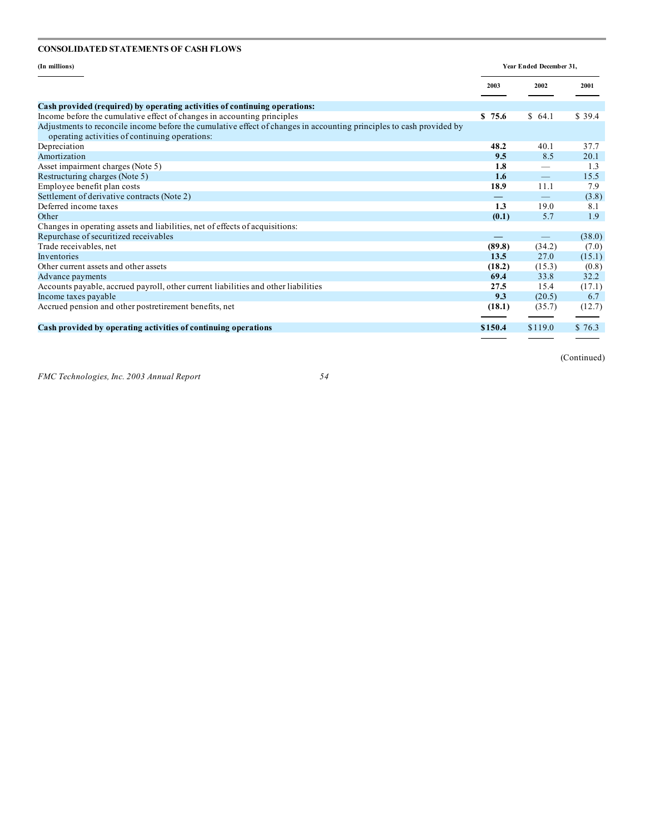# **CONSOLIDATED STATEMENTS OF CASH FLOWS**

| (In millions)                                                                                                                                                          |         | Year Ended December 31, |        |  |  |
|------------------------------------------------------------------------------------------------------------------------------------------------------------------------|---------|-------------------------|--------|--|--|
|                                                                                                                                                                        | 2003    | 2002                    | 2001   |  |  |
| Cash provided (required) by operating activities of continuing operations:                                                                                             |         |                         |        |  |  |
| Income before the cumulative effect of changes in accounting principles                                                                                                | \$75.6  | \$64.1                  | \$39.4 |  |  |
| Adjustments to reconcile income before the cumulative effect of changes in accounting principles to cash provided by<br>operating activities of continuing operations: |         |                         |        |  |  |
| Depreciation                                                                                                                                                           | 48.2    | 40.1                    | 37.7   |  |  |
| Amortization                                                                                                                                                           | 9.5     | 8.5                     | 20.1   |  |  |
| Asset impairment charges (Note 5)                                                                                                                                      | 1.8     |                         | 1.3    |  |  |
| Restructuring charges (Note 5)                                                                                                                                         | 1.6     |                         | 15.5   |  |  |
| Employee benefit plan costs                                                                                                                                            | 18.9    | 11.1                    | 7.9    |  |  |
| Settlement of derivative contracts (Note 2)                                                                                                                            |         |                         | (3.8)  |  |  |
| Deferred income taxes                                                                                                                                                  | 1.3     | 19.0                    | 8.1    |  |  |
| Other                                                                                                                                                                  | (0.1)   | 5.7                     | 1.9    |  |  |
| Changes in operating assets and liabilities, net of effects of acquisitions:                                                                                           |         |                         |        |  |  |
| Repurchase of securitized receivables                                                                                                                                  |         |                         | (38.0) |  |  |
| Trade receivables, net                                                                                                                                                 | (89.8)  | (34.2)                  | (7.0)  |  |  |
| Inventories                                                                                                                                                            | 13.5    | 27.0                    | (15.1) |  |  |
| Other current assets and other assets                                                                                                                                  | (18.2)  | (15.3)                  | (0.8)  |  |  |
| Advance payments                                                                                                                                                       | 69.4    | 33.8                    | 32.2   |  |  |
| Accounts payable, accrued payroll, other current liabilities and other liabilities                                                                                     | 27.5    | 15.4                    | (17.1) |  |  |
| Income taxes payable                                                                                                                                                   | 9.3     | (20.5)                  | 6.7    |  |  |
| Accrued pension and other postretirement benefits, net                                                                                                                 | (18.1)  | (35.7)                  | (12.7) |  |  |
| Cash provided by operating activities of continuing operations                                                                                                         | \$150.4 | \$119.0                 | \$76.3 |  |  |

*FMC Technologies, Inc. 2003 Annual Report 54*

(Continued)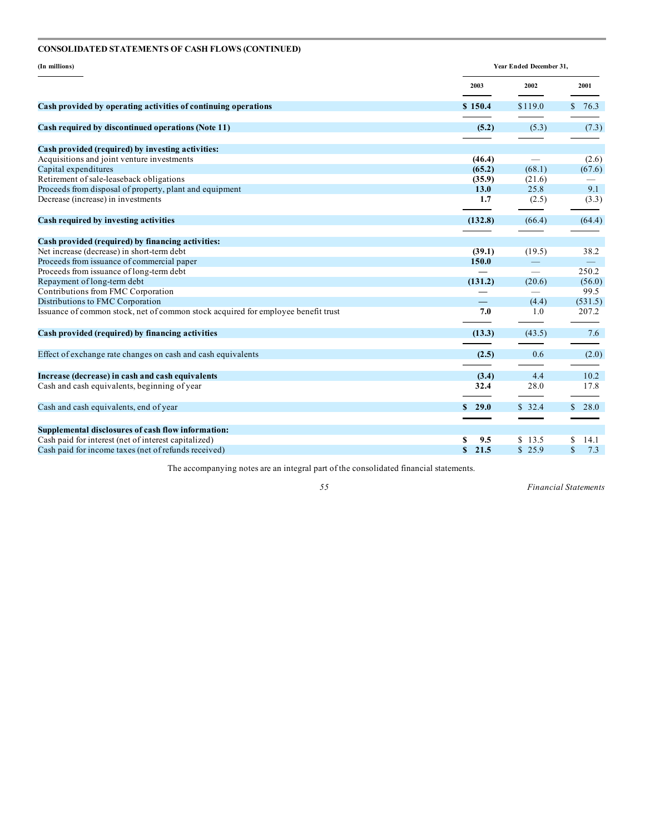# **CONSOLIDATED STATEMENTS OF CASH FLOWS (CONTINUED)**

| (In millions)                                                                     |            | Year Ended December 31, |            |  |  |  |
|-----------------------------------------------------------------------------------|------------|-------------------------|------------|--|--|--|
|                                                                                   | 2003       | 2002                    | 2001       |  |  |  |
| Cash provided by operating activities of continuing operations                    | \$150.4    | \$119.0                 | 76.3<br>S. |  |  |  |
| Cash required by discontinued operations (Note 11)                                | (5.2)      | (5.3)                   | (7.3)      |  |  |  |
|                                                                                   |            |                         |            |  |  |  |
| Cash provided (required) by investing activities:                                 |            |                         |            |  |  |  |
| Acquisitions and joint venture investments                                        | (46.4)     |                         | (2.6)      |  |  |  |
| Capital expenditures                                                              | (65.2)     | (68.1)                  | (67.6)     |  |  |  |
| Retirement of sale-leaseback obligations                                          | (35.9)     | (21.6)                  |            |  |  |  |
| Proceeds from disposal of property, plant and equipment                           | 13.0       | 25.8                    | 9.1        |  |  |  |
| Decrease (increase) in investments                                                | 1.7        | (2.5)                   | (3.3)      |  |  |  |
| Cash required by investing activities                                             | (132.8)    | (66.4)                  | (64.4)     |  |  |  |
| Cash provided (required) by financing activities:                                 |            |                         |            |  |  |  |
| Net increase (decrease) in short-term debt                                        | (39.1)     | (19.5)                  | 38.2       |  |  |  |
| Proceeds from issuance of commercial paper                                        | 150.0      |                         |            |  |  |  |
| Proceeds from issuance of long-term debt                                          |            |                         | 250.2      |  |  |  |
| Repayment of long-term debt                                                       | (131.2)    | (20.6)                  | (56.0)     |  |  |  |
| Contributions from FMC Corporation                                                |            |                         | 99.5       |  |  |  |
| Distributions to FMC Corporation                                                  |            | (4.4)                   | (531.5)    |  |  |  |
| Issuance of common stock, net of common stock acquired for employee benefit trust | 7.0        | 1.0                     | 207.2      |  |  |  |
| Cash provided (required) by financing activities                                  | (13.3)     | (43.5)                  | 7.6        |  |  |  |
|                                                                                   |            |                         |            |  |  |  |
| Effect of exchange rate changes on cash and cash equivalents                      | (2.5)      | 0.6                     | (2.0)      |  |  |  |
| Increase (decrease) in cash and cash equivalents                                  | (3.4)      | 4.4                     | 10.2       |  |  |  |
| Cash and cash equivalents, beginning of year                                      | 32.4       | 28.0                    | 17.8       |  |  |  |
| Cash and cash equivalents, end of year                                            | \$29.0     | \$32.4                  | \$28.0     |  |  |  |
|                                                                                   |            |                         |            |  |  |  |
| Supplemental disclosures of cash flow information:                                |            |                         |            |  |  |  |
| Cash paid for interest (net of interest capitalized)                              | 9.5<br>S   | \$13.5                  | S<br>14.1  |  |  |  |
| Cash paid for income taxes (net of refunds received)                              | 21.5<br>\$ | \$25.9                  | \$<br>7.3  |  |  |  |

The accompanying notes are an integral part of the consolidated financial statements.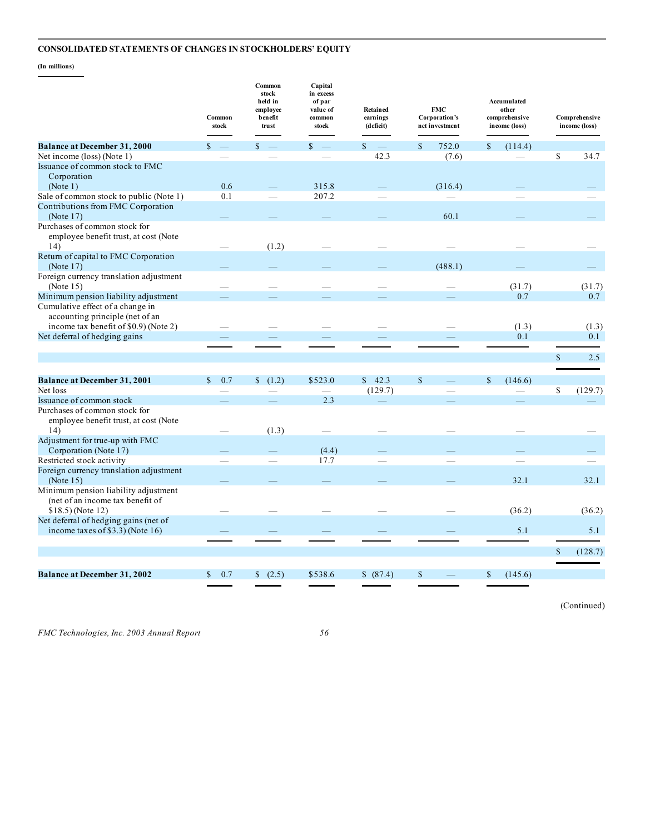# **CONSOLIDATED STATEMENTS OF CHANGES IN STOCKHOLDERS' EQUITY**

## **(In millions)**

|                                                                                                             | Common<br>stock | Common<br>stock<br>held in<br>employee<br>benefit<br>trust | Capital<br>in excess<br>of par<br>value of<br>common<br>stock | Retained<br>earnings<br>(deficit) | <b>FMC</b><br>Corporation's<br>net investment | Accumulated<br>other<br>comprehensive<br>income (loss) | Comprehensive<br>income (loss) |
|-------------------------------------------------------------------------------------------------------------|-----------------|------------------------------------------------------------|---------------------------------------------------------------|-----------------------------------|-----------------------------------------------|--------------------------------------------------------|--------------------------------|
| <b>Balance at December 31, 2000</b>                                                                         |                 | $\mathbb{S}$<br>$\overline{\phantom{a}}$                   | $\mathbb{S}$<br>$\sim$                                        | $\mathbb{S}$<br>$\sim$            | $\mathbb{S}$<br>752.0                         | \$<br>(114.4)                                          |                                |
| Net income (loss) (Note 1)                                                                                  |                 |                                                            |                                                               | 42.3                              | (7.6)                                         |                                                        | \$<br>34.7                     |
| Issuance of common stock to FMC<br>Corporation                                                              |                 |                                                            |                                                               |                                   |                                               |                                                        |                                |
| (Note 1)                                                                                                    | 0.6             |                                                            | 315.8                                                         |                                   | (316.4)                                       |                                                        |                                |
| Sale of common stock to public (Note 1)<br>Contributions from FMC Corporation<br>(Note 17)                  | 0.1             |                                                            | 207.2                                                         |                                   | 60.1                                          |                                                        |                                |
| Purchases of common stock for<br>employee benefit trust, at cost (Note<br>14)                               |                 | (1.2)                                                      |                                                               |                                   |                                               |                                                        |                                |
| Return of capital to FMC Corporation<br>(Note $17$ )                                                        |                 |                                                            |                                                               |                                   | (488.1)                                       |                                                        |                                |
| Foreign currency translation adjustment<br>(Note 15)                                                        |                 |                                                            |                                                               |                                   |                                               | (31.7)<br>0.7                                          | (31.7)<br>0.7                  |
| Minimum pension liability adjustment<br>Cumulative effect of a change in<br>accounting principle (net of an |                 |                                                            |                                                               |                                   |                                               |                                                        |                                |
| income tax benefit of \$0.9) (Note 2)<br>Net deferral of hedging gains                                      |                 |                                                            |                                                               |                                   |                                               | (1.3)<br>0.1                                           | (1.3)<br>0.1                   |
|                                                                                                             |                 |                                                            |                                                               |                                   |                                               |                                                        | $\mathbf S$<br>2.5             |
| <b>Balance at December 31, 2001</b><br>Net loss                                                             | 0.7<br>S        | (1.2)                                                      | \$523.0                                                       | \$42.3<br>(129.7)                 | $\mathbb{S}$                                  | $\mathcal{S}$<br>(146.6)                               | \$<br>(129.7)                  |
| Issuance of common stock                                                                                    |                 |                                                            | 2.3                                                           | $\overline{\phantom{0}}$          |                                               |                                                        |                                |
| Purchases of common stock for<br>employee benefit trust, at cost (Note<br>14)                               |                 | (1.3)                                                      |                                                               |                                   |                                               |                                                        |                                |
| Adjustment for true-up with FMC<br>Corporation (Note 17)                                                    |                 |                                                            | (4.4)                                                         |                                   |                                               |                                                        |                                |
| Restricted stock activity                                                                                   |                 |                                                            | 17.7                                                          |                                   |                                               |                                                        |                                |
| Foreign currency translation adjustment<br>(Note $15$ )                                                     |                 |                                                            |                                                               |                                   |                                               | 32.1                                                   | 32.1                           |
| Minimum pension liability adjustment<br>(net of an income tax benefit of<br>\$18.5) (Note 12)               |                 |                                                            |                                                               |                                   |                                               | (36.2)                                                 | (36.2)                         |
| Net deferral of hedging gains (net of<br>income taxes of \$3.3) (Note 16)                                   |                 |                                                            |                                                               |                                   |                                               | 5.1                                                    | 5.1                            |
|                                                                                                             |                 |                                                            |                                                               |                                   |                                               |                                                        | \$<br>(128.7)                  |
| <b>Balance at December 31, 2002</b>                                                                         | 0.7<br>S        | (2.5)<br>\$                                                | \$538.6                                                       | \$ (87.4)                         | \$                                            | \$<br>(145.6)                                          |                                |

(Continued)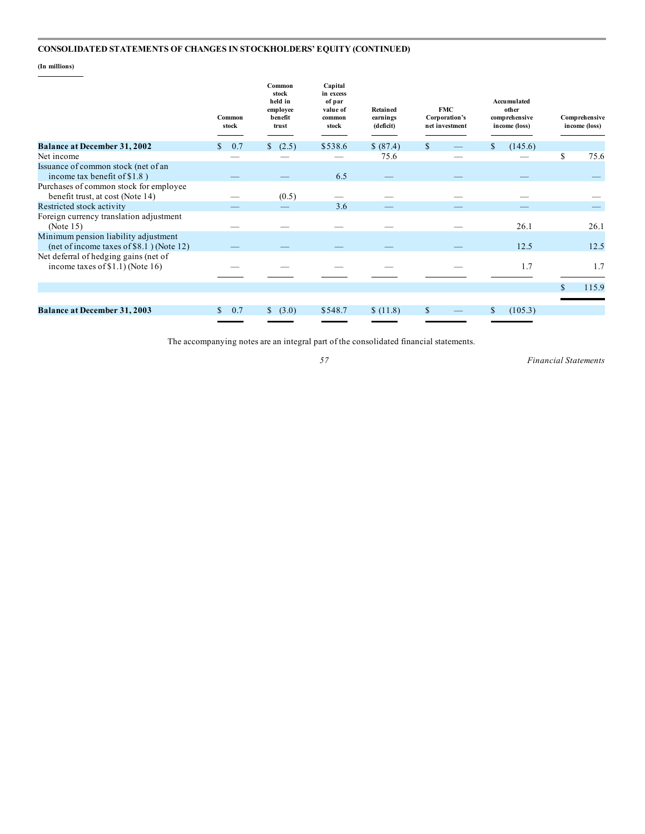# **CONSOLIDATED STATEMENTS OF CHANGES IN STOCKHOLDERS' EQUITY (CONTINUED)**

# **(In millions)**

|                                                                                  | Common<br>stock | Common<br>stock<br>held in<br>employee<br>benefit<br>trust | Capital<br>in excess<br>of par<br>value of<br>common<br>stock | Retained<br>earnings<br>(deficit) | <b>FMC</b><br>Corporation's<br>net investment |  |    |         | Accumulated<br>other<br>comprehensive<br>income (loss) |  | Comprehensive<br>income (loss) |
|----------------------------------------------------------------------------------|-----------------|------------------------------------------------------------|---------------------------------------------------------------|-----------------------------------|-----------------------------------------------|--|----|---------|--------------------------------------------------------|--|--------------------------------|
| <b>Balance at December 31, 2002</b>                                              | 0.7<br>S.       | (2.5)<br>$\mathbb{S}$                                      | \$538.6                                                       | \$ (87.4)                         | \$                                            |  | S. | (145.6) |                                                        |  |                                |
| Net income                                                                       |                 |                                                            |                                                               | 75.6                              |                                               |  |    |         | \$<br>75.6                                             |  |                                |
| Issuance of common stock (net of an<br>income tax benefit of $$1.8$ )            |                 |                                                            | 6.5                                                           |                                   |                                               |  |    |         |                                                        |  |                                |
| Purchases of common stock for employee<br>benefit trust, at cost (Note 14)       |                 | (0.5)                                                      |                                                               |                                   |                                               |  |    |         |                                                        |  |                                |
| Restricted stock activity                                                        |                 |                                                            | 3.6                                                           |                                   |                                               |  |    |         |                                                        |  |                                |
| Foreign currency translation adjustment<br>(Note 15)                             |                 |                                                            |                                                               |                                   |                                               |  |    | 26.1    | 26.1                                                   |  |                                |
| Minimum pension liability adjustment<br>(net of income taxes of \$8.1) (Note 12) |                 |                                                            |                                                               |                                   |                                               |  |    | 12.5    | 12.5                                                   |  |                                |
| Net deferral of hedging gains (net of<br>income taxes of $$1.1)$ (Note 16)       |                 |                                                            |                                                               |                                   |                                               |  |    | 1.7     | 1.7                                                    |  |                                |
|                                                                                  |                 |                                                            |                                                               |                                   |                                               |  |    |         | 115.9                                                  |  |                                |
|                                                                                  |                 |                                                            |                                                               |                                   |                                               |  |    |         |                                                        |  |                                |
| <b>Balance at December 31, 2003</b>                                              | 0.7<br>S.       | \$ (3.0)                                                   | \$548.7                                                       | \$(11.8)                          | \$.                                           |  |    | (105.3) |                                                        |  |                                |
|                                                                                  |                 |                                                            |                                                               |                                   |                                               |  |    |         |                                                        |  |                                |

The accompanying notes are an integral part of the consolidated financial statements.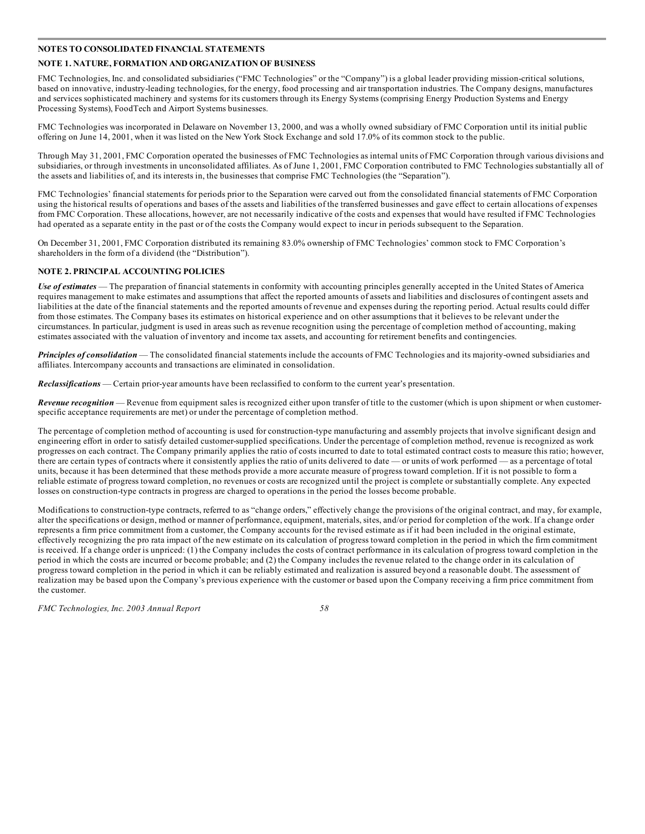# **NOTES TO CONSOLIDATED FINANCIAL STATEMENTS**

# **NOTE 1. NATURE, FORMATION AND ORGANIZATION OF BUSINESS**

FMC Technologies, Inc. and consolidated subsidiaries ("FMC Technologies" or the "Company") is a global leader providing mission-critical solutions, based on innovative, industry-leading technologies, for the energy, food processing and air transportation industries. The Company designs, manufactures and services sophisticated machinery and systems for its customers through its Energy Systems (comprising Energy Production Systems and Energy Processing Systems), FoodTech and Airport Systems businesses.

FMC Technologies was incorporated in Delaware on November 13, 2000, and was a wholly owned subsidiary of FMC Corporation until its initial public offering on June 14, 2001, when it was listed on the New York Stock Exchange and sold 17.0% of its common stock to the public.

Through May 31, 2001, FMC Corporation operated the businesses of FMC Technologies as internal units of FMC Corporation through various divisions and subsidiaries, or through investments in unconsolidated affiliates. As of June 1, 2001, FMC Corporation contributed to FMC Technologies substantially all of the assets and liabilities of, and its interests in, the businesses that comprise FMC Technologies (the "Separation").

FMC Technologies' financial statements for periods prior to the Separation were carved out from the consolidated financial statements of FMC Corporation using the historical results of operations and bases of the assets and liabilities of the transferred businesses and gave effect to certain allocations of expenses from FMC Corporation. These allocations, however, are not necessarily indicative of the costs and expenses that would have resulted if FMC Technologies had operated as a separate entity in the past or of the costs the Company would expect to incur in periods subsequent to the Separation.

On December 31, 2001, FMC Corporation distributed its remaining 83.0% ownership of FMC Technologies' common stock to FMC Corporation's shareholders in the form of a dividend (the "Distribution").

## **NOTE 2. PRINCIPAL ACCOUNTING POLICIES**

*Use of estimates* — The preparation of financial statements in conformity with accounting principles generally accepted in the United States of America requires management to make estimates and assumptions that affect the reported amounts of assets and liabilities and disclosures of contingent assets and liabilities at the date of the financial statements and the reported amounts of revenue and expenses during the reporting period. Actual results could differ from those estimates. The Company bases its estimates on historical experience and on other assumptions that it believes to be relevant under the circumstances. In particular, judgment is used in areas such as revenue recognition using the percentage of completion method of accounting, making estimates associated with the valuation of inventory and income tax assets, and accounting for retirement benefits and contingencies.

*Principles of consolidation*— The consolidated financial statements include the accounts of FMC Technologies and its majority-owned subsidiaries and affiliates. Intercompany accounts and transactions are eliminated in consolidation.

*Reclassifications* — Certain prior-year amounts have been reclassified to conform to the current year's presentation.

*Revenue recognition* — Revenue from equipment sales is recognized either upon transfer of title to the customer (which is upon shipment or when customerspecific acceptance requirements are met) or under the percentage of completion method.

The percentage of completion method of accounting is used for construction-type manufacturing and assembly projects that involve significant design and engineering effort in order to satisfy detailed customer-supplied specifications. Under the percentage of completion method, revenue is recognized as work progresses on each contract. The Company primarily applies the ratio of costs incurred to date to total estimated contract costs to measure this ratio; however, there are certain types of contracts where it consistently applies the ratio of units delivered to date — or units of work performed — as a percentage of total units, because it has been determined that these methods provide a more accurate measure of progress toward completion. If it is not possible to form a reliable estimate of progress toward completion, no revenues or costs are recognized until the project is complete or substantially complete. Any expected losses on construction-type contracts in progress are charged to operations in the period the losses become probable.

Modifications to construction-type contracts, referred to as "change orders," effectively change the provisions of the original contract, and may, for example, alter the specifications or design, method or manner of performance, equipment, materials, sites, and/or period for completion of the work. If a change order represents a firm price commitment from a customer, the Company accounts for the revised estimate as if it had been included in the original estimate, effectively recognizing the pro rata impact of the new estimate on its calculation of progress toward completion in the period in which the firm commitment is received. If a change order is unpriced: (1) the Company includes the costs of contract performance in its calculation of progress toward completion in the period in which the costs are incurred or become probable; and (2) the Company includes the revenue related to the change order in its calculation of progress toward completion in the period in which it can be reliably estimated and realization is assured beyond a reasonable doubt. The assessment of realization may be based upon the Company's previous experience with the customer or based upon the Company receiving a firm price commitment from the customer.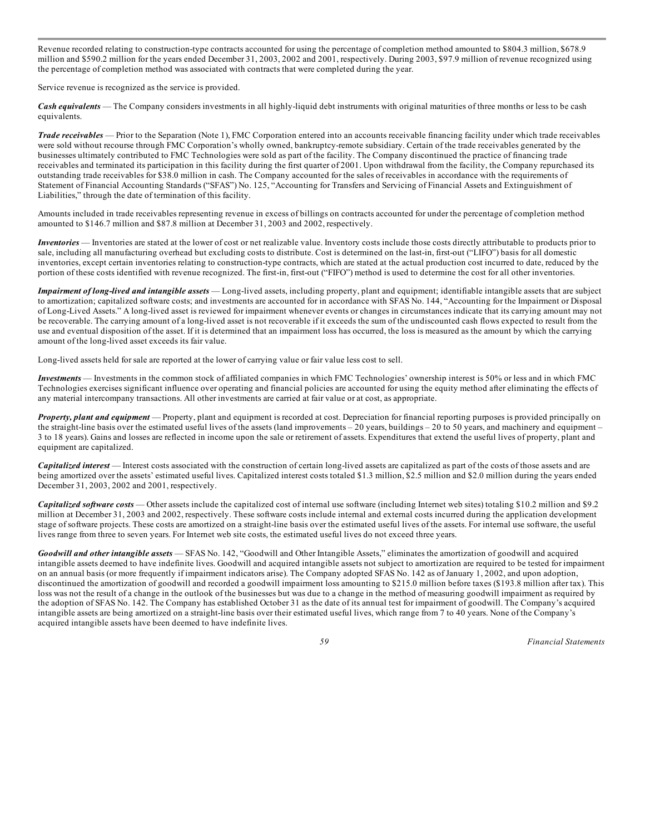Revenue recorded relating to construction-type contracts accounted for using the percentage of completion method amounted to \$804.3 million, \$678.9 million and \$590.2 million for the years ended December 31, 2003, 2002 and 2001, respectively. During 2003, \$97.9 million of revenue recognized using the percentage of completion method was associated with contracts that were completed during the year.

Service revenue is recognized as the service is provided.

*Cash equivalents* — The Company considers investments in all highly-liquid debt instruments with original maturities of three months or less to be cash equivalents.

*Trade receivables* — Prior to the Separation (Note 1), FMC Corporation entered into an accounts receivable financing facility under which trade receivables were sold without recourse through FMC Corporation's wholly owned, bankruptcy-remote subsidiary. Certain of the trade receivables generated by the businesses ultimately contributed to FMC Technologies were sold as part of the facility. The Company discontinued the practice of financing trade receivables and terminated its participation in this facility during the first quarter of 2001. Upon withdrawal from the facility, the Company repurchased its outstanding trade receivables for \$38.0 million in cash. The Company accounted for the sales of receivables in accordance with the requirements of Statement of Financial Accounting Standards ("SFAS") No. 125, "Accounting for Transfers and Servicing of Financial Assets and Extinguishment of Liabilities," through the date of termination of this facility.

Amounts included in trade receivables representing revenue in excess of billings on contracts accounted for under the percentage of completion method amounted to \$146.7 million and \$87.8 million at December 31, 2003 and 2002, respectively.

*Inventories* — Inventories are stated at the lower of cost or net realizable value. Inventory costs include those costs directly attributable to products prior to sale, including all manufacturing overhead but excluding costs to distribute. Cost is determined on the last-in, first-out ("LIFO") basis for all domestic inventories, except certain inventories relating to construction-type contracts, which are stated at the actual production cost incurred to date, reduced by the portion of these costs identified with revenue recognized. The first-in, first-out ("FIFO") method is used to determine the cost for all other inventories.

*Impairment of long-lived and intangible assets* — Long-lived assets, including property, plant and equipment; identifiable intangible assets that are subject to amortization; capitalized software costs; and investments are accounted for in accordance with SFAS No. 144, "Accounting for the Impairment or Disposal of Long-Lived Assets." A long-lived asset is reviewed for impairment whenever events or changes in circumstances indicate that its carrying amount may not be recoverable. The carrying amount of a long-lived asset is not recoverable if it exceeds the sum of the undiscounted cash flows expected to result from the use and eventual disposition of the asset. If it is determined that an impairment loss has occurred, the loss is measured as the amount by which the carrying amount of the long-lived asset exceeds its fair value.

Long-lived assets held for sale are reported at the lower of carrying value or fair value less cost to sell.

*Investments* — Investments in the common stock of affiliated companies in which FMC Technologies' ownership interest is 50% or less and in which FMC Technologies exercises significant influence over operating and financial policies are accounted for using the equity method after eliminating the effects of any material intercompany transactions. All other investments are carried at fair value or at cost, as appropriate.

*Property, plant and equipment* — Property, plant and equipment is recorded at cost. Depreciation for financial reporting purposes is provided principally on the straight-line basis over the estimated useful lives of the assets (land improvements – 20 years, buildings – 20 to 50 years, and machinery and equipment – 3 to 18 years). Gains and losses are reflected in income upon the sale or retirement of assets. Expenditures that extend the useful lives of property, plant and equipment are capitalized.

*Capitalized interest* — Interest costs associated with the construction of certain long-lived assets are capitalized as part of the costs of those assets and are being amortized over the assets' estimated useful lives. Capitalized interest costs totaled \$1.3 million, \$2.5 million and \$2.0 million during the years ended December 31, 2003, 2002 and 2001, respectively.

*Capitalized software costs* — Other assets include the capitalized cost of internal use software (including Internet web sites) totaling \$10.2 million and \$9.2 million at December 31, 2003 and 2002, respectively. These software costs include internal and external costs incurred during the application development stage of software projects. These costs are amortized on a straight-line basis over the estimated useful lives of the assets. For internal use software, the useful lives range from three to seven years. For Internet web site costs, the estimated useful lives do not exceed three years.

*Goodwill and other intangible assets* — SFAS No. 142, "Goodwill and Other Intangible Assets," eliminates the amortization of goodwill and acquired intangible assets deemed to have indefinite lives. Goodwill and acquired intangible assets not subject to amortization are required to be tested for impairment on an annual basis (or more frequently if impairment indicators arise). The Company adopted SFAS No. 142 as of January 1, 2002, and upon adoption, discontinued the amortization of goodwill and recorded a goodwill impairment loss amounting to \$215.0 million before taxes (\$193.8 million after tax). This loss was not the result of a change in the outlook of the businesses but was due to a change in the method of measuring goodwill impairment as required by the adoption of SFAS No. 142. The Company has established October 31 as the date of its annual test for impairment of goodwill. The Company's acquired intangible assets are being amortized on a straight-line basis over their estimated useful lives, which range from 7 to 40 years. None of the Company's acquired intangible assets have been deemed to have indefinite lives.

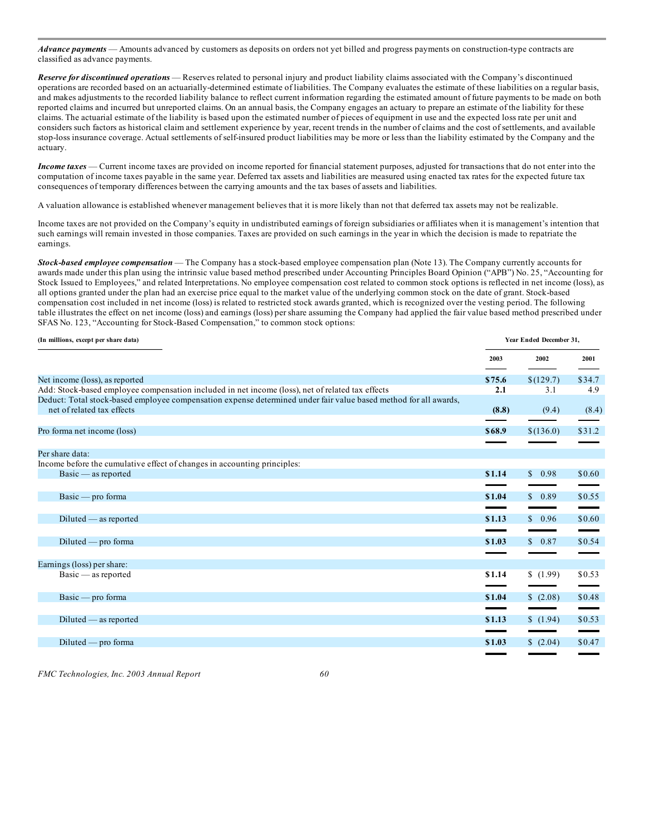*Advance payments* — Amounts advanced by customers as deposits on orders not yet billed and progress payments on construction-type contracts are classified as advance payments.

*Reserve for discontinued operations* — Reserves related to personal injury and product liability claims associated with the Company's discontinued operations are recorded based on an actuarially-determined estimate of liabilities. The Company evaluates the estimate of these liabilities on a regular basis, and makes adjustments to the recorded liability balance to reflect current information regarding the estimated amount of future payments to be made on both reported claims and incurred but unreported claims. On an annual basis, the Company engages an actuary to prepare an estimate of the liability for these claims. The actuarial estimate of the liability is based upon the estimated number of pieces of equipment in use and the expected loss rate per unit and considers such factors as historical claim and settlement experience by year, recent trends in the number of claims and the cost of settlements, and available stop-loss insurance coverage. Actual settlements of self-insured product liabilities may be more or less than the liability estimated by the Company and the actuary.

*Income taxes* — Current income taxes are provided on income reported for financial statement purposes, adjusted for transactions that do not enter into the computation of income taxes payable in the same year. Deferred tax assets and liabilities are measured using enacted tax rates for the expected future tax consequences of temporary differences between the carrying amounts and the tax bases of assets and liabilities.

A valuation allowance is established whenever management believes that it is more likely than not that deferred tax assets may not be realizable.

Income taxes are not provided on the Company's equity in undistributed earnings of foreign subsidiaries or affiliates when it is management's intention that such earnings will remain invested in those companies. Taxes are provided on such earnings in the year in which the decision is made to repatriate the earnings.

*Stock-based employee compensation* — The Company has a stock-based employee compensation plan (Note 13). The Company currently accounts for awards made under this plan using the intrinsic value based method prescribed under Accounting Principles Board Opinion ("APB") No. 25, "Accounting for Stock Issued to Employees," and related Interpretations. No employee compensation cost related to common stock options is reflected in net income (loss), as all options granted under the plan had an exercise price equal to the market value of the underlying common stock on the date of grant. Stock-based compensation cost included in net income (loss) is related to restricted stock awards granted, which is recognized over the vesting period. The following table illustrates the effect on net income (loss) and earnings (loss) per share assuming the Company had applied the fair value based method prescribed under SFAS No. 123, "Accounting for Stock-Based Compensation," to common stock options:

#### **(In millions, except per share data) Year Ended December 31,**

|                                                                                                                                                | 2003   | 2002      | 2001   |
|------------------------------------------------------------------------------------------------------------------------------------------------|--------|-----------|--------|
| Net income (loss), as reported                                                                                                                 | \$75.6 | \$(129.7) | \$34.7 |
| Add: Stock-based employee compensation included in net income (loss), net of related tax effects                                               | 2.1    | 3.1       | 4.9    |
| Deduct: Total stock-based employee compensation expense determined under fair value based method for all awards,<br>net of related tax effects | (8.8)  |           |        |
|                                                                                                                                                |        | (9.4)     | (8.4)  |
| Pro forma net income (loss)                                                                                                                    | \$68.9 | \$(136.0) | \$31.2 |
|                                                                                                                                                |        |           |        |
| Per share data:                                                                                                                                |        |           |        |
| Income before the cumulative effect of changes in accounting principles:                                                                       |        |           |        |
| $Basic - as reported$                                                                                                                          | \$1.14 | \$0.98    | \$0.60 |
|                                                                                                                                                |        |           |        |
| $Basic$ - pro forma                                                                                                                            | \$1.04 | \$0.89    | \$0.55 |
|                                                                                                                                                |        |           |        |
| $Diluted$ — as reported                                                                                                                        | \$1.13 | \$0.96    | \$0.60 |
|                                                                                                                                                |        |           |        |
| $Diluted$ - pro forma                                                                                                                          | \$1.03 | \$0.87    | \$0.54 |
|                                                                                                                                                |        |           |        |
| Earnings (loss) per share:                                                                                                                     |        |           |        |
| Basic — as reported                                                                                                                            | \$1.14 | \$(1.99)  | \$0.53 |
|                                                                                                                                                |        |           |        |
| Basic — pro forma                                                                                                                              | \$1.04 | (2.08)    | \$0.48 |
|                                                                                                                                                |        |           |        |
| $Diluted$ — as reported                                                                                                                        | \$1.13 | (1.94)    | \$0.53 |
|                                                                                                                                                |        |           |        |
| $Diluted$ - pro forma                                                                                                                          | \$1.03 | \$(2.04)  | \$0.47 |
|                                                                                                                                                |        |           |        |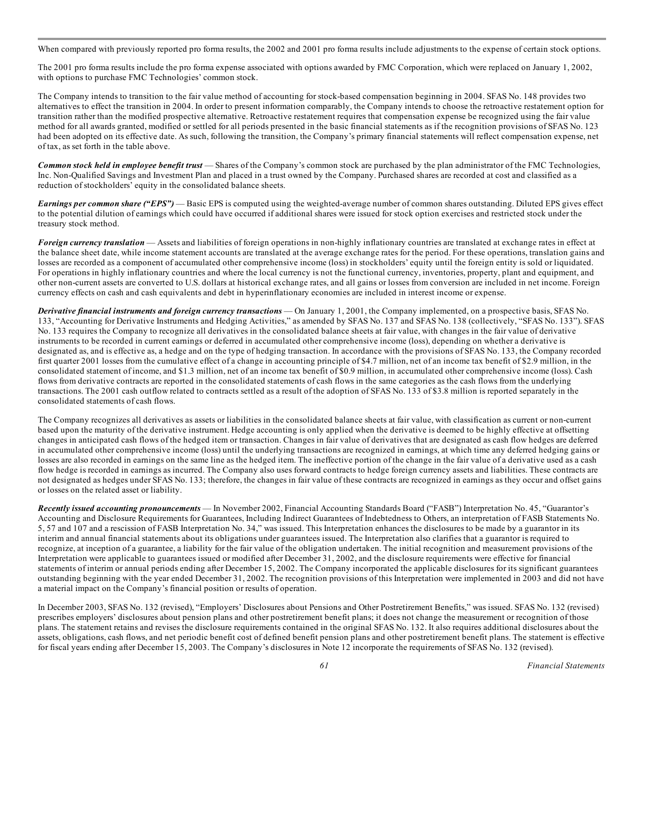When compared with previously reported pro forma results, the 2002 and 2001 pro forma results include adjustments to the expense of certain stock options.

The 2001 pro forma results include the pro forma expense associated with options awarded by FMC Corporation, which were replaced on January 1, 2002, with options to purchase FMC Technologies' common stock.

The Company intends to transition to the fair value method of accounting for stock-based compensation beginning in 2004. SFAS No. 148 provides two alternatives to effect the transition in 2004. In order to present information comparably, the Company intends to choose the retroactive restatement option for transition rather than the modified prospective alternative. Retroactive restatement requires that compensation expense be recognized using the fair value method for all awards granted, modified or settled for all periods presented in the basic financial statements as if the recognition provisions of SFAS No. 123 had been adopted on its effective date. As such, following the transition, the Company's primary financial statements will reflect compensation expense, net of tax, as set forth in the table above.

*Common stock held in employee benefit trust* — Shares of the Company's common stock are purchased by the plan administrator of the FMC Technologies, Inc. Non-Qualified Savings and Investment Plan and placed in a trust owned by the Company. Purchased shares are recorded at cost and classified as a reduction of stockholders' equity in the consolidated balance sheets.

*Earnings per common share ("EPS")* — Basic EPS is computed using the weighted-average number of common shares outstanding. Diluted EPS gives effect to the potential dilution of earnings which could have occurred if additional shares were issued for stock option exercises and restricted stock under the treasury stock method.

*Foreign currency translation* — Assets and liabilities of foreign operations in non-highly inflationary countries are translated at exchange rates in effect at the balance sheet date, while income statement accounts are translated at the average exchange rates for the period. For these operations, translation gains and losses are recorded as a component of accumulated other comprehensive income (loss) in stockholders' equity until the foreign entity is sold or liquidated. For operations in highly inflationary countries and where the local currency is not the functional currency, inventories, property, plant and equipment, and other non-current assets are converted to U.S. dollars at historical exchange rates, and all gains or losses from conversion are included in net income. Foreign currency effects on cash and cash equivalents and debt in hyperinflationary economies are included in interest income or expense.

*Derivative financial instruments and foreign currency transactions* — On January 1, 2001, the Company implemented, on a prospective basis, SFAS No. 133, "Accounting for Derivative Instruments and Hedging Activities," as amended by SFAS No. 137 and SFAS No. 138 (collectively, "SFAS No. 133"). SFAS No. 133 requires the Company to recognize all derivatives in the consolidated balance sheets at fair value, with changes in the fair value of derivative instruments to be recorded in current earnings or deferred in accumulated other comprehensive income (loss), depending on whether a derivative is designated as, and is effective as, a hedge and on the type of hedging transaction. In accordance with the provisions of SFAS No. 133, the Company recorded first quarter 2001 losses from the cumulative effect of a change in accounting principle of \$4.7 million, net of an income tax benefit of \$2.9 million, in the consolidated statement of income, and \$1.3 million, net of an income tax benefit of \$0.9 million, in accumulated other comprehensive income (loss). Cash flows from derivative contracts are reported in the consolidated statements of cash flows in the same categories as the cash flows from the underlying transactions. The 2001 cash outflow related to contracts settled as a result of the adoption of SFAS No. 133 of \$3.8 million is reported separately in the consolidated statements of cash flows.

The Company recognizes all derivatives as assets or liabilities in the consolidated balance sheets at fair value, with classification as current or non-current based upon the maturity of the derivative instrument. Hedge accounting is only applied when the derivative is deemed to be highly effective at offsetting changes in anticipated cash flows of the hedged item or transaction. Changes in fair value of derivatives that are designated as cash flow hedges are deferred in accumulated other comprehensive income (loss) until the underlying transactions are recognized in earnings, at which time any deferred hedging gains or losses are also recorded in earnings on the same line as the hedged item. The ineffective portion of the change in the fair value of a derivative used as a cash flow hedge is recorded in earnings as incurred. The Company also uses forward contracts to hedge foreign currency assets and liabilities. These contracts are not designated as hedges under SFAS No. 133; therefore, the changes in fair value of these contracts are recognized in earnings as they occur and offset gains or losses on the related asset or liability.

*Recently issued accounting pronouncements* — In November 2002, Financial Accounting Standards Board ("FASB") Interpretation No. 45, "Guarantor's Accounting and Disclosure Requirements for Guarantees, Including Indirect Guarantees of Indebtedness to Others, an interpretation of FASB Statements No. 5, 57 and 107 and a rescission of FASB Interpretation No. 34," was issued. This Interpretation enhances the disclosures to be made by a guarantor in its interim and annual financial statements about its obligations under guarantees issued. The Interpretation also clarifies that a guarantor is required to recognize, at inception of a guarantee, a liability for the fair value of the obligation undertaken. The initial recognition and measurement provisions of the Interpretation were applicable to guarantees issued or modified after December 31, 2002, and the disclosure requirements were effective for financial statements of interim or annual periods ending after December 15, 2002. The Company incorporated the applicable disclosures for its significant guarantees outstanding beginning with the year ended December 31, 2002. The recognition provisions of this Interpretation were implemented in 2003 and did not have a material impact on the Company's financial position or results of operation.

In December 2003, SFAS No. 132 (revised), "Employers' Disclosures about Pensions and Other Postretirement Benefits," was issued. SFAS No. 132 (revised) prescribes employers' disclosures about pension plans and other postretirement benefit plans; it does not change the measurement or recognition of those plans. The statement retains and revises the disclosure requirements contained in the original SFAS No. 132. It also requires additional disclosures about the assets, obligations, cash flows, and net periodic benefit cost of defined benefit pension plans and other postretirement benefit plans. The statement is effective for fiscal years ending after December 15, 2003. The Company's disclosures in Note 12 incorporate the requirements of SFAS No. 132 (revised).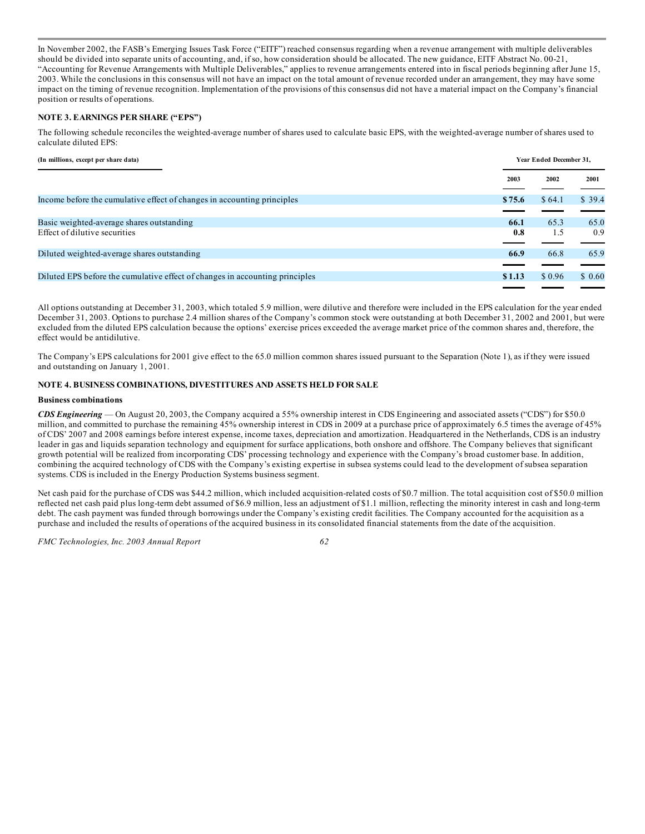In November 2002, the FASB's Emerging Issues Task Force ("EITF") reached consensus regarding when a revenue arrangement with multiple deliverables should be divided into separate units of accounting, and, if so, how consideration should be allocated. The new guidance, EITF Abstract No. 00-21, "Accounting for Revenue Arrangements with Multiple Deliverables," applies to revenue arrangements entered into in fiscal periods beginning after June 15, 2003. While the conclusions in this consensus will not have an impact on the total amount of revenue recorded under an arrangement, they may have some impact on the timing of revenue recognition. Implementation of the provisions of this consensus did not have a material impact on the Company's financial position or results of operations.

# **NOTE 3. EARNINGS PER SHARE ("EPS")**

The following schedule reconciles the weighted-average number of shares used to calculate basic EPS, with the weighted-average number of shares used to calculate diluted EPS:

| (In millions, except per share data)                                         |        |        | Year Ended December 31. |  |  |  |
|------------------------------------------------------------------------------|--------|--------|-------------------------|--|--|--|
|                                                                              | 2003   | 2002   | 2001                    |  |  |  |
| Income before the cumulative effect of changes in accounting principles      | \$75.6 | \$64.1 | \$39.4                  |  |  |  |
| Basic weighted-average shares outstanding                                    | 66.1   | 65.3   | 65.0                    |  |  |  |
| Effect of dilutive securities                                                | 0.8    | 1.5    | 0.9                     |  |  |  |
| Diluted weighted-average shares outstanding                                  | 66.9   | 66.8   | 65.9                    |  |  |  |
| Diluted EPS before the cumulative effect of changes in accounting principles | \$1.13 | \$0.96 | \$0.60                  |  |  |  |

All options outstanding at December 31, 2003, which totaled 5.9 million, were dilutive and therefore were included in the EPS calculation for the year ended December 31, 2003. Options to purchase 2.4 million shares of the Company's common stock were outstanding at both December 31, 2002 and 2001, but were excluded from the diluted EPS calculation because the options' exercise prices exceeded the average market price of the common shares and, therefore, the effect would be antidilutive.

The Company's EPS calculations for 2001 give effect to the 65.0 million common shares issued pursuant to the Separation (Note 1), as if they were issued and outstanding on January 1, 2001.

# **NOTE 4. BUSINESS COMBINATIONS, DIVESTITURES AND ASSETS HELD FOR SALE**

# **Business combinations**

*CDS Engineering* — On August 20, 2003, the Company acquired a 55% ownership interest in CDS Engineering and associated assets ("CDS") for \$50.0 million, and committed to purchase the remaining 45% ownership interest in CDS in 2009 at a purchase price of approximately 6.5 times the average of 45% of CDS' 2007 and 2008 earnings before interest expense, income taxes, depreciation and amortization. Headquartered in the Netherlands, CDS is an industry leader in gas and liquids separation technology and equipment for surface applications, both onshore and offshore. The Company believes that significant growth potential will be realized from incorporating CDS' processing technology and experience with the Company's broad customer base. In addition, combining the acquired technology of CDS with the Company's existing expertise in subsea systems could lead to the development of subsea separation systems. CDS is included in the Energy Production Systems business segment.

Net cash paid for the purchase of CDS was \$44.2 million, which included acquisition-related costs of \$0.7 million. The total acquisition cost of \$50.0 million reflected net cash paid plus long-term debt assumed of \$6.9 million, less an adjustment of \$1.1 million, reflecting the minority interest in cash and long-term debt. The cash payment was funded through borrowings under the Company's existing credit facilities. The Company accounted for the acquisition as a purchase and included the results of operations of the acquired business in its consolidated financial statements from the date of the acquisition.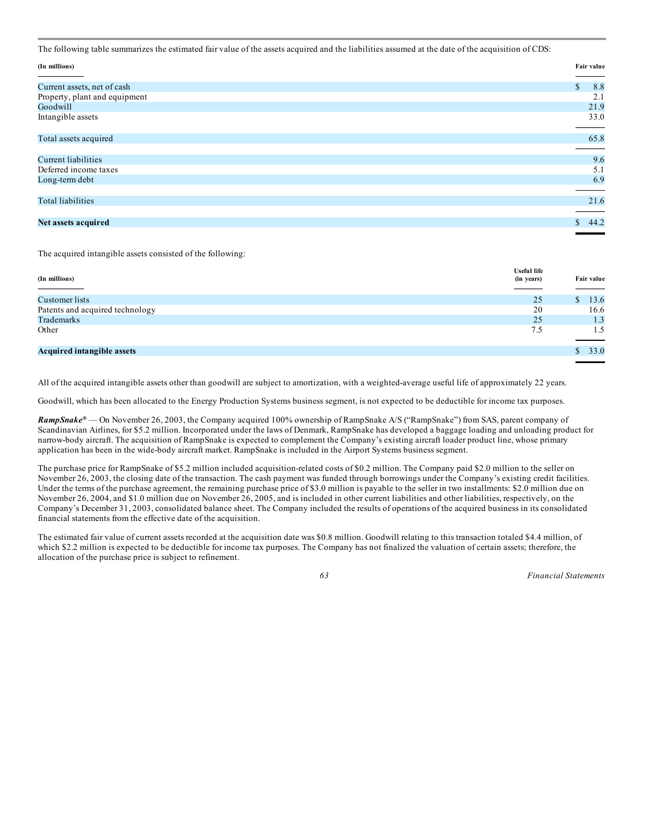The following table summarizes the estimated fair value of the assets acquired and the liabilities assumed at the date of the acquisition of CDS:

| (In millions)                 | Fair value |
|-------------------------------|------------|
|                               |            |
| Current assets, net of cash   | 8.8<br>\$  |
| Property, plant and equipment | 2.1        |
| Goodwill                      | 21.9       |
| Intangible assets             | 33.0       |
|                               |            |
| Total assets acquired         | 65.8       |
|                               |            |
| <b>Current liabilities</b>    | 9.6        |
| Deferred income taxes         | 5.1        |
| Long-term debt                | 6.9        |
|                               |            |
| <b>Total liabilities</b>      | 21.6       |
|                               |            |
| Net assets acquired           | 44.2       |
|                               |            |

The acquired intangible assets consisted of the following:

| (In millions)                     | <b>Useful life</b><br>(in years) | Fair value |
|-----------------------------------|----------------------------------|------------|
| Customer lists                    | 25                               | 13.6       |
| Patents and acquired technology   | 20                               | 16.6       |
| Trademarks                        | 25                               | 1.3        |
| Other                             | 7.5                              | 1.5        |
| <b>Acquired intangible assets</b> |                                  | 33.0       |
|                                   |                                  |            |

All of the acquired intangible assets other than goodwill are subject to amortization, with a weighted-average useful life of approximately 22 years.

Goodwill, which has been allocated to the Energy Production Systems business segment, is not expected to be deductible for income tax purposes.

*RampSnake<sup>®</sup>* — On November 26, 2003, the Company acquired 100% ownership of RampSnake A/S ("RampSnake") from SAS, parent company of Scandinavian Airlines, for \$5.2 million. Incorporated under the laws of Denmark, RampSnake has developed a baggage loading and unloading product for narrow-body aircraft. The acquisition of RampSnake is expected to complement the Company's existing aircraft loader product line, whose primary application has been in the wide-body aircraft market. RampSnake is included in the Airport Systems business segment.

The purchase price for RampSnake of \$5.2 million included acquisition-related costs of \$0.2 million. The Company paid \$2.0 million to the seller on November 26, 2003, the closing date of the transaction. The cash payment was funded through borrowings under the Company's existing credit facilities. Under the terms of the purchase agreement, the remaining purchase price of \$3.0 million is payable to the seller in two installments: \$2.0 million due on November 26, 2004, and \$1.0 million due on November 26, 2005, and is included in other current liabilities and other liabilities, respectively, on the Company's December 31, 2003, consolidated balance sheet. The Company included the results of operations of the acquired business in its consolidated financial statements from the effective date of the acquisition.

The estimated fair value of current assets recorded at the acquisition date was \$0.8 million. Goodwill relating to this transaction totaled \$4.4 million, of which \$2.2 million is expected to be deductible for income tax purposes. The Company has not finalized the valuation of certain assets; therefore, the allocation of the purchase price is subject to refinement.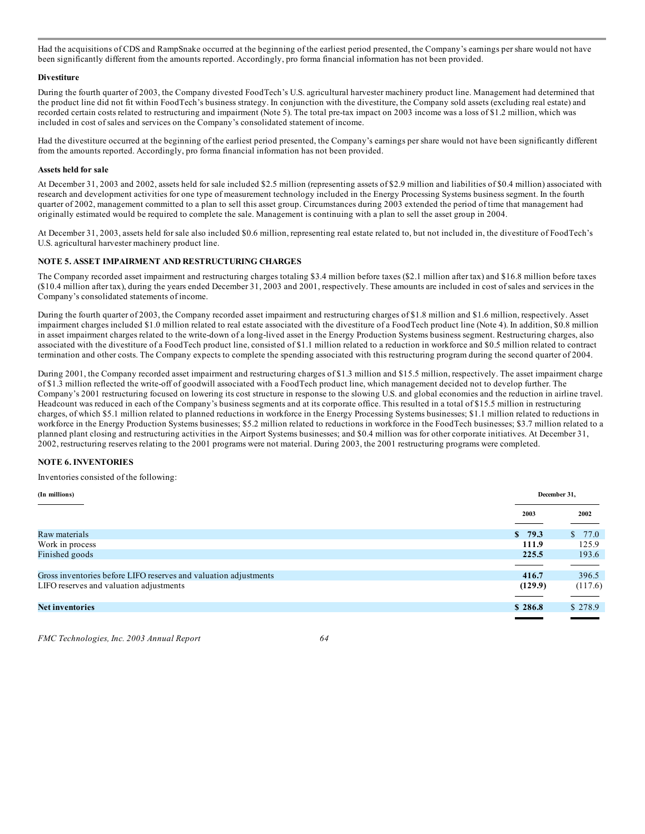Had the acquisitions of CDS and RampSnake occurred at the beginning of the earliest period presented, the Company's earnings per share would not have been significantly different from the amounts reported. Accordingly, pro forma financial information has not been provided.

#### **Divestiture**

During the fourth quarter of 2003, the Company divested FoodTech's U.S. agricultural harvester machinery product line. Management had determined that the product line did not fit within FoodTech's business strategy. In conjunction with the divestiture, the Company sold assets (excluding real estate) and recorded certain costs related to restructuring and impairment (Note 5). The total pre-tax impact on 2003 income was a loss of \$1.2 million, which was included in cost of sales and services on the Company's consolidated statement of income.

Had the divestiture occurred at the beginning of the earliest period presented, the Company's earnings per share would not have been significantly different from the amounts reported. Accordingly, pro forma financial information has not been provided.

#### **Assets held for sale**

At December 31, 2003 and 2002, assets held for sale included \$2.5 million (representing assets of \$2.9 million and liabilities of \$0.4 million) associated with research and development activities for one type of measurement technology included in the Energy Processing Systems business segment. In the fourth quarter of 2002, management committed to a plan to sell this asset group. Circumstances during 2003 extended the period of time that management had originally estimated would be required to complete the sale. Management is continuing with a plan to sell the asset group in 2004.

At December 31, 2003, assets held for sale also included \$0.6 million, representing real estate related to, but not included in, the divestiture of FoodTech's U.S. agricultural harvester machinery product line.

## **NOTE 5. ASSET IMPAIRMENT AND RESTRUCTURING CHARGES**

The Company recorded asset impairment and restructuring charges totaling \$3.4 million before taxes (\$2.1 million after tax) and \$16.8 million before taxes (\$10.4 million after tax), during the years ended December 31, 2003 and 2001, respectively. These amounts are included in cost of sales and services in the Company's consolidated statements of income.

During the fourth quarter of 2003, the Company recorded asset impairment and restructuring charges of \$1.8 million and \$1.6 million, respectively. Asset impairment charges included \$1.0 million related to real estate associated with the divestiture of a FoodTech product line (Note 4). In addition, \$0.8 million in asset impairment charges related to the write-down of a long-lived asset in the Energy Production Systems business segment. Restructuring charges, also associated with the divestiture of a FoodTech product line, consisted of \$1.1 million related to a reduction in workforce and \$0.5 million related to contract termination and other costs. The Company expects to complete the spending associated with this restructuring program during the second quarter of 2004.

During 2001, the Company recorded asset impairment and restructuring charges of \$1.3 million and \$15.5 million, respectively. The asset impairment charge of \$1.3 million reflected the write-off of goodwill associated with a FoodTech product line, which management decided not to develop further. The Company's 2001 restructuring focused on lowering its cost structure in response to the slowing U.S. and global economies and the reduction in airline travel. Headcount was reduced in each of the Company's business segments and at its corporate office. This resulted in a total of \$15.5 million in restructuring charges, of which \$5.1 million related to planned reductions in workforce in the Energy Processing Systems businesses; \$1.1 million related to reductions in workforce in the Energy Production Systems businesses; \$5.2 million related to reductions in workforce in the FoodTech businesses; \$3.7 million related to a planned plant closing and restructuring activities in the Airport Systems businesses; and \$0.4 million was for other corporate initiatives. At December 31, 2002, restructuring reserves relating to the 2001 programs were not material. During 2003, the 2001 restructuring programs were completed.

# **NOTE 6. INVENTORIES**

Inventories consisted of the following:

**(In millions) December 31, 2003 2002** Raw materials **\$ 79.3** \$ 77.0 Work in process **111.9** 125.9 Finished goods **225.5** 193.6 Gross inventories before LIFO reserves and valuation adjustments **416.7** 396.5 LIFO reserves and valuation adjustments **(129.9)** (117.6) **Net inventories \$ 286.8** \$ 278.9

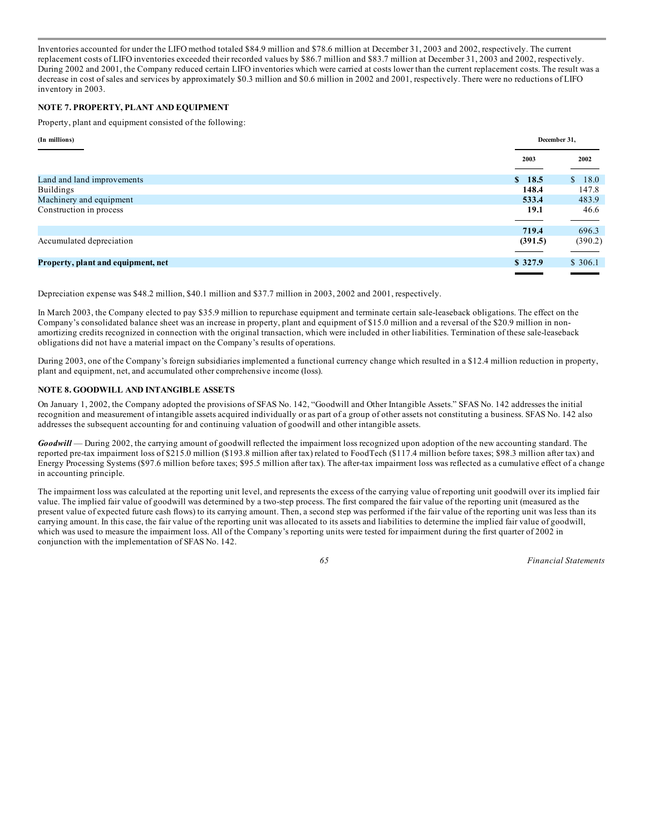Inventories accounted for under the LIFO method totaled \$84.9 million and \$78.6 million at December 31, 2003 and 2002, respectively. The current replacement costs of LIFO inventories exceeded their recorded values by \$86.7 million and \$83.7 million at December 31, 2003 and 2002, respectively. During 2002 and 2001, the Company reduced certain LIFO inventories which were carried at costs lower than the current replacement costs. The result was a decrease in cost of sales and services by approximately \$0.3 million and \$0.6 million in 2002 and 2001, respectively. There were no reductions of LIFO inventory in 2003.

## **NOTE 7. PROPERTY, PLANT AND EQUIPMENT**

Property, plant and equipment consisted of the following:

| (In millions)                      | December 31, |         |
|------------------------------------|--------------|---------|
|                                    | 2003         | 2002    |
| Land and land improvements         | \$18.5       | \$18.0  |
| <b>Buildings</b>                   | 148.4        | 147.8   |
| Machinery and equipment            | 533.4        | 483.9   |
| Construction in process            | 19.1         | 46.6    |
|                                    | 719.4        | 696.3   |
| Accumulated depreciation           | (391.5)      | (390.2) |
| Property, plant and equipment, net | \$327.9      | \$306.1 |

Depreciation expense was \$48.2 million, \$40.1 million and \$37.7 million in 2003, 2002 and 2001, respectively.

In March 2003, the Company elected to pay \$35.9 million to repurchase equipment and terminate certain sale-leaseback obligations. The effect on the Company's consolidated balance sheet was an increase in property, plant and equipment of \$15.0 million and a reversal of the \$20.9 million in nonamortizing credits recognized in connection with the original transaction, which were included in other liabilities. Termination of these sale-leaseback obligations did not have a material impact on the Company's results of operations.

During 2003, one of the Company's foreign subsidiaries implemented a functional currency change which resulted in a \$12.4 million reduction in property, plant and equipment, net, and accumulated other comprehensive income (loss).

# **NOTE 8. GOODWILL AND INTANGIBLE ASSETS**

On January 1, 2002, the Company adopted the provisions of SFAS No. 142, "Goodwill and Other Intangible Assets." SFAS No. 142 addresses the initial recognition and measurement of intangible assets acquired individually or as part of a group of other assets not constituting a business. SFAS No. 142 also addresses the subsequent accounting for and continuing valuation of goodwill and other intangible assets.

*Goodwill* — During 2002, the carrying amount of goodwill reflected the impairment loss recognized upon adoption of the new accounting standard. The reported pre-tax impairment loss of \$215.0 million (\$193.8 million after tax) related to FoodTech (\$117.4 million before taxes; \$98.3 million after tax) and Energy Processing Systems (\$97.6 million before taxes; \$95.5 million after tax). The after-tax impairment loss was reflected as a cumulative effect of a change in accounting principle.

The impairment loss was calculated at the reporting unit level, and represents the excess of the carrying value of reporting unit goodwill over its implied fair value. The implied fair value of goodwill was determined by a two-step process. The first compared the fair value of the reporting unit (measured as the present value of expected future cash flows) to its carrying amount. Then, a second step was performed if the fair value of the reporting unit was less than its carrying amount. In this case, the fair value of the reporting unit was allocated to its assets and liabilities to determine the implied fair value of goodwill, which was used to measure the impairment loss. All of the Company's reporting units were tested for impairment during the first quarter of 2002 in conjunction with the implementation of SFAS No. 142.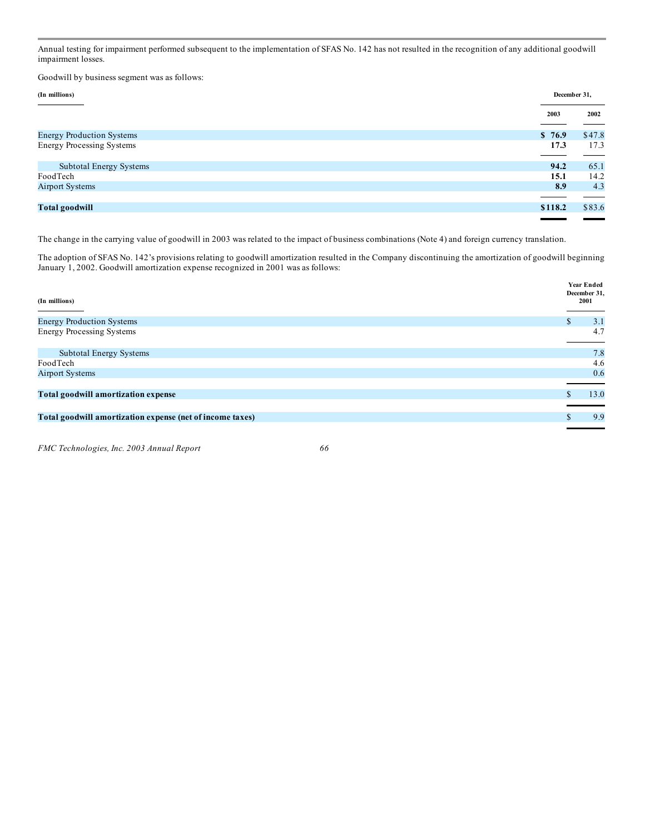Annual testing for impairment performed subsequent to the implementation of SFAS No. 142 has not resulted in the recognition of any additional goodwill impairment losses.

Goodwill by business segment was as follows:

| (In millions)                    |         | December 31,             |
|----------------------------------|---------|--------------------------|
|                                  | 2003    | 2002                     |
| <b>Energy Production Systems</b> | \$76.9  | \$47.8                   |
| <b>Energy Processing Systems</b> | 17.3    | 17.3                     |
| Subtotal Energy Systems          | 94.2    | 65.1                     |
| FoodTech                         | 15.1    | 14.2                     |
| <b>Airport Systems</b>           | 8.9     | 4.3                      |
|                                  |         |                          |
| <b>Total goodwill</b>            | \$118.2 | \$83.6                   |
|                                  |         | $\overline{\phantom{a}}$ |

The change in the carrying value of goodwill in 2003 was related to the impact of business combinations (Note 4) and foreign currency translation.

The adoption of SFAS No. 142's provisions relating to goodwill amortization resulted in the Company discontinuing the amortization of goodwill beginning January 1, 2002. Goodwill amortization expense recognized in 2001 was as follows:

| (In millions)                                             |    | <b>Year Ended</b><br>December 31,<br>2001 |
|-----------------------------------------------------------|----|-------------------------------------------|
| <b>Energy Production Systems</b>                          | S. | 3.1                                       |
| <b>Energy Processing Systems</b>                          |    | 4.7                                       |
| Subtotal Energy Systems                                   |    | 7.8                                       |
| FoodTech                                                  |    | 4.6                                       |
| <b>Airport Systems</b>                                    |    | 0.6                                       |
| Total goodwill amortization expense                       |    | 13.0                                      |
| Total goodwill amortization expense (net of income taxes) |    | 9.9                                       |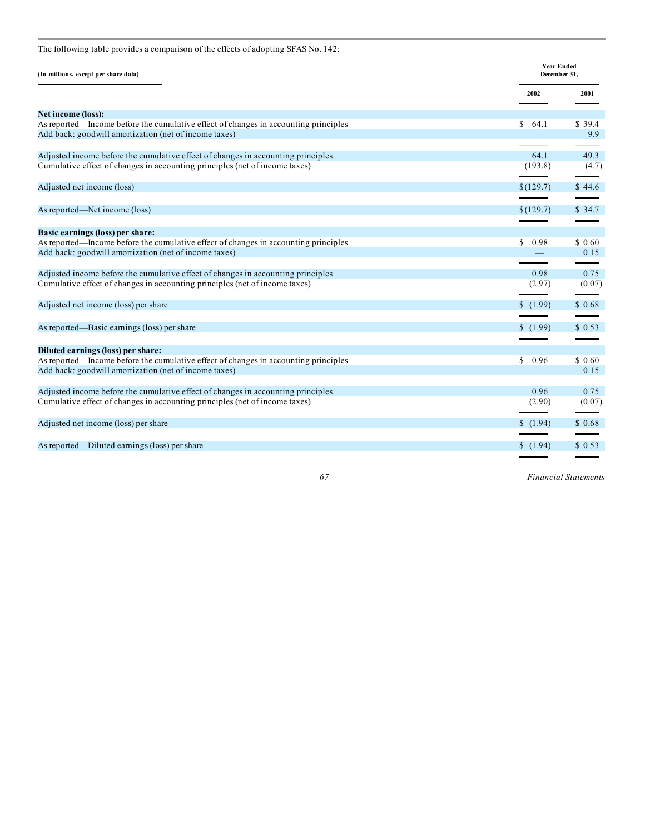| The following table provides a comparison of the effects of adopting SFAS No. 142:                                                                              |                             |                                   |  |  |
|-----------------------------------------------------------------------------------------------------------------------------------------------------------------|-----------------------------|-----------------------------------|--|--|
| (In millions, except per share data)                                                                                                                            |                             | <b>Year Ended</b><br>December 31, |  |  |
|                                                                                                                                                                 | 2002                        | 2001                              |  |  |
| Net income (loss):                                                                                                                                              |                             |                                   |  |  |
| As reported—Income before the cumulative effect of changes in accounting principles<br>Add back: goodwill amortization (net of income taxes)                    | \$64.1                      | \$39.4<br>9.9                     |  |  |
| Adjusted income before the cumulative effect of changes in accounting principles                                                                                | 64.1                        | 49.3                              |  |  |
| Cumulative effect of changes in accounting principles (net of income taxes)                                                                                     | (193.8)                     | (4.7)                             |  |  |
| Adjusted net income (loss)                                                                                                                                      | \$(129.7)                   | \$44.6                            |  |  |
| As reported—Net income (loss)                                                                                                                                   | \$(129.7)                   | \$34.7                            |  |  |
| Basic earnings (loss) per share:                                                                                                                                |                             |                                   |  |  |
| As reported—Income before the cumulative effect of changes in accounting principles<br>Add back: goodwill amortization (net of income taxes)                    | \$0.98<br>$\qquad \qquad -$ | \$0.60<br>0.15                    |  |  |
|                                                                                                                                                                 |                             |                                   |  |  |
| Adjusted income before the cumulative effect of changes in accounting principles<br>Cumulative effect of changes in accounting principles (net of income taxes) | 0.98<br>(2.97)              | 0.75<br>(0.07)                    |  |  |
| Adjusted net income (loss) per share                                                                                                                            | \$(1.99)                    | \$0.68                            |  |  |
| As reported—Basic earnings (loss) per share                                                                                                                     | \$(1.99)                    | \$0.53                            |  |  |
| Diluted earnings (loss) per share:                                                                                                                              |                             |                                   |  |  |
| As reported—Income before the cumulative effect of changes in accounting principles<br>Add back: goodwill amortization (net of income taxes)                    | \$0.96                      | \$0.60<br>0.15                    |  |  |
|                                                                                                                                                                 |                             |                                   |  |  |
| Adjusted income before the cumulative effect of changes in accounting principles<br>Cumulative effect of changes in accounting principles (net of income taxes) | 0.96<br>(2.90)              | 0.75<br>(0.07)                    |  |  |
| Adjusted net income (loss) per share                                                                                                                            | \$(1.94)                    | \$0.68                            |  |  |
| As reported—Diluted earnings (loss) per share                                                                                                                   | \$(1.94)                    | \$0.53                            |  |  |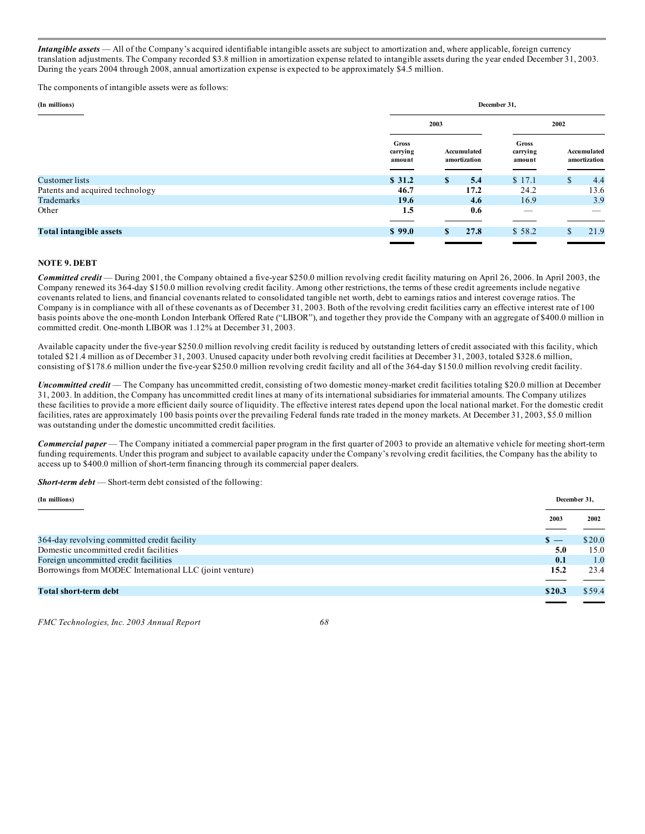*Intangible assets* — All of the Company's acquired identifiable intangible assets are subject to amortization and, where applicable, foreign currency translation adjustments. The Company recorded \$3.8 million in amortization expense related to intangible assets during the year ended December 31, 2003. During the years 2004 through 2008, annual amortization expense is expected to be approximately \$4.5 million.

The components of intangible assets were as follows:

| (In millions)<br>December 31,   |                             |              |                             |                                    |      |                             |
|---------------------------------|-----------------------------|--------------|-----------------------------|------------------------------------|------|-----------------------------|
|                                 |                             | 2003         |                             |                                    | 2002 |                             |
|                                 | Gross<br>carrying<br>amount |              | Accumulated<br>amortization | <b>Gross</b><br>carrying<br>amount |      | Accumulated<br>amortization |
| Customer lists                  | \$31.2                      | $\mathbf{s}$ | 5.4                         | \$17.1                             | \$.  | 4.4                         |
| Patents and acquired technology | 46.7                        |              | 17.2                        | 24.2                               |      | 13.6                        |
| Trademarks                      | 19.6                        |              | 4.6                         | 16.9                               |      | 3.9                         |
| Other                           | 1.5                         |              | 0.6                         |                                    |      |                             |
|                                 |                             |              |                             |                                    |      |                             |
| <b>Total intangible assets</b>  | \$99.0                      | S            | 27.8                        | \$58.2                             | S.   | 21.9                        |
|                                 |                             |              |                             |                                    |      |                             |

# **NOTE 9. DEBT**

*Committed credit* — During 2001, the Company obtained a five-year \$250.0 million revolving credit facility maturing on April 26, 2006. In April 2003, the Company renewed its 364-day \$150.0 million revolving credit facility. Among other restrictions, the terms of these credit agreements include negative covenants related to liens, and financial covenants related to consolidated tangible net worth, debt to earnings ratios and interest coverage ratios. The Company is in compliance with all of these covenants as of December 31, 2003. Both of the revolving credit facilities carry an effective interest rate of 100 basis points above the one-month London Interbank Offered Rate ("LIBOR"), and together they provide the Company with an aggregate of \$400.0 million in committed credit. One-month LIBOR was 1.12% at December 31, 2003.

Available capacity under the five-year \$250.0 million revolving credit facility is reduced by outstanding letters of credit associated with this facility, which totaled \$21.4 million as of December 31, 2003. Unused capacity under both revolving credit facilities at December 31, 2003, totaled \$328.6 million, consisting of \$178.6 million under the five-year \$250.0 million revolving credit facility and all of the 364-day \$150.0 million revolving credit facility.

*Uncommitted credit* — The Company has uncommitted credit, consisting of two domestic money-market credit facilities totaling \$20.0 million at December 31, 2003. In addition, the Company has uncommitted credit lines at many of its international subsidiaries for immaterial amounts. The Company utilizes these facilities to provide a more efficient daily source of liquidity. The effective interest rates depend upon the local national market. For the domestic credit facilities, rates are approximately 100 basis points over the prevailing Federal funds rate traded in the money markets. At December 31, 2003, \$5.0 million was outstanding under the domestic uncommitted credit facilities.

*Commercial paper* — The Company initiated a commercial paper program in the first quarter of 2003 to provide an alternative vehicle for meeting short-term funding requirements. Under this program and subject to available capacity under the Company's revolving credit facilities, the Company has the ability to access up to \$400.0 million of short-term financing through its commercial paper dealers.

*Short-term debt* — Short-term debt consisted of the following:

| (In millions)                                           | December 31, |        |
|---------------------------------------------------------|--------------|--------|
|                                                         | 2003         | 2002   |
| 364-day revolving committed credit facility             | $s =$        | \$20.0 |
| Domestic uncommitted credit facilities                  | 5.0          | 15.0   |
| Foreign uncommitted credit facilities                   | 0.1          | 1.0    |
| Borrowings from MODEC International LLC (joint venture) | 15.2         | 23.4   |
| <b>Total short-term debt</b>                            | \$20.3       | \$59.4 |
|                                                         |              |        |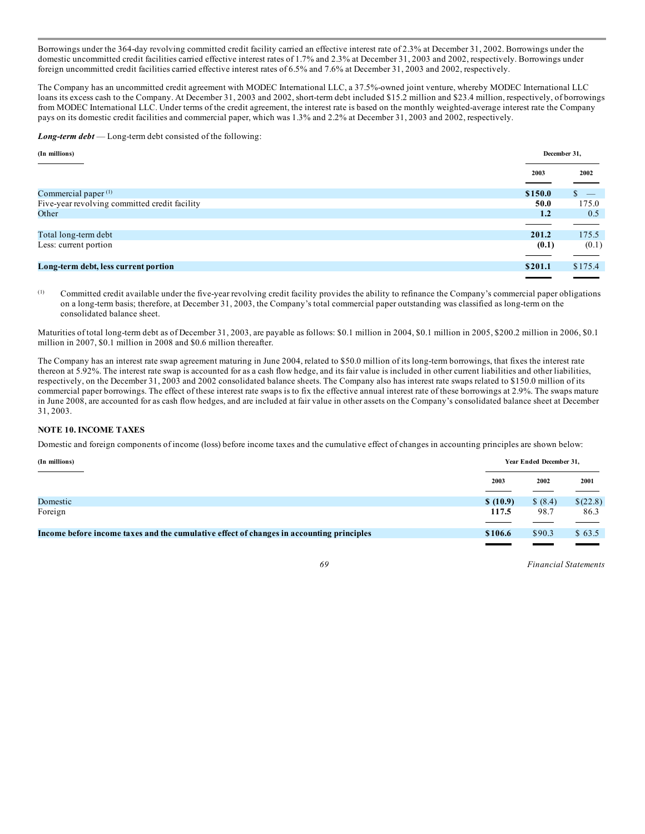Borrowings under the 364-day revolving committed credit facility carried an effective interest rate of 2.3% at December 31, 2002. Borrowings under the domestic uncommitted credit facilities carried effective interest rates of 1.7% and 2.3% at December 31, 2003 and 2002, respectively. Borrowings under foreign uncommitted credit facilities carried effective interest rates of 6.5% and 7.6% at December 31, 2003 and 2002, respectively.

The Company has an uncommitted credit agreement with MODEC International LLC, a 37.5%-owned joint venture, whereby MODEC International LLC loans its excess cash to the Company. At December 31, 2003 and 2002, short-term debt included \$15.2 million and \$23.4 million, respectively, of borrowings from MODEC International LLC. Under terms of the credit agreement, the interest rate is based on the monthly weighted-average interest rate the Company pays on its domestic credit facilities and commercial paper, which was 1.3% and 2.2% at December 31, 2003 and 2002, respectively.

*Long-term debt* — Long-term debt consisted of the following:

| (In millions)                                 |         | December 31, |
|-----------------------------------------------|---------|--------------|
|                                               | 2003    | 2002         |
| Commercial paper $(1)$                        | \$150.0 |              |
| Five-year revolving committed credit facility | 50.0    | 175.0        |
| Other                                         | 1.2     | 0.5          |
|                                               |         |              |
| Total long-term debt                          | 201.2   | 175.5        |
| Less: current portion                         | (0.1)   | (0.1)        |
|                                               |         |              |
| Long-term debt, less current portion          | \$201.1 | \$175.4      |
|                                               |         |              |

(1) Committed credit available under the five-year revolving credit facility provides the ability to refinance the Company's commercial paper obligations on a long-term basis; therefore, at December 31, 2003, the Company's total commercial paper outstanding was classified as long-term on the consolidated balance sheet.

Maturities of total long-term debt as of December 31, 2003, are payable as follows: \$0.1 million in 2004, \$0.1 million in 2005, \$200.2 million in 2006, \$0.1 million in 2007, \$0.1 million in 2008 and \$0.6 million thereafter.

The Company has an interest rate swap agreement maturing in June 2004, related to \$50.0 million of its long-term borrowings, that fixes the interest rate thereon at 5.92%. The interest rate swap is accounted for as a cash flow hedge, and its fair value is included in other current liabilities and other liabilities, respectively, on the December 31, 2003 and 2002 consolidated balance sheets. The Company also has interest rate swaps related to \$150.0 million of its commercial paper borrowings. The effect of these interest rate swaps is to fix the effective annual interest rate of these borrowings at 2.9%. The swaps mature in June 2008, are accounted for as cash flow hedges, and are included at fair value in other assets on the Company's consolidated balance sheet at December 31, 2003.

# **NOTE 10. INCOME TAXES**

Domestic and foreign components of income (loss) before income taxes and the cumulative effect of changes in accounting principles are shown below:

| (In millions)                                                                            |           | Year Ended December 31, |          |  |
|------------------------------------------------------------------------------------------|-----------|-------------------------|----------|--|
|                                                                                          | 2003      | 2002                    | 2001     |  |
| Domestic                                                                                 | \$ (10.9) | \$ (8.4)                | \$(22.8) |  |
| Foreign                                                                                  | 117.5     | 98.7                    | 86.3     |  |
|                                                                                          |           |                         |          |  |
| Income before income taxes and the cumulative effect of changes in accounting principles | \$106.6   | \$90.3                  | \$63.5   |  |
|                                                                                          |           |                         |          |  |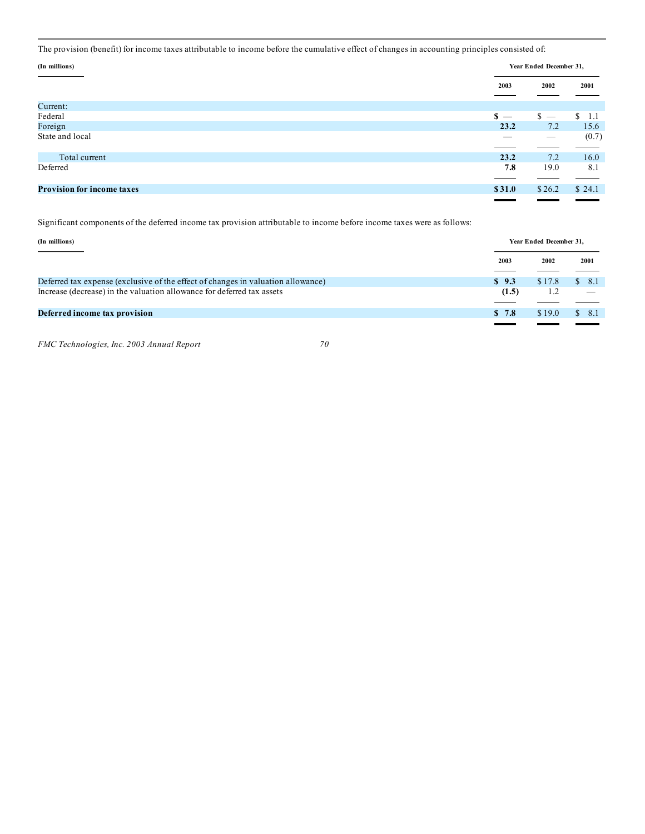The provision (benefit) for income taxes attributable to income before the cumulative effect of changes in accounting principles consisted of:

| (In millions)                     |        | Year Ended December 31,        |           |  |
|-----------------------------------|--------|--------------------------------|-----------|--|
|                                   | 2003   | 2002                           | 2001      |  |
| Current:                          |        |                                |           |  |
| Federal                           | $s -$  | \$<br>$\overline{\phantom{a}}$ | \$<br>1.1 |  |
| Foreign                           | 23.2   | 7.2                            | 15.6      |  |
| State and local                   |        | __                             | (0.7)     |  |
| Total current                     | 23.2   | 7.2                            | 16.0      |  |
| Deferred                          | 7.8    | 19.0                           | 8.1       |  |
| <b>Provision for income taxes</b> | \$31.0 | \$26.2                         | \$24.1    |  |
|                                   |        |                                |           |  |

Significant components of the deferred income tax provision attributable to income before income taxes were as follows:

| (In millions)                                                                    | Year Ended December 31, |        |                  |
|----------------------------------------------------------------------------------|-------------------------|--------|------------------|
|                                                                                  | 2003                    | 2002   | 2001             |
| Deferred tax expense (exclusive of the effect of changes in valuation allowance) | \$9.3                   | \$17.8 | \$8.1            |
| Increase (decrease) in the valuation allowance for deferred tax assets           | (1.5)                   | 1.2    |                  |
|                                                                                  |                         |        |                  |
| Deferred income tax provision                                                    | \$7.8                   | \$19.0 | $\text{\AA}$ 8.1 |
|                                                                                  |                         |        |                  |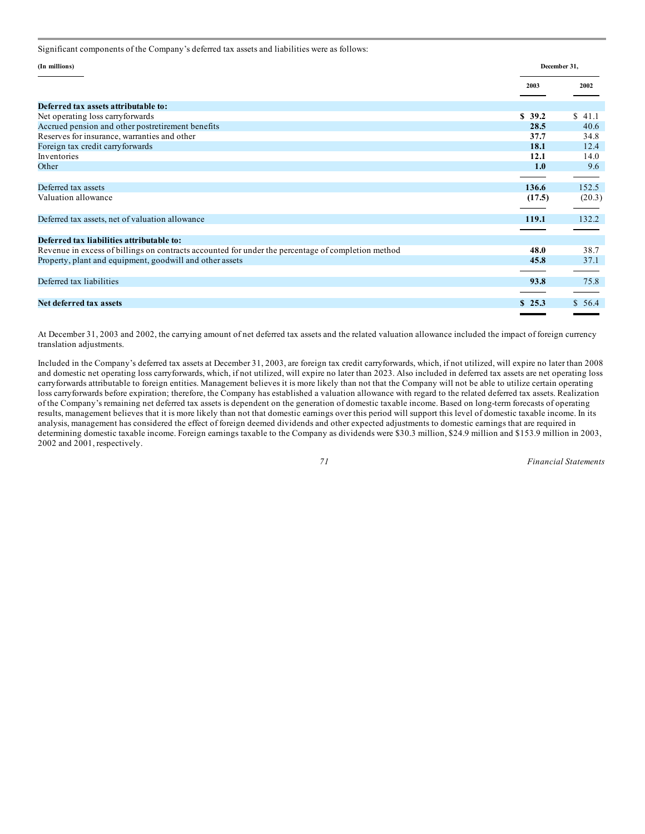Significant components of the Company's deferred tax assets and liabilities were as follows:

| (In millions)                                                                                      |        | December 31, |  |  |
|----------------------------------------------------------------------------------------------------|--------|--------------|--|--|
|                                                                                                    | 2003   | 2002         |  |  |
| Deferred tax assets attributable to:                                                               |        |              |  |  |
| Net operating loss carry forwards                                                                  | \$39.2 | \$41.1       |  |  |
| Accrued pension and other postretirement benefits                                                  | 28.5   | 40.6         |  |  |
| Reserves for insurance, warranties and other                                                       | 37.7   | 34.8         |  |  |
| Foreign tax credit carryforwards                                                                   | 18.1   | 12.4         |  |  |
| Inventories                                                                                        | 12.1   | 14.0         |  |  |
| Other                                                                                              | 1.0    | 9.6          |  |  |
|                                                                                                    |        |              |  |  |
| Deferred tax assets                                                                                | 136.6  | 152.5        |  |  |
| Valuation allowance                                                                                | (17.5) | (20.3)       |  |  |
|                                                                                                    |        |              |  |  |
| Deferred tax assets, net of valuation allowance                                                    | 119.1  | 132.2        |  |  |
|                                                                                                    |        |              |  |  |
| Deferred tax liabilities attributable to:                                                          |        |              |  |  |
| Revenue in excess of billings on contracts accounted for under the percentage of completion method | 48.0   | 38.7         |  |  |
| Property, plant and equipment, goodwill and other assets                                           | 45.8   | 37.1         |  |  |
|                                                                                                    |        |              |  |  |
| Deferred tax liabilities                                                                           | 93.8   | 75.8         |  |  |
|                                                                                                    |        |              |  |  |
| Net deferred tax assets                                                                            | \$25.3 | \$56.4       |  |  |
|                                                                                                    |        |              |  |  |

At December 31, 2003 and 2002, the carrying amount of net deferred tax assets and the related valuation allowance included the impact of foreign currency translation adjustments.

Included in the Company's deferred tax assets at December 31, 2003, are foreign tax credit carryforwards, which, if not utilized, will expire no later than 2008 and domestic net operating loss carryforwards, which, if not utilized, will expire no later than 2023. Also included in deferred tax assets are net operating loss carryforwards attributable to foreign entities. Management believes it is more likely than not that the Company will not be able to utilize certain operating loss carryforwards before expiration; therefore, the Company has established a valuation allowance with regard to the related deferred tax assets. Realization of the Company's remaining net deferred tax assets is dependent on the generation of domestic taxable income. Based on long-term forecasts of operating results, management believes that it is more likely than not that domestic earnings over this period will support this level of domestic taxable income. In its analysis, management has considered the effect of foreign deemed dividends and other expected adjustments to domestic earnings that are required in determining domestic taxable income. Foreign earnings taxable to the Company as dividends were \$30.3 million, \$24.9 million and \$153.9 million in 2003, 2002 and 2001, respectively.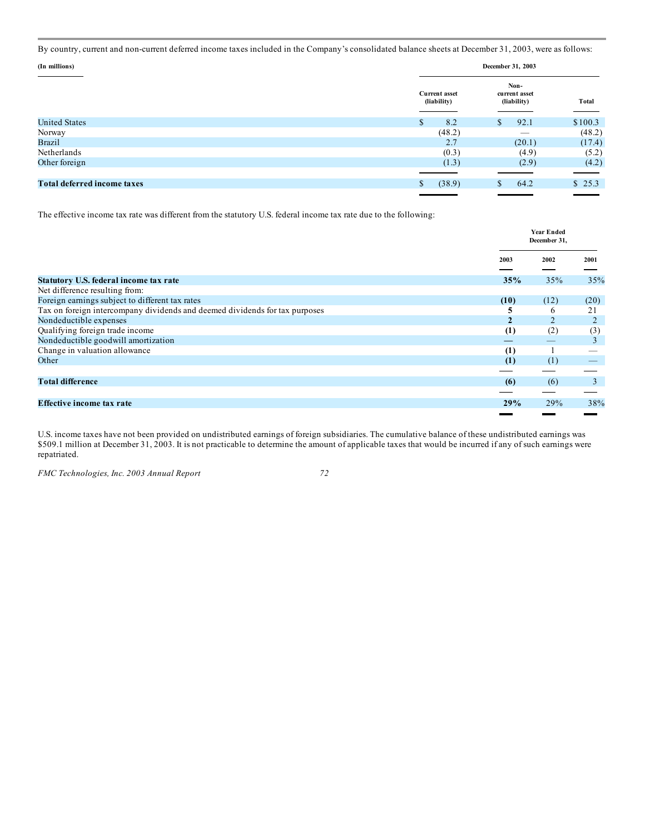By country, current and non-current deferred income taxes included in the Company's consolidated balance sheets at December 31, 2003, were as follows:

| (In millions)               |                                     | December 31, 2003                    |         |  |  |  |
|-----------------------------|-------------------------------------|--------------------------------------|---------|--|--|--|
|                             | <b>Current asset</b><br>(liability) | Non-<br>current asset<br>(liability) | Total   |  |  |  |
| <b>United States</b>        | 8.2<br><sup>\$</sup>                | 92.1<br>\$                           | \$100.3 |  |  |  |
| Norway                      | (48.2)                              | __                                   | (48.2)  |  |  |  |
| <b>Brazil</b>               | 2.7                                 | (20.1)                               | (17.4)  |  |  |  |
| Netherlands                 | (0.3)                               | (4.9)                                | (5.2)   |  |  |  |
| Other foreign               | (1.3)                               | (2.9)                                | (4.2)   |  |  |  |
|                             |                                     |                                      |         |  |  |  |
| Total deferred income taxes | (38.9)<br>\$                        | 64.2<br>\$                           | \$25.3  |  |  |  |
|                             |                                     |                                      |         |  |  |  |

The effective income tax rate was different from the statutory U.S. federal income tax rate due to the following:

|                                                                             |              | <b>Year Ended</b><br>December 31, |      |  |
|-----------------------------------------------------------------------------|--------------|-----------------------------------|------|--|
|                                                                             | 2003         | 2002                              | 2001 |  |
| Statutory U.S. federal income tax rate                                      | 35%          | 35%                               | 35%  |  |
| Net difference resulting from:                                              |              |                                   |      |  |
| Foreign earnings subject to different tax rates                             | (10)         | (12)                              | (20) |  |
| Tax on foreign intercompany dividends and deemed dividends for tax purposes |              | b                                 | 21   |  |
| Nondeductible expenses                                                      | $\mathbf{2}$ | $\overline{c}$                    | 2    |  |
| Qualifying foreign trade income                                             | (1)          | (2)                               | (3)  |  |
| Nondeductible goodwill amortization                                         |              |                                   |      |  |
| Change in valuation allowance                                               | (1)          |                                   |      |  |
| Other                                                                       | (1)          | (1)                               |      |  |
|                                                                             |              |                                   |      |  |
| <b>Total difference</b>                                                     | (6)          | (6)                               | 3    |  |
|                                                                             |              |                                   |      |  |
| <b>Effective income tax rate</b>                                            | 29%          | 29%                               | 38%  |  |
|                                                                             |              |                                   |      |  |

U.S. income taxes have not been provided on undistributed earnings of foreign subsidiaries. The cumulative balance of these undistributed earnings was \$509.1 million at December 31, 2003. It is not practicable to determine the amount of applicable taxes that would be incurred if any of such earnings were repatriated.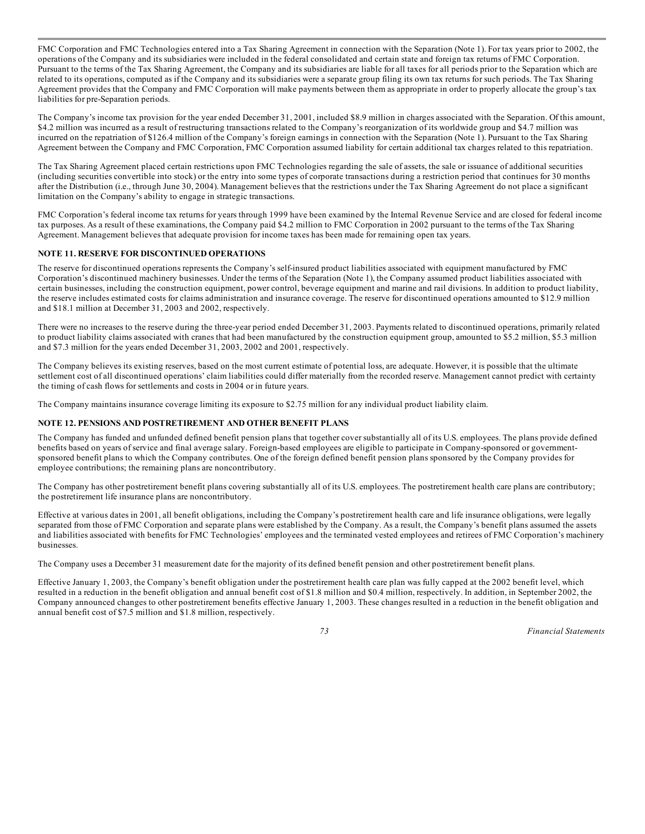FMC Corporation and FMC Technologies entered into a Tax Sharing Agreement in connection with the Separation (Note 1). For tax years prior to 2002, the operations of the Company and its subsidiaries were included in the federal consolidated and certain state and foreign tax returns of FMC Corporation. Pursuant to the terms of the Tax Sharing Agreement, the Company and its subsidiaries are liable for all taxes for all periods prior to the Separation which are related to its operations, computed as if the Company and its subsidiaries were a separate group filing its own tax returns for such periods. The Tax Sharing Agreement provides that the Company and FMC Corporation will make payments between them as appropriate in order to properly allocate the group's tax liabilities for pre-Separation periods.

The Company's income tax provision for the year ended December 31, 2001, included \$8.9 million in charges associated with the Separation. Of this amount, \$4.2 million was incurred as a result of restructuring transactions related to the Company's reorganization of its worldwide group and \$4.7 million was incurred on the repatriation of \$126.4 million of the Company's foreign earnings in connection with the Separation (Note 1). Pursuant to the Tax Sharing Agreement between the Company and FMC Corporation, FMC Corporation assumed liability for certain additional tax charges related to this repatriation.

The Tax Sharing Agreement placed certain restrictions upon FMC Technologies regarding the sale of assets, the sale or issuance of additional securities (including securities convertible into stock) or the entry into some types of corporate transactions during a restriction period that continues for 30 months after the Distribution (i.e., through June 30, 2004). Management believes that the restrictions under the Tax Sharing Agreement do not place a significant limitation on the Company's ability to engage in strategic transactions.

FMC Corporation's federal income tax returns for years through 1999 have been examined by the Internal Revenue Service and are closed for federal income tax purposes. As a result of these examinations, the Company paid \$4.2 million to FMC Corporation in 2002 pursuant to the terms of the Tax Sharing Agreement. Management believes that adequate provision for income taxes has been made for remaining open tax years.

# **NOTE 11. RESERVE FOR DISCONTINUED OPERATIONS**

The reserve for discontinued operations represents the Company's self-insured product liabilities associated with equipment manufactured by FMC Corporation's discontinued machinery businesses. Under the terms of the Separation (Note 1), the Company assumed product liabilities associated with certain businesses, including the construction equipment, power control, beverage equipment and marine and rail divisions. In addition to product liability, the reserve includes estimated costs for claims administration and insurance coverage. The reserve for discontinued operations amounted to \$12.9 million and \$18.1 million at December 31, 2003 and 2002, respectively.

There were no increases to the reserve during the three-year period ended December 31, 2003. Payments related to discontinued operations, primarily related to product liability claims associated with cranes that had been manufactured by the construction equipment group, amounted to \$5.2 million, \$5.3 million and \$7.3 million for the years ended December 31, 2003, 2002 and 2001, respectively.

The Company believes its existing reserves, based on the most current estimate of potential loss, are adequate. However, it is possible that the ultimate settlement cost of all discontinued operations' claim liabilities could differ materially from the recorded reserve. Management cannot predict with certainty the timing of cash flows for settlements and costs in 2004 or in future years.

The Company maintains insurance coverage limiting its exposure to \$2.75 million for any individual product liability claim.

# **NOTE 12. PENSIONS AND POSTRETIREMENT AND OTHER BENEFIT PLANS**

The Company has funded and unfunded defined benefit pension plans that together cover substantially all of its U.S. employees. The plans provide defined benefits based on years of service and final average salary. Foreign-based employees are eligible to participate in Company-sponsored or governmentsponsored benefit plans to which the Company contributes. One of the foreign defined benefit pension plans sponsored by the Company provides for employee contributions; the remaining plans are noncontributory.

The Company has other postretirement benefit plans covering substantially all of its U.S. employees. The postretirement health care plans are contributory; the postretirement life insurance plans are noncontributory.

Effective at various dates in 2001, all benefit obligations, including the Company's postretirement health care and life insurance obligations, were legally separated from those of FMC Corporation and separate plans were established by the Company. As a result, the Company's benefit plans assumed the assets and liabilities associated with benefits for FMC Technologies' employees and the terminated vested employees and retirees of FMC Corporation's machinery businesses.

The Company uses a December 31 measurement date for the majority of its defined benefit pension and other postretirement benefit plans.

Effective January 1, 2003, the Company's benefit obligation under the postretirement health care plan was fully capped at the 2002 benefit level, which resulted in a reduction in the benefit obligation and annual benefit cost of \$1.8 million and \$0.4 million, respectively. In addition, in September 2002, the Company announced changes to other postretirement benefits effective January 1, 2003. These changes resulted in a reduction in the benefit obligation and annual benefit cost of \$7.5 million and \$1.8 million, respectively.

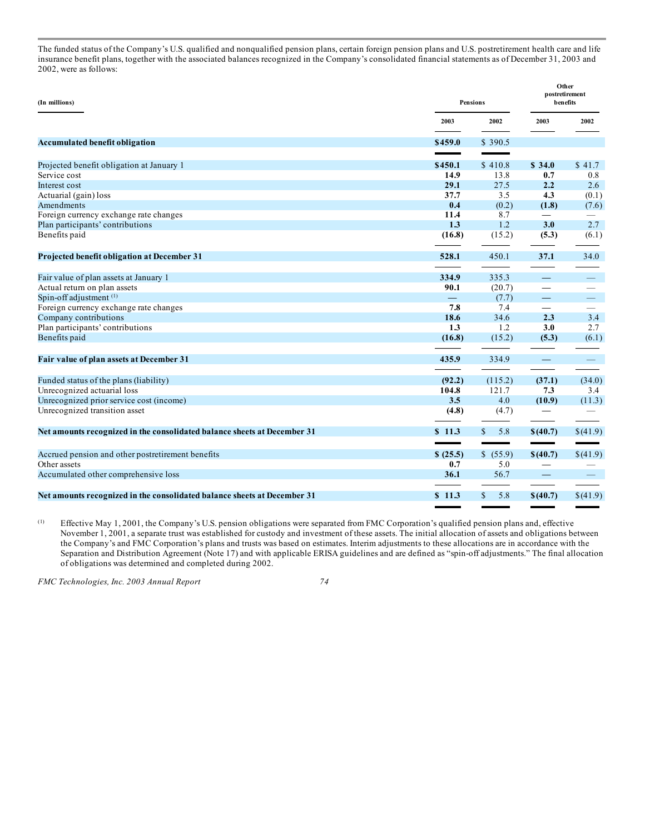The funded status of the Company's U.S. qualified and nonqualified pension plans, certain foreign pension plans and U.S. postretirement health care and life insurance benefit plans, together with the associated balances recognized in the Company's consolidated financial statements as of December 31, 2003 and 2002, were as follows:

| (In millions)                                                            |          | Pensions            |                               | Other<br>postretirement<br>benefits |  |
|--------------------------------------------------------------------------|----------|---------------------|-------------------------------|-------------------------------------|--|
|                                                                          | 2003     | 2002                | 2003                          | 2002                                |  |
| <b>Accumulated benefit obligation</b>                                    | \$459.0  | \$390.5             |                               |                                     |  |
|                                                                          |          |                     |                               |                                     |  |
| Projected benefit obligation at January 1                                | \$450.1  | \$410.8             | \$34.0                        | \$41.7                              |  |
| Service cost                                                             | 14.9     | 13.8                | 0.7                           | 0.8                                 |  |
| Interest cost                                                            | 29.1     | 27.5                | 2.2                           | 2.6                                 |  |
| Actuarial (gain) loss                                                    | 37.7     | 3.5                 | 4.3                           | (0.1)                               |  |
| Amendments                                                               | 0.4      | (0.2)               | (1.8)                         | (7.6)                               |  |
| Foreign currency exchange rate changes                                   | 11.4     | 8.7                 |                               |                                     |  |
| Plan participants' contributions                                         | 1.3      | 1.2                 | 3.0                           | 2.7                                 |  |
| Benefits paid                                                            | (16.8)   | (15.2)              | (5.3)                         | (6.1)                               |  |
| Projected benefit obligation at December 31                              | 528.1    | 450.1               | 37.1                          | 34.0                                |  |
|                                                                          |          |                     |                               |                                     |  |
| Fair value of plan assets at January 1                                   | 334.9    | 335.3               | $\equiv$                      |                                     |  |
| Actual return on plan assets                                             | 90.1     | (20.7)              | $\overline{\phantom{0}}$      |                                     |  |
| Spin-off adjustment (1)                                                  |          | (7.7)               | $\overline{\phantom{0}}$      | $\hspace{0.05cm}$                   |  |
| Foreign currency exchange rate changes                                   | 7.8      | 7.4                 | $\overline{\phantom{0}}$      |                                     |  |
| Company contributions                                                    | 18.6     | 34.6                | 2.3                           | 3.4                                 |  |
| Plan participants' contributions                                         | 1.3      | 1.2                 | 3.0                           | 2.7                                 |  |
| Benefits paid                                                            | (16.8)   | (15.2)              | (5.3)                         | (6.1)                               |  |
| Fair value of plan assets at December 31                                 | 435.9    | 334.9               |                               |                                     |  |
|                                                                          |          |                     |                               |                                     |  |
| Funded status of the plans (liability)                                   | (92.2)   | (115.2)             | (37.1)                        | (34.0)                              |  |
| Unrecognized actuarial loss                                              | 104.8    | 121.7               | 7.3                           | 3.4                                 |  |
| Unrecognized prior service cost (income)                                 | 3.5      | 4.0                 | (10.9)                        | (11.3)                              |  |
| Unrecognized transition asset                                            | (4.8)    | (4.7)               | $\overbrace{\phantom{13333}}$ |                                     |  |
| Net amounts recognized in the consolidated balance sheets at December 31 | \$11.3   | $\mathbb{S}$<br>5.8 | \$(40.7)                      | \$(41.9)                            |  |
|                                                                          |          |                     |                               |                                     |  |
| Accrued pension and other postretirement benefits                        | \$(25.5) | \$ (55.9)           | \$(40.7)                      | \$(41.9)                            |  |
| Other assets                                                             | 0.7      | 5.0                 | $\overbrace{\phantom{aaaaa}}$ |                                     |  |
| Accumulated other comprehensive loss                                     | 36.1     | 56.7                |                               | $\overline{\phantom{m}}$            |  |
|                                                                          |          |                     |                               |                                     |  |
| Net amounts recognized in the consolidated balance sheets at December 31 | \$11.3   | $\mathbb{S}$<br>5.8 | \$(40.7)                      | \$(41.9)                            |  |

(1) Effective May 1, 2001, the Company's U.S. pension obligations were separated from FMC Corporation's qualified pension plans and, effective November 1, 2001, a separate trust was established for custody and investment of these assets. The initial allocation of assets and obligations between the Company's and FMC Corporation's plans and trusts was based on estimates. Interim adjustments to these allocations are in accordance with the Separation and Distribution Agreement (Note 17) and with applicable ERISA guidelines and are defined as "spin-off adjustments." The final allocation of obligations was determined and completed during 2002.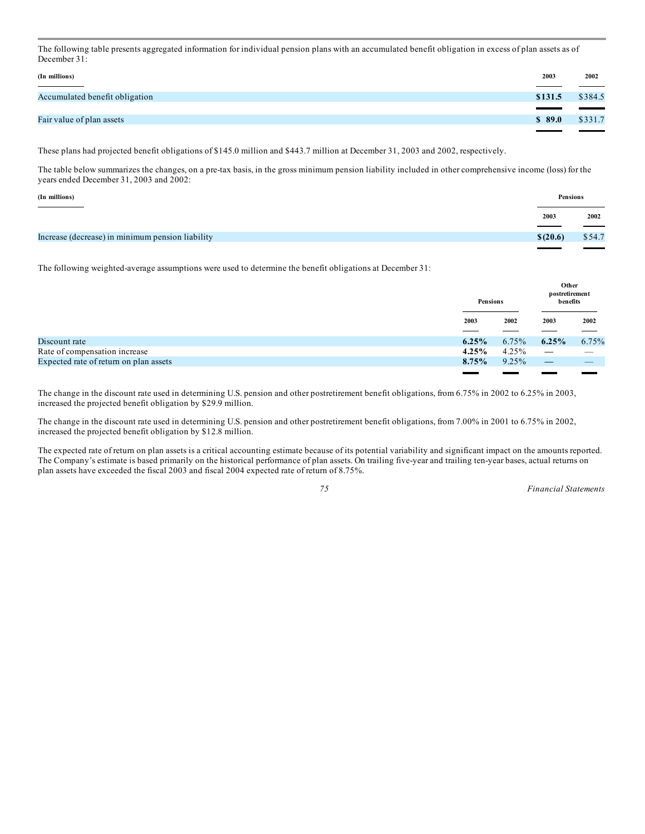The following table presents aggregated information for individual pension plans with an accumulated benefit obligation in excess of plan assets as of December 31:

| (In millions)                  | 2003    | 2002    |
|--------------------------------|---------|---------|
| Accumulated benefit obligation | \$131.5 | \$384.5 |
| Fair value of plan assets      | \$89.0  | \$331.7 |

These plans had projected benefit obligations of \$145.0 million and \$443.7 million at December 31, 2003 and 2002, respectively.

The table below summarizes the changes, on a pre-tax basis, in the gross minimum pension liability included in other comprehensive income (loss) for the years ended December 31, 2003 and 2002:

| (In millions)                                    | Pensions |        |
|--------------------------------------------------|----------|--------|
|                                                  | 2003     | 2002   |
| Increase (decrease) in minimum pension liability | \$(20.6) | \$54.7 |

The following weighted-average assumptions were used to determine the benefit obligations at December 31:

|                                        | Pensions |       | Other<br>postretirement<br>benefits |       |
|----------------------------------------|----------|-------|-------------------------------------|-------|
|                                        | 2003     | 2002  | 2003                                | 2002  |
| Discount rate                          | 6.25%    | 6.75% | $6.25\%$                            | 6.75% |
| Rate of compensation increase          | 4.25%    | 4.25% | $\overline{\phantom{a}}$            |       |
| Expected rate of return on plan assets | 8.75%    | 9.25% | $\overline{\phantom{0}}$            | __    |
|                                        |          |       |                                     |       |

The change in the discount rate used in determining U.S. pension and other postretirement benefit obligations, from 6.75% in 2002 to 6.25% in 2003, increased the projected benefit obligation by \$29.9 million.

The change in the discount rate used in determining U.S. pension and other postretirement benefit obligations, from 7.00% in 2001 to 6.75% in 2002, increased the projected benefit obligation by \$12.8 million.

The expected rate of return on plan assets is a critical accounting estimate because of its potential variability and significant impact on the amounts reported. The Company's estimate is based primarily on the historical performance of plan assets. On trailing five-year and trailing ten-year bases, actual returns on plan assets have exceeded the fiscal 2003 and fiscal 2004 expected rate of return of 8.75%.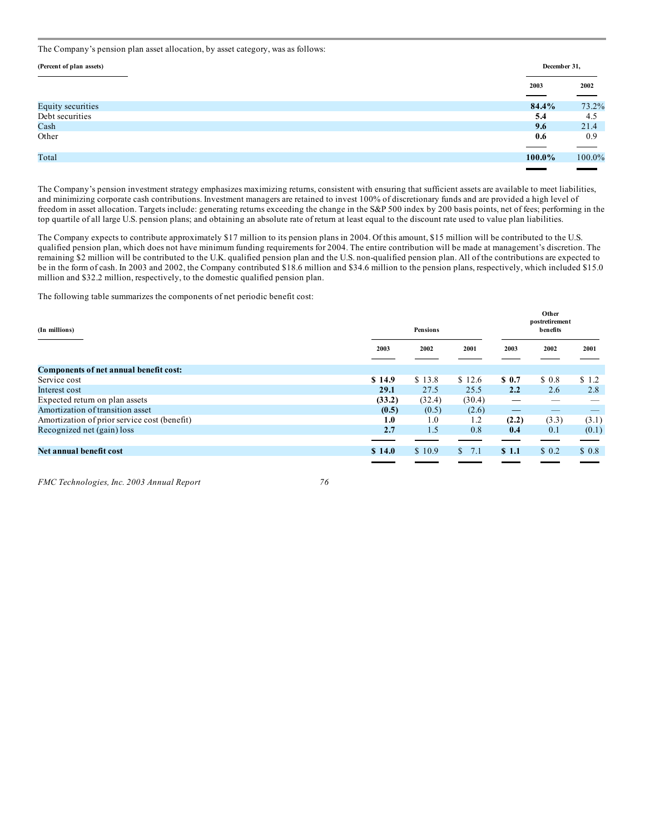#### The Company's pension plan asset allocation, by asset category, was as follows:

| (Percent of plan assets) |        | December 31, |  |  |
|--------------------------|--------|--------------|--|--|
|                          | 2003   | 2002         |  |  |
| Equity securities        | 84.4%  | 73.2%        |  |  |
| Debt securities          | 5.4    | 4.5          |  |  |
| Cash                     | 9.6    | 21.4         |  |  |
| Other                    | 0.6    | 0.9          |  |  |
|                          |        |              |  |  |
| Total                    | 100.0% | 100.0%       |  |  |
|                          |        |              |  |  |

The Company's pension investment strategy emphasizes maximizing returns, consistent with ensuring that sufficient assets are available to meet liabilities, and minimizing corporate cash contributions. Investment managers are retained to invest 100% of discretionary funds and are provided a high level of freedom in asset allocation. Targets include: generating returns exceeding the change in the S&P 500 index by 200 basis points, net of fees; performing in the top quartile of all large U.S. pension plans; and obtaining an absolute rate of return at least equal to the discount rate used to value plan liabilities.

The Company expects to contribute approximately \$17 million to its pension plans in 2004. Of this amount, \$15 million will be contributed to the U.S. qualified pension plan, which does not have minimum funding requirements for 2004. The entire contribution will be made at management's discretion. The remaining \$2 million will be contributed to the U.K. qualified pension plan and the U.S. non-qualified pension plan. All of the contributions are expected to be in the form of cash. In 2003 and 2002, the Company contributed \$18.6 million and \$34.6 million to the pension plans, respectively, which included \$15.0 million and \$32.2 million, respectively, to the domestic qualified pension plan.

The following table summarizes the components of net periodic benefit cost:

| (In millions)                                | Pensions |        |        | Other<br>postretirement<br>benefits |       |       |
|----------------------------------------------|----------|--------|--------|-------------------------------------|-------|-------|
|                                              | 2003     | 2002   | 2001   | 2003                                | 2002  | 2001  |
| Components of net annual benefit cost:       |          |        |        |                                     |       |       |
| Service cost                                 | \$14.9   | \$13.8 | \$12.6 | $S$ 0.7                             | \$0.8 | \$1.2 |
| Interest cost                                | 29.1     | 27.5   | 25.5   | 2.2                                 | 2.6   | 2.8   |
| Expected return on plan assets               | (33.2)   | (32.4) | (30.4) |                                     |       |       |
| Amortization of transition asset             | (0.5)    | (0.5)  | (2.6)  |                                     |       |       |
| Amortization of prior service cost (benefit) | 1.0      | 1.0    | 1.2    | (2.2)                               | (3.3) | (3.1) |
| Recognized net (gain) loss                   | 2.7      | 1.5    | 0.8    | 0.4                                 | 0.1   | (0.1) |
|                                              |          |        |        |                                     |       |       |
| Net annual benefit cost                      | \$14.0   | \$10.9 | \$7.1  | \$1.1                               | \$0.2 | \$0.8 |
|                                              |          |        |        |                                     |       |       |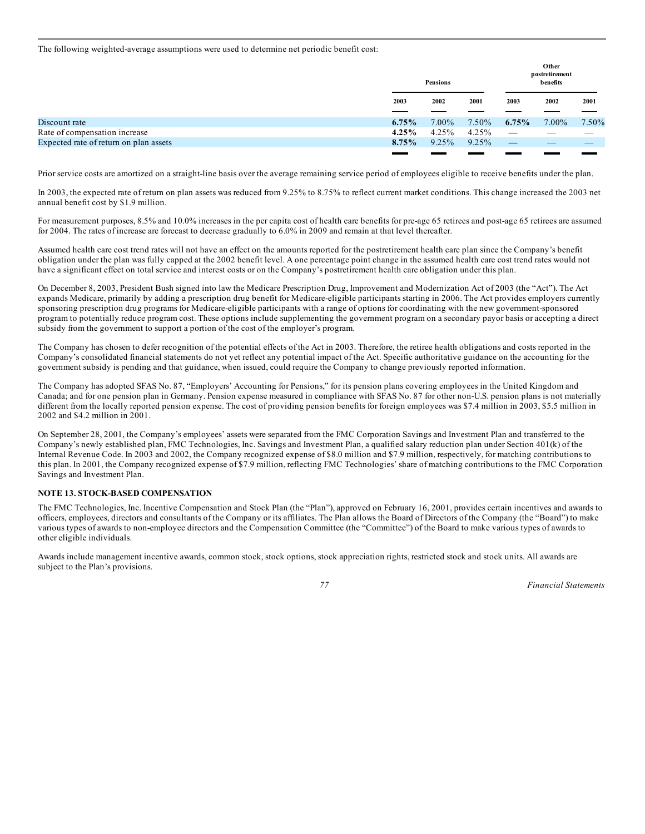The following weighted-average assumptions were used to determine net periodic benefit cost:

|                                        |       | Pensions |       | Other<br>postretirement<br>benefits |          |       |
|----------------------------------------|-------|----------|-------|-------------------------------------|----------|-------|
|                                        | 2003  | 2002     | 2001  | 2003                                | 2002     | 2001  |
| Discount rate                          | 6.75% | $7.00\%$ | 7.50% | 6.75%                               | $7.00\%$ | 7.50% |
| Rate of compensation increase          | 4.25% | $4.25\%$ | 4.25% |                                     | __       |       |
| Expected rate of return on plan assets | 8.75% | 9.25%    | 9.25% | $\overline{\phantom{0}}$            |          |       |
|                                        |       |          |       |                                     |          |       |

Prior service costs are amortized on a straight-line basis over the average remaining service period of employees eligible to receive benefits under the plan.

In 2003, the expected rate of return on plan assets was reduced from 9.25% to 8.75% to reflect current market conditions. This change increased the 2003 net annual benefit cost by \$1.9 million.

For measurement purposes, 8.5% and 10.0% increases in the per capita cost of health care benefits for pre-age 65 retirees and post-age 65 retirees are assumed for 2004. The rates of increase are forecast to decrease gradually to 6.0% in 2009 and remain at that level thereafter.

Assumed health care cost trend rates will not have an effect on the amounts reported for the postretirement health care plan since the Company's benefit obligation under the plan was fully capped at the 2002 benefit level. A one percentage point change in the assumed health care cost trend rates would not have a significant effect on total service and interest costs or on the Company's postretirement health care obligation under this plan.

On December 8, 2003, President Bush signed into law the Medicare Prescription Drug, Improvement and Modernization Act of 2003 (the "Act"). The Act expands Medicare, primarily by adding a prescription drug benefit for Medicare-eligible participants starting in 2006. The Act provides employers currently sponsoring prescription drug programs for Medicare-eligible participants with a range of options for coordinating with the new government-sponsored program to potentially reduce program cost. These options include supplementing the government program on a secondary payor basis or accepting a direct subsidy from the government to support a portion of the cost of the employer's program.

The Company has chosen to defer recognition of the potential effects of the Act in 2003. Therefore, the retiree health obligations and costs reported in the Company's consolidated financial statements do not yet reflect any potential impact of the Act. Specific authoritative guidance on the accounting for the government subsidy is pending and that guidance, when issued, could require the Company to change previously reported information.

The Company has adopted SFAS No. 87, "Employers' Accounting for Pensions," for its pension plans covering employees in the United Kingdom and Canada; and for one pension plan in Germany. Pension expense measured in compliance with SFAS No. 87 for other non-U.S. pension plans is not materially different from the locally reported pension expense. The cost of providing pension benefits for foreign employees was \$7.4 million in 2003, \$5.5 million in 2002 and \$4.2 million in 2001.

On September 28, 2001, the Company's employees' assets were separated from the FMC Corporation Savings and Investment Plan and transferred to the Company's newly established plan, FMC Technologies, Inc. Savings and Investment Plan, a qualified salary reduction plan under Section 401(k) of the Internal Revenue Code. In 2003 and 2002, the Company recognized expense of \$8.0 million and \$7.9 million, respectively, for matching contributions to this plan. In 2001, the Company recognized expense of \$7.9 million, reflecting FMC Technologies' share of matching contributions to the FMC Corporation Savings and Investment Plan.

## **NOTE 13. STOCK-BASED COMPENSATION**

The FMC Technologies, Inc. Incentive Compensation and Stock Plan (the "Plan"), approved on February 16, 2001, provides certain incentives and awards to officers, employees, directors and consultants of the Company or its affiliates. The Plan allows the Board of Directors of the Company (the "Board") to make various types of awards to non-employee directors and the Compensation Committee (the "Committee") of the Board to make various types of awards to other eligible individuals.

Awards include management incentive awards, common stock, stock options, stock appreciation rights, restricted stock and stock units. All awards are subject to the Plan's provisions.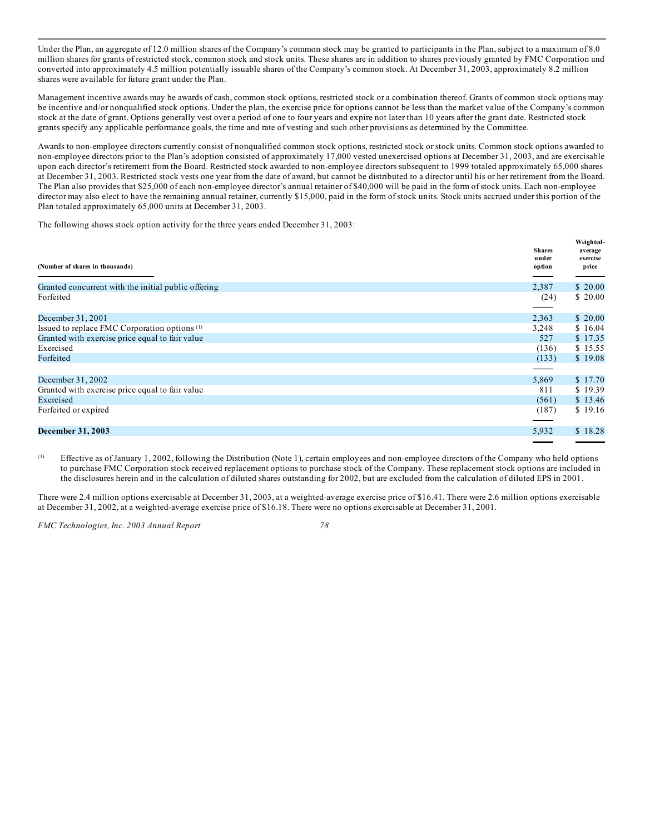Under the Plan, an aggregate of 12.0 million shares of the Company's common stock may be granted to participants in the Plan, subject to a maximum of 8.0 million shares for grants of restricted stock, common stock and stock units. These shares are in addition to shares previously granted by FMC Corporation and converted into approximately 4.5 million potentially issuable shares of the Company's common stock. At December 31, 2003, approximately 8.2 million shares were available for future grant under the Plan.

Management incentive awards may be awards of cash, common stock options, restricted stock or a combination thereof. Grants of common stock options may be incentive and/or nonqualified stock options. Under the plan, the exercise price for options cannot be less than the market value of the Company's common stock at the date of grant. Options generally vest over a period of one to four years and expire not later than 10 years after the grant date. Restricted stock grants specify any applicable performance goals, the time and rate of vesting and such other provisions as determined by the Committee.

Awards to non-employee directors currently consist of nonqualified common stock options, restricted stock or stock units. Common stock options awarded to non-employee directors prior to the Plan's adoption consisted of approximately 17,000 vested unexercised options at December 31, 2003, and are exercisable upon each director's retirement from the Board. Restricted stock awarded to non-employee directors subsequent to 1999 totaled approximately 65,000 shares at December 31, 2003. Restricted stock vests one year from the date of award, but cannot be distributed to a director until his or her retirement from the Board. The Plan also provides that \$25,000 of each non-employee director's annual retainer of \$40,000 will be paid in the form of stock units. Each non-employee director may also elect to have the remaining annual retainer, currently \$15,000, paid in the form of stock units. Stock units accrued under this portion of the Plan totaled approximately 65,000 units at December 31, 2003.

The following shows stock option activity for the three years ended December 31, 2003:

| (Number of shares in thousands)                          | <b>Shares</b><br>under<br>option | Weighted-<br>average<br>exercise<br>price |
|----------------------------------------------------------|----------------------------------|-------------------------------------------|
| Granted concurrent with the initial public offering      | 2,387                            | \$20.00                                   |
| Forfeited                                                | (24)                             | \$20.00                                   |
| December 31, 2001                                        | 2,363                            | \$20.00                                   |
| Issued to replace FMC Corporation options <sup>(1)</sup> | 3,248                            | \$16.04                                   |
| Granted with exercise price equal to fair value          | 527                              | \$17.35                                   |
| Exercised                                                | (136)                            | \$15.55                                   |
| Forfeited                                                | (133)                            | \$19.08                                   |
| December 31, 2002                                        | 5,869                            | \$17.70                                   |
| Granted with exercise price equal to fair value          | 811                              | \$19.39                                   |
| Exercised                                                | (561)                            | \$13.46                                   |
| Forfeited or expired                                     | (187)                            | \$19.16                                   |
| <b>December 31, 2003</b>                                 | 5,932                            | \$18.28                                   |
|                                                          |                                  |                                           |

(1) Effective as of January 1, 2002, following the Distribution (Note 1), certain employees and non-employee directors of the Company who held options to purchase FMC Corporation stock received replacement options to purchase stock of the Company. These replacement stock options are included in the disclosures herein and in the calculation of diluted shares outstanding for 2002, but are excluded from the calculation of diluted EPS in 2001.

There were 2.4 million options exercisable at December 31, 2003, at a weighted-average exercise price of \$16.41. There were 2.6 million options exercisable at December 31, 2002, at a weighted-average exercise price of \$16.18. There were no options exercisable at December 31, 2001.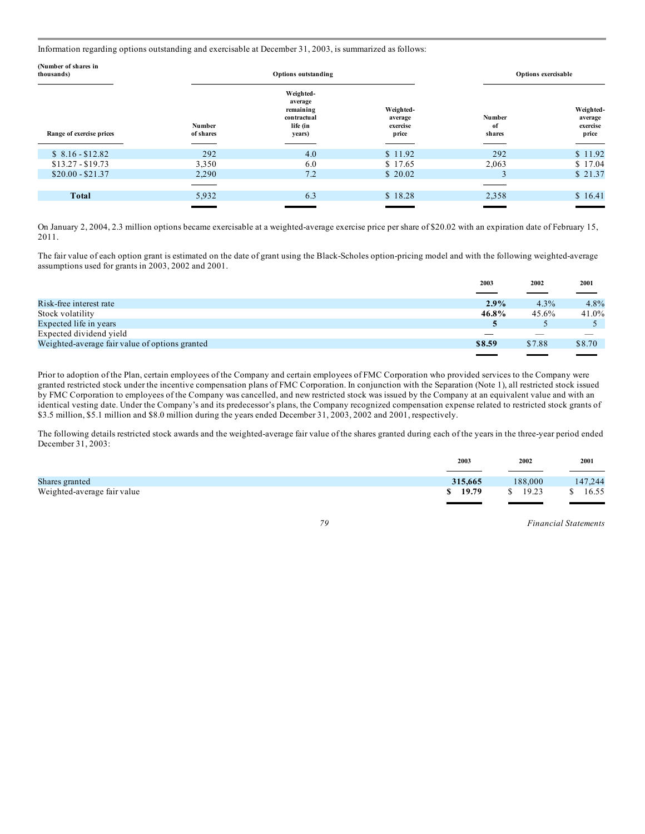Information regarding options outstanding and exercisable at December 31, 2003, is summarized as follows:

| (Number of shares in<br>thousands) | <b>Options outstanding</b> |                                                                        |                                           | <b>Options exercisable</b> |                                                                             |
|------------------------------------|----------------------------|------------------------------------------------------------------------|-------------------------------------------|----------------------------|-----------------------------------------------------------------------------|
| Range of exercise prices           | Number<br>of shares        | Weighted-<br>average<br>remaining<br>contractual<br>life (in<br>years) | Weighted-<br>average<br>exercise<br>price | Number<br>of<br>shares     | Weighted-<br>average<br>exercise<br>price<br>$\overbrace{\hspace{27mm}}^{}$ |
| $$8.16 - $12.82$                   | 292                        | 4.0                                                                    | \$11.92                                   | 292                        | \$11.92                                                                     |
| $$13.27 - $19.73$                  | 3,350                      | 6.0                                                                    | \$17.65                                   | 2,063                      | \$17.04                                                                     |
| $$20.00 - $21.37$                  | 2,290                      | 7.2                                                                    | \$20.02                                   |                            | \$21.37                                                                     |
|                                    |                            |                                                                        |                                           |                            |                                                                             |
| Total                              | 5,932                      | 6.3                                                                    | \$18.28                                   | 2,358                      | \$16.41                                                                     |
|                                    |                            |                                                                        |                                           |                            |                                                                             |

On January 2, 2004, 2.3 million options became exercisable at a weighted-average exercise price per share of \$20.02 with an expiration date of February 15, 2011.

The fair value of each option grant is estimated on the date of grant using the Black-Scholes option-pricing model and with the following weighted-average assumptions used for grants in 2003, 2002 and 2001.

|                                                | 2003   | 2002    | 2001                     |
|------------------------------------------------|--------|---------|--------------------------|
|                                                |        |         |                          |
| Risk-free interest rate                        | 2.9%   | $4.3\%$ | 4.8%                     |
| Stock volatility                               | 46.8%  | 45.6%   | 41.0%                    |
| Expected life in years                         |        |         |                          |
| Expected dividend yield                        |        | $\sim$  | $\overline{\phantom{a}}$ |
| Weighted-average fair value of options granted | \$8.59 | \$7.88  | \$8.70                   |
|                                                |        |         |                          |

Prior to adoption of the Plan, certain employees of the Company and certain employees of FMC Corporation who provided services to the Company were granted restricted stock under the incentive compensation plans of FMC Corporation. In conjunction with the Separation (Note 1), all restricted stock issued by FMC Corporation to employees of the Company was cancelled, and new restricted stock was issued by the Company at an equivalent value and with an identical vesting date. Under the Company's and its predecessor's plans, the Company recognized compensation expense related to restricted stock grants of \$3.5 million, \$5.1 million and \$8.0 million during the years ended December 31, 2003, 2002 and 2001, respectively.

The following details restricted stock awards and the weighted-average fair value of the shares granted during each of the years in the three-year period ended December 31, 2003:

|                             | 2003                  | 2002         | 2001        |
|-----------------------------|-----------------------|--------------|-------------|
|                             |                       |              |             |
| Shares granted              | 315,665               | 188,000      | 147,244     |
| Weighted-average fair value | 19.79<br>$\mathbf{s}$ | 19.23<br>\$. | 16.55<br>S. |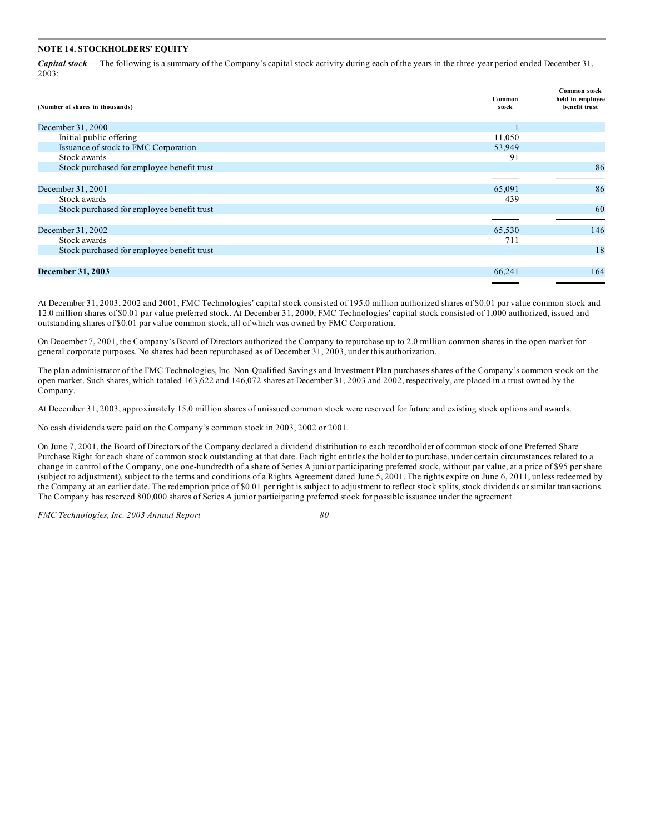# **NOTE 14. STOCKHOLDERS' EQUITY**

*Capital stock* — The following is a summary of the Company's capital stock activity during each of the years in the three-year period ended December 31, 2003:

| (Number of shares in thousands)            | Common<br>stock | <b>Common stock</b><br>held in employee<br>benefit trust |
|--------------------------------------------|-----------------|----------------------------------------------------------|
| December 31, 2000                          |                 |                                                          |
| Initial public offering                    | 11,050          |                                                          |
| Issuance of stock to FMC Corporation       | 53,949          |                                                          |
| Stock awards                               | 9               |                                                          |
| Stock purchased for employee benefit trust |                 | 86                                                       |
|                                            |                 |                                                          |
| December 31, 2001                          | 65,091          | 86                                                       |
| Stock awards                               | 439             | __                                                       |
| Stock purchased for employee benefit trust |                 | 60                                                       |
|                                            |                 |                                                          |
| December 31, 2002                          | 65,530          | 146                                                      |
| Stock awards                               | 711             | __                                                       |
| Stock purchased for employee benefit trust |                 | 18                                                       |
|                                            |                 |                                                          |
| <b>December 31, 2003</b>                   | 66,241          | 164                                                      |
|                                            |                 |                                                          |

At December 31, 2003, 2002 and 2001, FMC Technologies' capital stock consisted of 195.0 million authorized shares of \$0.01 par value common stock and 12.0 million shares of \$0.01 par value preferred stock. At December 31, 2000, FMC Technologies' capital stock consisted of 1,000 authorized, issued and outstanding shares of \$0.01 par value common stock, all of which was owned by FMC Corporation.

On December 7, 2001, the Company's Board of Directors authorized the Company to repurchase up to 2.0 million common shares in the open market for general corporate purposes. No shares had been repurchased as of December 31, 2003, under this authorization.

The plan administrator of the FMC Technologies, Inc. Non-Qualified Savings and Investment Plan purchases shares of the Company's common stock on the open market. Such shares, which totaled 163,622 and 146,072 shares at December 31, 2003 and 2002, respectively, are placed in a trust owned by the Company.

At December 31, 2003, approximately 15.0 million shares of unissued common stock were reserved for future and existing stock options and awards.

No cash dividends were paid on the Company's common stock in 2003, 2002 or 2001.

On June 7, 2001, the Board of Directors of the Company declared a dividend distribution to each recordholder of common stock of one Preferred Share Purchase Right for each share of common stock outstanding at that date. Each right entitles the holder to purchase, under certain circumstances related to a change in control of the Company, one one-hundredth of a share of Series A junior participating preferred stock, without par value, at a price of \$95 per share (subject to adjustment), subject to the terms and conditions of a Rights Agreement dated June 5, 2001. The rights expire on June 6, 2011, unless redeemed by the Company at an earlier date. The redemption price of \$0.01 per right is subject to adjustment to reflect stock splits, stock dividends or similar transactions. The Company has reserved 800,000 shares of Series A junior participating preferred stock for possible issuance under the agreement.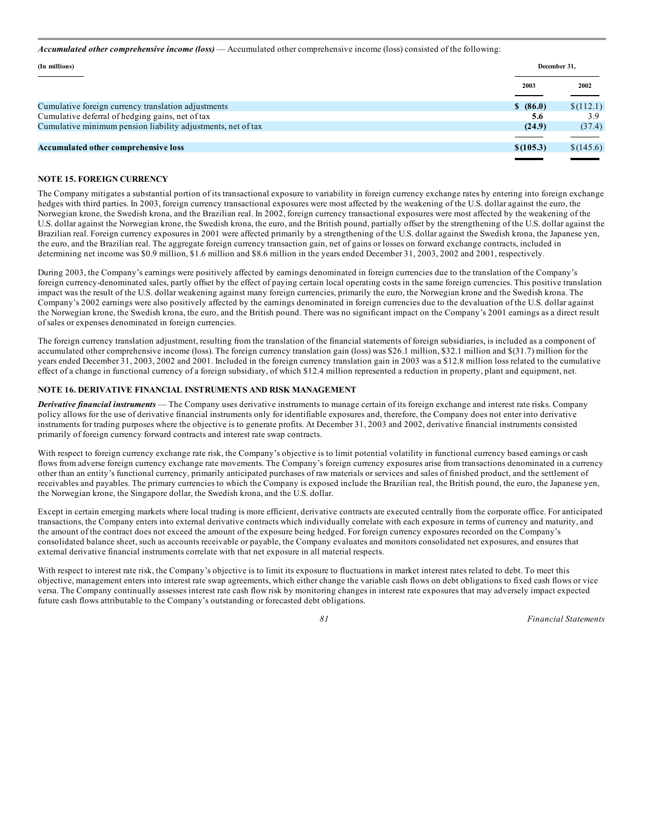*Accumulated other comprehensive income (loss)* — Accumulated other comprehensive income (loss) consisted of the following:

| (In millions)                                                |           | December 31, |
|--------------------------------------------------------------|-----------|--------------|
|                                                              | 2003      | 2002         |
| Cumulative foreign currency translation adjustments          | \$ (86.0) | \$(112.1)    |
| Cumulative deferral of hedging gains, net of tax             | 5.6       |              |
| Cumulative minimum pension liability adjustments, net of tax | (24.9)    | (37.4)       |
|                                                              |           |              |
| <b>Accumulated other comprehensive loss</b>                  | \$(105.3) | \$(145.6)    |
|                                                              |           |              |

## **NOTE 15. FOREIGN CURRENCY**

The Company mitigates a substantial portion of its transactional exposure to variability in foreign currency exchange rates by entering into foreign exchange hedges with third parties. In 2003, foreign currency transactional exposures were most affected by the weakening of the U.S. dollar against the euro, the Norwegian krone, the Swedish krona, and the Brazilian real. In 2002, foreign currency transactional exposures were most affected by the weakening of the U.S. dollar against the Norwegian krone, the Swedish krona, the euro, and the British pound, partially offset by the strengthening of the U.S. dollar against the Brazilian real. Foreign currency exposures in 2001 were affected primarily by a strengthening of the U.S. dollar against the Swedish krona, the Japanese yen, the euro, and the Brazilian real. The aggregate foreign currency transaction gain, net of gains or losses on forward exchange contracts, included in determining net income was \$0.9 million, \$1.6 million and \$8.6 million in the years ended December 31, 2003, 2002 and 2001, respectively.

During 2003, the Company's earnings were positively affected by earnings denominated in foreign currencies due to the translation of the Company's foreign currency-denominated sales, partly offset by the effect of paying certain local operating costs in the same foreign currencies. This positive translation impact was the result of the U.S. dollar weakening against many foreign currencies, primarily the euro, the Norwegian krone and the Swedish krona. The Company's 2002 earnings were also positively affected by the earnings denominated in foreign currencies due to the devaluation of the U.S. dollar against the Norwegian krone, the Swedish krona, the euro, and the British pound. There was no significant impact on the Company's 2001 earnings as a direct result of sales or expenses denominated in foreign currencies.

The foreign currency translation adjustment, resulting from the translation of the financial statements of foreign subsidiaries, is included as a component of accumulated other comprehensive income (loss). The foreign currency translation gain (loss) was \$26.1 million, \$32.1 million and \$(31.7) million for the years ended December 31, 2003, 2002 and 2001. Included in the foreign currency translation gain in 2003 was a \$12.8 million loss related to the cumulative effect of a change in functional currency of a foreign subsidiary, of which \$12.4 million represented a reduction in property, plant and equipment, net.

#### **NOTE 16. DERIVATIVE FINANCIAL INSTRUMENTS AND RISK MANAGEMENT**

*Derivative financial instruments* — The Company uses derivative instruments to manage certain of its foreign exchange and interest rate risks. Company policy allows for the use of derivative financial instruments only for identifiable exposures and, therefore, the Company does not enter into derivative instruments for trading purposes where the objective is to generate profits. At December 31, 2003 and 2002, derivative financial instruments consisted primarily of foreign currency forward contracts and interest rate swap contracts.

With respect to foreign currency exchange rate risk, the Company's objective is to limit potential volatility in functional currency based earnings or cash flows from adverse foreign currency exchange rate movements. The Company's foreign currency exposures arise from transactions denominated in a currency other than an entity's functional currency, primarily anticipated purchases of raw materials or services and sales of finished product, and the settlement of receivables and payables. The primary currencies to which the Company is exposed include the Brazilian real, the British pound, the euro, the Japanese yen, the Norwegian krone, the Singapore dollar, the Swedish krona, and the U.S. dollar.

Except in certain emerging markets where local trading is more efficient, derivative contracts are executed centrally from the corporate office. For anticipated transactions, the Company enters into external derivative contracts which individually correlate with each exposure in terms of currency and maturity, and the amount of the contract does not exceed the amount of the exposure being hedged. For foreign currency exposures recorded on the Company's consolidated balance sheet, such as accounts receivable or payable, the Company evaluates and monitors consolidated net exposures, and ensures that external derivative financial instruments correlate with that net exposure in all material respects.

With respect to interest rate risk, the Company's objective is to limit its exposure to fluctuations in market interest rates related to debt. To meet this objective, management enters into interest rate swap agreements, which either change the variable cash flows on debt obligations to fixed cash flows or vice versa. The Company continually assesses interest rate cash flow risk by monitoring changes in interest rate exposures that may adversely impact expected future cash flows attributable to the Company's outstanding or forecasted debt obligations.

*81 Financial Statements*

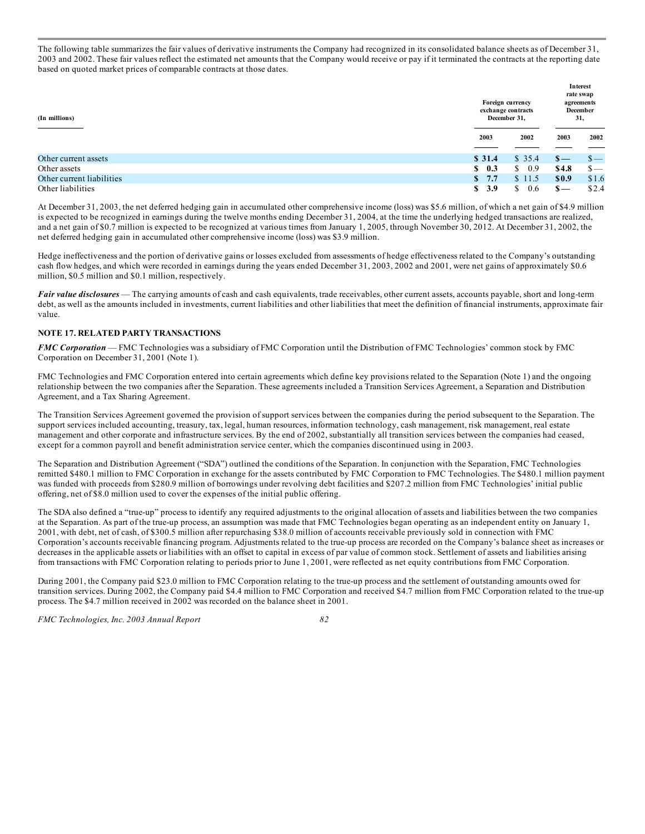The following table summarizes the fair values of derivative instruments the Company had recognized in its consolidated balance sheets as of December 31, 2003 and 2002. These fair values reflect the estimated net amounts that the Company would receive or pay if it terminated the contracts at the reporting date based on quoted market prices of comparable contracts at those dates.

| (In millions)             |           | Foreign currency<br>exchange contracts<br>December 31, |       |                |
|---------------------------|-----------|--------------------------------------------------------|-------|----------------|
|                           | 2003      | 2002                                                   | 2003  | 2002           |
| Other current assets      | \$31.4    | \$35.4                                                 | $s-$  | $\mathbf{s}$ — |
| Other assets              | 0.3<br>\$ | 0.9<br><sup>\$</sup>                                   | \$4.8 | $\mathbf{s}-$  |
| Other current liabilities | \$7.7     | \$11.5                                                 | \$0.9 | \$1.6          |
| Other liabilities         | \$<br>3.9 | \$<br>0.6                                              | $s-$  | \$2.4          |

At December 31, 2003, the net deferred hedging gain in accumulated other comprehensive income (loss) was \$5.6 million, of which a net gain of \$4.9 million is expected to be recognized in earnings during the twelve months ending December 31, 2004, at the time the underlying hedged transactions are realized, and a net gain of \$0.7 million is expected to be recognized at various times from January 1, 2005, through November 30, 2012. At December 31, 2002, the net deferred hedging gain in accumulated other comprehensive income (loss) was \$3.9 million.

Hedge ineffectiveness and the portion of derivative gains or losses excluded from assessments of hedge effectiveness related to the Company's outstanding cash flow hedges, and which were recorded in earnings during the years ended December 31, 2003, 2002 and 2001, were net gains of approximately \$0.6 million, \$0.5 million and \$0.1 million, respectively.

*Fair value disclosures* — The carrying amounts of cash and cash equivalents, trade receivables, other current assets, accounts payable, short and long-term debt, as well as the amounts included in investments, current liabilities and other liabilities that meet the definition of financial instruments, approximate fair value.

### **NOTE 17. RELATED PARTY TRANSACTIONS**

*FMC Corporation* — FMC Technologies was a subsidiary of FMC Corporation until the Distribution of FMC Technologies' common stock by FMC Corporation on December 31, 2001 (Note 1).

FMC Technologies and FMC Corporation entered into certain agreements which define key provisions related to the Separation (Note 1) and the ongoing relationship between the two companies after the Separation. These agreements included a Transition Services Agreement, a Separation and Distribution Agreement, and a Tax Sharing Agreement.

The Transition Services Agreement governed the provision of support services between the companies during the period subsequent to the Separation. The support services included accounting, treasury, tax, legal, human resources, information technology, cash management, risk management, real estate management and other corporate and infrastructure services. By the end of 2002, substantially all transition services between the companies had ceased, except for a common payroll and benefit administration service center, which the companies discontinued using in 2003.

The Separation and Distribution Agreement ("SDA") outlined the conditions of the Separation. In conjunction with the Separation, FMC Technologies remitted \$480.1 million to FMC Corporation in exchange for the assets contributed by FMC Corporation to FMC Technologies. The \$480.1 million payment was funded with proceeds from \$280.9 million of borrowings under revolving debt facilities and \$207.2 million from FMC Technologies' initial public offering, net of \$8.0 million used to cover the expenses of the initial public offering.

The SDA also defined a "true-up" process to identify any required adjustments to the original allocation of assets and liabilities between the two companies at the Separation. As part of the true-up process, an assumption was made that FMC Technologies began operating as an independent entity on January 1, 2001, with debt, net of cash, of \$300.5 million after repurchasing \$38.0 million of accounts receivable previously sold in connection with FMC Corporation's accounts receivable financing program. Adjustments related to the true-up process are recorded on the Company's balance sheet as increases or decreases in the applicable assets or liabilities with an offset to capital in excess of par value of common stock. Settlement of assets and liabilities arising from transactions with FMC Corporation relating to periods prior to June 1, 2001, were reflected as net equity contributions from FMC Corporation.

During 2001, the Company paid \$23.0 million to FMC Corporation relating to the true-up process and the settlement of outstanding amounts owed for transition services. During 2002, the Company paid \$4.4 million to FMC Corporation and received \$4.7 million from FMC Corporation related to the true-up process. The \$4.7 million received in 2002 was recorded on the balance sheet in 2001.

*FMC Technologies, Inc. 2003 Annual Report 82*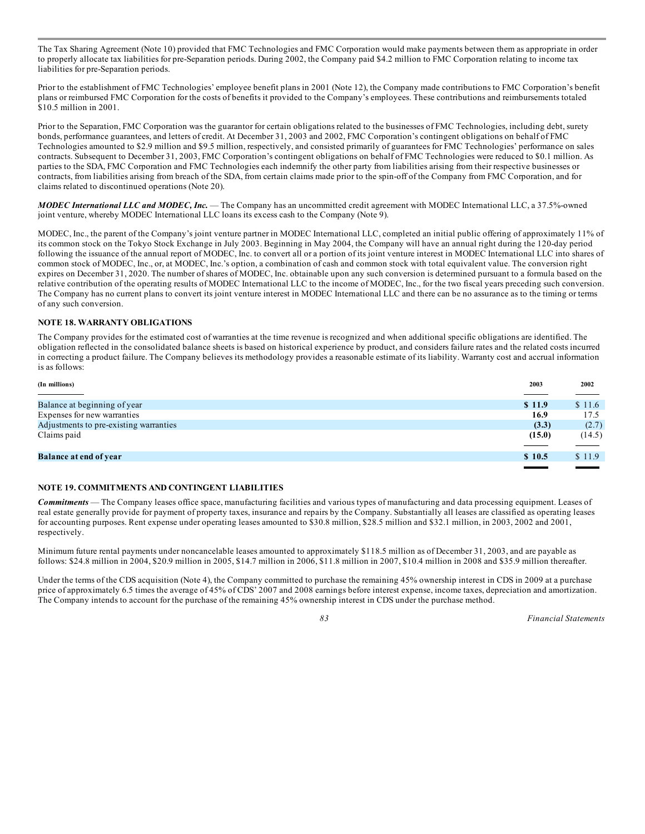The Tax Sharing Agreement (Note 10) provided that FMC Technologies and FMC Corporation would make payments between them as appropriate in order to properly allocate tax liabilities for pre-Separation periods. During 2002, the Company paid \$4.2 million to FMC Corporation relating to income tax liabilities for pre-Separation periods.

Prior to the establishment of FMC Technologies' employee benefit plans in 2001 (Note 12), the Company made contributions to FMC Corporation's benefit plans or reimbursed FMC Corporation for the costs of benefits it provided to the Company's employees. These contributions and reimbursements totaled \$10.5 million in 2001.

Prior to the Separation, FMC Corporation was the guarantor for certain obligations related to the businesses of FMC Technologies, including debt, surety bonds, performance guarantees, and letters of credit. At December 31, 2003 and 2002, FMC Corporation's contingent obligations on behalf of FMC Technologies amounted to \$2.9 million and \$9.5 million, respectively, and consisted primarily of guarantees for FMC Technologies' performance on sales contracts. Subsequent to December 31, 2003, FMC Corporation's contingent obligations on behalf of FMC Technologies were reduced to \$0.1 million. As parties to the SDA, FMC Corporation and FMC Technologies each indemnify the other party from liabilities arising from their respective businesses or contracts, from liabilities arising from breach of the SDA, from certain claims made prior to the spin-off of the Company from FMC Corporation, and for claims related to discontinued operations (Note 20).

*MODEC International LLC and MODEC, Inc.* — The Company has an uncommitted credit agreement with MODEC International LLC, a 37.5%-owned joint venture, whereby MODEC International LLC loans its excess cash to the Company (Note 9).

MODEC, Inc., the parent of the Company's joint venture partner in MODEC International LLC, completed an initial public offering of approximately 11% of its common stock on the Tokyo Stock Exchange in July 2003. Beginning in May 2004, the Company will have an annual right during the 120-day period following the issuance of the annual report of MODEC, Inc. to convert all or a portion of its joint venture interest in MODEC International LLC into shares of common stock of MODEC, Inc., or, at MODEC, Inc.'s option, a combination of cash and common stock with total equivalent value. The conversion right expires on December 31, 2020. The number of shares of MODEC, Inc. obtainable upon any such conversion is determined pursuant to a formula based on the relative contribution of the operating results of MODEC International LLC to the income of MODEC, Inc., for the two fiscal years preceding such conversion. The Company has no current plans to convert its joint venture interest in MODEC International LLC and there can be no assurance as to the timing or terms of any such conversion.

### **NOTE 18. WARRANTY OBLIGATIONS**

The Company provides for the estimated cost of warranties at the time revenue is recognized and when additional specific obligations are identified. The obligation reflected in the consolidated balance sheets is based on historical experience by product, and considers failure rates and the related costs incurred in correcting a product failure. The Company believes its methodology provides a reasonable estimate of its liability. Warranty cost and accrual information is as follows:

| (In millions)                          | 2003   | 2002                           |
|----------------------------------------|--------|--------------------------------|
|                                        |        | ______                         |
| Balance at beginning of year           | \$11.9 | \$11.6                         |
| Expenses for new warranties            | 16.9   | 17.5                           |
| Adjustments to pre-existing warranties | (3.3)  | (2.7)                          |
| Claims paid                            | (15.0) | (14.5)                         |
|                                        |        | and the control of the control |
| <b>Balance at end of year</b>          | \$10.5 | \$11.9                         |

# **NOTE 19. COMMITMENTS AND CONTINGENT LIABILITIES**

*Commitments* — The Company leases office space, manufacturing facilities and various types of manufacturing and data processing equipment. Leases of real estate generally provide for payment of property taxes, insurance and repairs by the Company. Substantially all leases are classified as operating leases for accounting purposes. Rent expense under operating leases amounted to \$30.8 million, \$28.5 million and \$32.1 million, in 2003, 2002 and 2001, respectively.

Minimum future rental payments under noncancelable leases amounted to approximately \$118.5 million as of December 31, 2003, and are payable as follows: \$24.8 million in 2004, \$20.9 million in 2005, \$14.7 million in 2006, \$11.8 million in 2007, \$10.4 million in 2008 and \$35.9 million thereafter.

Under the terms of the CDS acquisition (Note 4), the Company committed to purchase the remaining 45% ownership interest in CDS in 2009 at a purchase price of approximately 6.5 times the average of 45% of CDS' 2007 and 2008 earnings before interest expense, income taxes, depreciation and amortization. The Company intends to account for the purchase of the remaining 45% ownership interest in CDS under the purchase method.

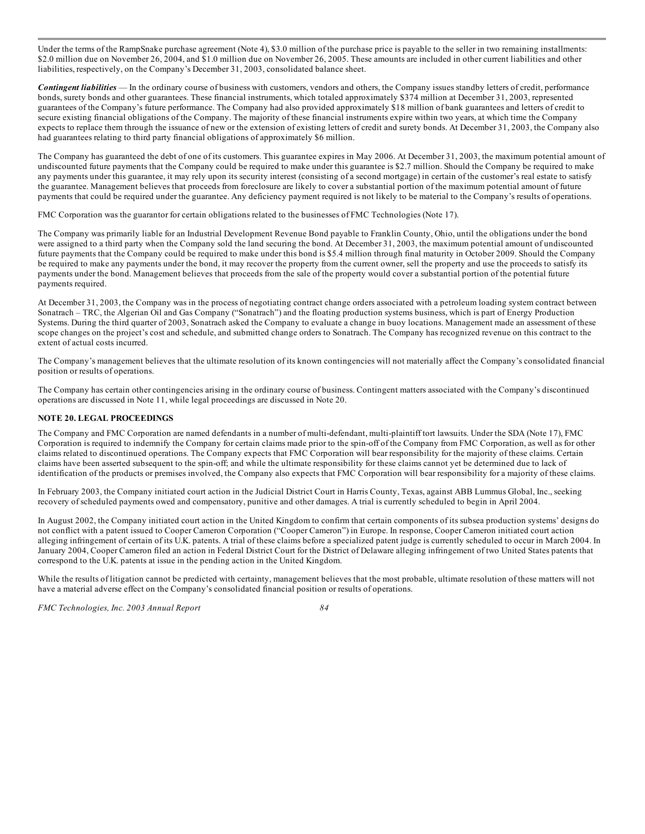Under the terms of the RampSnake purchase agreement (Note 4), \$3.0 million of the purchase price is payable to the seller in two remaining installments: \$2.0 million due on November 26, 2004, and \$1.0 million due on November 26, 2005. These amounts are included in other current liabilities and other liabilities, respectively, on the Company's December 31, 2003, consolidated balance sheet.

*Contingent liabilities* — In the ordinary course of business with customers, vendors and others, the Company issues standby letters of credit, performance bonds, surety bonds and other guarantees. These financial instruments, which totaled approximately \$374 million at December 31, 2003, represented guarantees of the Company's future performance. The Company had also provided approximately \$18 million of bank guarantees and letters of credit to secure existing financial obligations of the Company. The majority of these financial instruments expire within two years, at which time the Company expects to replace them through the issuance of new or the extension of existing letters of credit and surety bonds. At December 31, 2003, the Company also had guarantees relating to third party financial obligations of approximately \$6 million.

The Company has guaranteed the debt of one of its customers. This guarantee expires in May 2006. At December 31, 2003, the maximum potential amount of undiscounted future payments that the Company could be required to make under this guarantee is \$2.7 million. Should the Company be required to make any payments under this guarantee, it may rely upon its security interest (consisting of a second mortgage) in certain of the customer's real estate to satisfy the guarantee. Management believes that proceeds from foreclosure are likely to cover a substantial portion of the maximum potential amount of future payments that could be required under the guarantee. Any deficiency payment required is not likely to be material to the Company's results of operations.

FMC Corporation was the guarantor for certain obligations related to the businesses of FMC Technologies (Note 17).

The Company was primarily liable for an Industrial Development Revenue Bond payable to Franklin County, Ohio, until the obligations under the bond were assigned to a third party when the Company sold the land securing the bond. At December 31, 2003, the maximum potential amount of undiscounted future payments that the Company could be required to make under this bond is \$5.4 million through final maturity in October 2009. Should the Company be required to make any payments under the bond, it may recover the property from the current owner, sell the property and use the proceeds to satisfy its payments under the bond. Management believes that proceeds from the sale of the property would cover a substantial portion of the potential future payments required.

At December 31, 2003, the Company was in the process of negotiating contract change orders associated with a petroleum loading system contract between Sonatrach – TRC, the Algerian Oil and Gas Company ("Sonatrach") and the floating production systems business, which is part of Energy Production Systems. During the third quarter of 2003, Sonatrach asked the Company to evaluate a change in buoy locations. Management made an assessment of these scope changes on the project's cost and schedule, and submitted change orders to Sonatrach. The Company has recognized revenue on this contract to the extent of actual costs incurred.

The Company's management believes that the ultimate resolution of its known contingencies will not materially affect the Company's consolidated financial position or results of operations.

The Company has certain other contingencies arising in the ordinary course of business. Contingent matters associated with the Company's discontinued operations are discussed in Note 11, while legal proceedings are discussed in Note 20.

# **NOTE 20. LEGAL PROCEEDINGS**

The Company and FMC Corporation are named defendants in a number of multi-defendant, multi-plaintiff tort lawsuits. Under the SDA (Note 17), FMC Corporation is required to indemnify the Company for certain claims made prior to the spin-off of the Company from FMC Corporation, as well as for other claims related to discontinued operations. The Company expects that FMC Corporation will bear responsibility for the majority of these claims. Certain claims have been asserted subsequent to the spin-off; and while the ultimate responsibility for these claims cannot yet be determined due to lack of identification of the products or premises involved, the Company also expects that FMC Corporation will bear responsibility for a majority of these claims.

In February 2003, the Company initiated court action in the Judicial District Court in Harris County, Texas, against ABB Lummus Global, Inc., seeking recovery of scheduled payments owed and compensatory, punitive and other damages. A trial is currently scheduled to begin in April 2004.

In August 2002, the Company initiated court action in the United Kingdom to confirm that certain components of its subsea production systems' designs do not conflict with a patent issued to Cooper Cameron Corporation ("Cooper Cameron") in Europe. In response, Cooper Cameron initiated court action alleging infringement of certain of its U.K. patents. A trial of these claims before a specialized patent judge is currently scheduled to occur in March 2004. In January 2004, Cooper Cameron filed an action in Federal District Court for the District of Delaware alleging infringement of two United States patents that correspond to the U.K. patents at issue in the pending action in the United Kingdom.

While the results of litigation cannot be predicted with certainty, management believes that the most probable, ultimate resolution of these matters will not have a material adverse effect on the Company's consolidated financial position or results of operations.

*FMC Technologies, Inc. 2003 Annual Report 84*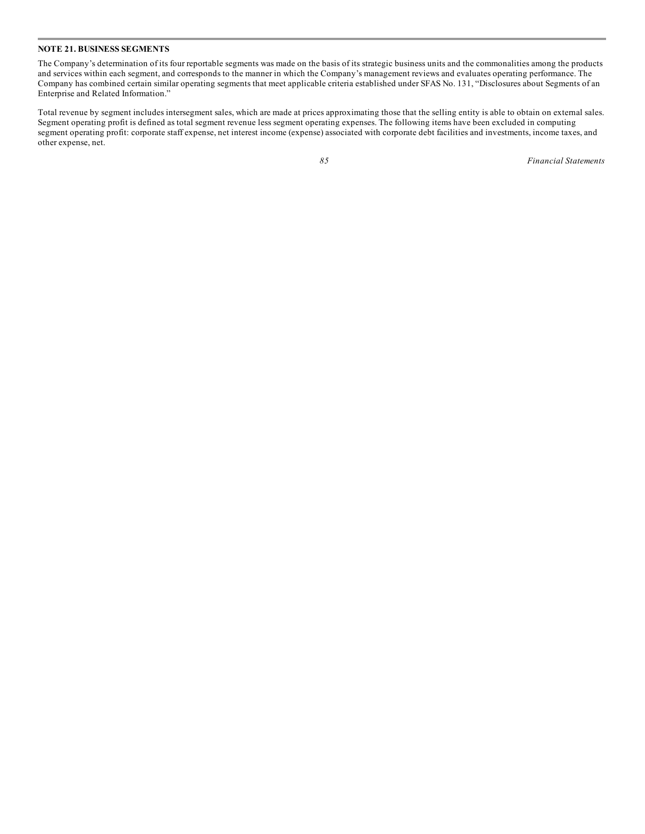#### **NOTE 21. BUSINESS SEGMENTS**

The Company's determination of its four reportable segments was made on the basis of its strategic business units and the commonalities among the products and services within each segment, and corresponds to the manner in which the Company's management reviews and evaluates operating performance. The Company has combined certain similar operating segments that meet applicable criteria established under SFAS No. 131, "Disclosures about Segments of an Enterprise and Related Information."

Total revenue by segment includes intersegment sales, which are made at prices approximating those that the selling entity is able to obtain on external sales. Segment operating profit is defined as total segment revenue less segment operating expenses. The following items have been excluded in computing segment operating profit: corporate staff expense, net interest income (expense) associated with corporate debt facilities and investments, income taxes, and other expense, net.

*85 Financial Statements*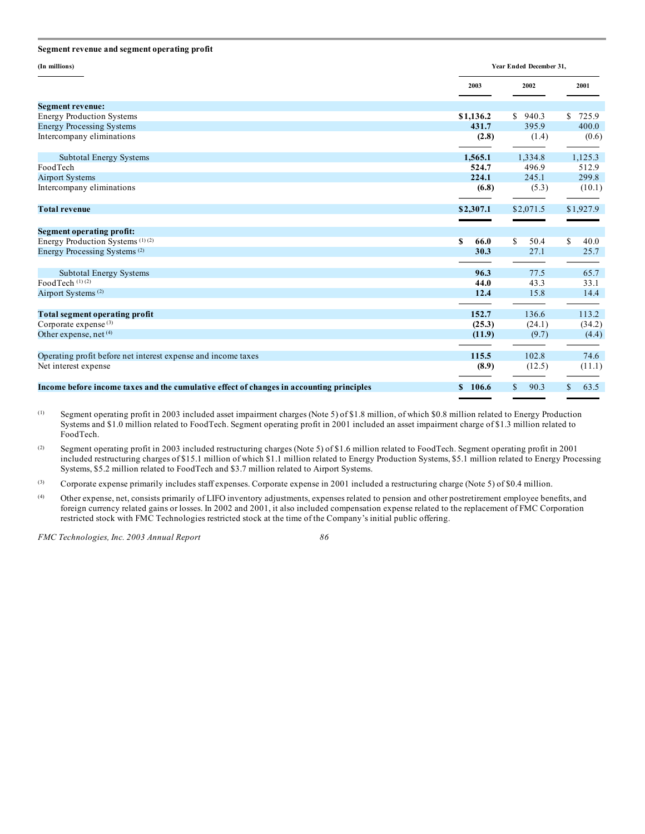#### **Segment revenue and segment operating profit**

| (In millions)                                                                            |            | Year Ended December 31, |             |  |  |  |
|------------------------------------------------------------------------------------------|------------|-------------------------|-------------|--|--|--|
|                                                                                          | 2003       | 2002                    | 2001        |  |  |  |
| Segment revenue:                                                                         |            |                         |             |  |  |  |
| <b>Energy Production Systems</b>                                                         | \$1,136.2  | 940.3<br>\$             | 725.9<br>S. |  |  |  |
| <b>Energy Processing Systems</b>                                                         | 431.7      | 395.9                   | 400.0       |  |  |  |
| Intercompany eliminations                                                                | (2.8)      | (1.4)                   | (0.6)       |  |  |  |
| <b>Subtotal Energy Systems</b>                                                           | 1,565.1    | 1,334.8                 | 1,125.3     |  |  |  |
| FoodTech                                                                                 | 524.7      | 496.9                   | 512.9       |  |  |  |
| <b>Airport Systems</b>                                                                   | 224.1      | 245.1                   | 299.8       |  |  |  |
| Intercompany eliminations                                                                | (6.8)      | (5.3)                   | (10.1)      |  |  |  |
| <b>Total revenue</b>                                                                     | \$2,307.1  | \$2,071.5               | \$1,927.9   |  |  |  |
|                                                                                          |            |                         |             |  |  |  |
| Segment operating profit:                                                                |            |                         |             |  |  |  |
| Energy Production Systems (1)(2)                                                         | \$<br>66.0 | \$<br>50.4              | \$<br>40.0  |  |  |  |
| Energy Processing Systems <sup>(2)</sup>                                                 | 30.3       | 27.1                    | 25.7        |  |  |  |
|                                                                                          |            |                         |             |  |  |  |
| <b>Subtotal Energy Systems</b>                                                           | 96.3       | 77.5                    | 65.7        |  |  |  |
| FoodTech (1)(2)                                                                          | 44.0       | 43.3                    | 33.1        |  |  |  |
| Airport Systems <sup>(2)</sup>                                                           | 12.4       | 15.8                    | 14.4        |  |  |  |
|                                                                                          |            |                         |             |  |  |  |
| <b>Total segment operating profit</b>                                                    | 152.7      | 136.6                   | 113.2       |  |  |  |
| Corporate expense $(3)$                                                                  | (25.3)     | (24.1)                  | (34.2)      |  |  |  |
| Other expense, net (4)                                                                   | (11.9)     | (9.7)                   | (4.4)       |  |  |  |
| Operating profit before net interest expense and income taxes                            | 115.5      | 102.8                   | 74.6        |  |  |  |
| Net interest expense                                                                     | (8.9)      | (12.5)                  | (11.1)      |  |  |  |
|                                                                                          |            |                         |             |  |  |  |
| Income before income taxes and the cumulative effect of changes in accounting principles | \$106.6    | $\mathbb{S}$<br>90.3    | 63.5<br>\$  |  |  |  |

(1) Segment operating profit in 2003 included asset impairment charges (Note 5) of \$1.8 million, of which \$0.8 million related to Energy Production Systems and \$1.0 million related to FoodTech. Segment operating profit in 2001 included an asset impairment charge of \$1.3 million related to FoodTech.

(2) Segment operating profit in 2003 included restructuring charges (Note 5) of \$1.6 million related to FoodTech. Segment operating profit in 2001 included restructuring charges of \$15.1 million of which \$1.1 million related to Energy Production Systems, \$5.1 million related to Energy Processing Systems, \$5.2 million related to FoodTech and \$3.7 million related to Airport Systems.

(3) Corporate expense primarily includes staff expenses. Corporate expense in 2001 included a restructuring charge (Note 5) of \$0.4 million.

(4) Other expense, net, consists primarily of LIFO inventory adjustments, expenses related to pension and other postretirement employee benefits, and foreign currency related gains or losses. In 2002 and 2001, it also included compensation expense related to the replacement of FMC Corporation restricted stock with FMC Technologies restricted stock at the time of the Company's initial public offering.

*FMC Technologies, Inc. 2003 Annual Report 86*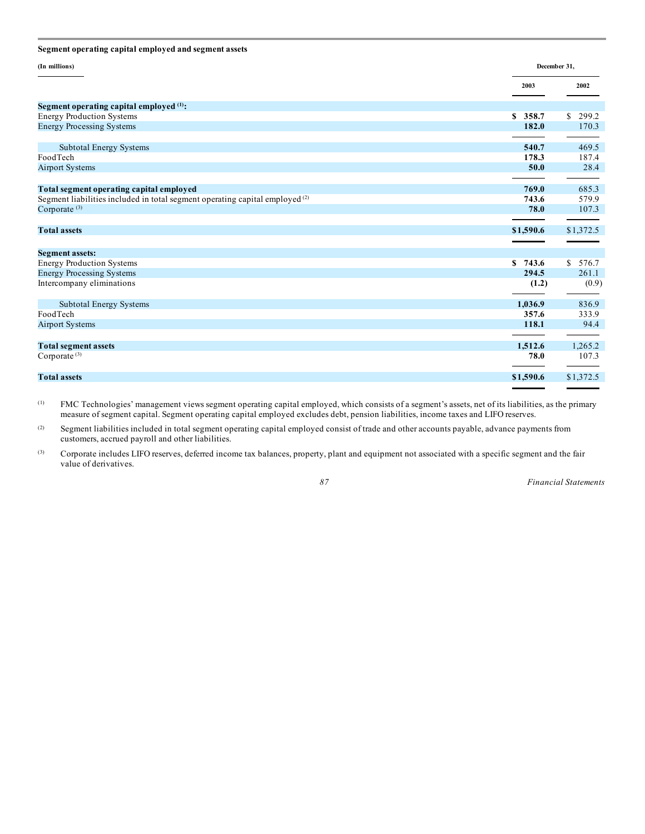### **Segment operating capital employed and segment assets**

| (In millions)                                                                           |             | December 31, |
|-----------------------------------------------------------------------------------------|-------------|--------------|
|                                                                                         | 2003        | 2002         |
| Segment operating capital employed (1):                                                 |             |              |
| <b>Energy Production Systems</b>                                                        | \$358.7     | \$299.2      |
| <b>Energy Processing Systems</b>                                                        | 182.0       | 170.3        |
|                                                                                         |             |              |
| Subtotal Energy Systems                                                                 | 540.7       | 469.5        |
| FoodTech                                                                                | 178.3       | 187.4        |
| <b>Airport Systems</b>                                                                  | 50.0        | 28.4         |
| Total segment operating capital employed                                                | 769.0       | 685.3        |
| Segment liabilities included in total segment operating capital employed <sup>(2)</sup> | 743.6       | 579.9        |
| Corporate <sup>(3)</sup>                                                                | 78.0        | 107.3        |
|                                                                                         |             |              |
| <b>Total assets</b>                                                                     | \$1,590.6   | \$1,372.5    |
|                                                                                         |             |              |
| <b>Segment assets:</b>                                                                  |             |              |
| <b>Energy Production Systems</b>                                                        | \$<br>743.6 | \$576.7      |
| <b>Energy Processing Systems</b>                                                        | 294.5       | 261.1        |
| Intercompany eliminations                                                               | (1.2)       | (0.9)        |
|                                                                                         |             |              |
| Subtotal Energy Systems                                                                 | 1.036.9     | 836.9        |
| FoodTech                                                                                | 357.6       | 333.9        |
| <b>Airport Systems</b>                                                                  | 118.1       | 94.4         |
|                                                                                         |             |              |
| <b>Total segment assets</b>                                                             | 1,512.6     | 1,265.2      |
| Corporate <sup>(3)</sup>                                                                | 78.0        | 107.3        |
| <b>Total assets</b>                                                                     | \$1,590.6   | \$1,372.5    |
|                                                                                         |             |              |

(1) FMC Technologies' management views segment operating capital employed, which consists of a segment's assets, net of its liabilities, as the primary measure of segment capital. Segment operating capital employed excludes debt, pension liabilities, income taxes and LIFO reserves.

(2) Segment liabilities included in total segment operating capital employed consist of trade and other accounts payable, advance payments from customers, accrued payroll and other liabilities.

(3) Corporate includes LIFO reserves, deferred income tax balances, property, plant and equipment not associated with a specific segment and the fair value of derivatives.

*87 Financial Statements*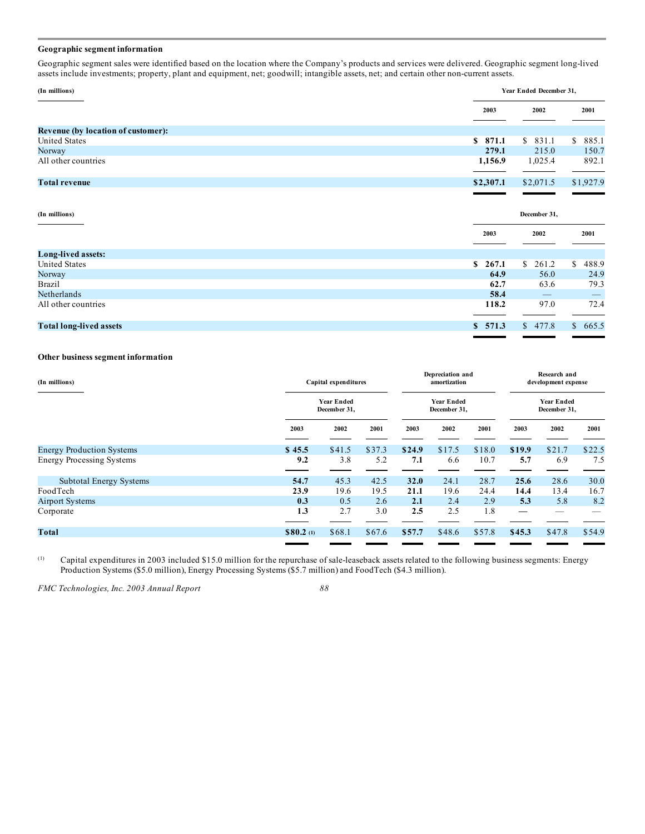### **Geographic segment information**

Geographic segment sales were identified based on the location where the Company's products and services were delivered. Geographic segment long-lived assets include investments; property, plant and equipment, net; goodwill; intangible assets, net; and certain other non-current assets.

| (In millions)                             | Year Ended December 31, |                       |                       |
|-------------------------------------------|-------------------------|-----------------------|-----------------------|
|                                           | 2003                    | 2002                  | 2001                  |
| <b>Revenue (by location of customer):</b> |                         |                       |                       |
| <b>United States</b>                      | \$871.1                 | <sup>S</sup><br>831.1 | 885.1<br><sup>S</sup> |
| Norway                                    | 279.1                   | 215.0                 | 150.7                 |
| All other countries                       | 1,156.9                 | 1,025.4               | 892.1                 |
|                                           |                         |                       |                       |
| <b>Total revenue</b>                      | \$2,307.1               | \$2,071.5             | \$1,927.9             |
|                                           |                         |                       |                       |
| (In millions)                             |                         | December 31,          |                       |
|                                           | 2003                    | 2002                  | 2001                  |

| Long-lived assets:             |         |                          |                          |
|--------------------------------|---------|--------------------------|--------------------------|
| <b>United States</b>           | \$267.1 | \$261.2                  | 488.9<br>S               |
| Norway                         | 64.9    | 56.0                     | 24.9                     |
| Brazil                         | 62.7    | 63.6                     | 79.3                     |
| Netherlands                    | 58.4    | $\overline{\phantom{m}}$ | $\overline{\phantom{a}}$ |
| All other countries            | 118.2   | 97.0                     | 72.4                     |
|                                |         |                          |                          |
| <b>Total long-lived assets</b> | \$571.3 | 477.8<br>S.              | 665.5<br><sup>S</sup>    |

### **Other business segment information**

| (In millions)                    |                       | Capital expenditures<br><b>Year Ended</b><br>December 31, |        |        | Depreciation and<br>amortization<br><b>Year Ended</b><br>December 31, |        |        | Research and<br>development expense<br><b>Year Ended</b><br>December 31, |        |  |
|----------------------------------|-----------------------|-----------------------------------------------------------|--------|--------|-----------------------------------------------------------------------|--------|--------|--------------------------------------------------------------------------|--------|--|
|                                  |                       |                                                           |        |        |                                                                       |        |        |                                                                          |        |  |
|                                  | 2003                  | 2002                                                      | 2001   | 2003   | 2002                                                                  | 2001   | 2003   | 2002                                                                     | 2001   |  |
| <b>Energy Production Systems</b> | \$45.5                | \$41.5                                                    | \$37.3 | \$24.9 | \$17.5                                                                | \$18.0 | \$19.9 | \$21.7                                                                   | \$22.5 |  |
| <b>Energy Processing Systems</b> | 9.2                   | 3.8                                                       | 5.2    | 7.1    | 6.6                                                                   | 10.7   | 5.7    | 6.9                                                                      | 7.5    |  |
| <b>Subtotal Energy Systems</b>   | 54.7                  | 45.3                                                      | 42.5   | 32.0   | 24.1                                                                  | 28.7   | 25.6   | 28.6                                                                     | 30.0   |  |
| FoodTech                         | 23.9                  | 19.6                                                      | 19.5   | 21.1   | 19.6                                                                  | 24.4   | 14.4   | 13.4                                                                     | 16.7   |  |
| <b>Airport Systems</b>           | 0.3                   | 0.5                                                       | 2.6    | 2.1    | 2.4                                                                   | 2.9    | 5.3    | 5.8                                                                      | 8.2    |  |
| Corporate                        | 1.3                   | 2.7                                                       | 3.0    | 2.5    | 2.5                                                                   | 1.8    | —      |                                                                          |        |  |
| Total                            | \$80.2 <sub>(1)</sub> | \$68.1                                                    | \$67.6 | \$57.7 | \$48.6                                                                | \$57.8 | \$45.3 | \$47.8                                                                   | \$54.9 |  |

(1) Capital expenditures in 2003 included \$15.0 million for the repurchase of sale-leaseback assets related to the following business segments: Energy Production Systems (\$5.0 million), Energy Processing Systems (\$5.7 million) and FoodTech (\$4.3 million).

*FMC Technologies, Inc. 2003 Annual Report 88*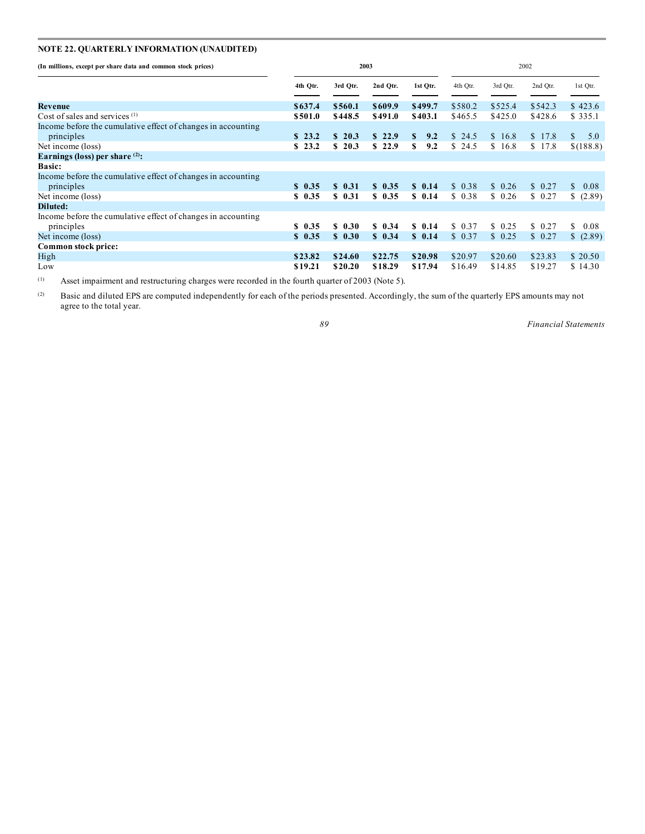# **NOTE 22. QUARTERLY INFORMATION (UNAUDITED)**

| (In millions, except per share data and common stock prices) | 2003     |            |          | 2002                |          |                      |          |                      |
|--------------------------------------------------------------|----------|------------|----------|---------------------|----------|----------------------|----------|----------------------|
|                                                              | 4th Qtr. | 3rd Qtr.   | 2nd Otr. | 1st Qtr.            | 4th Otr. | 3rd Qtr.             | 2nd Qtr. | 1st Qtr.             |
| Revenue                                                      | \$637.4  | \$560.1    | \$609.9  | \$499.7             | \$580.2  | \$525.4              | \$542.3  | \$423.6              |
| Cost of sales and services $(1)$                             | \$501.0  | \$448.5    | \$491.0  | \$403.1             | \$465.5  | \$425.0              | \$428.6  | \$ 335.1             |
| Income before the cumulative effect of changes in accounting |          |            |          |                     |          |                      |          |                      |
| principles                                                   | \$23.2   | \$20.3     | \$22.9   | $\mathbf{s}$<br>9.2 | \$24.5   | \$16.8               | \$17.8   | <sup>\$</sup><br>5.0 |
| Net income (loss)                                            | \$23.2   | \$<br>20.3 | \$22.9   | \$<br>9.2           | \$24.5   | $\mathbb{S}$<br>16.8 | \$17.8   | \$(188.8)            |
| Earnings (loss) per share $(2)$ :                            |          |            |          |                     |          |                      |          |                      |
| <b>Basic:</b>                                                |          |            |          |                     |          |                      |          |                      |
| Income before the cumulative effect of changes in accounting |          |            |          |                     |          |                      |          |                      |
| principles                                                   | \$0.35   | \$0.31     | \$0.35   | \$0.14              | \$0.38   | \$0.26               | \$0.27   | \$0.08               |
| Net income (loss)                                            | \$0.35   | \$0.31     | \$0.35   | \$0.14              | \$0.38   | \$0.26               | \$0.27   | \$(2.89)             |
| Diluted:                                                     |          |            |          |                     |          |                      |          |                      |
| Income before the cumulative effect of changes in accounting |          |            |          |                     |          |                      |          |                      |
| principles                                                   | \$0.35   | \$0.30     | \$0.34   | \$0.14              | \$0.37   | \$0.25               | \$0.27   | \$<br>0.08           |
| Net income (loss)                                            | \$0.35   | \$0.30     | \$0.34   | \$0.14              | \$0.37   | \$0.25               | \$0.27   | \$(2.89)             |
| Common stock price:                                          |          |            |          |                     |          |                      |          |                      |
| High                                                         | \$23.82  | \$24.60    | \$22.75  | \$20.98             | \$20.97  | \$20.60              | \$23.83  | \$20.50              |
| Low                                                          | \$19.21  | \$20.20    | \$18.29  | \$17.94             | \$16.49  | \$14.85              | \$19.27  | \$14.30              |

(1) Asset impairment and restructuring charges were recorded in the fourth quarter of 2003 (Note 5).

(2) Basic and diluted EPS are computed independently for each of the periods presented. Accordingly, the sum of the quarterly EPS amounts may not agree to the total year.

*89 Financial Statements*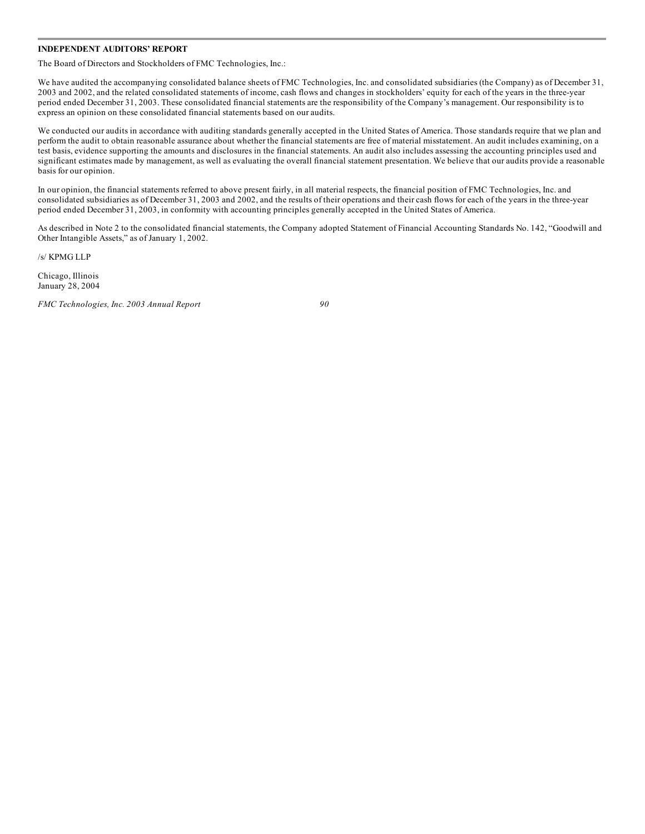### **INDEPENDENT AUDITORS' REPORT**

The Board of Directors and Stockholders of FMC Technologies, Inc.:

We have audited the accompanying consolidated balance sheets of FMC Technologies, Inc. and consolidated subsidiaries (the Company) as of December 31, 2003 and 2002, and the related consolidated statements of income, cash flows and changes in stockholders' equity for each of the years in the three-year period ended December 31, 2003. These consolidated financial statements are the responsibility of the Company's management. Our responsibility is to express an opinion on these consolidated financial statements based on our audits.

We conducted our audits in accordance with auditing standards generally accepted in the United States of America. Those standards require that we plan and perform the audit to obtain reasonable assurance about whether the financial statements are free of material misstatement. An audit includes examining, on a test basis, evidence supporting the amounts and disclosures in the financial statements. An audit also includes assessing the accounting principles used and significant estimates made by management, as well as evaluating the overall financial statement presentation. We believe that our audits provide a reasonable basis for our opinion.

In our opinion, the financial statements referred to above present fairly, in all material respects, the financial position of FMC Technologies, Inc. and consolidated subsidiaries as of December 31, 2003 and 2002, and the results of their operations and their cash flows for each of the years in the three-year period ended December 31, 2003, in conformity with accounting principles generally accepted in the United States of America.

As described in Note 2 to the consolidated financial statements, the Company adopted Statement of Financial Accounting Standards No. 142, "Goodwill and Other Intangible Assets," as of January 1, 2002.

/s/ KPMG LLP

Chicago, Illinois January 28, 2004

*FMC Technologies, Inc. 2003 Annual Report 90*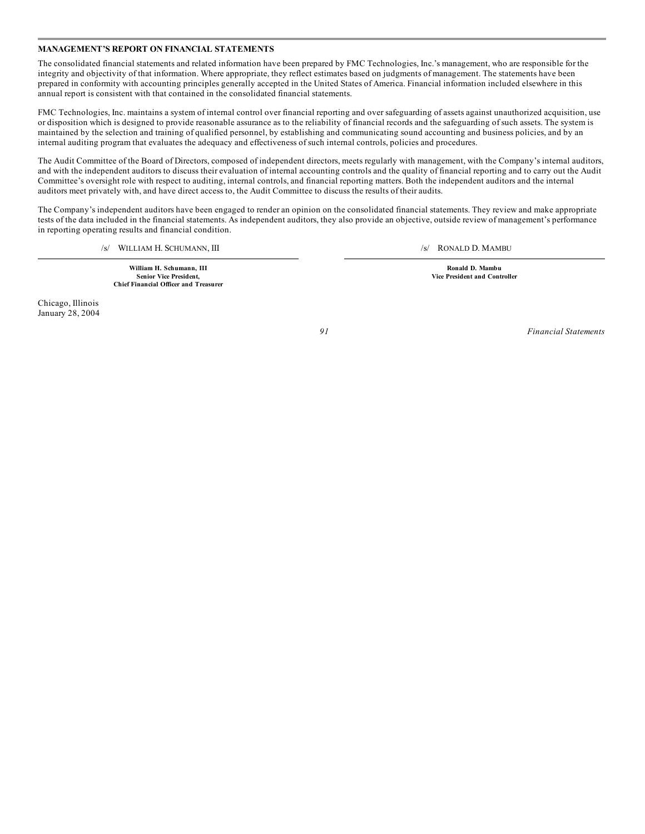#### **MANAGEMENT'S REPORT ON FINANCIAL STATEMENTS**

The consolidated financial statements and related information have been prepared by FMC Technologies, Inc.'s management, who are responsible for the integrity and objectivity of that information. Where appropriate, they reflect estimates based on judgments of management. The statements have been prepared in conformity with accounting principles generally accepted in the United States of America. Financial information included elsewhere in this annual report is consistent with that contained in the consolidated financial statements.

FMC Technologies, Inc. maintains a system of internal control over financial reporting and over safeguarding of assets against unauthorized acquisition, use or disposition which is designed to provide reasonable assurance as to the reliability of financial records and the safeguarding of such assets. The system is maintained by the selection and training of qualified personnel, by establishing and communicating sound accounting and business policies, and by an internal auditing program that evaluates the adequacy and effectiveness of such internal controls, policies and procedures.

The Audit Committee of the Board of Directors, composed of independent directors, meets regularly with management, with the Company's internal auditors, and with the independent auditors to discuss their evaluation of internal accounting controls and the quality of financial reporting and to carry out the Audit Committee's oversight role with respect to auditing, internal controls, and financial reporting matters. Both the independent auditors and the internal auditors meet privately with, and have direct access to, the Audit Committee to discuss the results of their audits.

The Company's independent auditors have been engaged to render an opinion on the consolidated financial statements. They review and make appropriate tests of the data included in the financial statements. As independent auditors, they also provide an objective, outside review of management's performance in reporting operating results and financial condition.

/s/ WILLIAM H. SCHUMANN, III /s/ RONALD D. MAMBU

**William H. Schumann, III Senior Vice President, Chief Financial Officer and Treasurer**

**Ronald D. Mambu Vice President and Controller**

Chicago, Illinois January 28, 2004

*91 Financial Statements*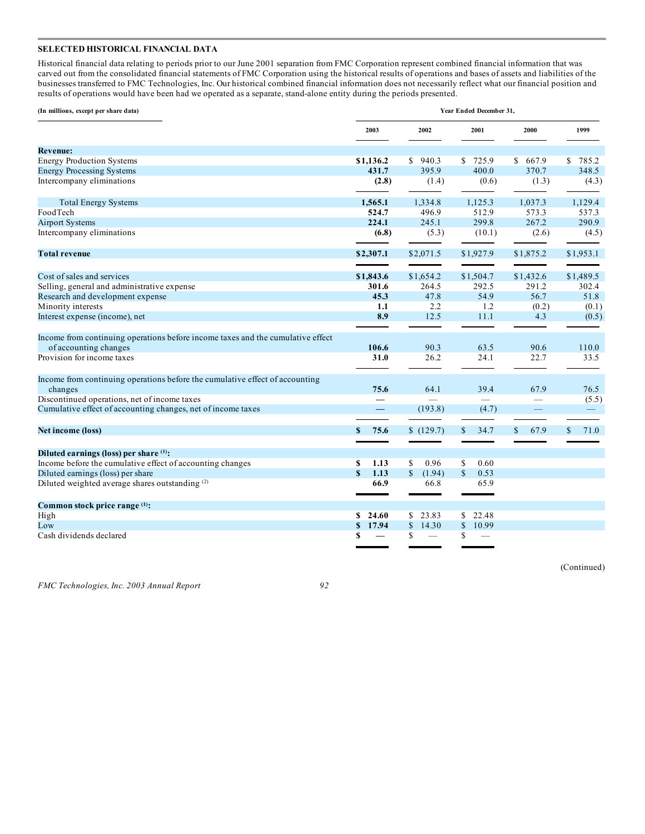## **SELECTED HISTORICAL FINANCIAL DATA**

Historical financial data relating to periods prior to our June 2001 separation from FMC Corporation represent combined financial information that was carved out from the consolidated financial statements of FMC Corporation using the historical results of operations and bases of assets and liabilities of the businesses transferred to FMC Technologies, Inc. Our historical combined financial information does not necessarily reflect what our financial position and results of operations would have been had we operated as a separate, stand-alone entity during the periods presented.

| (In millions, except per share data)                                            | Year Ended December 31, |                        |            |                                           |           |  |  |
|---------------------------------------------------------------------------------|-------------------------|------------------------|------------|-------------------------------------------|-----------|--|--|
|                                                                                 | 2003                    | 2002                   | 2001       | 2000                                      | 1999      |  |  |
| <b>Revenue:</b>                                                                 |                         |                        |            |                                           |           |  |  |
| <b>Energy Production Systems</b>                                                | \$1,136.2               | \$940.3                | \$725.9    | \$667.9                                   | \$785.2   |  |  |
| <b>Energy Processing Systems</b>                                                | 431.7                   | 395.9                  | 400.0      | 370.7                                     | 348.5     |  |  |
| Intercompany eliminations                                                       | (2.8)                   | (1.4)                  | (0.6)      | (1.3)                                     | (4.3)     |  |  |
| <b>Total Energy Systems</b>                                                     | 1.565.1                 | 1.334.8                | 1.125.3    | 1.037.3                                   | 1.129.4   |  |  |
| FoodTech                                                                        | 524.7                   | 496.9                  | 512.9      | 573.3                                     | 537.3     |  |  |
| <b>Airport Systems</b>                                                          | 224.1                   | 245.1                  | 299.8      | 267.2                                     | 290.9     |  |  |
| Intercompany eliminations                                                       | (6.8)                   | (5.3)                  | (10.1)     | (2.6)                                     | (4.5)     |  |  |
| Total revenue                                                                   | \$2,307.1               | \$2,071.5              | \$1,927.9  | \$1,875.2                                 | \$1,953.1 |  |  |
| Cost of sales and services                                                      | \$1,843.6               | \$1,654.2              | \$1,504.7  | \$1,432.6                                 | \$1,489.5 |  |  |
| Selling, general and administrative expense                                     | 301.6                   | 264.5                  | 292.5      | 291.2                                     | 302.4     |  |  |
| Research and development expense                                                | 45.3                    | 47.8                   | 54.9       | 56.7                                      | 51.8      |  |  |
| Minority interests                                                              | 1.1                     | 2.2                    | 1.2        | (0.2)                                     | (0.1)     |  |  |
| Interest expense (income), net                                                  | 8.9                     | 12.5                   | 11.1       | 4.3                                       | (0.5)     |  |  |
| Income from continuing operations before income taxes and the cumulative effect |                         |                        |            |                                           |           |  |  |
| of accounting changes                                                           | 106.6                   | 90.3                   | 63.5       | 90.6                                      | 110.0     |  |  |
| Provision for income taxes                                                      | 31.0                    | 26.2                   | 24.1       | 22.7                                      | 33.5      |  |  |
| Income from continuing operations before the cumulative effect of accounting    |                         |                        |            |                                           |           |  |  |
| changes                                                                         | 75.6                    | 64.1                   | 39.4       | 67.9                                      | 76.5      |  |  |
| Discontinued operations, net of income taxes                                    |                         |                        |            |                                           | (5.5)     |  |  |
| Cumulative effect of accounting changes, net of income taxes                    |                         | (193.8)                | (4.7)      | $\qquad \qquad \overline{\qquad \qquad }$ |           |  |  |
| Net income (loss)                                                               | 75.6                    | \$(129.7)              | 34.7       | 67.9                                      | 71.0      |  |  |
|                                                                                 |                         |                        |            |                                           |           |  |  |
| Diluted earnings (loss) per share (1):                                          |                         |                        |            |                                           |           |  |  |
| Income before the cumulative effect of accounting changes                       | S<br>1.13               | S<br>0.96              | 0.60<br>\$ |                                           |           |  |  |
| Diluted earnings (loss) per share                                               | 1.13<br>\$              | $\mathbb{S}$<br>(1.94) | \$<br>0.53 |                                           |           |  |  |
| Diluted weighted average shares outstanding (2)                                 | 66.9                    | 66.8                   | 65.9       |                                           |           |  |  |
| Common stock price range (1):                                                   |                         |                        |            |                                           |           |  |  |
| High                                                                            | 24.60                   | 23.83                  | 22.48      |                                           |           |  |  |
| Low                                                                             | 17.94                   | 14.30                  | 10.99      |                                           |           |  |  |
| Cash dividends declared                                                         |                         |                        |            |                                           |           |  |  |
|                                                                                 |                         |                        |            |                                           |           |  |  |

(Continued)

*FMC Technologies, Inc. 2003 Annual Report 92*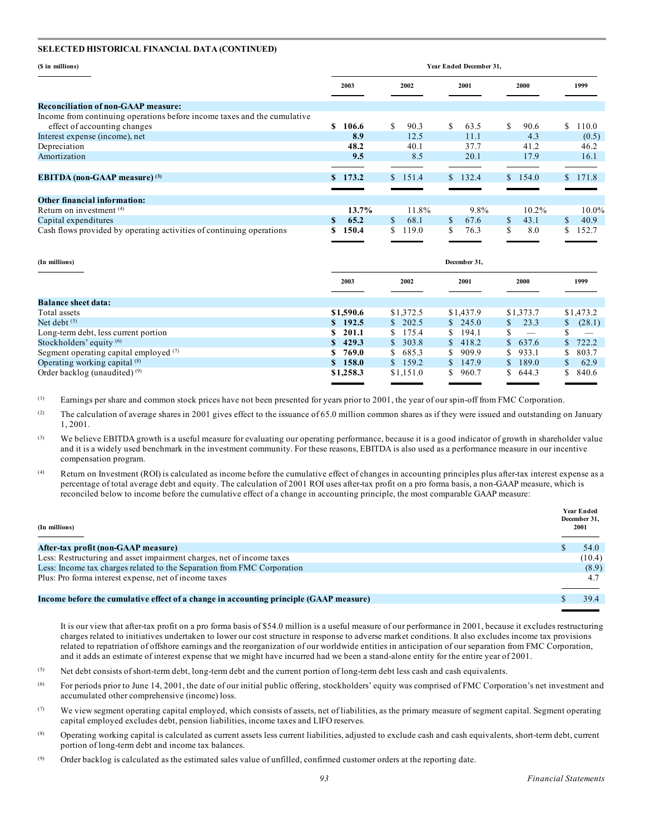### **SELECTED HISTORICAL FINANCIAL DATA (CONTINUED)**

| (\$ in millions)<br>Year Ended December 31,                                                              |             |             |            |             |             |
|----------------------------------------------------------------------------------------------------------|-------------|-------------|------------|-------------|-------------|
|                                                                                                          | 2003        | 2002        | 2001       | 2000        | 1999        |
| <b>Reconciliation of non-GAAP measure:</b>                                                               |             |             |            |             |             |
| Income from continuing operations before income taxes and the cumulative<br>effect of accounting changes | S.<br>106.6 | S<br>90.3   | 63.5<br>S. | S.<br>90.6  | S.<br>110.0 |
| Interest expense (income), net                                                                           | 8.9         | 12.5        | 11.1       | 4.3         | (0.5)       |
| Depreciation                                                                                             | 48.2        | 40.1        | 37.7       | 41.2        | 46.2        |
| Amortization                                                                                             | 9.5         | 8.5         | 20.1       | 17.9        | 16.1        |
|                                                                                                          |             |             |            |             |             |
| <b>EBITDA</b> (non-GAAP measure) (3)                                                                     | \$173.2     | \$151.4     | \$132.4    | \$154.0     | \$171.8     |
|                                                                                                          |             |             |            |             |             |
| Other financial information:                                                                             |             |             |            |             |             |
| Return on investment $(4)$                                                                               | 13.7%       | 11.8%       | 9.8%       | $10.2\%$    | $10.0\%$    |
| Capital expenditures                                                                                     | 65.2        | 68.1<br>\$. | 67.6<br>S. | 43.1<br>\$. | 40.9<br>S.  |
| Cash flows provided by operating activities of continuing operations                                     | 150.4       | 19.0        | 76.3       | 8.0         | 152.7       |

| (In millions)                          | December 31, |                  |           |                        |              |  |  |
|----------------------------------------|--------------|------------------|-----------|------------------------|--------------|--|--|
|                                        | 2003         | 2002             | 2001      | 2000                   | 1999         |  |  |
| <b>Balance sheet data:</b>             |              |                  |           |                        |              |  |  |
| Total assets                           | \$1,590.6    | \$1,372.5        | \$1,437.9 | \$1,373.7              | \$1,473.2    |  |  |
| Net debt $(5)$                         | 192.5        | \$202.5          | \$245.0   | 23.3<br>$\mathbb{S}^-$ | (28.1)<br>S. |  |  |
| Long-term debt, less current portion   | 201.1<br>S.  | .75.4<br>$S_{1}$ | \$194.1   |                        |              |  |  |
| Stockholders' equity $(6)$             | 429.3<br>S.  | \$303.8          | \$418.2   | \$637.6                | \$722.2      |  |  |
| Segment operating capital employed (7) | 769.0<br>\$  | \$685.3          | \$909.9   | \$933.1                | 803.7<br>S.  |  |  |
| Operating working capital $(8)$        | 158.0<br>S.  | \$159.2          | \$147.9   | 189.0<br>\$.           | 62.9<br>S.   |  |  |
| Order backlog (unaudited) $(9)$        | \$1,258.3    | \$1,151.0        | \$960.7   | \$644.3                | \$840.6      |  |  |

(1) Earnings per share and common stock prices have not been presented for years prior to 2001, the year of our spin-off from FMC Corporation.

 $^{(2)}$  The calculation of average shares in 2001 gives effect to the issuance of 65.0 million common shares as if they were issued and outstanding on January 1, 2001.

(3) We believe EBITDA growth is a useful measure for evaluating our operating performance, because it is a good indicator of growth in shareholder value and it is a widely used benchmark in the investment community. For these reasons, EBITDA is also used as a performance measure in our incentive compensation program.

(4) Return on Investment (ROI) is calculated as income before the cumulative effect of changes in accounting principles plus after-tax interest expense as a percentage of total average debt and equity. The calculation of 2001 ROI uses after-tax profit on a pro forma basis, a non-GAAP measure, which is reconciled below to income before the cumulative effect of a change in accounting principle, the most comparable GAAP measure:

| (In millions)                                                                          | <b>Year Ended</b><br>December 31,<br>2001 |        |
|----------------------------------------------------------------------------------------|-------------------------------------------|--------|
| After-tax profit (non-GAAP measure)                                                    |                                           | 54.0   |
| Less: Restructuring and asset impairment charges, net of income taxes                  |                                           | (10.4) |
| Less: Income tax charges related to the Separation from FMC Corporation                |                                           | (8.9)  |
| Plus: Pro forma interest expense, net of income taxes                                  |                                           | 4.7    |
| Income before the cumulative effect of a change in accounting principle (GAAP measure) |                                           | 39.4   |

It is our view that after-tax profit on a pro forma basis of \$54.0 million is a useful measure of our performance in 2001, because it excludes restructuring charges related to initiatives undertaken to lower our cost structure in response to adverse market conditions. It also excludes income tax provisions related to repatriation of offshore earnings and the reorganization of our worldwide entities in anticipation of our separation from FMC Corporation, and it adds an estimate of interest expense that we might have incurred had we been a stand-alone entity for the entire year of 2001.

- <sup>(5)</sup> Net debt consists of short-term debt, long-term debt and the current portion of long-term debt less cash and cash equivalents.
- <sup>(6)</sup> For periods prior to June 14, 2001, the date of our initial public offering, stockholders' equity was comprised of FMC Corporation's net investment and accumulated other comprehensive (income) loss.
- (7) We view segment operating capital employed, which consists of assets, net of liabilities, as the primary measure of segment capital. Segment operating capital employed excludes debt, pension liabilities, income taxes and LIFO reserves.
- (8) Operating working capital is calculated as current assets less current liabilities, adjusted to exclude cash and cash equivalents, short-term debt, current portion of long-term debt and income tax balances.
- (9) Order backlog is calculated as the estimated sales value of unfilled, confirmed customer orders at the reporting date.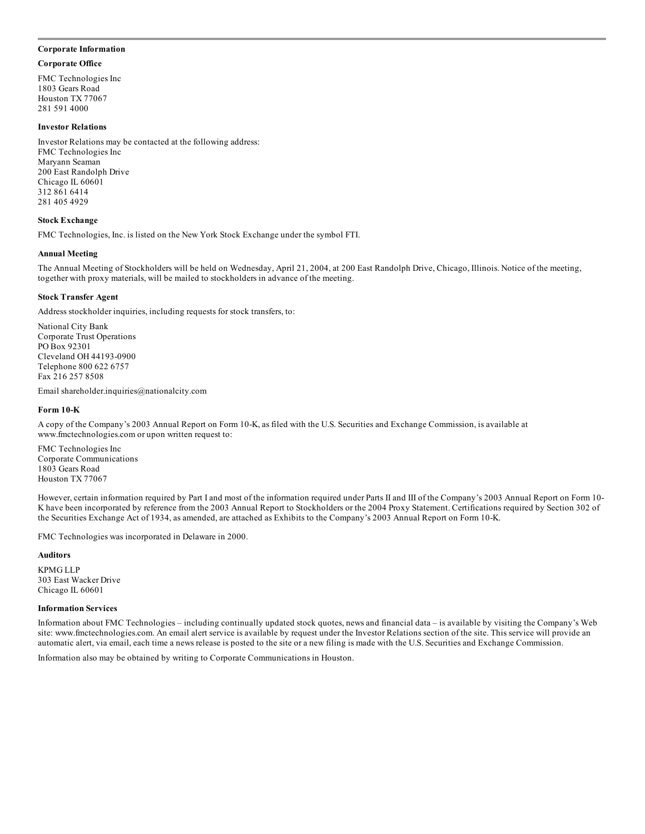#### **Corporate Information**

#### **Corporate Office**

FMC Technologies Inc 1803 Gears Road Houston TX 77067 281 591 4000

#### **Investor Relations**

Investor Relations may be contacted at the following address: FMC Technologies Inc Maryann Seaman 200 East Randolph Drive Chicago IL 60601 312 861 6414 281 405 4929

### **Stock Exchange**

FMC Technologies, Inc. is listed on the New York Stock Exchange under the symbol FTI.

#### **Annual Meeting**

The Annual Meeting of Stockholders will be held on Wednesday, April 21, 2004, at 200 East Randolph Drive, Chicago, Illinois. Notice of the meeting, together with proxy materials, will be mailed to stockholders in advance of the meeting.

#### **Stock Transfer Agent**

Address stockholder inquiries, including requests for stock transfers, to:

National City Bank Corporate Trust Operations PO Box 92301 Cleveland OH 44193-0900 Telephone 800 622 6757 Fax 216 257 8508

Email shareholder.inquiries@nationalcity.com

#### **Form 10-K**

A copy of the Company's 2003 Annual Report on Form 10-K, as filed with the U.S. Securities and Exchange Commission, is available at www.fmctechnologies.com or upon written request to:

FMC Technologies Inc Corporate Communications 1803 Gears Road Houston TX 77067

However, certain information required by Part I and most of the information required under Parts II and III of the Company's 2003 Annual Report on Form 10- K have been incorporated by reference from the 2003 Annual Report to Stockholders or the 2004 Proxy Statement. Certifications required by Section 302 of the Securities Exchange Act of 1934, as amended, are attached as Exhibits to the Company's 2003 Annual Report on Form 10-K.

FMC Technologies was incorporated in Delaware in 2000.

#### **Auditors**

KPMG LLP 303 East Wacker Drive Chicago IL 60601

#### **Information Services**

Information about FMC Technologies – including continually updated stock quotes, news and financial data – is available by visiting the Company's Web site: www.fmctechnologies.com. An email alert service is available by request under the Investor Relations section of the site. This service will provide an automatic alert, via email, each time a news release is posted to the site or a new filing is made with the U.S. Securities and Exchange Commission.

Information also may be obtained by writing to Corporate Communications in Houston.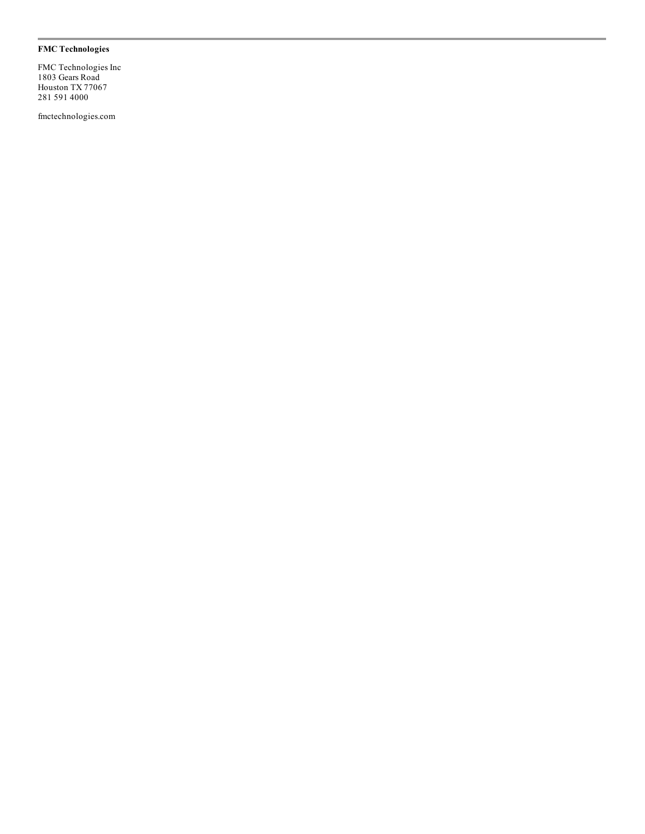# **FMC Technologies**

FMC Technologies Inc 1803 Gears Road Houston TX 77067 281 591 4000

fmctechnologies.com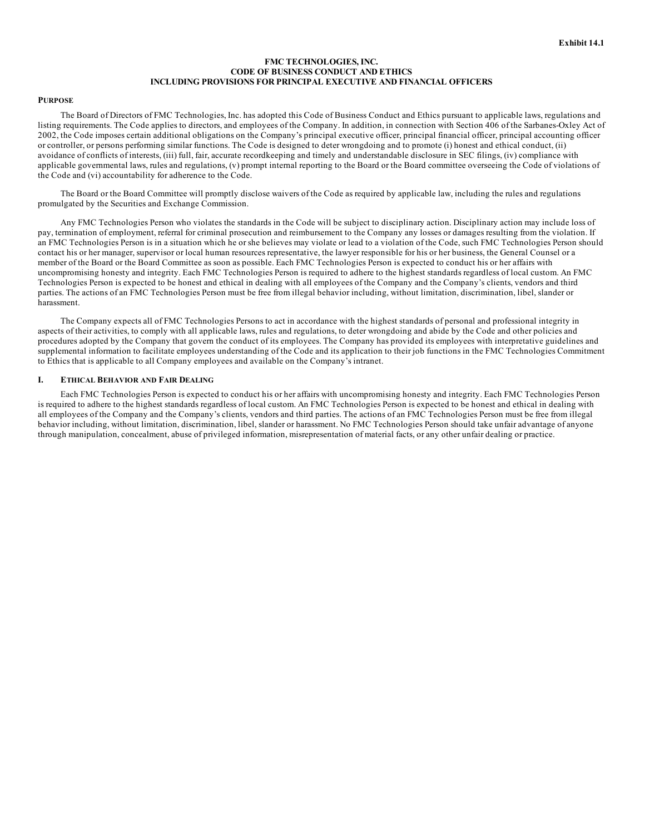### **FMC TECHNOLOGIES, INC. CODE OF BUSINESS CONDUCT AND ETHICS INCLUDING PROVISIONS FOR PRINCIPAL EXECUTIVE AND FINANCIAL OFFICERS**

#### **PURPOSE**

The Board of Directors of FMC Technologies, Inc. has adopted this Code of Business Conduct and Ethics pursuant to applicable laws, regulations and listing requirements. The Code applies to directors, and employees of the Company. In addition, in connection with Section 406 of the Sarbanes-Oxley Act of 2002, the Code imposes certain additional obligations on the Company's principal executive officer, principal financial officer, principal accounting officer or controller, or persons performing similar functions. The Code is designed to deter wrongdoing and to promote (i) honest and ethical conduct, (ii) avoidance of conflicts of interests, (iii) full, fair, accurate recordkeeping and timely and understandable disclosure in SEC filings, (iv) compliance with applicable governmental laws, rules and regulations, (v) prompt internal reporting to the Board or the Board committee overseeing the Code of violations of the Code and (vi) accountability for adherence to the Code.

The Board or the Board Committee will promptly disclose waivers of the Code as required by applicable law, including the rules and regulations promulgated by the Securities and Exchange Commission.

Any FMC Technologies Person who violates the standards in the Code will be subject to disciplinary action. Disciplinary action may include loss of pay, termination of employment, referral for criminal prosecution and reimbursement to the Company any losses or damages resulting from the violation. If an FMC Technologies Person is in a situation which he or she believes may violate or lead to a violation of the Code, such FMC Technologies Person should contact his or her manager, supervisor or local human resources representative, the lawyer responsible for his or her business, the General Counsel or a member of the Board or the Board Committee as soon as possible. Each FMC Technologies Person is expected to conduct his or her affairs with uncompromising honesty and integrity. Each FMC Technologies Person is required to adhere to the highest standards regardless of local custom. An FMC Technologies Person is expected to be honest and ethical in dealing with all employees of the Company and the Company's clients, vendors and third parties. The actions of an FMC Technologies Person must be free from illegal behavior including, without limitation, discrimination, libel, slander or harassment.

The Company expects all of FMC Technologies Persons to act in accordance with the highest standards of personal and professional integrity in aspects of their activities, to comply with all applicable laws, rules and regulations, to deter wrongdoing and abide by the Code and other policies and procedures adopted by the Company that govern the conduct of its employees. The Company has provided its employees with interpretative guidelines and supplemental information to facilitate employees understanding of the Code and its application to their job functions in the FMC Technologies Commitment to Ethics that is applicable to all Company employees and available on the Company's intranet.

#### **I. ETHICAL BEHAVIOR AND FAIR DEALING**

Each FMC Technologies Person is expected to conduct his or her affairs with uncompromising honesty and integrity. Each FMC Technologies Person is required to adhere to the highest standards regardless of local custom. An FMC Technologies Person is expected to be honest and ethical in dealing with all employees of the Company and the Company's clients, vendors and third parties. The actions of an FMC Technologies Person must be free from illegal behavior including, without limitation, discrimination, libel, slander or harassment. No FMC Technologies Person should take unfair advantage of anyone through manipulation, concealment, abuse of privileged information, misrepresentation of material facts, or any other unfair dealing or practice.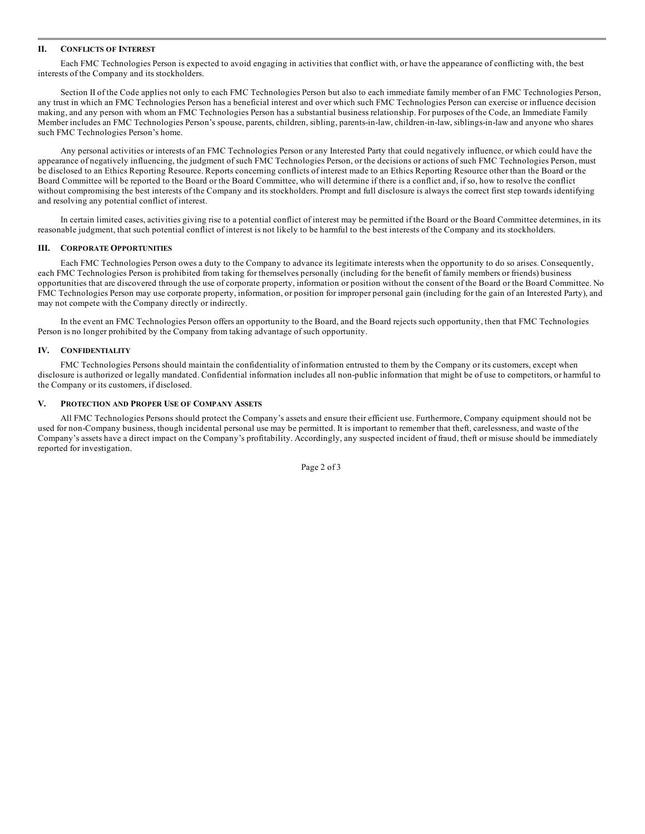#### **II. CONFLICTS OF INTEREST**

Each FMC Technologies Person is expected to avoid engaging in activities that conflict with, or have the appearance of conflicting with, the best interests of the Company and its stockholders.

Section II of the Code applies not only to each FMC Technologies Person but also to each immediate family member of an FMC Technologies Person, any trust in which an FMC Technologies Person has a beneficial interest and over which such FMC Technologies Person can exercise or influence decision making, and any person with whom an FMC Technologies Person has a substantial business relationship. For purposes of the Code, an Immediate Family Member includes an FMC Technologies Person's spouse, parents, children, sibling, parents-in-law, children-in-law, siblings-in-law and anyone who shares such FMC Technologies Person's home.

Any personal activities or interests of an FMC Technologies Person or any Interested Party that could negatively influence, or which could have the appearance of negatively influencing, the judgment of such FMC Technologies Person, or the decisions or actions of such FMC Technologies Person, must be disclosed to an Ethics Reporting Resource. Reports concerning conflicts of interest made to an Ethics Reporting Resource other than the Board or the Board Committee will be reported to the Board or the Board Committee, who will determine if there is a conflict and, if so, how to resolve the conflict without compromising the best interests of the Company and its stockholders. Prompt and full disclosure is always the correct first step towards identifying and resolving any potential conflict of interest.

In certain limited cases, activities giving rise to a potential conflict of interest may be permitted if the Board or the Board Committee determines, in its reasonable judgment, that such potential conflict of interest is not likely to be harmful to the best interests of the Company and its stockholders.

#### **III. CORPORATE OPPORTUNITIES**

Each FMC Technologies Person owes a duty to the Company to advance its legitimate interests when the opportunity to do so arises. Consequently, each FMC Technologies Person is prohibited from taking for themselves personally (including for the benefit of family members or friends) business opportunities that are discovered through the use of corporate property, information or position without the consent of the Board or the Board Committee. No FMC Technologies Person may use corporate property, information, or position for improper personal gain (including for the gain of an Interested Party), and may not compete with the Company directly or indirectly.

In the event an FMC Technologies Person offers an opportunity to the Board, and the Board rejects such opportunity, then that FMC Technologies Person is no longer prohibited by the Company from taking advantage of such opportunity.

#### **IV. CONFIDENTIALITY**

FMC Technologies Persons should maintain the confidentiality of information entrusted to them by the Company or its customers, except when disclosure is authorized or legally mandated. Confidential information includes all non-public information that might be of use to competitors, or harmful to the Company or its customers, if disclosed.

#### **V. PROTECTION AND PROPER USE OF COMPANY ASSETS**

All FMC Technologies Persons should protect the Company's assets and ensure their efficient use. Furthermore, Company equipment should not be used for non-Company business, though incidental personal use may be permitted. It is important to remember that theft, carelessness, and waste of the Company's assets have a direct impact on the Company's profitability. Accordingly, any suspected incident of fraud, theft or misuse should be immediately reported for investigation.

Page 2 of 3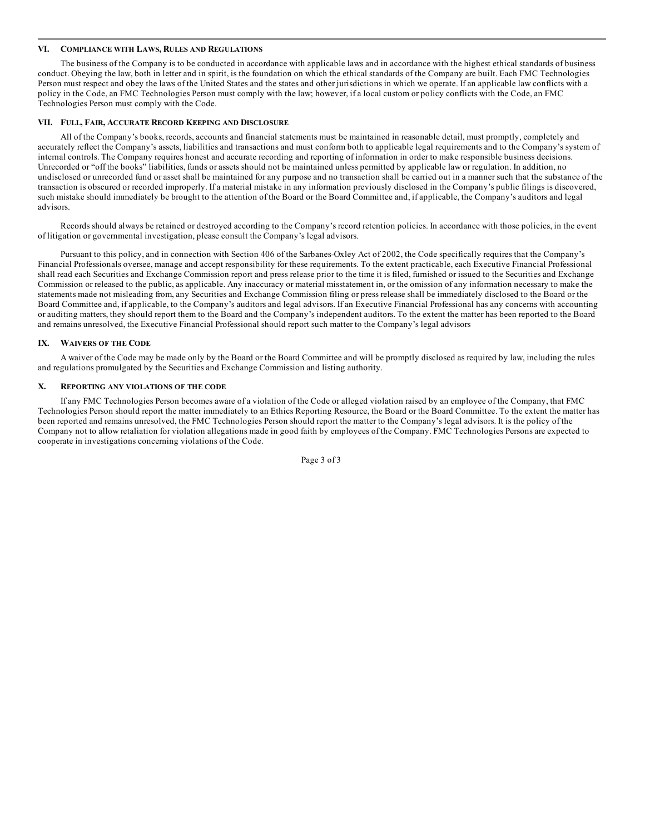#### **VI. COMPLIANCE WITH LAWS, RULES AND REGULATIONS**

The business of the Company is to be conducted in accordance with applicable laws and in accordance with the highest ethical standards of business conduct. Obeying the law, both in letter and in spirit, is the foundation on which the ethical standards of the Company are built. Each FMC Technologies Person must respect and obey the laws of the United States and the states and other jurisdictions in which we operate. If an applicable law conflicts with a policy in the Code, an FMC Technologies Person must comply with the law; however, if a local custom or policy conflicts with the Code, an FMC Technologies Person must comply with the Code.

#### **VII. FULL, FAIR, ACCURATE RECORD KEEPING AND DISCLOSURE**

All of the Company's books, records, accounts and financial statements must be maintained in reasonable detail, must promptly, completely and accurately reflect the Company's assets, liabilities and transactions and must conform both to applicable legal requirements and to the Company's system of internal controls. The Company requires honest and accurate recording and reporting of information in order to make responsible business decisions. Unrecorded or "off the books" liabilities, funds or assets should not be maintained unless permitted by applicable law or regulation. In addition, no undisclosed or unrecorded fund or asset shall be maintained for any purpose and no transaction shall be carried out in a manner such that the substance of the transaction is obscured or recorded improperly. If a material mistake in any information previously disclosed in the Company's public filings is discovered, such mistake should immediately be brought to the attention of the Board or the Board Committee and, if applicable, the Company's auditors and legal advisors.

Records should always be retained or destroyed according to the Company's record retention policies. In accordance with those policies, in the event of litigation or governmental investigation, please consult the Company's legal advisors.

Pursuant to this policy, and in connection with Section 406 of the Sarbanes-Oxley Act of 2002, the Code specifically requires that the Company's Financial Professionals oversee, manage and accept responsibility for these requirements. To the extent practicable, each Executive Financial Professional shall read each Securities and Exchange Commission report and press release prior to the time it is filed, furnished or issued to the Securities and Exchange Commission or released to the public, as applicable. Any inaccuracy or material misstatement in, or the omission of any information necessary to make the statements made not misleading from, any Securities and Exchange Commission filing or press release shall be immediately disclosed to the Board or the Board Committee and, if applicable, to the Company's auditors and legal advisors. If an Executive Financial Professional has any concerns with accounting or auditing matters, they should report them to the Board and the Company's independent auditors. To the extent the matter has been reported to the Board and remains unresolved, the Executive Financial Professional should report such matter to the Company's legal advisors

### **IX. WAIVERS OF THE CODE**

A waiver of the Code may be made only by the Board or the Board Committee and will be promptly disclosed as required by law, including the rules and regulations promulgated by the Securities and Exchange Commission and listing authority.

### **X. REPORTING ANY VIOLATIONS OF THE CODE**

If any FMC Technologies Person becomes aware of a violation of the Code or alleged violation raised by an employee of the Company, that FMC Technologies Person should report the matter immediately to an Ethics Reporting Resource, the Board or the Board Committee. To the extent the matter has been reported and remains unresolved, the FMC Technologies Person should report the matter to the Company's legal advisors. It is the policy of the Company not to allow retaliation for violation allegations made in good faith by employees of the Company. FMC Technologies Persons are expected to cooperate in investigations concerning violations of the Code.

Page 3 of 3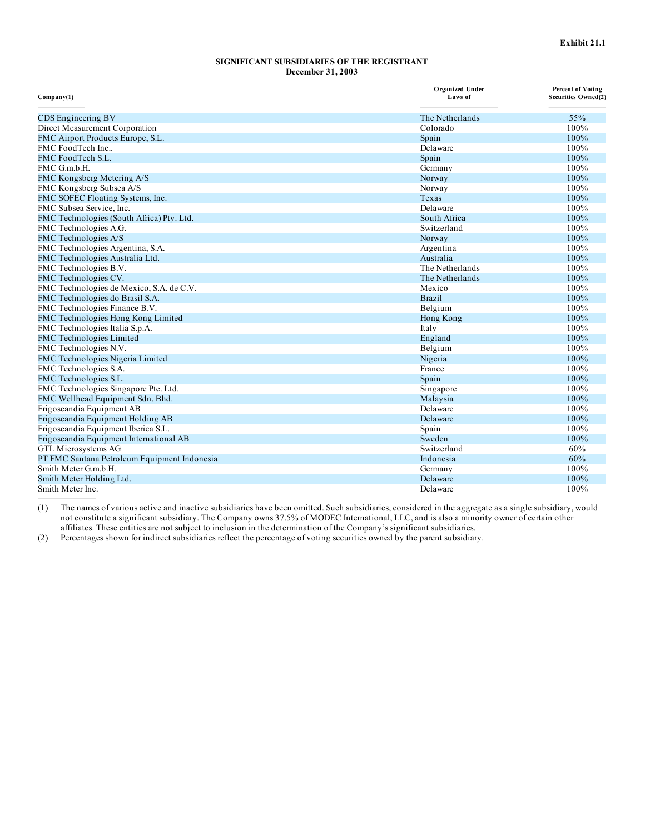# **SIGNIFICANT SUBSIDIARIES OF THE REGISTRANT December 31, 2003**

| Company(1)                                   | <b>Organized Under</b><br>Laws of | <b>Percent of Voting</b><br>Securities Owned(2) |  |
|----------------------------------------------|-----------------------------------|-------------------------------------------------|--|
| CDS Engineering BV                           | The Netherlands                   | 55%                                             |  |
| Direct Measurement Corporation               | Colorado                          | 100%                                            |  |
| FMC Airport Products Europe, S.L.            | Spain                             | 100%                                            |  |
| FMC FoodTech Inc                             | Delaware                          | 100%                                            |  |
| FMC FoodTech S.L.                            | Spain                             | 100%                                            |  |
| FMC G.m.b.H.                                 | Germany                           | 100%                                            |  |
| FMC Kongsberg Metering A/S                   | Norway                            | 100%                                            |  |
| FMC Kongsberg Subsea A/S                     | Norway                            | 100%                                            |  |
| FMC SOFEC Floating Systems, Inc.             | Texas                             | 100%                                            |  |
| FMC Subsea Service, Inc.                     | Delaware                          | 100%                                            |  |
| FMC Technologies (South Africa) Pty. Ltd.    | South Africa                      | 100%                                            |  |
| FMC Technologies A.G.                        | Switzerland                       | 100%                                            |  |
| FMC Technologies A/S                         | Norway                            | 100%                                            |  |
| FMC Technologies Argentina, S.A.             | Argentina                         | 100%                                            |  |
| FMC Technologies Australia Ltd.              | Australia                         | 100%                                            |  |
| FMC Technologies B.V.                        | The Netherlands                   | 100%                                            |  |
| FMC Technologies CV.                         | The Netherlands                   | 100%                                            |  |
| FMC Technologies de Mexico, S.A. de C.V.     | Mexico                            | 100%                                            |  |
| FMC Technologies do Brasil S.A.              | <b>Brazil</b>                     | 100%                                            |  |
| FMC Technologies Finance B.V.                | Belgium                           | 100%                                            |  |
| FMC Technologies Hong Kong Limited           | Hong Kong                         | 100%                                            |  |
| FMC Technologies Italia S.p.A.               | Italy                             | 100%                                            |  |
| FMC Technologies Limited                     | England                           | 100%                                            |  |
| FMC Technologies N.V.                        | Belgium                           | 100%                                            |  |
| FMC Technologies Nigeria Limited             | Nigeria                           | 100%                                            |  |
| FMC Technologies S.A.                        | France                            | 100%                                            |  |
| FMC Technologies S.L.                        | Spain                             | 100%                                            |  |
| FMC Technologies Singapore Pte. Ltd.         | Singapore                         | 100%                                            |  |
| FMC Wellhead Equipment Sdn. Bhd.             | Malaysia                          | 100%                                            |  |
| Frigoscandia Equipment AB                    | Delaware                          | 100%                                            |  |
| Frigoscandia Equipment Holding AB            | Delaware                          | 100%                                            |  |
| Frigoscandia Equipment Iberica S.L.          | Spain                             | 100%                                            |  |
| Frigoscandia Equipment International AB      | Sweden                            | 100%                                            |  |
| GTL Microsystems AG                          | Switzerland                       | 60%                                             |  |
| PT FMC Santana Petroleum Equipment Indonesia | Indonesia                         | 60%                                             |  |
| Smith Meter G.m.b.H.                         | Germany                           | 100%                                            |  |
| Smith Meter Holding Ltd.                     | Delaware                          | 100%                                            |  |
| Smith Meter Inc.                             | Delaware                          | 100%                                            |  |

(1) The names of various active and inactive subsidiaries have been omitted. Such subsidiaries, considered in the aggregate as a single subsidiary, would not constitute a significant subsidiary. The Company owns 37.5% of MODEC International, LLC, and is also a minority owner of certain other affiliates. These entities are not subject to inclusion in the determination of the Company's significant subsidiaries.

(2) Percentages shown for indirect subsidiaries reflect the percentage of voting securities owned by the parent subsidiary.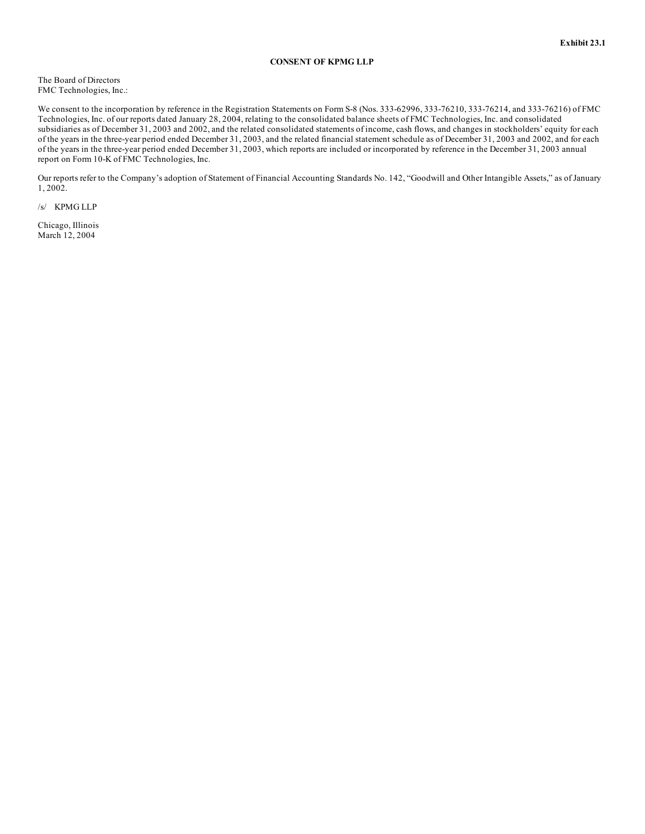## **CONSENT OF KPMG LLP**

The Board of Directors FMC Technologies, Inc.:

We consent to the incorporation by reference in the Registration Statements on Form S-8 (Nos. 333-62996, 333-76210, 333-76214, and 333-76216) of FMC Technologies, Inc. of our reports dated January 28, 2004, relating to the consolidated balance sheets of FMC Technologies, Inc. and consolidated subsidiaries as of December 31, 2003 and 2002, and the related consolidated statements of income, cash flows, and changes in stockholders' equity for each of the years in the three-year period ended December 31, 2003, and the related financial statement schedule as of December 31, 2003 and 2002, and for each of the years in the three-year period ended December 31, 2003, which reports are included or incorporated by reference in the December 31, 2003 annual report on Form 10-K of FMC Technologies, Inc.

Our reports refer to the Company's adoption of Statement of Financial Accounting Standards No. 142, "Goodwill and Other Intangible Assets," as of January 1, 2002.

/s/ KPMG LLP

Chicago, Illinois March 12, 2004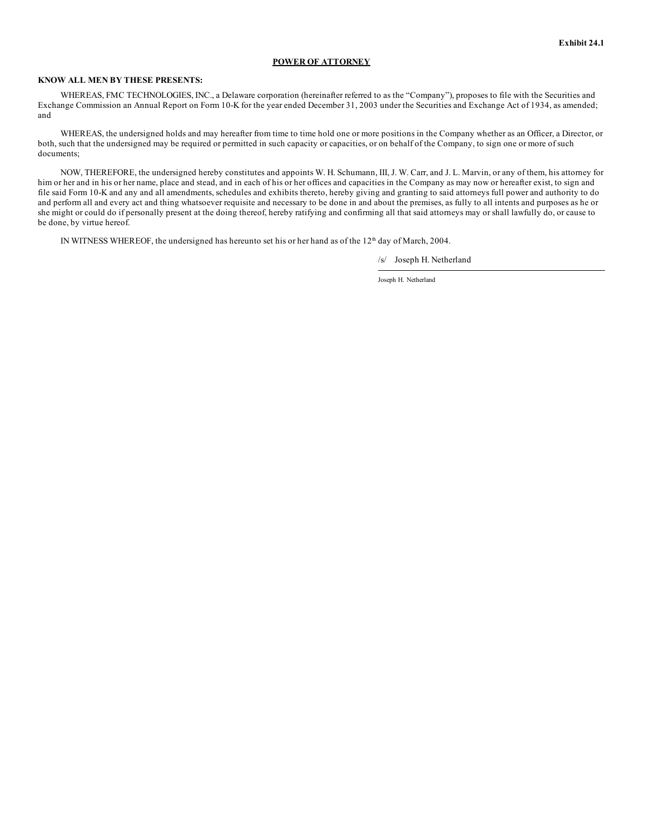## **KNOW ALL MEN BY THESE PRESENTS:**

WHEREAS, FMC TECHNOLOGIES, INC., a Delaware corporation (hereinafter referred to as the "Company"), proposes to file with the Securities and Exchange Commission an Annual Report on Form 10-K for the year ended December 31, 2003 under the Securities and Exchange Act of 1934, as amended; and

WHEREAS, the undersigned holds and may hereafter from time to time hold one or more positions in the Company whether as an Officer, a Director, or both, such that the undersigned may be required or permitted in such capacity or capacities, or on behalf of the Company, to sign one or more of such documents;

NOW, THEREFORE, the undersigned hereby constitutes and appoints W. H. Schumann, III, J. W. Carr, and J. L. Marvin, or any of them, his attorney for him or her and in his or her name, place and stead, and in each of his or her offices and capacities in the Company as may now or hereafter exist, to sign and file said Form 10-K and any and all amendments, schedules and exhibits thereto, hereby giving and granting to said attorneys full power and authority to do and perform all and every act and thing whatsoever requisite and necessary to be done in and about the premises, as fully to all intents and purposes as he or she might or could do if personally present at the doing thereof, hereby ratifying and confirming all that said attorneys may or shall lawfully do, or cause to be done, by virtue hereof.

IN WITNESS WHEREOF, the undersigned has hereunto set his or her hand as of the  $12<sup>th</sup>$  day of March, 2004.

/s/ Joseph H. Netherland

Joseph H. Netherland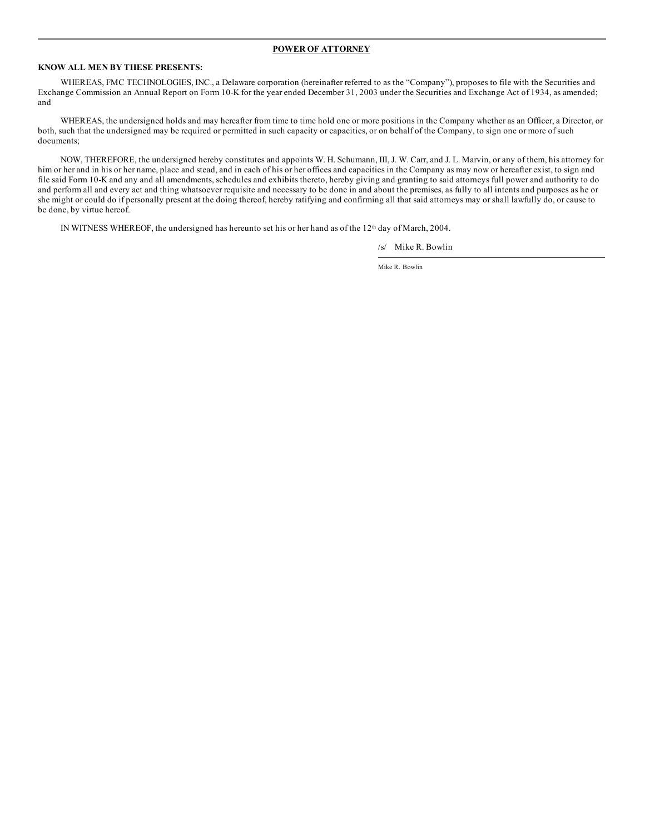# **KNOW ALL MEN BY THESE PRESENTS:**

WHEREAS, FMC TECHNOLOGIES, INC., a Delaware corporation (hereinafter referred to as the "Company"), proposes to file with the Securities and Exchange Commission an Annual Report on Form 10-K for the year ended December 31, 2003 under the Securities and Exchange Act of 1934, as amended; and

WHEREAS, the undersigned holds and may hereafter from time to time hold one or more positions in the Company whether as an Officer, a Director, or both, such that the undersigned may be required or permitted in such capacity or capacities, or on behalf of the Company, to sign one or more of such documents;

NOW, THEREFORE, the undersigned hereby constitutes and appoints W. H. Schumann, III, J. W. Carr, and J. L. Marvin, or any of them, his attorney for him or her and in his or her name, place and stead, and in each of his or her offices and capacities in the Company as may now or hereafter exist, to sign and file said Form 10-K and any and all amendments, schedules and exhibits thereto, hereby giving and granting to said attorneys full power and authority to do and perform all and every act and thing whatsoever requisite and necessary to be done in and about the premises, as fully to all intents and purposes as he or she might or could do if personally present at the doing thereof, hereby ratifying and confirming all that said attorneys may or shall lawfully do, or cause to be done, by virtue hereof.

IN WITNESS WHEREOF, the undersigned has hereunto set his or her hand as of the  $12<sup>th</sup>$  day of March, 2004.

/s/ Mike R. Bowlin

Mike R. Bowlin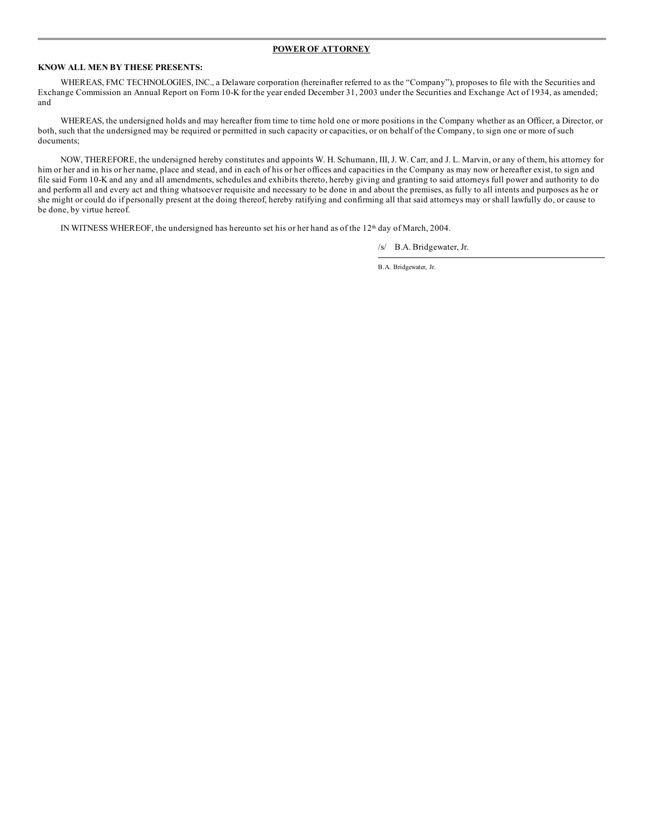# **KNOW ALL MEN BY THESE PRESENTS:**

WHEREAS, FMC TECHNOLOGIES, INC., a Delaware corporation (hereinafter referred to as the "Company"), proposes to file with the Securities and Exchange Commission an Annual Report on Form 10-K for the year ended December 31, 2003 under the Securities and Exchange Act of 1934, as amended; and

WHEREAS, the undersigned holds and may hereafter from time to time hold one or more positions in the Company whether as an Officer, a Director, or both, such that the undersigned may be required or permitted in such capacity or capacities, or on behalf of the Company, to sign one or more of such documents;

NOW, THEREFORE, the undersigned hereby constitutes and appoints W. H. Schumann, III, J. W. Carr, and J. L. Marvin, or any of them, his attorney for him or her and in his or her name, place and stead, and in each of his or her offices and capacities in the Company as may now or hereafter exist, to sign and file said Form 10-K and any and all amendments, schedules and exhibits thereto, hereby giving and granting to said attorneys full power and authority to do and perform all and every act and thing whatsoever requisite and necessary to be done in and about the premises, as fully to all intents and purposes as he or she might or could do if personally present at the doing thereof, hereby ratifying and confirming all that said attorneys may or shall lawfully do, or cause to be done, by virtue hereof.

IN WITNESS WHEREOF, the undersigned has hereunto set his or her hand as of the  $12<sup>th</sup>$  day of March, 2004.

/s/ B.A. Bridgewater, Jr.

B.A. Bridgewater, Jr.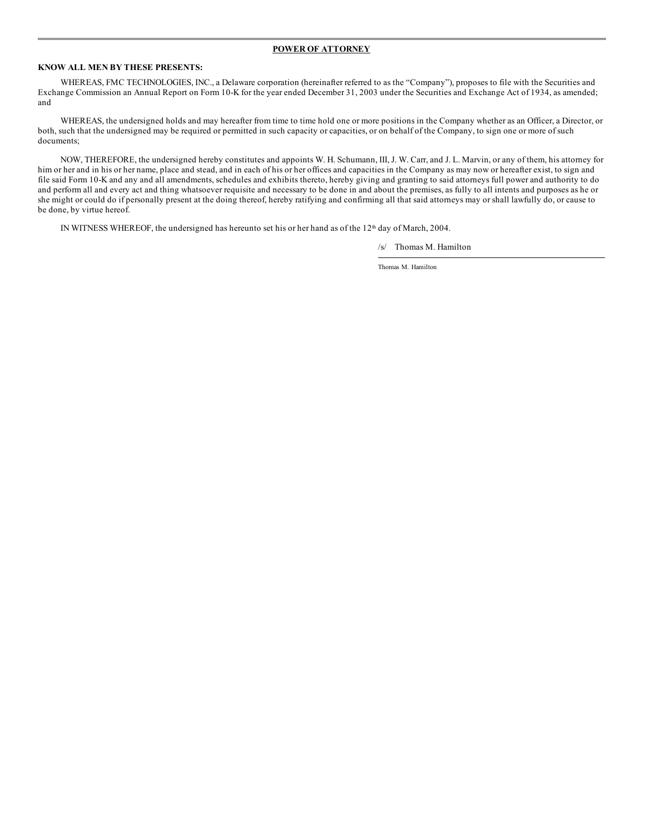# **KNOW ALL MEN BY THESE PRESENTS:**

WHEREAS, FMC TECHNOLOGIES, INC., a Delaware corporation (hereinafter referred to as the "Company"), proposes to file with the Securities and Exchange Commission an Annual Report on Form 10-K for the year ended December 31, 2003 under the Securities and Exchange Act of 1934, as amended; and

WHEREAS, the undersigned holds and may hereafter from time to time hold one or more positions in the Company whether as an Officer, a Director, or both, such that the undersigned may be required or permitted in such capacity or capacities, or on behalf of the Company, to sign one or more of such documents;

NOW, THEREFORE, the undersigned hereby constitutes and appoints W. H. Schumann, III, J. W. Carr, and J. L. Marvin, or any of them, his attorney for him or her and in his or her name, place and stead, and in each of his or her offices and capacities in the Company as may now or hereafter exist, to sign and file said Form 10-K and any and all amendments, schedules and exhibits thereto, hereby giving and granting to said attorneys full power and authority to do and perform all and every act and thing whatsoever requisite and necessary to be done in and about the premises, as fully to all intents and purposes as he or she might or could do if personally present at the doing thereof, hereby ratifying and confirming all that said attorneys may or shall lawfully do, or cause to be done, by virtue hereof.

IN WITNESS WHEREOF, the undersigned has hereunto set his or her hand as of the  $12<sup>th</sup>$  day of March, 2004.

/s/ Thomas M. Hamilton

Thomas M. Hamilton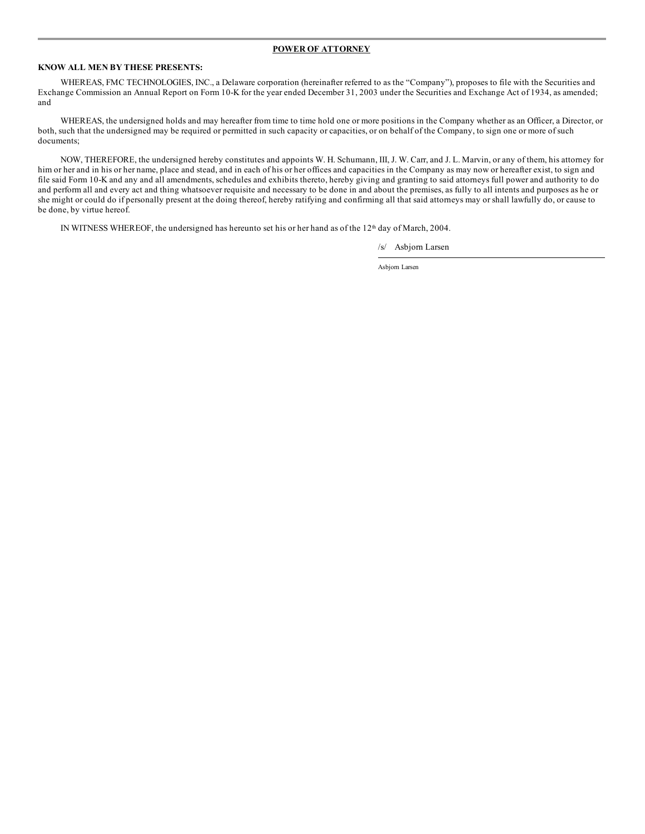# **KNOW ALL MEN BY THESE PRESENTS:**

WHEREAS, FMC TECHNOLOGIES, INC., a Delaware corporation (hereinafter referred to as the "Company"), proposes to file with the Securities and Exchange Commission an Annual Report on Form 10-K for the year ended December 31, 2003 under the Securities and Exchange Act of 1934, as amended; and

WHEREAS, the undersigned holds and may hereafter from time to time hold one or more positions in the Company whether as an Officer, a Director, or both, such that the undersigned may be required or permitted in such capacity or capacities, or on behalf of the Company, to sign one or more of such documents;

NOW, THEREFORE, the undersigned hereby constitutes and appoints W. H. Schumann, III, J. W. Carr, and J. L. Marvin, or any of them, his attorney for him or her and in his or her name, place and stead, and in each of his or her offices and capacities in the Company as may now or hereafter exist, to sign and file said Form 10-K and any and all amendments, schedules and exhibits thereto, hereby giving and granting to said attorneys full power and authority to do and perform all and every act and thing whatsoever requisite and necessary to be done in and about the premises, as fully to all intents and purposes as he or she might or could do if personally present at the doing thereof, hereby ratifying and confirming all that said attorneys may or shall lawfully do, or cause to be done, by virtue hereof.

IN WITNESS WHEREOF, the undersigned has hereunto set his or her hand as of the  $12<sup>th</sup>$  day of March, 2004.

/s/ Asbjorn Larsen

Asbjorn Larsen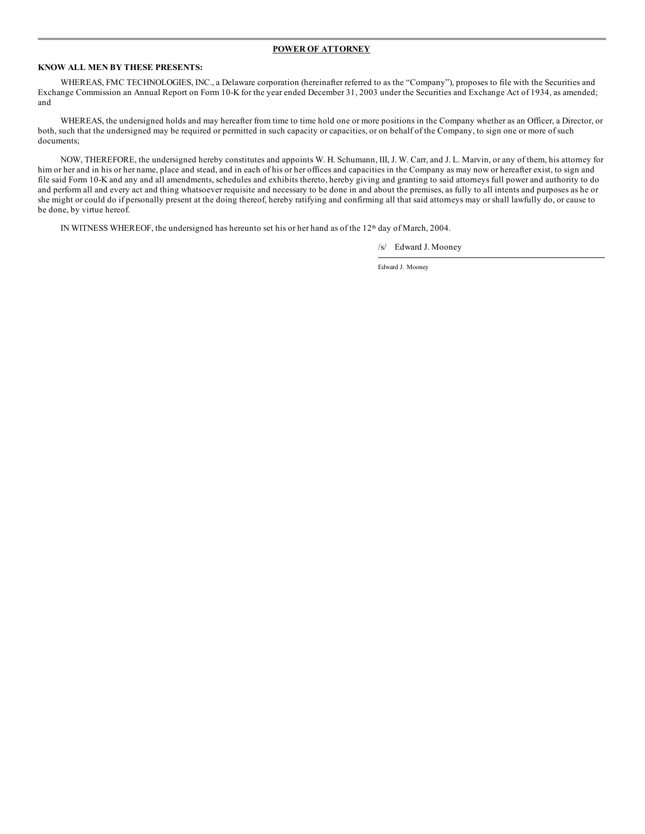# **KNOW ALL MEN BY THESE PRESENTS:**

WHEREAS, FMC TECHNOLOGIES, INC., a Delaware corporation (hereinafter referred to as the "Company"), proposes to file with the Securities and Exchange Commission an Annual Report on Form 10-K for the year ended December 31, 2003 under the Securities and Exchange Act of 1934, as amended; and

WHEREAS, the undersigned holds and may hereafter from time to time hold one or more positions in the Company whether as an Officer, a Director, or both, such that the undersigned may be required or permitted in such capacity or capacities, or on behalf of the Company, to sign one or more of such documents;

NOW, THEREFORE, the undersigned hereby constitutes and appoints W. H. Schumann, III, J. W. Carr, and J. L. Marvin, or any of them, his attorney for him or her and in his or her name, place and stead, and in each of his or her offices and capacities in the Company as may now or hereafter exist, to sign and file said Form 10-K and any and all amendments, schedules and exhibits thereto, hereby giving and granting to said attorneys full power and authority to do and perform all and every act and thing whatsoever requisite and necessary to be done in and about the premises, as fully to all intents and purposes as he or she might or could do if personally present at the doing thereof, hereby ratifying and confirming all that said attorneys may or shall lawfully do, or cause to be done, by virtue hereof.

IN WITNESS WHEREOF, the undersigned has hereunto set his or her hand as of the  $12<sup>th</sup>$  day of March, 2004.

/s/ Edward J. Mooney

Edward J. Mooney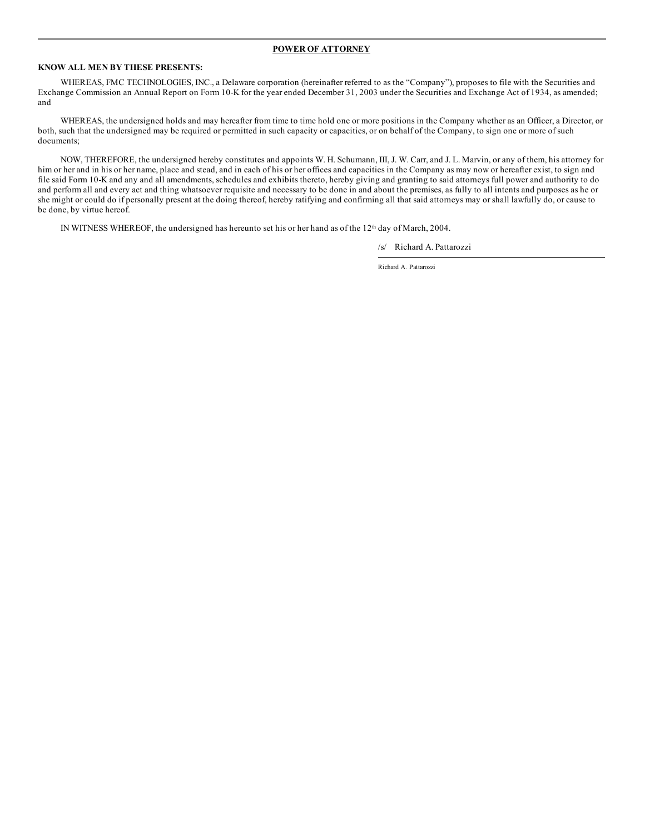# **KNOW ALL MEN BY THESE PRESENTS:**

WHEREAS, FMC TECHNOLOGIES, INC., a Delaware corporation (hereinafter referred to as the "Company"), proposes to file with the Securities and Exchange Commission an Annual Report on Form 10-K for the year ended December 31, 2003 under the Securities and Exchange Act of 1934, as amended; and

WHEREAS, the undersigned holds and may hereafter from time to time hold one or more positions in the Company whether as an Officer, a Director, or both, such that the undersigned may be required or permitted in such capacity or capacities, or on behalf of the Company, to sign one or more of such documents;

NOW, THEREFORE, the undersigned hereby constitutes and appoints W. H. Schumann, III, J. W. Carr, and J. L. Marvin, or any of them, his attorney for him or her and in his or her name, place and stead, and in each of his or her offices and capacities in the Company as may now or hereafter exist, to sign and file said Form 10-K and any and all amendments, schedules and exhibits thereto, hereby giving and granting to said attorneys full power and authority to do and perform all and every act and thing whatsoever requisite and necessary to be done in and about the premises, as fully to all intents and purposes as he or she might or could do if personally present at the doing thereof, hereby ratifying and confirming all that said attorneys may or shall lawfully do, or cause to be done, by virtue hereof.

IN WITNESS WHEREOF, the undersigned has hereunto set his or her hand as of the  $12<sup>th</sup>$  day of March, 2004.

/s/ Richard A. Pattarozzi

Richard A. Pattarozzi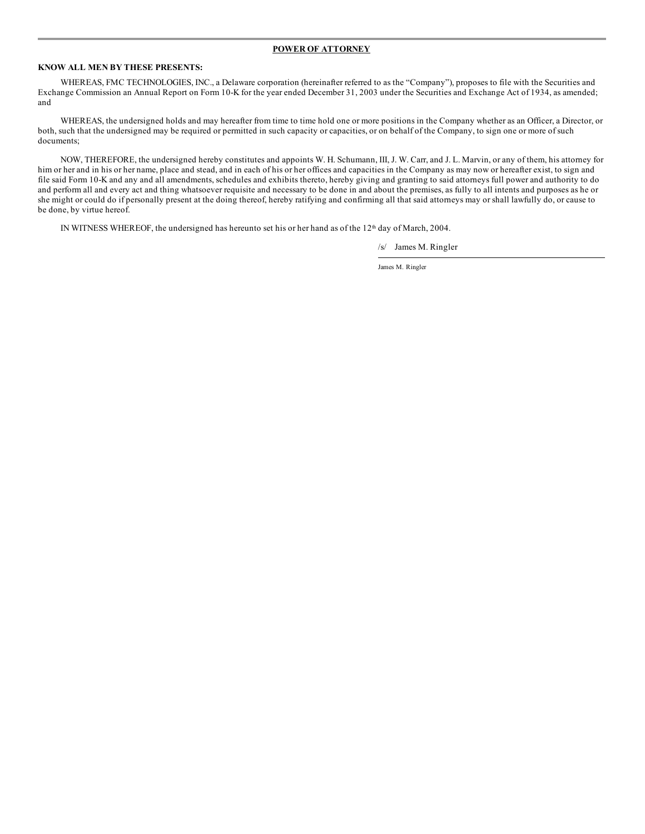# **KNOW ALL MEN BY THESE PRESENTS:**

WHEREAS, FMC TECHNOLOGIES, INC., a Delaware corporation (hereinafter referred to as the "Company"), proposes to file with the Securities and Exchange Commission an Annual Report on Form 10-K for the year ended December 31, 2003 under the Securities and Exchange Act of 1934, as amended; and

WHEREAS, the undersigned holds and may hereafter from time to time hold one or more positions in the Company whether as an Officer, a Director, or both, such that the undersigned may be required or permitted in such capacity or capacities, or on behalf of the Company, to sign one or more of such documents;

NOW, THEREFORE, the undersigned hereby constitutes and appoints W. H. Schumann, III, J. W. Carr, and J. L. Marvin, or any of them, his attorney for him or her and in his or her name, place and stead, and in each of his or her offices and capacities in the Company as may now or hereafter exist, to sign and file said Form 10-K and any and all amendments, schedules and exhibits thereto, hereby giving and granting to said attorneys full power and authority to do and perform all and every act and thing whatsoever requisite and necessary to be done in and about the premises, as fully to all intents and purposes as he or she might or could do if personally present at the doing thereof, hereby ratifying and confirming all that said attorneys may or shall lawfully do, or cause to be done, by virtue hereof.

IN WITNESS WHEREOF, the undersigned has hereunto set his or her hand as of the  $12<sup>th</sup>$  day of March, 2004.

/s/ James M. Ringler

James M. Ringler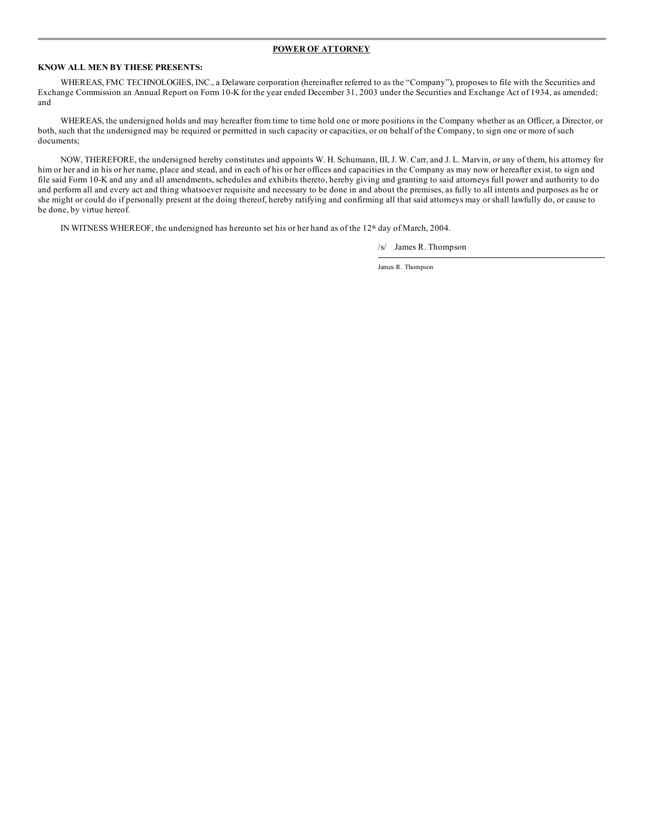# **KNOW ALL MEN BY THESE PRESENTS:**

WHEREAS, FMC TECHNOLOGIES, INC., a Delaware corporation (hereinafter referred to as the "Company"), proposes to file with the Securities and Exchange Commission an Annual Report on Form 10-K for the year ended December 31, 2003 under the Securities and Exchange Act of 1934, as amended; and

WHEREAS, the undersigned holds and may hereafter from time to time hold one or more positions in the Company whether as an Officer, a Director, or both, such that the undersigned may be required or permitted in such capacity or capacities, or on behalf of the Company, to sign one or more of such documents;

NOW, THEREFORE, the undersigned hereby constitutes and appoints W. H. Schumann, III, J. W. Carr, and J. L. Marvin, or any of them, his attorney for him or her and in his or her name, place and stead, and in each of his or her offices and capacities in the Company as may now or hereafter exist, to sign and file said Form 10-K and any and all amendments, schedules and exhibits thereto, hereby giving and granting to said attorneys full power and authority to do and perform all and every act and thing whatsoever requisite and necessary to be done in and about the premises, as fully to all intents and purposes as he or she might or could do if personally present at the doing thereof, hereby ratifying and confirming all that said attorneys may or shall lawfully do, or cause to be done, by virtue hereof.

IN WITNESS WHEREOF, the undersigned has hereunto set his or her hand as of the  $12<sup>th</sup>$  day of March, 2004.

/s/ James R. Thompson

James R. Thompson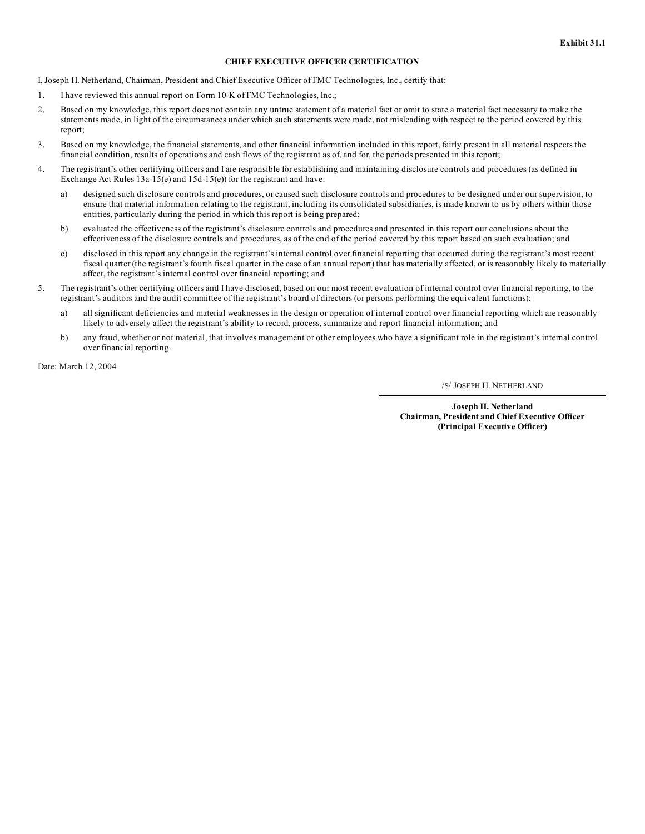### **CHIEF EXECUTIVE OFFICER CERTIFICATION**

I, Joseph H. Netherland, Chairman, President and Chief Executive Officer of FMC Technologies, Inc., certify that:

- 1. I have reviewed this annual report on Form 10-K of FMC Technologies, Inc.;
- 2. Based on my knowledge, this report does not contain any untrue statement of a material fact or omit to state a material fact necessary to make the statements made, in light of the circumstances under which such statements were made, not misleading with respect to the period covered by this report;
- 3. Based on my knowledge, the financial statements, and other financial information included in this report, fairly present in all material respects the financial condition, results of operations and cash flows of the registrant as of, and for, the periods presented in this report;
- 4. The registrant's other certifying officers and I are responsible for establishing and maintaining disclosure controls and procedures (as defined in Exchange Act Rules 13a-15(e) and 15d-15(e)) for the registrant and have:
	- a) designed such disclosure controls and procedures, or caused such disclosure controls and procedures to be designed under our supervision, to ensure that material information relating to the registrant, including its consolidated subsidiaries, is made known to us by others within those entities, particularly during the period in which this report is being prepared;
	- b) evaluated the effectiveness of the registrant's disclosure controls and procedures and presented in this report our conclusions about the effectiveness of the disclosure controls and procedures, as of the end of the period covered by this report based on such evaluation; and
	- c) disclosed in this report any change in the registrant's internal control over financial reporting that occurred during the registrant's most recent fiscal quarter (the registrant's fourth fiscal quarter in the case of an annual report) that has materially affected, or is reasonably likely to materially affect, the registrant's internal control over financial reporting; and
- 5. The registrant's other certifying officers and I have disclosed, based on our most recent evaluation of internal control over financial reporting, to the registrant's auditors and the audit committee of the registrant's board of directors (or persons performing the equivalent functions):
	- a) all significant deficiencies and material weaknesses in the design or operation of internal control over financial reporting which are reasonably likely to adversely affect the registrant's ability to record, process, summarize and report financial information; and
	- b) any fraud, whether or not material, that involves management or other employees who have a significant role in the registrant's internal control over financial reporting.

Date: March 12, 2004

/S/ JOSEPH H. NETHERLAND

**Joseph H. Netherland Chairman, President and Chief Executive Officer (Principal Executive Officer)**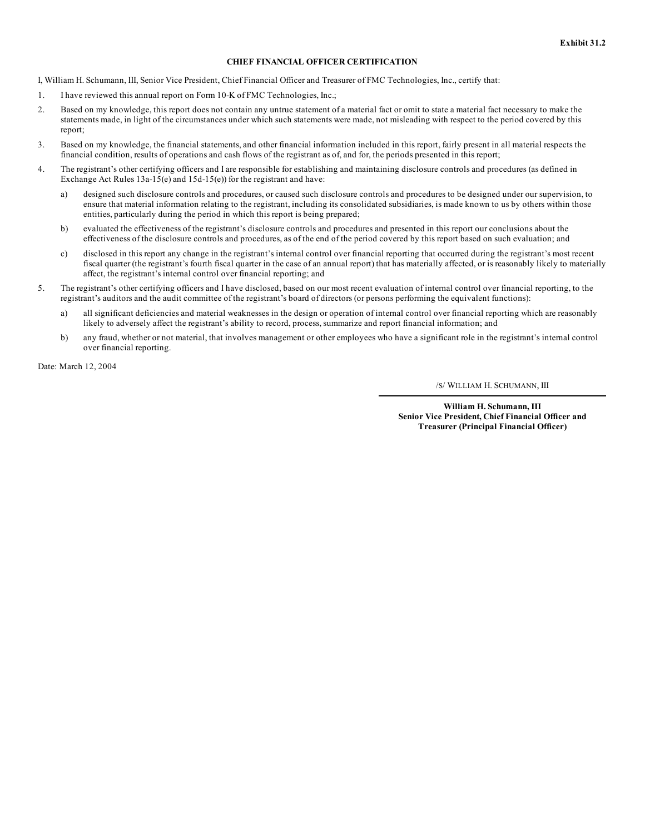## **CHIEF FINANCIAL OFFICER CERTIFICATION**

I, William H. Schumann, III, Senior Vice President, Chief Financial Officer and Treasurer of FMC Technologies, Inc., certify that:

- 1. I have reviewed this annual report on Form 10-K of FMC Technologies, Inc.;
- 2. Based on my knowledge, this report does not contain any untrue statement of a material fact or omit to state a material fact necessary to make the statements made, in light of the circumstances under which such statements were made, not misleading with respect to the period covered by this report;
- 3. Based on my knowledge, the financial statements, and other financial information included in this report, fairly present in all material respects the financial condition, results of operations and cash flows of the registrant as of, and for, the periods presented in this report;
- 4. The registrant's other certifying officers and I are responsible for establishing and maintaining disclosure controls and procedures (as defined in Exchange Act Rules 13a-15(e) and 15d-15(e)) for the registrant and have:
	- a) designed such disclosure controls and procedures, or caused such disclosure controls and procedures to be designed under our supervision, to ensure that material information relating to the registrant, including its consolidated subsidiaries, is made known to us by others within those entities, particularly during the period in which this report is being prepared;
	- b) evaluated the effectiveness of the registrant's disclosure controls and procedures and presented in this report our conclusions about the effectiveness of the disclosure controls and procedures, as of the end of the period covered by this report based on such evaluation; and
	- c) disclosed in this report any change in the registrant's internal control over financial reporting that occurred during the registrant's most recent fiscal quarter (the registrant's fourth fiscal quarter in the case of an annual report) that has materially affected, or is reasonably likely to materially affect, the registrant's internal control over financial reporting; and
- 5. The registrant's other certifying officers and I have disclosed, based on our most recent evaluation of internal control over financial reporting, to the registrant's auditors and the audit committee of the registrant's board of directors (or persons performing the equivalent functions):
	- a) all significant deficiencies and material weaknesses in the design or operation of internal control over financial reporting which are reasonably likely to adversely affect the registrant's ability to record, process, summarize and report financial information; and
	- b) any fraud, whether or not material, that involves management or other employees who have a significant role in the registrant's internal control over financial reporting.

Date: March 12, 2004

/S/ WILLIAM H. SCHUMANN, III

**William H. Schumann, III Senior Vice President, Chief Financial Officer and Treasurer (Principal Financial Officer)**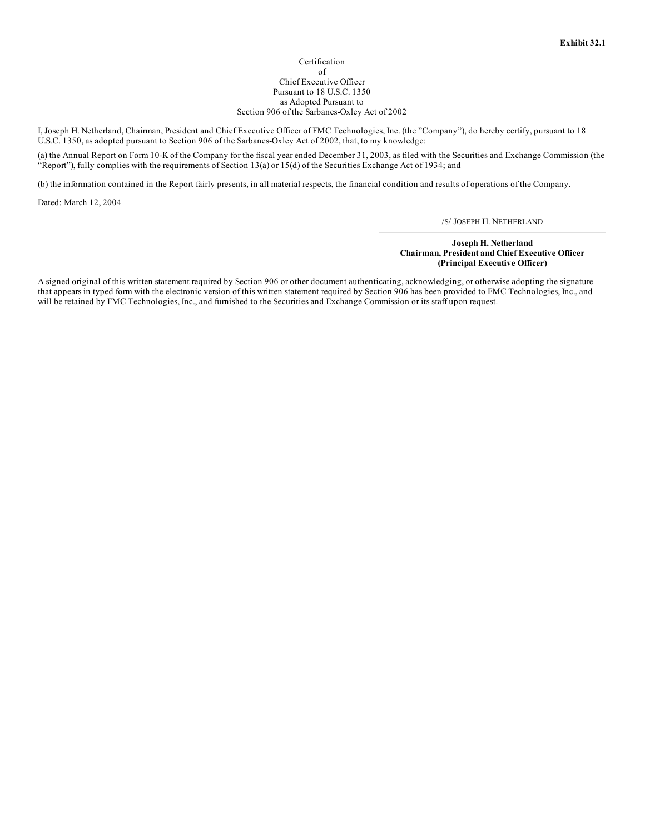#### Certification of Chief Executive Officer Pursuant to 18 U.S.C. 1350 as Adopted Pursuant to Section 906 of the Sarbanes-Oxley Act of 2002

I, Joseph H. Netherland, Chairman, President and Chief Executive Officer of FMC Technologies, Inc. (the "Company"), do hereby certify, pursuant to 18 U.S.C. 1350, as adopted pursuant to Section 906 of the Sarbanes-Oxley Act of 2002, that, to my knowledge:

(a) the Annual Report on Form 10-K of the Company for the fiscal year ended December 31, 2003, as filed with the Securities and Exchange Commission (the "Report"), fully complies with the requirements of Section 13(a) or 15(d) of the Securities Exchange Act of 1934; and

(b) the information contained in the Report fairly presents, in all material respects, the financial condition and results of operations of the Company.

Dated: March 12, 2004

/S/ JOSEPH H. NETHERLAND

**Joseph H. Netherland Chairman, President and Chief Executive Officer (Principal Executive Officer)**

A signed original of this written statement required by Section 906 or other document authenticating, acknowledging, or otherwise adopting the signature that appears in typed form with the electronic version of this written statement required by Section 906 has been provided to FMC Technologies, Inc., and will be retained by FMC Technologies, Inc., and furnished to the Securities and Exchange Commission or its staff upon request.